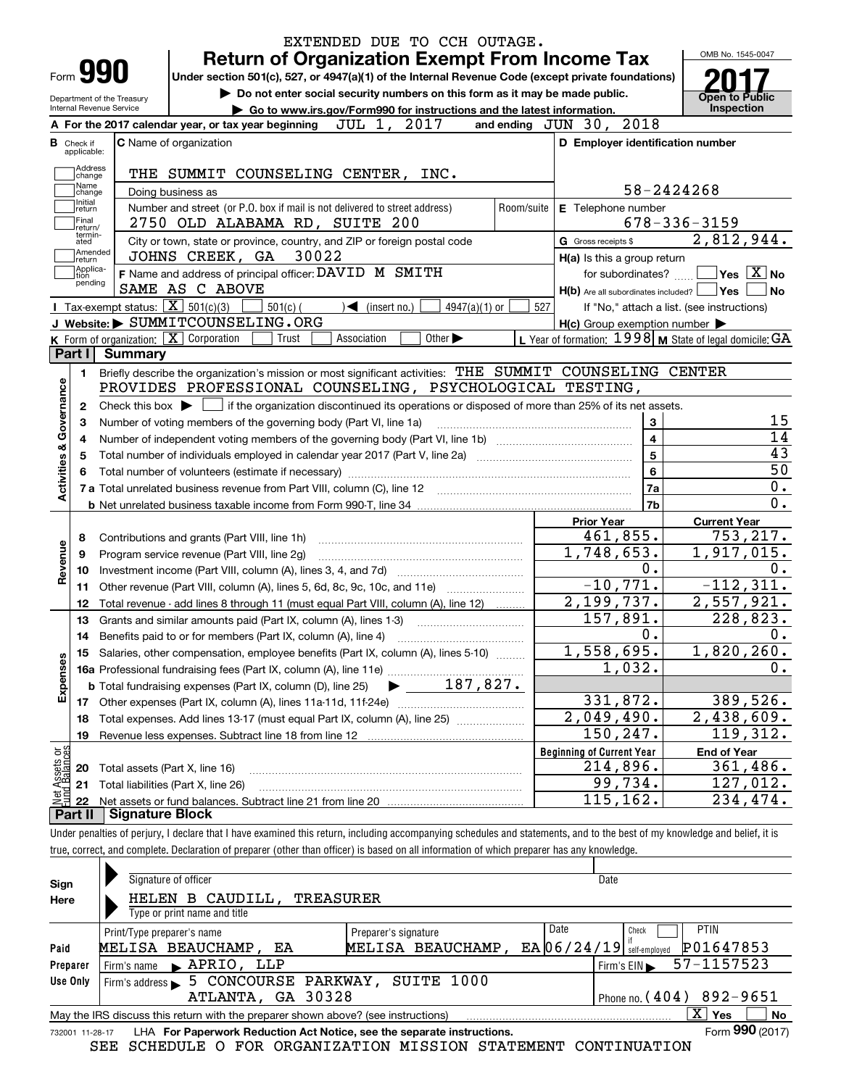|                                            |                                                   | EXTENDED DUE TO CCH OUTAGE.<br><b>Return of Organization Exempt From Income Tax</b>                                                             |                                                           | OMB No. 1545-0047                                |  |  |  |  |
|--------------------------------------------|---------------------------------------------------|-------------------------------------------------------------------------------------------------------------------------------------------------|-----------------------------------------------------------|--------------------------------------------------|--|--|--|--|
| Form <b>990</b>                            |                                                   | Under section 501(c), 527, or 4947(a)(1) of the Internal Revenue Code (except private foundations)                                              |                                                           |                                                  |  |  |  |  |
| <b>Internal Revenue Service</b>            | Department of the Treasury                        | Do not enter social security numbers on this form as it may be made public.                                                                     |                                                           | <b>Open to Public</b><br>Inspection              |  |  |  |  |
|                                            |                                                   | Go to www.irs.gov/Form990 for instructions and the latest information.<br>2017<br>JUL 1,<br>A For the 2017 calendar year, or tax year beginning | and ending JUN 30, 2018                                   |                                                  |  |  |  |  |
| <b>B</b> Check if                          |                                                   | <b>C</b> Name of organization                                                                                                                   | D Employer identification number                          |                                                  |  |  |  |  |
| applicable:                                |                                                   |                                                                                                                                                 |                                                           |                                                  |  |  |  |  |
| Address<br>change                          |                                                   | THE SUMMIT COUNSELING CENTER,<br>INC.                                                                                                           |                                                           |                                                  |  |  |  |  |
| Name<br>change                             |                                                   | Doing business as                                                                                                                               |                                                           | 58-2424268                                       |  |  |  |  |
| Initial<br>return                          |                                                   | Number and street (or P.O. box if mail is not delivered to street address)                                                                      | Room/suite<br>E Telephone number                          |                                                  |  |  |  |  |
| Final                                      |                                                   | 2750 OLD ALABAMA RD, SUITE 200                                                                                                                  |                                                           | $678 - 336 - 3159$                               |  |  |  |  |
| return/<br>termin-<br>ated                 |                                                   | City or town, state or province, country, and ZIP or foreign postal code                                                                        | G Gross receipts \$                                       | 2,812,944.                                       |  |  |  |  |
| Amended<br>∣return                         |                                                   | 30022<br>JOHNS CREEK, GA                                                                                                                        | $H(a)$ is this a group return                             |                                                  |  |  |  |  |
| Applica-<br>tion                           |                                                   | F Name and address of principal officer: DAVID M SMITH                                                                                          | for subordinates?                                         | $\sqrt{}$ Yes $\sqrt{}$ X $\sqrt{}$ No           |  |  |  |  |
| pending                                    |                                                   | SAME AS C ABOVE                                                                                                                                 |                                                           | $H(b)$ Are all subordinates included? $\Box$ Yes |  |  |  |  |
|                                            | Tax-exempt status: $\boxed{\mathbf{X}}$ 501(c)(3) | $501(c)$ (<br>$4947(a)(1)$ or<br>$\blacktriangleleft$ (insert no.)                                                                              | 527                                                       | If "No," attach a list. (see instructions)       |  |  |  |  |
|                                            |                                                   | J Website: SUMMITCOUNSELING.ORG                                                                                                                 | $H(c)$ Group exemption number $\blacktriangleright$       |                                                  |  |  |  |  |
|                                            |                                                   | K Form of organization: X Corporation<br>Other $\blacktriangleright$<br>Trust<br>Association                                                    | L Year of formation: $1998$ M State of legal domicile: GA |                                                  |  |  |  |  |
| Part I                                     | Summary                                           |                                                                                                                                                 |                                                           |                                                  |  |  |  |  |
| 1.                                         |                                                   | Briefly describe the organization's mission or most significant activities: THE SUMMIT COUNSELING CENTER                                        |                                                           |                                                  |  |  |  |  |
|                                            |                                                   | PROVIDES PROFESSIONAL COUNSELING, PSYCHOLOGICAL TESTING,                                                                                        |                                                           |                                                  |  |  |  |  |
| 2                                          |                                                   | Check this box $\blacktriangleright$ $\Box$ if the organization discontinued its operations or disposed of more than 25% of its net assets.     |                                                           |                                                  |  |  |  |  |
| Governance<br>З                            |                                                   | Number of voting members of the governing body (Part VI, line 1a)                                                                               |                                                           | 3                                                |  |  |  |  |
| 4                                          |                                                   |                                                                                                                                                 |                                                           | 4                                                |  |  |  |  |
| 5                                          |                                                   |                                                                                                                                                 |                                                           | 5                                                |  |  |  |  |
| <b>Activities &amp;</b><br>6               |                                                   |                                                                                                                                                 |                                                           | 6                                                |  |  |  |  |
|                                            |                                                   |                                                                                                                                                 |                                                           | 7a                                               |  |  |  |  |
|                                            |                                                   |                                                                                                                                                 |                                                           | 7b                                               |  |  |  |  |
|                                            |                                                   |                                                                                                                                                 | <b>Prior Year</b>                                         | <b>Current Year</b>                              |  |  |  |  |
| 8                                          |                                                   | Contributions and grants (Part VIII, line 1h)                                                                                                   | 461,855.                                                  | 753, 217.                                        |  |  |  |  |
| Revenue<br>9                               |                                                   | Program service revenue (Part VIII, line 2g)                                                                                                    | 1,748,653.                                                | 1,917,015.                                       |  |  |  |  |
| 10                                         |                                                   |                                                                                                                                                 | 0.                                                        |                                                  |  |  |  |  |
| 11                                         |                                                   | Other revenue (Part VIII, column (A), lines 5, 6d, 8c, 9c, 10c, and 11e)                                                                        | $-10,771.$                                                | $-112, 311.$                                     |  |  |  |  |
| 12                                         |                                                   | Total revenue - add lines 8 through 11 (must equal Part VIII, column (A), line 12)                                                              | 2,199,737.                                                | 2,557,921.                                       |  |  |  |  |
| 13                                         |                                                   | Grants and similar amounts paid (Part IX, column (A), lines 1-3)                                                                                | 157,891.                                                  | $\overline{228}$ , 823.                          |  |  |  |  |
| 14                                         |                                                   |                                                                                                                                                 | 0.                                                        |                                                  |  |  |  |  |
|                                            |                                                   | 15 Salaries, other compensation, employee benefits (Part IX, column (A), lines 5-10)                                                            | 1,558,695.                                                | 1,820,260.                                       |  |  |  |  |
|                                            |                                                   |                                                                                                                                                 | 1,032.                                                    |                                                  |  |  |  |  |
| Expenses                                   |                                                   | $187,827$ .<br><b>b</b> Total fundraising expenses (Part IX, column (D), line 25)                                                               |                                                           |                                                  |  |  |  |  |
| 17                                         |                                                   |                                                                                                                                                 | 331,872.                                                  | 389,526.                                         |  |  |  |  |
| 18                                         |                                                   | Total expenses. Add lines 13-17 (must equal Part IX, column (A), line 25)                                                                       | $\overline{2,049,490}$ .                                  | 2,438,609.                                       |  |  |  |  |
|                                            |                                                   |                                                                                                                                                 | 150,247.                                                  | 119,312.                                         |  |  |  |  |
|                                            | <b>Beginning of Current Year</b>                  |                                                                                                                                                 |                                                           |                                                  |  |  |  |  |
| 19                                         |                                                   |                                                                                                                                                 |                                                           | <b>End of Year</b><br>361,486.                   |  |  |  |  |
|                                            |                                                   |                                                                                                                                                 |                                                           |                                                  |  |  |  |  |
| 20                                         |                                                   | Total assets (Part X, line 16)                                                                                                                  | 214,896.                                                  |                                                  |  |  |  |  |
| t Assets or<br>d Balances<br>21<br>혍<br>22 |                                                   | Total liabilities (Part X, line 26)                                                                                                             | 99,734.<br>115,162.                                       | 127,012.<br>234,474.                             |  |  |  |  |

| Sign     | Signature of officer                                                                                         |                      |      | Date                                     |  |  |  |  |  |  |  |  |
|----------|--------------------------------------------------------------------------------------------------------------|----------------------|------|------------------------------------------|--|--|--|--|--|--|--|--|
| Here     | <b>TREASURER</b><br>HELEN B CAUDILL,                                                                         |                      |      |                                          |  |  |  |  |  |  |  |  |
|          | Type or print name and title                                                                                 |                      |      |                                          |  |  |  |  |  |  |  |  |
|          | Print/Type preparer's name                                                                                   | Preparer's signature | Date | <b>PTIN</b><br>Check                     |  |  |  |  |  |  |  |  |
| Paid     | MELISA BEAUCHAMP, EA                                                                                         | MELISA BEAUCHAMP     |      | P01647853<br>$EA$ 06/24/19 self-employed |  |  |  |  |  |  |  |  |
| Preparer | APRIO, LLP<br>Firm's name<br>$\mathbf{L}$                                                                    |                      |      | 57-1157523<br>Firm's $EIN$               |  |  |  |  |  |  |  |  |
| Use Only | 5 CONCOURSE PARKWAY, SUITE 1000<br>Firm's address $\blacktriangleright$                                      |                      |      |                                          |  |  |  |  |  |  |  |  |
|          | Phone no. $(404)$ 892-9651<br>ATLANTA, GA 30328                                                              |                      |      |                                          |  |  |  |  |  |  |  |  |
|          | x<br><b>No</b><br>Yes<br>May the IRS discuss this return with the preparer shown above? (see instructions)   |                      |      |                                          |  |  |  |  |  |  |  |  |
|          | Form 990 (2017)<br>LHA For Paperwork Reduction Act Notice, see the separate instructions.<br>732001 11-28-17 |                      |      |                                          |  |  |  |  |  |  |  |  |

| 732001 11-28-17 LHA For Paperwork Reduction Act Notice, see the separate instructions.<br>Form 990 (2017) |  |                                                                |  |  |  |  |  |
|-----------------------------------------------------------------------------------------------------------|--|----------------------------------------------------------------|--|--|--|--|--|
|                                                                                                           |  | SEE SCHEDULE O FOR ORGANIZATION MISSION STATEMENT CONTINUATION |  |  |  |  |  |

true, correct, and complete. Declaration of preparer (other than officer) is based on all information of which preparer has any knowledge.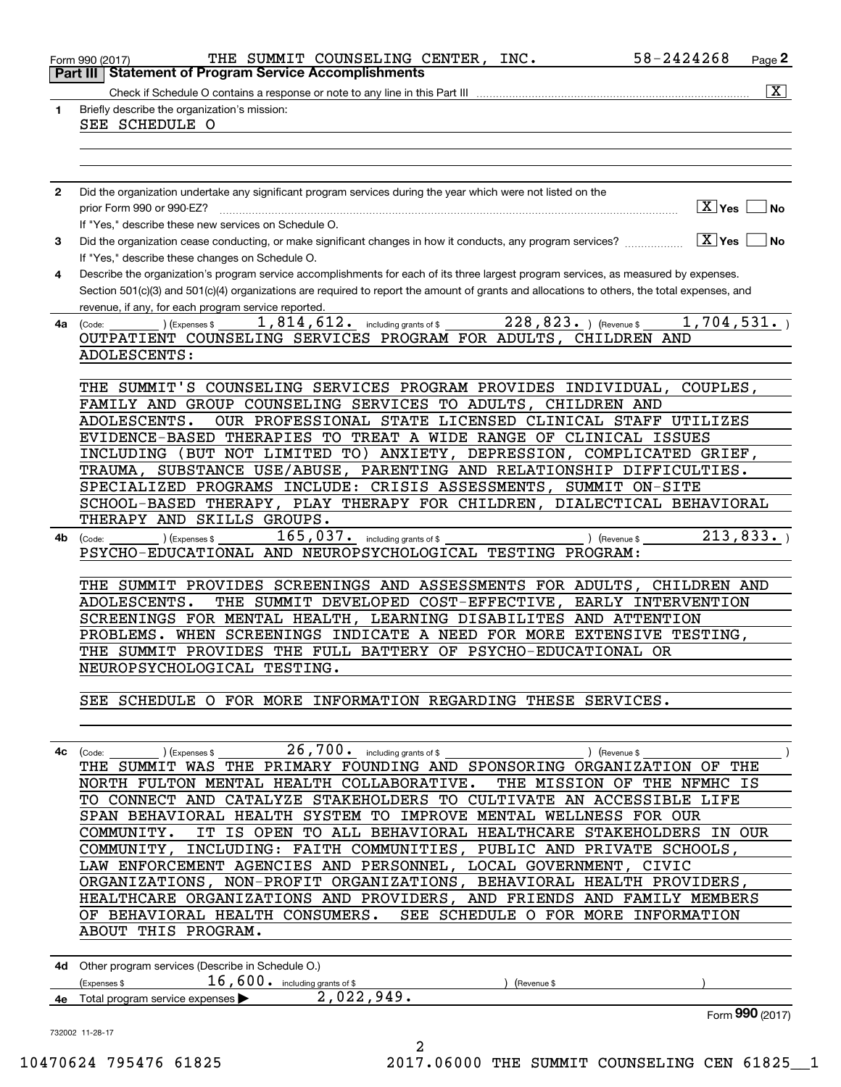|              | 58-2424268<br>THE SUMMIT COUNSELING CENTER, INC.<br>Page 2<br>Form 990 (2017)                                                                                                                       |
|--------------|-----------------------------------------------------------------------------------------------------------------------------------------------------------------------------------------------------|
|              | <b>Statement of Program Service Accomplishments</b><br>Part III                                                                                                                                     |
| 1            | $\boxed{\text{X}}$<br>Check if Schedule O contains a response or note to any line in this Part III<br>Briefly describe the organization's mission:                                                  |
|              | SEE SCHEDULE O                                                                                                                                                                                      |
|              |                                                                                                                                                                                                     |
|              |                                                                                                                                                                                                     |
| $\mathbf{2}$ | Did the organization undertake any significant program services during the year which were not listed on the                                                                                        |
|              | ΓX∐Yes<br>prior Form 990 or 990-EZ?<br>l No                                                                                                                                                         |
|              | If "Yes," describe these new services on Schedule O.                                                                                                                                                |
| 3            | $\boxed{\text{X}}$ Yes<br>Did the organization cease conducting, or make significant changes in how it conducts, any program services?<br>l No<br>If "Yes," describe these changes on Schedule O.   |
| 4            | Describe the organization's program service accomplishments for each of its three largest program services, as measured by expenses.                                                                |
|              | Section 501(c)(3) and 501(c)(4) organizations are required to report the amount of grants and allocations to others, the total expenses, and<br>revenue, if any, for each program service reported. |
| 4a           | 228,823. ) (Revenue \$<br>1,814,612. including grants of \$<br>1,704,531.<br>) (Expenses \$<br>(Code:                                                                                               |
|              | OUTPATIENT COUNSELING SERVICES PROGRAM FOR ADULTS, CHILDREN AND<br>ADOLESCENTS:                                                                                                                     |
|              |                                                                                                                                                                                                     |
|              | THE SUMMIT'S COUNSELING SERVICES PROGRAM PROVIDES INDIVIDUAL, COUPLES,                                                                                                                              |
|              | FAMILY AND GROUP COUNSELING SERVICES TO ADULTS, CHILDREN AND                                                                                                                                        |
|              | OUR PROFESSIONAL STATE LICENSED CLINICAL STAFF UTILIZES<br>ADOLESCENTS.                                                                                                                             |
|              | EVIDENCE-BASED THERAPIES TO TREAT A WIDE RANGE OF CLINICAL ISSUES                                                                                                                                   |
|              | INCLUDING (BUT NOT LIMITED TO) ANXIETY, DEPRESSION, COMPLICATED GRIEF,<br>TRAUMA, SUBSTANCE USE/ABUSE, PARENTING AND RELATIONSHIP DIFFICULTIES.                                                     |
|              | SPECIALIZED PROGRAMS INCLUDE: CRISIS ASSESSMENTS, SUMMIT ON-SITE                                                                                                                                    |
|              | SCHOOL-BASED THERAPY, PLAY THERAPY FOR CHILDREN, DIALECTICAL BEHAVIORAL                                                                                                                             |
|              | THERAPY AND SKILLS GROUPS.                                                                                                                                                                          |
| 4b           | 213,833.<br>$165,037$ . including grants of \$<br>(Expenses \$<br>) (Revenue \$<br>(Code:                                                                                                           |
|              | PSYCHO-EDUCATIONAL AND NEUROPSYCHOLOGICAL TESTING PROGRAM:                                                                                                                                          |
|              |                                                                                                                                                                                                     |
|              | THE SUMMIT PROVIDES SCREENINGS AND ASSESSMENTS FOR ADULTS, CHILDREN AND<br>THE SUMMIT DEVELOPED COST-EFFECTIVE,<br>ADOLESCENTS.<br>EARLY INTERVENTION                                               |
|              | SCREENINGS FOR MENTAL HEALTH, LEARNING DISABILITES AND ATTENTION                                                                                                                                    |
|              | WHEN SCREENINGS INDICATE A NEED FOR MORE EXTENSIVE TESTING,<br>PROBLEMS.                                                                                                                            |
|              | THE SUMMIT PROVIDES THE FULL BATTERY OF PSYCHO-EDUCATIONAL OR                                                                                                                                       |
|              | NEUROPSYCHOLOGICAL TESTING.                                                                                                                                                                         |
|              |                                                                                                                                                                                                     |
|              | SEE SCHEDULE O FOR MORE INFORMATION REGARDING THESE SERVICES.                                                                                                                                       |
|              |                                                                                                                                                                                                     |
| 4с           | $26$ , $700$ o including grants of \$<br>) (Revenue \$<br>(Code:                                                                                                                                    |
|              | ) (Expenses \$<br>THE SUMMIT WAS THE PRIMARY FOUNDING AND SPONSORING ORGANIZATION OF THE                                                                                                            |
|              | NORTH FULTON MENTAL HEALTH COLLABORATIVE.<br>THE MISSION OF THE NFMHC IS                                                                                                                            |
|              | TO CONNECT AND CATALYZE STAKEHOLDERS TO CULTIVATE AN ACCESSIBLE LIFE                                                                                                                                |
|              | SPAN BEHAVIORAL HEALTH SYSTEM TO IMPROVE MENTAL WELLNESS FOR OUR                                                                                                                                    |
|              | IT IS OPEN TO ALL BEHAVIORAL HEALTHCARE STAKEHOLDERS IN OUR<br>COMMUNITY.                                                                                                                           |
|              | COMMUNITY, INCLUDING: FAITH COMMUNITIES, PUBLIC AND PRIVATE SCHOOLS,                                                                                                                                |
|              | LAW ENFORCEMENT AGENCIES AND PERSONNEL, LOCAL GOVERNMENT, CIVIC<br>ORGANIZATIONS, NON-PROFIT ORGANIZATIONS, BEHAVIORAL HEALTH PROVIDERS,                                                            |
|              | HEALTHCARE ORGANIZATIONS AND PROVIDERS, AND FRIENDS AND FAMILY MEMBERS                                                                                                                              |
|              | OF BEHAVIORAL HEALTH CONSUMERS.<br>SEE SCHEDULE O FOR MORE INFORMATION                                                                                                                              |
|              | ABOUT THIS PROGRAM.                                                                                                                                                                                 |
|              | 4d Other program services (Describe in Schedule O.)                                                                                                                                                 |
|              | $16,600$ . including grants of \$<br>(Expenses \$<br>(Revenue \$                                                                                                                                    |
|              | $2,022,949$ .<br>4e Total program service expenses                                                                                                                                                  |
|              | Form 990 (2017)                                                                                                                                                                                     |
|              | 732002 11-28-17<br>2<br>$TACMA$ $TAEATC$ $CAODE$<br>$0.017$ $0.000$ $min$<br>ATINIITM<br>$\bigcap$                                                                                                  |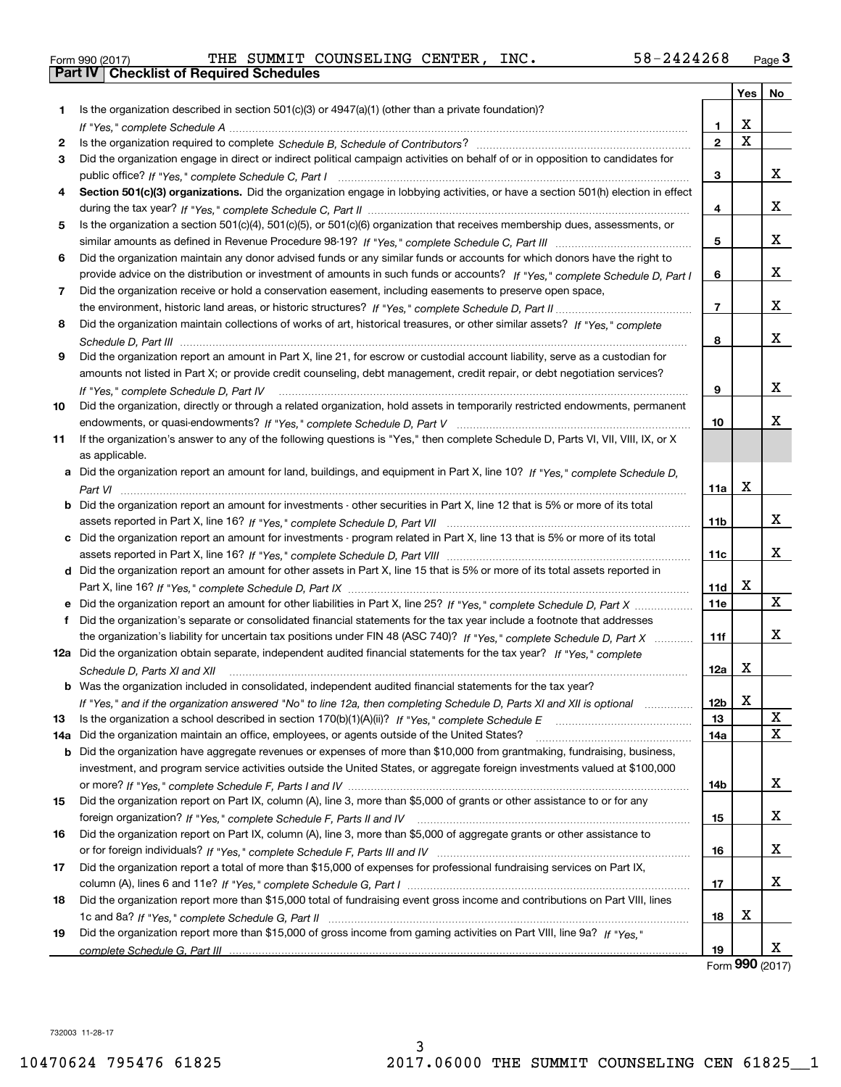|  | Form 990 (2017) |  |
|--|-----------------|--|

Form 990 (2017) THE SUMMIT COUNSELING CENTER*,*INC. 58-2424268 <sub>Page</sub> 3<br>**Part IV | Checklist of Required Schedules** 

|     |                                                                                                                                      |                 | Yes | No |
|-----|--------------------------------------------------------------------------------------------------------------------------------------|-----------------|-----|----|
| 1.  | Is the organization described in section 501(c)(3) or 4947(a)(1) (other than a private foundation)?                                  |                 | X   |    |
|     |                                                                                                                                      | 1               |     |    |
| 2   |                                                                                                                                      | $\mathbf{2}$    | X   |    |
| 3   | Did the organization engage in direct or indirect political campaign activities on behalf of or in opposition to candidates for      |                 |     |    |
|     |                                                                                                                                      | 3               |     | x  |
| 4   | Section 501(c)(3) organizations. Did the organization engage in lobbying activities, or have a section 501(h) election in effect     |                 |     |    |
|     |                                                                                                                                      | 4               |     | x  |
| 5   | Is the organization a section 501(c)(4), 501(c)(5), or 501(c)(6) organization that receives membership dues, assessments, or         |                 |     |    |
|     |                                                                                                                                      | 5               |     | x  |
| 6   | Did the organization maintain any donor advised funds or any similar funds or accounts for which donors have the right to            |                 |     |    |
|     | provide advice on the distribution or investment of amounts in such funds or accounts? If "Yes," complete Schedule D, Part I         | 6               |     | x  |
| 7   | Did the organization receive or hold a conservation easement, including easements to preserve open space,                            |                 |     |    |
|     |                                                                                                                                      | 7               |     | x  |
| 8   | Did the organization maintain collections of works of art, historical treasures, or other similar assets? If "Yes," complete         |                 |     |    |
|     |                                                                                                                                      | 8               |     | x  |
| 9   | Did the organization report an amount in Part X, line 21, for escrow or custodial account liability, serve as a custodian for        |                 |     |    |
|     | amounts not listed in Part X; or provide credit counseling, debt management, credit repair, or debt negotiation services?            |                 |     |    |
|     | If "Yes," complete Schedule D, Part IV                                                                                               | 9               |     | x  |
| 10  | Did the organization, directly or through a related organization, hold assets in temporarily restricted endowments, permanent        |                 |     |    |
|     |                                                                                                                                      | 10              |     | x  |
| 11  | If the organization's answer to any of the following questions is "Yes," then complete Schedule D, Parts VI, VII, VIII, IX, or X     |                 |     |    |
|     | as applicable.                                                                                                                       |                 |     |    |
|     | a Did the organization report an amount for land, buildings, and equipment in Part X, line 10? If "Yes," complete Schedule D,        |                 |     |    |
|     |                                                                                                                                      | 11a             | X   |    |
|     |                                                                                                                                      |                 |     |    |
|     | <b>b</b> Did the organization report an amount for investments - other securities in Part X, line 12 that is 5% or more of its total |                 |     | x  |
|     |                                                                                                                                      | 11 <sub>b</sub> |     |    |
|     | c Did the organization report an amount for investments - program related in Part X, line 13 that is 5% or more of its total         |                 |     |    |
|     |                                                                                                                                      | 11c             |     | x  |
|     | d Did the organization report an amount for other assets in Part X, line 15 that is 5% or more of its total assets reported in       |                 |     |    |
|     |                                                                                                                                      | <b>11d</b>      | х   |    |
|     | e Did the organization report an amount for other liabilities in Part X, line 25? If "Yes," complete Schedule D, Part X              | <b>11e</b>      |     | X  |
| f   | Did the organization's separate or consolidated financial statements for the tax year include a footnote that addresses              |                 |     |    |
|     | the organization's liability for uncertain tax positions under FIN 48 (ASC 740)? If "Yes," complete Schedule D, Part X               | 11f             |     | х  |
|     | 12a Did the organization obtain separate, independent audited financial statements for the tax year? If "Yes," complete              |                 |     |    |
|     | Schedule D, Parts XI and XII                                                                                                         | 12a             | х   |    |
|     | <b>b</b> Was the organization included in consolidated, independent audited financial statements for the tax year?                   |                 |     |    |
|     | If "Yes," and if the organization answered "No" to line 12a, then completing Schedule D, Parts XI and XII is optional                | 12b             | х   |    |
| 13  |                                                                                                                                      | 13              |     | х  |
| 14a | Did the organization maintain an office, employees, or agents outside of the United States?                                          | 14a             |     | X  |
|     | <b>b</b> Did the organization have aggregate revenues or expenses of more than \$10,000 from grantmaking, fundraising, business,     |                 |     |    |
|     | investment, and program service activities outside the United States, or aggregate foreign investments valued at \$100,000           |                 |     |    |
|     |                                                                                                                                      | 14b             |     | x  |
| 15  | Did the organization report on Part IX, column (A), line 3, more than \$5,000 of grants or other assistance to or for any            |                 |     |    |
|     |                                                                                                                                      | 15              |     | x  |
| 16  | Did the organization report on Part IX, column (A), line 3, more than \$5,000 of aggregate grants or other assistance to             |                 |     |    |
|     |                                                                                                                                      | 16              |     | x  |
| 17  | Did the organization report a total of more than \$15,000 of expenses for professional fundraising services on Part IX,              |                 |     |    |
|     |                                                                                                                                      | 17              |     | x  |
| 18  | Did the organization report more than \$15,000 total of fundraising event gross income and contributions on Part VIII, lines         |                 |     |    |
|     |                                                                                                                                      | 18              | x   |    |
| 19  | Did the organization report more than \$15,000 of gross income from gaming activities on Part VIII, line 9a? If "Yes."               |                 |     |    |
|     |                                                                                                                                      | 19              |     | x  |
|     |                                                                                                                                      |                 |     |    |

Form (2017) **990**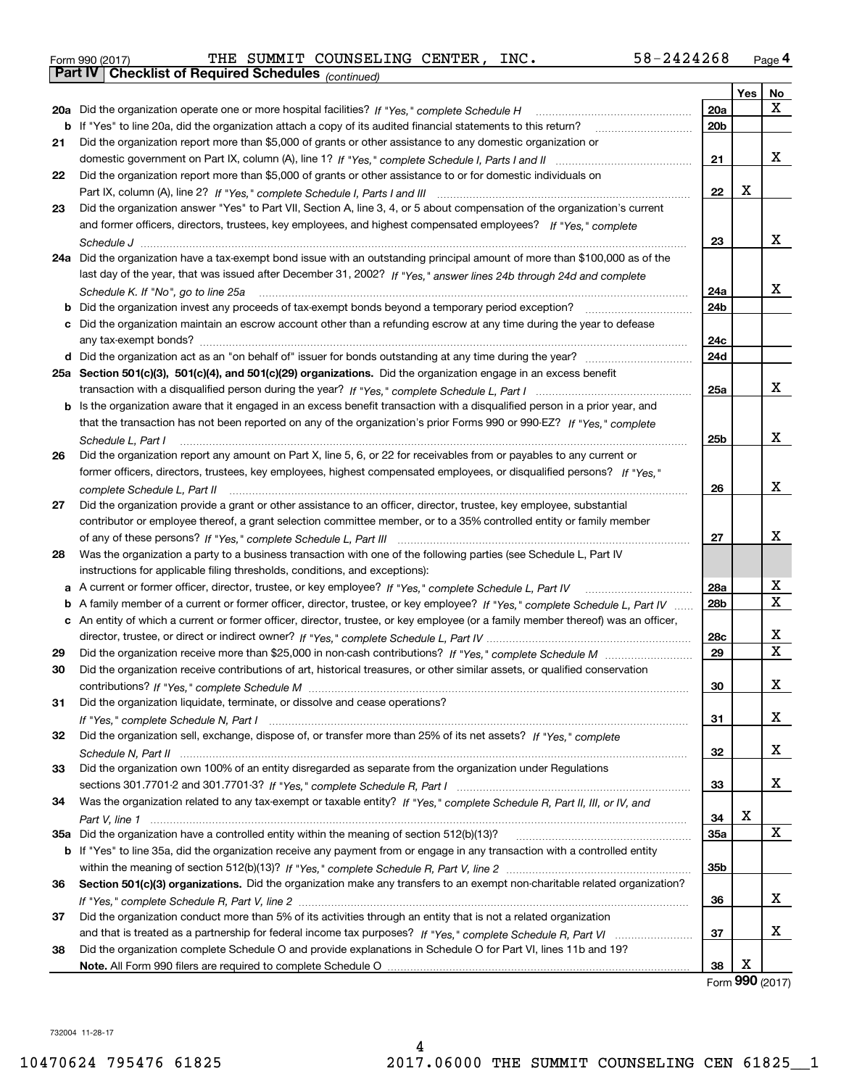| Form 990 (2017) |                                                              |  | THE SUMMIT COUNSELING CENTER, INC. |  | 58-2424268 | Page $4$ |
|-----------------|--------------------------------------------------------------|--|------------------------------------|--|------------|----------|
|                 | <b>Part IV   Checklist of Required Schedules</b> (continued) |  |                                    |  |            |          |

|    | <b>Part IV</b>   GNECKIISTOI REQUITED SCREDUIES $_{(Continued)}$                                                                  |                 |     |             |
|----|-----------------------------------------------------------------------------------------------------------------------------------|-----------------|-----|-------------|
|    |                                                                                                                                   |                 | Yes | No          |
|    | 20a Did the organization operate one or more hospital facilities? If "Yes," complete Schedule H                                   | 20a             |     | x           |
| b  | If "Yes" to line 20a, did the organization attach a copy of its audited financial statements to this return?                      | 20 <sub>b</sub> |     |             |
| 21 | Did the organization report more than \$5,000 of grants or other assistance to any domestic organization or                       |                 |     |             |
|    |                                                                                                                                   | 21              |     | х           |
| 22 | Did the organization report more than \$5,000 of grants or other assistance to or for domestic individuals on                     |                 |     |             |
|    |                                                                                                                                   | 22              | X   |             |
| 23 | Did the organization answer "Yes" to Part VII, Section A, line 3, 4, or 5 about compensation of the organization's current        |                 |     |             |
|    | and former officers, directors, trustees, key employees, and highest compensated employees? If "Yes," complete                    |                 |     |             |
|    |                                                                                                                                   | 23              |     | х           |
|    | 24a Did the organization have a tax-exempt bond issue with an outstanding principal amount of more than \$100,000 as of the       |                 |     |             |
|    | last day of the year, that was issued after December 31, 2002? If "Yes," answer lines 24b through 24d and complete                |                 |     |             |
|    | Schedule K. If "No", go to line 25a                                                                                               | 24a             |     | х           |
| b  | Did the organization invest any proceeds of tax-exempt bonds beyond a temporary period exception?                                 | 24 <sub>b</sub> |     |             |
|    | c Did the organization maintain an escrow account other than a refunding escrow at any time during the year to defease            |                 |     |             |
|    |                                                                                                                                   | 24c             |     |             |
|    |                                                                                                                                   | 24d             |     |             |
|    | 25a Section 501(c)(3), 501(c)(4), and 501(c)(29) organizations. Did the organization engage in an excess benefit                  |                 |     |             |
|    |                                                                                                                                   | 25a             |     | х           |
|    | b Is the organization aware that it engaged in an excess benefit transaction with a disqualified person in a prior year, and      |                 |     |             |
|    | that the transaction has not been reported on any of the organization's prior Forms 990 or 990-EZ? If "Yes," complete             |                 |     |             |
|    | Schedule L, Part I                                                                                                                | 25b             |     | х           |
| 26 | Did the organization report any amount on Part X, line 5, 6, or 22 for receivables from or payables to any current or             |                 |     |             |
|    | former officers, directors, trustees, key employees, highest compensated employees, or disqualified persons? If "Yes."            |                 |     |             |
|    |                                                                                                                                   | 26              |     | x           |
| 27 | Did the organization provide a grant or other assistance to an officer, director, trustee, key employee, substantial              |                 |     |             |
|    | contributor or employee thereof, a grant selection committee member, or to a 35% controlled entity or family member               |                 |     |             |
|    |                                                                                                                                   | 27              |     | x           |
| 28 | Was the organization a party to a business transaction with one of the following parties (see Schedule L, Part IV                 |                 |     |             |
|    | instructions for applicable filing thresholds, conditions, and exceptions):                                                       |                 |     |             |
|    | a A current or former officer, director, trustee, or key employee? If "Yes," complete Schedule L, Part IV                         | 28a             |     | х           |
|    | b A family member of a current or former officer, director, trustee, or key employee? If "Yes," complete Schedule L, Part IV      | 28 <sub>b</sub> |     | $\mathbf X$ |
|    | c An entity of which a current or former officer, director, trustee, or key employee (or a family member thereof) was an officer, |                 |     |             |
|    |                                                                                                                                   | 28c             |     | х           |
| 29 |                                                                                                                                   | 29              |     | Х           |
| 30 | Did the organization receive contributions of art, historical treasures, or other similar assets, or qualified conservation       |                 |     |             |
|    |                                                                                                                                   | 30              |     | х           |
| 31 | Did the organization liquidate, terminate, or dissolve and cease operations?                                                      |                 |     |             |
|    |                                                                                                                                   | 31              |     | X           |
| 32 | Did the organization sell, exchange, dispose of, or transfer more than 25% of its net assets? If "Yes," complete                  |                 |     |             |
|    |                                                                                                                                   | 32              |     | X           |
| 33 | Did the organization own 100% of an entity disregarded as separate from the organization under Regulations                        |                 |     |             |
|    |                                                                                                                                   | 33              |     | x           |
| 34 | Was the organization related to any tax-exempt or taxable entity? If "Yes," complete Schedule R, Part II, III, or IV, and         |                 |     |             |
|    |                                                                                                                                   | 34              | X   |             |
|    |                                                                                                                                   | <b>35a</b>      |     | X           |
|    | b If "Yes" to line 35a, did the organization receive any payment from or engage in any transaction with a controlled entity       |                 |     |             |
|    |                                                                                                                                   | 35b             |     |             |
| 36 | Section 501(c)(3) organizations. Did the organization make any transfers to an exempt non-charitable related organization?        |                 |     |             |
|    |                                                                                                                                   | 36              |     | х           |
| 37 | Did the organization conduct more than 5% of its activities through an entity that is not a related organization                  |                 |     |             |
|    |                                                                                                                                   | 37              |     | x           |
| 38 | Did the organization complete Schedule O and provide explanations in Schedule O for Part VI, lines 11b and 19?                    |                 |     |             |
|    |                                                                                                                                   | 38              | х   |             |
|    |                                                                                                                                   |                 |     |             |

Form (2017) **990**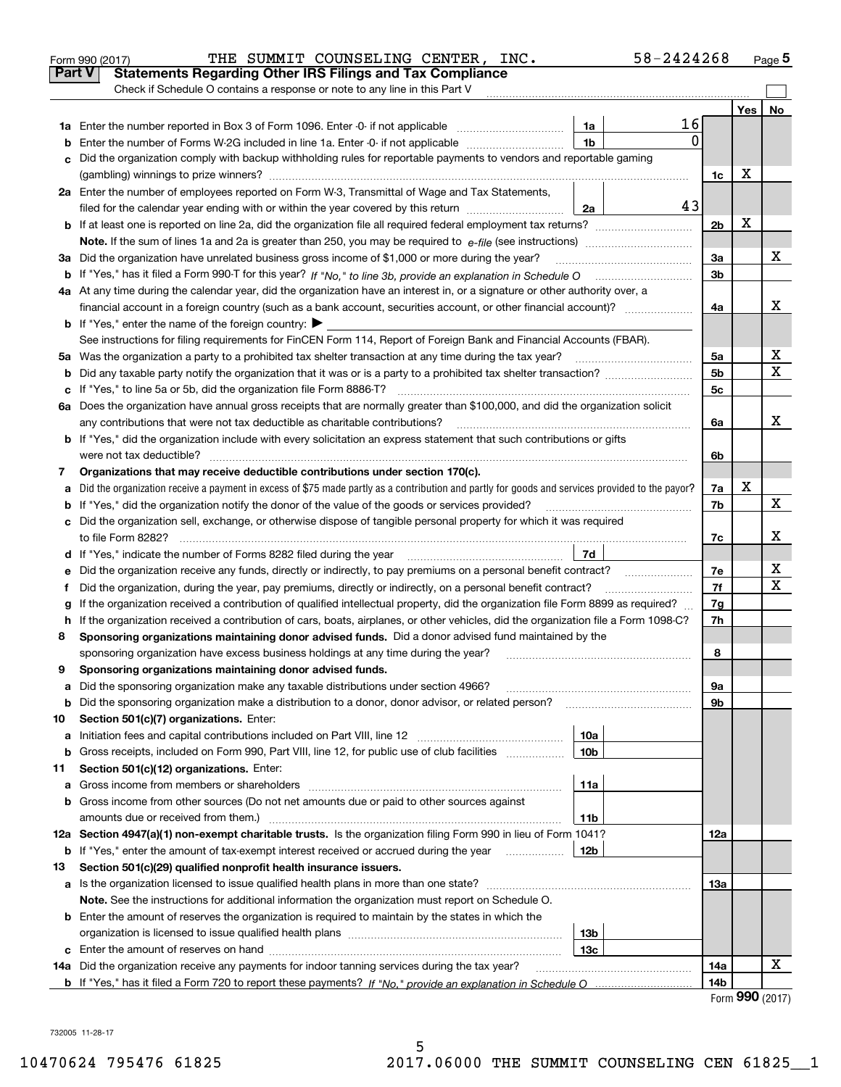|        | 58-2424268<br>THE SUMMIT COUNSELING CENTER, INC.<br>Form 990 (2017)                                                                             |                |     | Page 5 |  |  |  |  |  |
|--------|-------------------------------------------------------------------------------------------------------------------------------------------------|----------------|-----|--------|--|--|--|--|--|
|        | Part V<br><b>Statements Regarding Other IRS Filings and Tax Compliance</b>                                                                      |                |     |        |  |  |  |  |  |
|        | Check if Schedule O contains a response or note to any line in this Part V                                                                      |                |     |        |  |  |  |  |  |
|        |                                                                                                                                                 |                | Yes | No     |  |  |  |  |  |
|        | 16<br>1a                                                                                                                                        |                |     |        |  |  |  |  |  |
| b      | $\Omega$<br>1 <sub>b</sub><br>Enter the number of Forms W-2G included in line 1a. Enter -0- if not applicable                                   |                |     |        |  |  |  |  |  |
| c      | Did the organization comply with backup withholding rules for reportable payments to vendors and reportable gaming                              |                |     |        |  |  |  |  |  |
|        |                                                                                                                                                 | 1c             | х   |        |  |  |  |  |  |
|        | 2a Enter the number of employees reported on Form W-3, Transmittal of Wage and Tax Statements,                                                  |                |     |        |  |  |  |  |  |
|        | 43<br>filed for the calendar year ending with or within the year covered by this return<br>2a                                                   |                |     |        |  |  |  |  |  |
|        |                                                                                                                                                 | 2 <sub>b</sub> | х   |        |  |  |  |  |  |
|        |                                                                                                                                                 |                |     |        |  |  |  |  |  |
|        | 3a Did the organization have unrelated business gross income of \$1,000 or more during the year?                                                | За             |     | х      |  |  |  |  |  |
|        |                                                                                                                                                 | 3b             |     |        |  |  |  |  |  |
|        | 4a At any time during the calendar year, did the organization have an interest in, or a signature or other authority over, a                    |                |     |        |  |  |  |  |  |
|        | financial account in a foreign country (such as a bank account, securities account, or other financial account)?                                | 4a             |     | x      |  |  |  |  |  |
|        | <b>b</b> If "Yes," enter the name of the foreign country: $\blacktriangleright$                                                                 |                |     |        |  |  |  |  |  |
|        | See instructions for filing requirements for FinCEN Form 114, Report of Foreign Bank and Financial Accounts (FBAR).                             |                |     |        |  |  |  |  |  |
|        | 5a Was the organization a party to a prohibited tax shelter transaction at any time during the tax year?                                        | 5a             |     | х      |  |  |  |  |  |
| b      |                                                                                                                                                 | 5 <sub>b</sub> |     | X      |  |  |  |  |  |
|        | c If "Yes," to line 5a or 5b, did the organization file Form 8886-T?                                                                            | 5c             |     |        |  |  |  |  |  |
|        | 6a Does the organization have annual gross receipts that are normally greater than \$100,000, and did the organization solicit                  |                |     |        |  |  |  |  |  |
|        | any contributions that were not tax deductible as charitable contributions?                                                                     | 6a             |     | X      |  |  |  |  |  |
|        | <b>b</b> If "Yes," did the organization include with every solicitation an express statement that such contributions or gifts                   |                |     |        |  |  |  |  |  |
|        | were not tax deductible?                                                                                                                        | 6b             |     |        |  |  |  |  |  |
| 7      | Organizations that may receive deductible contributions under section 170(c).                                                                   |                |     |        |  |  |  |  |  |
| a      | Did the organization receive a payment in excess of \$75 made partly as a contribution and partly for goods and services provided to the payor? | 7a<br>7b       | х   | X      |  |  |  |  |  |
|        | <b>b</b> If "Yes," did the organization notify the donor of the value of the goods or services provided?                                        |                |     |        |  |  |  |  |  |
|        | c Did the organization sell, exchange, or otherwise dispose of tangible personal property for which it was required                             |                |     |        |  |  |  |  |  |
|        |                                                                                                                                                 |                |     |        |  |  |  |  |  |
|        | 7d                                                                                                                                              |                |     |        |  |  |  |  |  |
| е      |                                                                                                                                                 | 7e             |     | х<br>х |  |  |  |  |  |
| f      | Did the organization, during the year, pay premiums, directly or indirectly, on a personal benefit contract?                                    | 7f             |     |        |  |  |  |  |  |
| g      | If the organization received a contribution of qualified intellectual property, did the organization file Form 8899 as required?                | 7g             |     |        |  |  |  |  |  |
|        | h If the organization received a contribution of cars, boats, airplanes, or other vehicles, did the organization file a Form 1098-C?            | 7h             |     |        |  |  |  |  |  |
| 8      | Sponsoring organizations maintaining donor advised funds. Did a donor advised fund maintained by the                                            |                |     |        |  |  |  |  |  |
|        | sponsoring organization have excess business holdings at any time during the year?                                                              | 8              |     |        |  |  |  |  |  |
|        | Sponsoring organizations maintaining donor advised funds.                                                                                       |                |     |        |  |  |  |  |  |
| a      | Did the sponsoring organization make any taxable distributions under section 4966?                                                              | 9а             |     |        |  |  |  |  |  |
| b      | Did the sponsoring organization make a distribution to a donor, donor advisor, or related person?<br>Section 501(c)(7) organizations. Enter:    | 9b             |     |        |  |  |  |  |  |
| 10     | 10a<br>Initiation fees and capital contributions included on Part VIII, line 12 <i>manuarrouus</i> manuations of the lates                      |                |     |        |  |  |  |  |  |
| а<br>b | Gross receipts, included on Form 990, Part VIII, line 12, for public use of club facilities<br>10 <sub>b</sub>                                  |                |     |        |  |  |  |  |  |
| 11     | Section 501(c)(12) organizations. Enter:                                                                                                        |                |     |        |  |  |  |  |  |
| a      | 11a<br>Gross income from members or shareholders                                                                                                |                |     |        |  |  |  |  |  |
|        | <b>b</b> Gross income from other sources (Do not net amounts due or paid to other sources against                                               |                |     |        |  |  |  |  |  |
|        | amounts due or received from them.)<br>11b                                                                                                      |                |     |        |  |  |  |  |  |
|        | 12a Section 4947(a)(1) non-exempt charitable trusts. Is the organization filing Form 990 in lieu of Form 1041?                                  | 12a            |     |        |  |  |  |  |  |
|        | <b>b</b> If "Yes," enter the amount of tax-exempt interest received or accrued during the year <i>manument</i><br>12b                           |                |     |        |  |  |  |  |  |
| 13     | Section 501(c)(29) qualified nonprofit health insurance issuers.                                                                                |                |     |        |  |  |  |  |  |
|        | a Is the organization licensed to issue qualified health plans in more than one state?                                                          | 13а            |     |        |  |  |  |  |  |
|        | Note. See the instructions for additional information the organization must report on Schedule O.                                               |                |     |        |  |  |  |  |  |
|        | <b>b</b> Enter the amount of reserves the organization is required to maintain by the states in which the                                       |                |     |        |  |  |  |  |  |
|        | 13 <sub>b</sub>                                                                                                                                 |                |     |        |  |  |  |  |  |
|        | 13с                                                                                                                                             |                |     |        |  |  |  |  |  |
|        | 14a Did the organization receive any payments for indoor tanning services during the tax year?                                                  | 14a            |     | х      |  |  |  |  |  |
|        |                                                                                                                                                 | 14b            |     |        |  |  |  |  |  |
|        |                                                                                                                                                 |                | nnn |        |  |  |  |  |  |

|  | Form 990 (2017) |
|--|-----------------|
|--|-----------------|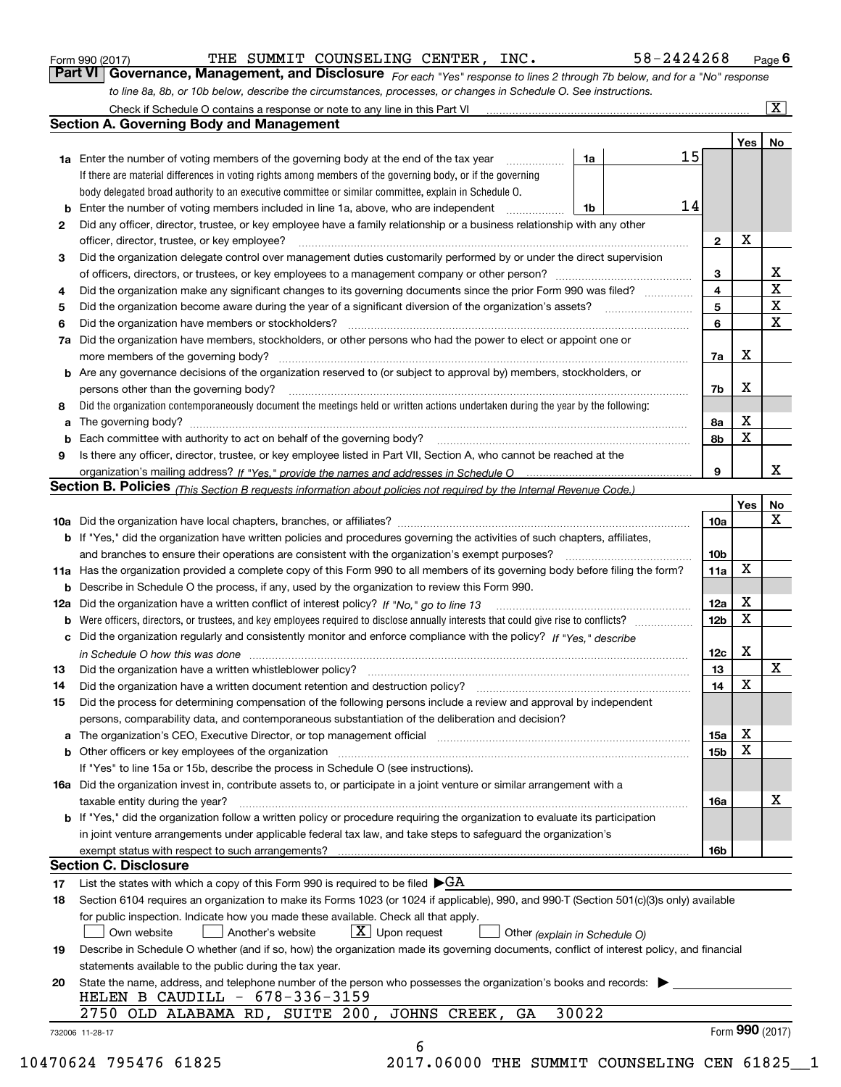| <b>Section A. Governing Body and Management</b><br>1a<br><b>1a</b> Enter the number of voting members of the governing body at the end of the tax year <i>manumum</i><br>If there are material differences in voting rights among members of the governing body, or if the governing<br>body delegated broad authority to an executive committee or similar committee, explain in Schedule O.<br><b>b</b> Enter the number of voting members included in line 1a, above, who are independent <i>manumum</i><br>1b<br>Did any officer, director, trustee, or key employee have a family relationship or a business relationship with any other<br>2<br>officer, director, trustee, or key employee?<br>Did the organization delegate control over management duties customarily performed by or under the direct supervision<br>3<br>Did the organization make any significant changes to its governing documents since the prior Form 990 was filed?<br>4<br>5<br>6<br>7a Did the organization have members, stockholders, or other persons who had the power to elect or appoint one or<br>more members of the governing body?<br><b>b</b> Are any governance decisions of the organization reserved to (or subject to approval by) members, stockholders, or<br>persons other than the governing body?<br>Did the organization contemporaneously document the meetings held or written actions undertaken during the year by the following:<br>8<br>Is there any officer, director, trustee, or key employee listed in Part VII, Section A, who cannot be reached at the<br>9<br><b>b</b> If "Yes," did the organization have written policies and procedures governing the activities of such chapters, affiliates,<br>and branches to ensure their operations are consistent with the organization's exempt purposes?<br><b>b</b> Describe in Schedule O the process, if any, used by the organization to review this Form 990.<br><b>b</b> Were officers, directors, or trustees, and key employees required to disclose annually interests that could give rise to conflicts?<br>c Did the organization regularly and consistently monitor and enforce compliance with the policy? If "Yes," describe<br>in Schedule O how this was done www.communication.com/www.communications.com/www.communications.com/<br>Did the organization have a written whistleblower policy?<br>Did the organization have a written document retention and destruction policy?<br>Did the process for determining compensation of the following persons include a review and approval by independent<br>persons, comparability data, and contemporaneous substantiation of the deliberation and decision?<br>a The organization's CEO, Executive Director, or top management official manufactured content content of the organization's CEO, Executive Director, or top management official manufactured content of the state of the state<br>b Other officers or key employees of the organization manufactured content to content of the organization manufactured content of the organization manufactured content of the organization manufactured content of the organi<br>If "Yes" to line 15a or 15b, describe the process in Schedule O (see instructions).<br>taxable entity during the year?<br>b If "Yes," did the organization follow a written policy or procedure requiring the organization to evaluate its participation<br>in joint venture arrangements under applicable federal tax law, and take steps to safeguard the organization's<br>List the states with which a copy of this Form 990 is required to be filed $\blacktriangleright$ GA<br>Section 6104 requires an organization to make its Forms 1023 (or 1024 if applicable), 990, and 990-T (Section 501(c)(3)s only) available<br>for public inspection. Indicate how you made these available. Check all that apply.<br>$X$ Upon request<br>Another's website<br>Own website<br>Other (explain in Schedule O)<br>Describe in Schedule O whether (and if so, how) the organization made its governing documents, conflict of interest policy, and financial<br>statements available to the public during the tax year.<br>State the name, address, and telephone number of the person who possesses the organization's books and records:<br>HELEN B CAUDILL $-678-336-3159$<br>30022<br>2750 OLD ALABAMA RD, SUITE 200, JOHNS CREEK,<br>GA |    |                     |                   |                         |
|-----------------------------------------------------------------------------------------------------------------------------------------------------------------------------------------------------------------------------------------------------------------------------------------------------------------------------------------------------------------------------------------------------------------------------------------------------------------------------------------------------------------------------------------------------------------------------------------------------------------------------------------------------------------------------------------------------------------------------------------------------------------------------------------------------------------------------------------------------------------------------------------------------------------------------------------------------------------------------------------------------------------------------------------------------------------------------------------------------------------------------------------------------------------------------------------------------------------------------------------------------------------------------------------------------------------------------------------------------------------------------------------------------------------------------------------------------------------------------------------------------------------------------------------------------------------------------------------------------------------------------------------------------------------------------------------------------------------------------------------------------------------------------------------------------------------------------------------------------------------------------------------------------------------------------------------------------------------------------------------------------------------------------------------------------------------------------------------------------------------------------------------------------------------------------------------------------------------------------------------------------------------------------------------------------------------------------------------------------------------------------------------------------------------------------------------------------------------------------------------------------------------------------------------------------------------------------------------------------------------------------------------------------------------------------------------------------------------------------------------------------------------------------------------------------------------------------------------------------------------------------------------------------------------------------------------------------------------------------------------------------------------------------------------------------------------------------------------------------------------------------------------------------------------------------------------------------------------------------------------------------------------------------------------------------------------------------------------------------------------------------------------------------------------------------------------------------------------------------------------------------------------------------------------------------------------------------------------------------------------------------------------------------------------------------------------------------------------------------------------------------------------------------------------------------------------------------------------------------------------------------------------------------------------------------------------------------------------------------------------------------------------------------------------------------------------------------------------------------------------------------------------------------------------------------------------------------------------------------------------------------------------------------------------------------------------------------------------------------------------------------------------------------------------|----|---------------------|-------------------|-------------------------|
|                                                                                                                                                                                                                                                                                                                                                                                                                                                                                                                                                                                                                                                                                                                                                                                                                                                                                                                                                                                                                                                                                                                                                                                                                                                                                                                                                                                                                                                                                                                                                                                                                                                                                                                                                                                                                                                                                                                                                                                                                                                                                                                                                                                                                                                                                                                                                                                                                                                                                                                                                                                                                                                                                                                                                                                                                                                                                                                                                                                                                                                                                                                                                                                                                                                                                                                                                                                                                                                                                                                                                                                                                                                                                                                                                                                                                                                                                                                                                                                                                                                                                                                                                                                                                                                                                                                                                                                                                 |    |                     | Yes               | No                      |
|                                                                                                                                                                                                                                                                                                                                                                                                                                                                                                                                                                                                                                                                                                                                                                                                                                                                                                                                                                                                                                                                                                                                                                                                                                                                                                                                                                                                                                                                                                                                                                                                                                                                                                                                                                                                                                                                                                                                                                                                                                                                                                                                                                                                                                                                                                                                                                                                                                                                                                                                                                                                                                                                                                                                                                                                                                                                                                                                                                                                                                                                                                                                                                                                                                                                                                                                                                                                                                                                                                                                                                                                                                                                                                                                                                                                                                                                                                                                                                                                                                                                                                                                                                                                                                                                                                                                                                                                                 | 15 |                     |                   |                         |
|                                                                                                                                                                                                                                                                                                                                                                                                                                                                                                                                                                                                                                                                                                                                                                                                                                                                                                                                                                                                                                                                                                                                                                                                                                                                                                                                                                                                                                                                                                                                                                                                                                                                                                                                                                                                                                                                                                                                                                                                                                                                                                                                                                                                                                                                                                                                                                                                                                                                                                                                                                                                                                                                                                                                                                                                                                                                                                                                                                                                                                                                                                                                                                                                                                                                                                                                                                                                                                                                                                                                                                                                                                                                                                                                                                                                                                                                                                                                                                                                                                                                                                                                                                                                                                                                                                                                                                                                                 |    |                     |                   |                         |
|                                                                                                                                                                                                                                                                                                                                                                                                                                                                                                                                                                                                                                                                                                                                                                                                                                                                                                                                                                                                                                                                                                                                                                                                                                                                                                                                                                                                                                                                                                                                                                                                                                                                                                                                                                                                                                                                                                                                                                                                                                                                                                                                                                                                                                                                                                                                                                                                                                                                                                                                                                                                                                                                                                                                                                                                                                                                                                                                                                                                                                                                                                                                                                                                                                                                                                                                                                                                                                                                                                                                                                                                                                                                                                                                                                                                                                                                                                                                                                                                                                                                                                                                                                                                                                                                                                                                                                                                                 |    |                     |                   |                         |
|                                                                                                                                                                                                                                                                                                                                                                                                                                                                                                                                                                                                                                                                                                                                                                                                                                                                                                                                                                                                                                                                                                                                                                                                                                                                                                                                                                                                                                                                                                                                                                                                                                                                                                                                                                                                                                                                                                                                                                                                                                                                                                                                                                                                                                                                                                                                                                                                                                                                                                                                                                                                                                                                                                                                                                                                                                                                                                                                                                                                                                                                                                                                                                                                                                                                                                                                                                                                                                                                                                                                                                                                                                                                                                                                                                                                                                                                                                                                                                                                                                                                                                                                                                                                                                                                                                                                                                                                                 | 14 |                     |                   |                         |
|                                                                                                                                                                                                                                                                                                                                                                                                                                                                                                                                                                                                                                                                                                                                                                                                                                                                                                                                                                                                                                                                                                                                                                                                                                                                                                                                                                                                                                                                                                                                                                                                                                                                                                                                                                                                                                                                                                                                                                                                                                                                                                                                                                                                                                                                                                                                                                                                                                                                                                                                                                                                                                                                                                                                                                                                                                                                                                                                                                                                                                                                                                                                                                                                                                                                                                                                                                                                                                                                                                                                                                                                                                                                                                                                                                                                                                                                                                                                                                                                                                                                                                                                                                                                                                                                                                                                                                                                                 |    |                     |                   |                         |
|                                                                                                                                                                                                                                                                                                                                                                                                                                                                                                                                                                                                                                                                                                                                                                                                                                                                                                                                                                                                                                                                                                                                                                                                                                                                                                                                                                                                                                                                                                                                                                                                                                                                                                                                                                                                                                                                                                                                                                                                                                                                                                                                                                                                                                                                                                                                                                                                                                                                                                                                                                                                                                                                                                                                                                                                                                                                                                                                                                                                                                                                                                                                                                                                                                                                                                                                                                                                                                                                                                                                                                                                                                                                                                                                                                                                                                                                                                                                                                                                                                                                                                                                                                                                                                                                                                                                                                                                                 |    | $\mathbf{2}$        | X                 |                         |
|                                                                                                                                                                                                                                                                                                                                                                                                                                                                                                                                                                                                                                                                                                                                                                                                                                                                                                                                                                                                                                                                                                                                                                                                                                                                                                                                                                                                                                                                                                                                                                                                                                                                                                                                                                                                                                                                                                                                                                                                                                                                                                                                                                                                                                                                                                                                                                                                                                                                                                                                                                                                                                                                                                                                                                                                                                                                                                                                                                                                                                                                                                                                                                                                                                                                                                                                                                                                                                                                                                                                                                                                                                                                                                                                                                                                                                                                                                                                                                                                                                                                                                                                                                                                                                                                                                                                                                                                                 |    |                     |                   |                         |
|                                                                                                                                                                                                                                                                                                                                                                                                                                                                                                                                                                                                                                                                                                                                                                                                                                                                                                                                                                                                                                                                                                                                                                                                                                                                                                                                                                                                                                                                                                                                                                                                                                                                                                                                                                                                                                                                                                                                                                                                                                                                                                                                                                                                                                                                                                                                                                                                                                                                                                                                                                                                                                                                                                                                                                                                                                                                                                                                                                                                                                                                                                                                                                                                                                                                                                                                                                                                                                                                                                                                                                                                                                                                                                                                                                                                                                                                                                                                                                                                                                                                                                                                                                                                                                                                                                                                                                                                                 |    |                     |                   | X                       |
|                                                                                                                                                                                                                                                                                                                                                                                                                                                                                                                                                                                                                                                                                                                                                                                                                                                                                                                                                                                                                                                                                                                                                                                                                                                                                                                                                                                                                                                                                                                                                                                                                                                                                                                                                                                                                                                                                                                                                                                                                                                                                                                                                                                                                                                                                                                                                                                                                                                                                                                                                                                                                                                                                                                                                                                                                                                                                                                                                                                                                                                                                                                                                                                                                                                                                                                                                                                                                                                                                                                                                                                                                                                                                                                                                                                                                                                                                                                                                                                                                                                                                                                                                                                                                                                                                                                                                                                                                 |    | 3<br>$\overline{4}$ |                   | $\overline{\mathtt{x}}$ |
|                                                                                                                                                                                                                                                                                                                                                                                                                                                                                                                                                                                                                                                                                                                                                                                                                                                                                                                                                                                                                                                                                                                                                                                                                                                                                                                                                                                                                                                                                                                                                                                                                                                                                                                                                                                                                                                                                                                                                                                                                                                                                                                                                                                                                                                                                                                                                                                                                                                                                                                                                                                                                                                                                                                                                                                                                                                                                                                                                                                                                                                                                                                                                                                                                                                                                                                                                                                                                                                                                                                                                                                                                                                                                                                                                                                                                                                                                                                                                                                                                                                                                                                                                                                                                                                                                                                                                                                                                 |    |                     |                   | $\overline{\textbf{x}}$ |
|                                                                                                                                                                                                                                                                                                                                                                                                                                                                                                                                                                                                                                                                                                                                                                                                                                                                                                                                                                                                                                                                                                                                                                                                                                                                                                                                                                                                                                                                                                                                                                                                                                                                                                                                                                                                                                                                                                                                                                                                                                                                                                                                                                                                                                                                                                                                                                                                                                                                                                                                                                                                                                                                                                                                                                                                                                                                                                                                                                                                                                                                                                                                                                                                                                                                                                                                                                                                                                                                                                                                                                                                                                                                                                                                                                                                                                                                                                                                                                                                                                                                                                                                                                                                                                                                                                                                                                                                                 |    | 5                   |                   | $\overline{\mathbf{x}}$ |
|                                                                                                                                                                                                                                                                                                                                                                                                                                                                                                                                                                                                                                                                                                                                                                                                                                                                                                                                                                                                                                                                                                                                                                                                                                                                                                                                                                                                                                                                                                                                                                                                                                                                                                                                                                                                                                                                                                                                                                                                                                                                                                                                                                                                                                                                                                                                                                                                                                                                                                                                                                                                                                                                                                                                                                                                                                                                                                                                                                                                                                                                                                                                                                                                                                                                                                                                                                                                                                                                                                                                                                                                                                                                                                                                                                                                                                                                                                                                                                                                                                                                                                                                                                                                                                                                                                                                                                                                                 |    | 6                   |                   |                         |
|                                                                                                                                                                                                                                                                                                                                                                                                                                                                                                                                                                                                                                                                                                                                                                                                                                                                                                                                                                                                                                                                                                                                                                                                                                                                                                                                                                                                                                                                                                                                                                                                                                                                                                                                                                                                                                                                                                                                                                                                                                                                                                                                                                                                                                                                                                                                                                                                                                                                                                                                                                                                                                                                                                                                                                                                                                                                                                                                                                                                                                                                                                                                                                                                                                                                                                                                                                                                                                                                                                                                                                                                                                                                                                                                                                                                                                                                                                                                                                                                                                                                                                                                                                                                                                                                                                                                                                                                                 |    |                     |                   |                         |
| 13<br>15                                                                                                                                                                                                                                                                                                                                                                                                                                                                                                                                                                                                                                                                                                                                                                                                                                                                                                                                                                                                                                                                                                                                                                                                                                                                                                                                                                                                                                                                                                                                                                                                                                                                                                                                                                                                                                                                                                                                                                                                                                                                                                                                                                                                                                                                                                                                                                                                                                                                                                                                                                                                                                                                                                                                                                                                                                                                                                                                                                                                                                                                                                                                                                                                                                                                                                                                                                                                                                                                                                                                                                                                                                                                                                                                                                                                                                                                                                                                                                                                                                                                                                                                                                                                                                                                                                                                                                                                        |    | 7а                  | x                 |                         |
|                                                                                                                                                                                                                                                                                                                                                                                                                                                                                                                                                                                                                                                                                                                                                                                                                                                                                                                                                                                                                                                                                                                                                                                                                                                                                                                                                                                                                                                                                                                                                                                                                                                                                                                                                                                                                                                                                                                                                                                                                                                                                                                                                                                                                                                                                                                                                                                                                                                                                                                                                                                                                                                                                                                                                                                                                                                                                                                                                                                                                                                                                                                                                                                                                                                                                                                                                                                                                                                                                                                                                                                                                                                                                                                                                                                                                                                                                                                                                                                                                                                                                                                                                                                                                                                                                                                                                                                                                 |    |                     |                   |                         |
|                                                                                                                                                                                                                                                                                                                                                                                                                                                                                                                                                                                                                                                                                                                                                                                                                                                                                                                                                                                                                                                                                                                                                                                                                                                                                                                                                                                                                                                                                                                                                                                                                                                                                                                                                                                                                                                                                                                                                                                                                                                                                                                                                                                                                                                                                                                                                                                                                                                                                                                                                                                                                                                                                                                                                                                                                                                                                                                                                                                                                                                                                                                                                                                                                                                                                                                                                                                                                                                                                                                                                                                                                                                                                                                                                                                                                                                                                                                                                                                                                                                                                                                                                                                                                                                                                                                                                                                                                 |    | 7b                  | Х                 |                         |
|                                                                                                                                                                                                                                                                                                                                                                                                                                                                                                                                                                                                                                                                                                                                                                                                                                                                                                                                                                                                                                                                                                                                                                                                                                                                                                                                                                                                                                                                                                                                                                                                                                                                                                                                                                                                                                                                                                                                                                                                                                                                                                                                                                                                                                                                                                                                                                                                                                                                                                                                                                                                                                                                                                                                                                                                                                                                                                                                                                                                                                                                                                                                                                                                                                                                                                                                                                                                                                                                                                                                                                                                                                                                                                                                                                                                                                                                                                                                                                                                                                                                                                                                                                                                                                                                                                                                                                                                                 |    |                     |                   |                         |
|                                                                                                                                                                                                                                                                                                                                                                                                                                                                                                                                                                                                                                                                                                                                                                                                                                                                                                                                                                                                                                                                                                                                                                                                                                                                                                                                                                                                                                                                                                                                                                                                                                                                                                                                                                                                                                                                                                                                                                                                                                                                                                                                                                                                                                                                                                                                                                                                                                                                                                                                                                                                                                                                                                                                                                                                                                                                                                                                                                                                                                                                                                                                                                                                                                                                                                                                                                                                                                                                                                                                                                                                                                                                                                                                                                                                                                                                                                                                                                                                                                                                                                                                                                                                                                                                                                                                                                                                                 |    | 8а                  | X                 |                         |
| Section B. Policies (This Section B requests information about policies not required by the Internal Revenue Code.)<br>11a Has the organization provided a complete copy of this Form 990 to all members of its governing body before filing the form?                                                                                                                                                                                                                                                                                                                                                                                                                                                                                                                                                                                                                                                                                                                                                                                                                                                                                                                                                                                                                                                                                                                                                                                                                                                                                                                                                                                                                                                                                                                                                                                                                                                                                                                                                                                                                                                                                                                                                                                                                                                                                                                                                                                                                                                                                                                                                                                                                                                                                                                                                                                                                                                                                                                                                                                                                                                                                                                                                                                                                                                                                                                                                                                                                                                                                                                                                                                                                                                                                                                                                                                                                                                                                                                                                                                                                                                                                                                                                                                                                                                                                                                                                          |    | 8b                  | X                 |                         |
|                                                                                                                                                                                                                                                                                                                                                                                                                                                                                                                                                                                                                                                                                                                                                                                                                                                                                                                                                                                                                                                                                                                                                                                                                                                                                                                                                                                                                                                                                                                                                                                                                                                                                                                                                                                                                                                                                                                                                                                                                                                                                                                                                                                                                                                                                                                                                                                                                                                                                                                                                                                                                                                                                                                                                                                                                                                                                                                                                                                                                                                                                                                                                                                                                                                                                                                                                                                                                                                                                                                                                                                                                                                                                                                                                                                                                                                                                                                                                                                                                                                                                                                                                                                                                                                                                                                                                                                                                 |    |                     |                   |                         |
|                                                                                                                                                                                                                                                                                                                                                                                                                                                                                                                                                                                                                                                                                                                                                                                                                                                                                                                                                                                                                                                                                                                                                                                                                                                                                                                                                                                                                                                                                                                                                                                                                                                                                                                                                                                                                                                                                                                                                                                                                                                                                                                                                                                                                                                                                                                                                                                                                                                                                                                                                                                                                                                                                                                                                                                                                                                                                                                                                                                                                                                                                                                                                                                                                                                                                                                                                                                                                                                                                                                                                                                                                                                                                                                                                                                                                                                                                                                                                                                                                                                                                                                                                                                                                                                                                                                                                                                                                 |    | 9                   |                   | x                       |
|                                                                                                                                                                                                                                                                                                                                                                                                                                                                                                                                                                                                                                                                                                                                                                                                                                                                                                                                                                                                                                                                                                                                                                                                                                                                                                                                                                                                                                                                                                                                                                                                                                                                                                                                                                                                                                                                                                                                                                                                                                                                                                                                                                                                                                                                                                                                                                                                                                                                                                                                                                                                                                                                                                                                                                                                                                                                                                                                                                                                                                                                                                                                                                                                                                                                                                                                                                                                                                                                                                                                                                                                                                                                                                                                                                                                                                                                                                                                                                                                                                                                                                                                                                                                                                                                                                                                                                                                                 |    |                     |                   |                         |
|                                                                                                                                                                                                                                                                                                                                                                                                                                                                                                                                                                                                                                                                                                                                                                                                                                                                                                                                                                                                                                                                                                                                                                                                                                                                                                                                                                                                                                                                                                                                                                                                                                                                                                                                                                                                                                                                                                                                                                                                                                                                                                                                                                                                                                                                                                                                                                                                                                                                                                                                                                                                                                                                                                                                                                                                                                                                                                                                                                                                                                                                                                                                                                                                                                                                                                                                                                                                                                                                                                                                                                                                                                                                                                                                                                                                                                                                                                                                                                                                                                                                                                                                                                                                                                                                                                                                                                                                                 |    |                     | Yes               | No                      |
|                                                                                                                                                                                                                                                                                                                                                                                                                                                                                                                                                                                                                                                                                                                                                                                                                                                                                                                                                                                                                                                                                                                                                                                                                                                                                                                                                                                                                                                                                                                                                                                                                                                                                                                                                                                                                                                                                                                                                                                                                                                                                                                                                                                                                                                                                                                                                                                                                                                                                                                                                                                                                                                                                                                                                                                                                                                                                                                                                                                                                                                                                                                                                                                                                                                                                                                                                                                                                                                                                                                                                                                                                                                                                                                                                                                                                                                                                                                                                                                                                                                                                                                                                                                                                                                                                                                                                                                                                 |    | 10a                 |                   | $\mathbf X$             |
|                                                                                                                                                                                                                                                                                                                                                                                                                                                                                                                                                                                                                                                                                                                                                                                                                                                                                                                                                                                                                                                                                                                                                                                                                                                                                                                                                                                                                                                                                                                                                                                                                                                                                                                                                                                                                                                                                                                                                                                                                                                                                                                                                                                                                                                                                                                                                                                                                                                                                                                                                                                                                                                                                                                                                                                                                                                                                                                                                                                                                                                                                                                                                                                                                                                                                                                                                                                                                                                                                                                                                                                                                                                                                                                                                                                                                                                                                                                                                                                                                                                                                                                                                                                                                                                                                                                                                                                                                 |    |                     |                   |                         |
|                                                                                                                                                                                                                                                                                                                                                                                                                                                                                                                                                                                                                                                                                                                                                                                                                                                                                                                                                                                                                                                                                                                                                                                                                                                                                                                                                                                                                                                                                                                                                                                                                                                                                                                                                                                                                                                                                                                                                                                                                                                                                                                                                                                                                                                                                                                                                                                                                                                                                                                                                                                                                                                                                                                                                                                                                                                                                                                                                                                                                                                                                                                                                                                                                                                                                                                                                                                                                                                                                                                                                                                                                                                                                                                                                                                                                                                                                                                                                                                                                                                                                                                                                                                                                                                                                                                                                                                                                 |    | 10b                 |                   |                         |
|                                                                                                                                                                                                                                                                                                                                                                                                                                                                                                                                                                                                                                                                                                                                                                                                                                                                                                                                                                                                                                                                                                                                                                                                                                                                                                                                                                                                                                                                                                                                                                                                                                                                                                                                                                                                                                                                                                                                                                                                                                                                                                                                                                                                                                                                                                                                                                                                                                                                                                                                                                                                                                                                                                                                                                                                                                                                                                                                                                                                                                                                                                                                                                                                                                                                                                                                                                                                                                                                                                                                                                                                                                                                                                                                                                                                                                                                                                                                                                                                                                                                                                                                                                                                                                                                                                                                                                                                                 |    | 11a                 | х                 |                         |
|                                                                                                                                                                                                                                                                                                                                                                                                                                                                                                                                                                                                                                                                                                                                                                                                                                                                                                                                                                                                                                                                                                                                                                                                                                                                                                                                                                                                                                                                                                                                                                                                                                                                                                                                                                                                                                                                                                                                                                                                                                                                                                                                                                                                                                                                                                                                                                                                                                                                                                                                                                                                                                                                                                                                                                                                                                                                                                                                                                                                                                                                                                                                                                                                                                                                                                                                                                                                                                                                                                                                                                                                                                                                                                                                                                                                                                                                                                                                                                                                                                                                                                                                                                                                                                                                                                                                                                                                                 |    |                     |                   |                         |
|                                                                                                                                                                                                                                                                                                                                                                                                                                                                                                                                                                                                                                                                                                                                                                                                                                                                                                                                                                                                                                                                                                                                                                                                                                                                                                                                                                                                                                                                                                                                                                                                                                                                                                                                                                                                                                                                                                                                                                                                                                                                                                                                                                                                                                                                                                                                                                                                                                                                                                                                                                                                                                                                                                                                                                                                                                                                                                                                                                                                                                                                                                                                                                                                                                                                                                                                                                                                                                                                                                                                                                                                                                                                                                                                                                                                                                                                                                                                                                                                                                                                                                                                                                                                                                                                                                                                                                                                                 |    | 12a                 | Х                 |                         |
|                                                                                                                                                                                                                                                                                                                                                                                                                                                                                                                                                                                                                                                                                                                                                                                                                                                                                                                                                                                                                                                                                                                                                                                                                                                                                                                                                                                                                                                                                                                                                                                                                                                                                                                                                                                                                                                                                                                                                                                                                                                                                                                                                                                                                                                                                                                                                                                                                                                                                                                                                                                                                                                                                                                                                                                                                                                                                                                                                                                                                                                                                                                                                                                                                                                                                                                                                                                                                                                                                                                                                                                                                                                                                                                                                                                                                                                                                                                                                                                                                                                                                                                                                                                                                                                                                                                                                                                                                 |    | 12 <sub>b</sub>     | $\mathbf X$       |                         |
|                                                                                                                                                                                                                                                                                                                                                                                                                                                                                                                                                                                                                                                                                                                                                                                                                                                                                                                                                                                                                                                                                                                                                                                                                                                                                                                                                                                                                                                                                                                                                                                                                                                                                                                                                                                                                                                                                                                                                                                                                                                                                                                                                                                                                                                                                                                                                                                                                                                                                                                                                                                                                                                                                                                                                                                                                                                                                                                                                                                                                                                                                                                                                                                                                                                                                                                                                                                                                                                                                                                                                                                                                                                                                                                                                                                                                                                                                                                                                                                                                                                                                                                                                                                                                                                                                                                                                                                                                 |    |                     |                   |                         |
|                                                                                                                                                                                                                                                                                                                                                                                                                                                                                                                                                                                                                                                                                                                                                                                                                                                                                                                                                                                                                                                                                                                                                                                                                                                                                                                                                                                                                                                                                                                                                                                                                                                                                                                                                                                                                                                                                                                                                                                                                                                                                                                                                                                                                                                                                                                                                                                                                                                                                                                                                                                                                                                                                                                                                                                                                                                                                                                                                                                                                                                                                                                                                                                                                                                                                                                                                                                                                                                                                                                                                                                                                                                                                                                                                                                                                                                                                                                                                                                                                                                                                                                                                                                                                                                                                                                                                                                                                 |    | 12c                 | х                 |                         |
| 14<br>16a Did the organization invest in, contribute assets to, or participate in a joint venture or similar arrangement with a<br><b>Section C. Disclosure</b><br>17<br>18<br>19<br>20                                                                                                                                                                                                                                                                                                                                                                                                                                                                                                                                                                                                                                                                                                                                                                                                                                                                                                                                                                                                                                                                                                                                                                                                                                                                                                                                                                                                                                                                                                                                                                                                                                                                                                                                                                                                                                                                                                                                                                                                                                                                                                                                                                                                                                                                                                                                                                                                                                                                                                                                                                                                                                                                                                                                                                                                                                                                                                                                                                                                                                                                                                                                                                                                                                                                                                                                                                                                                                                                                                                                                                                                                                                                                                                                                                                                                                                                                                                                                                                                                                                                                                                                                                                                                         |    | 13                  |                   | X                       |
|                                                                                                                                                                                                                                                                                                                                                                                                                                                                                                                                                                                                                                                                                                                                                                                                                                                                                                                                                                                                                                                                                                                                                                                                                                                                                                                                                                                                                                                                                                                                                                                                                                                                                                                                                                                                                                                                                                                                                                                                                                                                                                                                                                                                                                                                                                                                                                                                                                                                                                                                                                                                                                                                                                                                                                                                                                                                                                                                                                                                                                                                                                                                                                                                                                                                                                                                                                                                                                                                                                                                                                                                                                                                                                                                                                                                                                                                                                                                                                                                                                                                                                                                                                                                                                                                                                                                                                                                                 |    | 14                  | X                 |                         |
|                                                                                                                                                                                                                                                                                                                                                                                                                                                                                                                                                                                                                                                                                                                                                                                                                                                                                                                                                                                                                                                                                                                                                                                                                                                                                                                                                                                                                                                                                                                                                                                                                                                                                                                                                                                                                                                                                                                                                                                                                                                                                                                                                                                                                                                                                                                                                                                                                                                                                                                                                                                                                                                                                                                                                                                                                                                                                                                                                                                                                                                                                                                                                                                                                                                                                                                                                                                                                                                                                                                                                                                                                                                                                                                                                                                                                                                                                                                                                                                                                                                                                                                                                                                                                                                                                                                                                                                                                 |    |                     |                   |                         |
|                                                                                                                                                                                                                                                                                                                                                                                                                                                                                                                                                                                                                                                                                                                                                                                                                                                                                                                                                                                                                                                                                                                                                                                                                                                                                                                                                                                                                                                                                                                                                                                                                                                                                                                                                                                                                                                                                                                                                                                                                                                                                                                                                                                                                                                                                                                                                                                                                                                                                                                                                                                                                                                                                                                                                                                                                                                                                                                                                                                                                                                                                                                                                                                                                                                                                                                                                                                                                                                                                                                                                                                                                                                                                                                                                                                                                                                                                                                                                                                                                                                                                                                                                                                                                                                                                                                                                                                                                 |    |                     |                   |                         |
|                                                                                                                                                                                                                                                                                                                                                                                                                                                                                                                                                                                                                                                                                                                                                                                                                                                                                                                                                                                                                                                                                                                                                                                                                                                                                                                                                                                                                                                                                                                                                                                                                                                                                                                                                                                                                                                                                                                                                                                                                                                                                                                                                                                                                                                                                                                                                                                                                                                                                                                                                                                                                                                                                                                                                                                                                                                                                                                                                                                                                                                                                                                                                                                                                                                                                                                                                                                                                                                                                                                                                                                                                                                                                                                                                                                                                                                                                                                                                                                                                                                                                                                                                                                                                                                                                                                                                                                                                 |    | 15a                 | Х                 |                         |
|                                                                                                                                                                                                                                                                                                                                                                                                                                                                                                                                                                                                                                                                                                                                                                                                                                                                                                                                                                                                                                                                                                                                                                                                                                                                                                                                                                                                                                                                                                                                                                                                                                                                                                                                                                                                                                                                                                                                                                                                                                                                                                                                                                                                                                                                                                                                                                                                                                                                                                                                                                                                                                                                                                                                                                                                                                                                                                                                                                                                                                                                                                                                                                                                                                                                                                                                                                                                                                                                                                                                                                                                                                                                                                                                                                                                                                                                                                                                                                                                                                                                                                                                                                                                                                                                                                                                                                                                                 |    | 15b                 | X                 |                         |
|                                                                                                                                                                                                                                                                                                                                                                                                                                                                                                                                                                                                                                                                                                                                                                                                                                                                                                                                                                                                                                                                                                                                                                                                                                                                                                                                                                                                                                                                                                                                                                                                                                                                                                                                                                                                                                                                                                                                                                                                                                                                                                                                                                                                                                                                                                                                                                                                                                                                                                                                                                                                                                                                                                                                                                                                                                                                                                                                                                                                                                                                                                                                                                                                                                                                                                                                                                                                                                                                                                                                                                                                                                                                                                                                                                                                                                                                                                                                                                                                                                                                                                                                                                                                                                                                                                                                                                                                                 |    |                     |                   |                         |
|                                                                                                                                                                                                                                                                                                                                                                                                                                                                                                                                                                                                                                                                                                                                                                                                                                                                                                                                                                                                                                                                                                                                                                                                                                                                                                                                                                                                                                                                                                                                                                                                                                                                                                                                                                                                                                                                                                                                                                                                                                                                                                                                                                                                                                                                                                                                                                                                                                                                                                                                                                                                                                                                                                                                                                                                                                                                                                                                                                                                                                                                                                                                                                                                                                                                                                                                                                                                                                                                                                                                                                                                                                                                                                                                                                                                                                                                                                                                                                                                                                                                                                                                                                                                                                                                                                                                                                                                                 |    |                     |                   |                         |
|                                                                                                                                                                                                                                                                                                                                                                                                                                                                                                                                                                                                                                                                                                                                                                                                                                                                                                                                                                                                                                                                                                                                                                                                                                                                                                                                                                                                                                                                                                                                                                                                                                                                                                                                                                                                                                                                                                                                                                                                                                                                                                                                                                                                                                                                                                                                                                                                                                                                                                                                                                                                                                                                                                                                                                                                                                                                                                                                                                                                                                                                                                                                                                                                                                                                                                                                                                                                                                                                                                                                                                                                                                                                                                                                                                                                                                                                                                                                                                                                                                                                                                                                                                                                                                                                                                                                                                                                                 |    | 16a                 |                   | х                       |
|                                                                                                                                                                                                                                                                                                                                                                                                                                                                                                                                                                                                                                                                                                                                                                                                                                                                                                                                                                                                                                                                                                                                                                                                                                                                                                                                                                                                                                                                                                                                                                                                                                                                                                                                                                                                                                                                                                                                                                                                                                                                                                                                                                                                                                                                                                                                                                                                                                                                                                                                                                                                                                                                                                                                                                                                                                                                                                                                                                                                                                                                                                                                                                                                                                                                                                                                                                                                                                                                                                                                                                                                                                                                                                                                                                                                                                                                                                                                                                                                                                                                                                                                                                                                                                                                                                                                                                                                                 |    |                     |                   |                         |
|                                                                                                                                                                                                                                                                                                                                                                                                                                                                                                                                                                                                                                                                                                                                                                                                                                                                                                                                                                                                                                                                                                                                                                                                                                                                                                                                                                                                                                                                                                                                                                                                                                                                                                                                                                                                                                                                                                                                                                                                                                                                                                                                                                                                                                                                                                                                                                                                                                                                                                                                                                                                                                                                                                                                                                                                                                                                                                                                                                                                                                                                                                                                                                                                                                                                                                                                                                                                                                                                                                                                                                                                                                                                                                                                                                                                                                                                                                                                                                                                                                                                                                                                                                                                                                                                                                                                                                                                                 |    |                     |                   |                         |
|                                                                                                                                                                                                                                                                                                                                                                                                                                                                                                                                                                                                                                                                                                                                                                                                                                                                                                                                                                                                                                                                                                                                                                                                                                                                                                                                                                                                                                                                                                                                                                                                                                                                                                                                                                                                                                                                                                                                                                                                                                                                                                                                                                                                                                                                                                                                                                                                                                                                                                                                                                                                                                                                                                                                                                                                                                                                                                                                                                                                                                                                                                                                                                                                                                                                                                                                                                                                                                                                                                                                                                                                                                                                                                                                                                                                                                                                                                                                                                                                                                                                                                                                                                                                                                                                                                                                                                                                                 |    | 16b                 |                   |                         |
|                                                                                                                                                                                                                                                                                                                                                                                                                                                                                                                                                                                                                                                                                                                                                                                                                                                                                                                                                                                                                                                                                                                                                                                                                                                                                                                                                                                                                                                                                                                                                                                                                                                                                                                                                                                                                                                                                                                                                                                                                                                                                                                                                                                                                                                                                                                                                                                                                                                                                                                                                                                                                                                                                                                                                                                                                                                                                                                                                                                                                                                                                                                                                                                                                                                                                                                                                                                                                                                                                                                                                                                                                                                                                                                                                                                                                                                                                                                                                                                                                                                                                                                                                                                                                                                                                                                                                                                                                 |    |                     |                   |                         |
|                                                                                                                                                                                                                                                                                                                                                                                                                                                                                                                                                                                                                                                                                                                                                                                                                                                                                                                                                                                                                                                                                                                                                                                                                                                                                                                                                                                                                                                                                                                                                                                                                                                                                                                                                                                                                                                                                                                                                                                                                                                                                                                                                                                                                                                                                                                                                                                                                                                                                                                                                                                                                                                                                                                                                                                                                                                                                                                                                                                                                                                                                                                                                                                                                                                                                                                                                                                                                                                                                                                                                                                                                                                                                                                                                                                                                                                                                                                                                                                                                                                                                                                                                                                                                                                                                                                                                                                                                 |    |                     |                   |                         |
|                                                                                                                                                                                                                                                                                                                                                                                                                                                                                                                                                                                                                                                                                                                                                                                                                                                                                                                                                                                                                                                                                                                                                                                                                                                                                                                                                                                                                                                                                                                                                                                                                                                                                                                                                                                                                                                                                                                                                                                                                                                                                                                                                                                                                                                                                                                                                                                                                                                                                                                                                                                                                                                                                                                                                                                                                                                                                                                                                                                                                                                                                                                                                                                                                                                                                                                                                                                                                                                                                                                                                                                                                                                                                                                                                                                                                                                                                                                                                                                                                                                                                                                                                                                                                                                                                                                                                                                                                 |    |                     |                   |                         |
|                                                                                                                                                                                                                                                                                                                                                                                                                                                                                                                                                                                                                                                                                                                                                                                                                                                                                                                                                                                                                                                                                                                                                                                                                                                                                                                                                                                                                                                                                                                                                                                                                                                                                                                                                                                                                                                                                                                                                                                                                                                                                                                                                                                                                                                                                                                                                                                                                                                                                                                                                                                                                                                                                                                                                                                                                                                                                                                                                                                                                                                                                                                                                                                                                                                                                                                                                                                                                                                                                                                                                                                                                                                                                                                                                                                                                                                                                                                                                                                                                                                                                                                                                                                                                                                                                                                                                                                                                 |    |                     |                   |                         |
|                                                                                                                                                                                                                                                                                                                                                                                                                                                                                                                                                                                                                                                                                                                                                                                                                                                                                                                                                                                                                                                                                                                                                                                                                                                                                                                                                                                                                                                                                                                                                                                                                                                                                                                                                                                                                                                                                                                                                                                                                                                                                                                                                                                                                                                                                                                                                                                                                                                                                                                                                                                                                                                                                                                                                                                                                                                                                                                                                                                                                                                                                                                                                                                                                                                                                                                                                                                                                                                                                                                                                                                                                                                                                                                                                                                                                                                                                                                                                                                                                                                                                                                                                                                                                                                                                                                                                                                                                 |    |                     |                   |                         |
|                                                                                                                                                                                                                                                                                                                                                                                                                                                                                                                                                                                                                                                                                                                                                                                                                                                                                                                                                                                                                                                                                                                                                                                                                                                                                                                                                                                                                                                                                                                                                                                                                                                                                                                                                                                                                                                                                                                                                                                                                                                                                                                                                                                                                                                                                                                                                                                                                                                                                                                                                                                                                                                                                                                                                                                                                                                                                                                                                                                                                                                                                                                                                                                                                                                                                                                                                                                                                                                                                                                                                                                                                                                                                                                                                                                                                                                                                                                                                                                                                                                                                                                                                                                                                                                                                                                                                                                                                 |    |                     |                   |                         |
|                                                                                                                                                                                                                                                                                                                                                                                                                                                                                                                                                                                                                                                                                                                                                                                                                                                                                                                                                                                                                                                                                                                                                                                                                                                                                                                                                                                                                                                                                                                                                                                                                                                                                                                                                                                                                                                                                                                                                                                                                                                                                                                                                                                                                                                                                                                                                                                                                                                                                                                                                                                                                                                                                                                                                                                                                                                                                                                                                                                                                                                                                                                                                                                                                                                                                                                                                                                                                                                                                                                                                                                                                                                                                                                                                                                                                                                                                                                                                                                                                                                                                                                                                                                                                                                                                                                                                                                                                 |    |                     |                   |                         |
|                                                                                                                                                                                                                                                                                                                                                                                                                                                                                                                                                                                                                                                                                                                                                                                                                                                                                                                                                                                                                                                                                                                                                                                                                                                                                                                                                                                                                                                                                                                                                                                                                                                                                                                                                                                                                                                                                                                                                                                                                                                                                                                                                                                                                                                                                                                                                                                                                                                                                                                                                                                                                                                                                                                                                                                                                                                                                                                                                                                                                                                                                                                                                                                                                                                                                                                                                                                                                                                                                                                                                                                                                                                                                                                                                                                                                                                                                                                                                                                                                                                                                                                                                                                                                                                                                                                                                                                                                 |    |                     |                   |                         |
|                                                                                                                                                                                                                                                                                                                                                                                                                                                                                                                                                                                                                                                                                                                                                                                                                                                                                                                                                                                                                                                                                                                                                                                                                                                                                                                                                                                                                                                                                                                                                                                                                                                                                                                                                                                                                                                                                                                                                                                                                                                                                                                                                                                                                                                                                                                                                                                                                                                                                                                                                                                                                                                                                                                                                                                                                                                                                                                                                                                                                                                                                                                                                                                                                                                                                                                                                                                                                                                                                                                                                                                                                                                                                                                                                                                                                                                                                                                                                                                                                                                                                                                                                                                                                                                                                                                                                                                                                 |    |                     |                   |                         |
|                                                                                                                                                                                                                                                                                                                                                                                                                                                                                                                                                                                                                                                                                                                                                                                                                                                                                                                                                                                                                                                                                                                                                                                                                                                                                                                                                                                                                                                                                                                                                                                                                                                                                                                                                                                                                                                                                                                                                                                                                                                                                                                                                                                                                                                                                                                                                                                                                                                                                                                                                                                                                                                                                                                                                                                                                                                                                                                                                                                                                                                                                                                                                                                                                                                                                                                                                                                                                                                                                                                                                                                                                                                                                                                                                                                                                                                                                                                                                                                                                                                                                                                                                                                                                                                                                                                                                                                                                 |    |                     |                   |                         |
| 732006 11-28-17                                                                                                                                                                                                                                                                                                                                                                                                                                                                                                                                                                                                                                                                                                                                                                                                                                                                                                                                                                                                                                                                                                                                                                                                                                                                                                                                                                                                                                                                                                                                                                                                                                                                                                                                                                                                                                                                                                                                                                                                                                                                                                                                                                                                                                                                                                                                                                                                                                                                                                                                                                                                                                                                                                                                                                                                                                                                                                                                                                                                                                                                                                                                                                                                                                                                                                                                                                                                                                                                                                                                                                                                                                                                                                                                                                                                                                                                                                                                                                                                                                                                                                                                                                                                                                                                                                                                                                                                 |    |                     | Form $990$ (2017) |                         |

Form 990 (2017) **THE SUMMIT COUNSELING CENTER, INC.** 58-2424268 Page 6<br>**Part VI Governance, Management, and Disclosure** *For each "Yes" response to lines 2 through 7b below, and for a "No" response* 

THE SUMMIT COUNSELING CENTER, INC. 58-2424268

*For each "Yes" response to lines 2 through 7b below, and for a "No" response*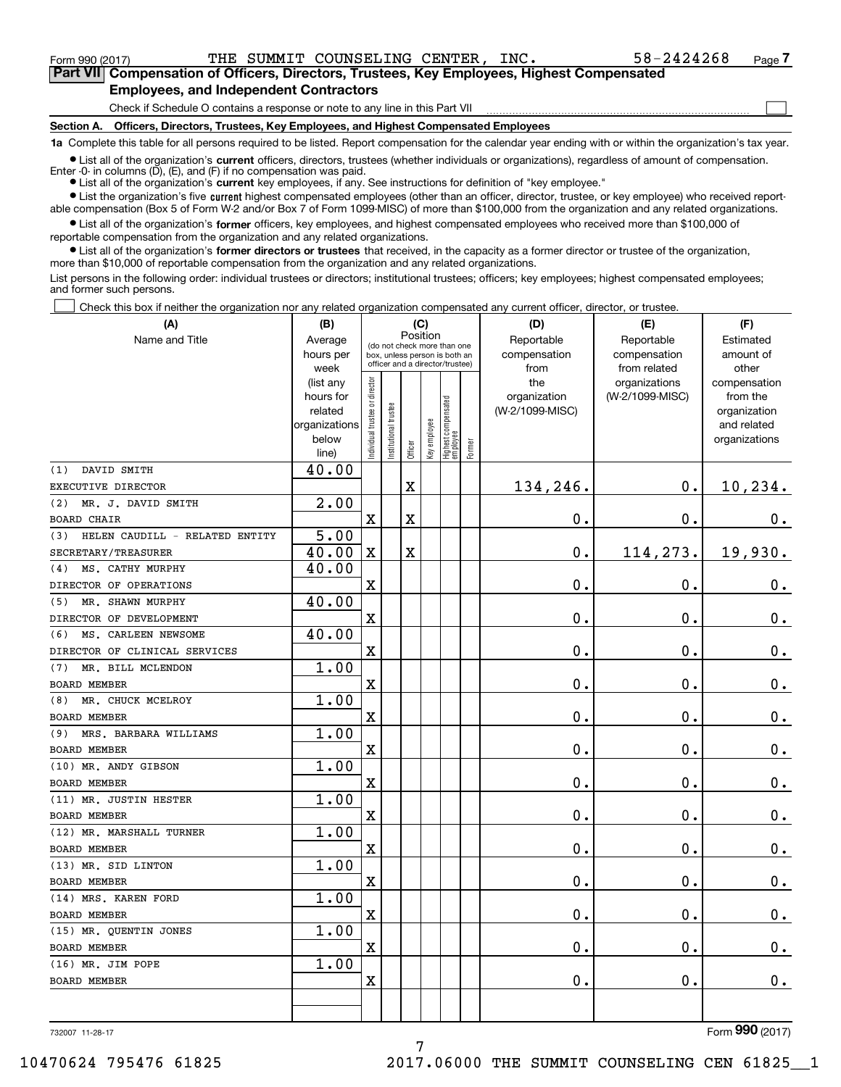**(A)**

<code>Form</code> 990 (2017) THE SUMMIT COUNSELING CENTER, INC  $\bullet$  58-2424268  $\,$  Page

 $\mathcal{L}^{\text{max}}$ 

**7Part VII Compensation of Officers, Directors, Trustees, Key Employees, Highest Compensated Employees, and Independent Contractors**

Check if Schedule O contains a response or note to any line in this Part VII

**Section A. Officers, Directors, Trustees, Key Employees, and Highest Compensated Employees**

**1a**  Complete this table for all persons required to be listed. Report compensation for the calendar year ending with or within the organization's tax year.

**•** List all of the organization's current officers, directors, trustees (whether individuals or organizations), regardless of amount of compensation. Enter -0- in columns  $(D)$ ,  $(E)$ , and  $(F)$  if no compensation was paid.

● List all of the organization's **current** key employees, if any. See instructions for definition of "key employee."

**•** List the organization's five current highest compensated employees (other than an officer, director, trustee, or key employee) who received report-

 $\bullet$  List all of the organization's **former** officers, key employees, and highest compensated employees who received more than \$100,000 of able compensation (Box 5 of Form W-2 and/or Box 7 of Form 1099-MISC) of more than \$100,000 from the organization and any related organizations. reportable compensation from the organization and any related organizations.

**•** List all of the organization's former directors or trustees that received, in the capacity as a former director or trustee of the organization, more than \$10,000 of reportable compensation from the organization and any related organizations.

List persons in the following order: individual trustees or directors; institutional trustees; officers; key employees; highest compensated employees; and former such persons.

Check this box if neither the organization nor any related organization compensated any current officer, director, or trustee.  $\mathcal{L}^{\text{max}}$ 

| (A)                                   | (B)                      |                               |                                                                  | (C)                                     |              |                                  |        | (D)             | (E)             | (F)                         |
|---------------------------------------|--------------------------|-------------------------------|------------------------------------------------------------------|-----------------------------------------|--------------|----------------------------------|--------|-----------------|-----------------|-----------------------------|
| Name and Title                        | Average                  |                               |                                                                  | Position<br>(do not check more than one |              |                                  |        | Reportable      | Reportable      | Estimated                   |
|                                       | hours per                |                               | box, unless person is both an<br>officer and a director/trustee) |                                         |              |                                  |        | compensation    | compensation    | amount of                   |
|                                       | week                     |                               |                                                                  |                                         |              |                                  |        | from            | from related    | other                       |
|                                       | (list any                |                               |                                                                  |                                         |              |                                  |        | the             | organizations   | compensation                |
|                                       | hours for                |                               |                                                                  |                                         |              |                                  |        | organization    | (W-2/1099-MISC) | from the                    |
|                                       | related<br>organizations |                               |                                                                  |                                         |              |                                  |        | (W-2/1099-MISC) |                 | organization<br>and related |
|                                       | below                    |                               |                                                                  |                                         |              |                                  |        |                 |                 | organizations               |
|                                       | line)                    | ndividual trustee or director | nstitutional trustee                                             | Officer                                 | Key employee | Highest compensated<br> employee | Former |                 |                 |                             |
| DAVID SMITH<br>(1)                    | 40.00                    |                               |                                                                  |                                         |              |                                  |        |                 |                 |                             |
| EXECUTIVE DIRECTOR                    |                          |                               |                                                                  | $\mathbf x$                             |              |                                  |        | 134,246.        | 0.              | 10,234.                     |
| MR. J. DAVID SMITH<br>(2)             | 2.00                     |                               |                                                                  |                                         |              |                                  |        |                 |                 |                             |
| <b>BOARD CHAIR</b>                    |                          | $\overline{\mathbf{X}}$       |                                                                  | $\rm X$                                 |              |                                  |        | 0.              | 0.              | 0.                          |
| HELEN CAUDILL - RELATED ENTITY<br>(3) | 5.00                     |                               |                                                                  |                                         |              |                                  |        |                 |                 |                             |
| SECRETARY/TREASURER                   | 40.00                    | $\mathbf X$                   |                                                                  | $\mathbf X$                             |              |                                  |        | 0.              | 114,273.        | 19,930.                     |
| MS. CATHY MURPHY<br>(4)               | 40.00                    |                               |                                                                  |                                         |              |                                  |        |                 |                 |                             |
| DIRECTOR OF OPERATIONS                |                          | $\overline{\mathbf{X}}$       |                                                                  |                                         |              |                                  |        | 0.              | $\mathbf 0$ .   | $0_{.}$                     |
| MR. SHAWN MURPHY<br>(5)               | 40.00                    |                               |                                                                  |                                         |              |                                  |        |                 |                 |                             |
| DIRECTOR OF DEVELOPMENT               |                          | $\overline{\mathbf{X}}$       |                                                                  |                                         |              |                                  |        | 0.              | $\mathbf 0$ .   | $0_{.}$                     |
| MS. CARLEEN NEWSOME<br>(6)            | 40.00                    |                               |                                                                  |                                         |              |                                  |        |                 |                 |                             |
| DIRECTOR OF CLINICAL SERVICES         |                          | X                             |                                                                  |                                         |              |                                  |        | 0.              | 0.              | $\mathbf 0$ .               |
| MR. BILL MCLENDON<br>(7)              | 1.00                     |                               |                                                                  |                                         |              |                                  |        |                 |                 |                             |
| <b>BOARD MEMBER</b>                   |                          | $\mathbf X$                   |                                                                  |                                         |              |                                  |        | 0.              | $\mathbf 0$ .   | $\mathbf 0$ .               |
| MR. CHUCK MCELROY<br>(8)              | 1.00                     |                               |                                                                  |                                         |              |                                  |        |                 |                 |                             |
| <b>BOARD MEMBER</b>                   |                          | $\overline{\mathbf{X}}$       |                                                                  |                                         |              |                                  |        | 0.              | $\mathbf 0$ .   | $0$ .                       |
| MRS. BARBARA WILLIAMS<br>(9)          | 1.00                     |                               |                                                                  |                                         |              |                                  |        |                 |                 |                             |
| BOARD MEMBER                          |                          | $\rm X$                       |                                                                  |                                         |              |                                  |        | 0.              | $\mathbf 0$ .   | $\mathbf 0$ .               |
| (10) MR. ANDY GIBSON                  | 1.00                     |                               |                                                                  |                                         |              |                                  |        |                 |                 |                             |
| <b>BOARD MEMBER</b>                   |                          | $\overline{\mathbf{X}}$       |                                                                  |                                         |              |                                  |        | 0.              | 0.              | $\mathbf 0$ .               |
| (11) MR. JUSTIN HESTER                | 1.00                     |                               |                                                                  |                                         |              |                                  |        |                 |                 |                             |
| <b>BOARD MEMBER</b>                   |                          | X                             |                                                                  |                                         |              |                                  |        | 0.              | $\mathbf 0$ .   | 0.                          |
| (12) MR. MARSHALL TURNER              | 1.00                     |                               |                                                                  |                                         |              |                                  |        |                 |                 |                             |
| <b>BOARD MEMBER</b>                   |                          | $\overline{\mathbf{X}}$       |                                                                  |                                         |              |                                  |        | $\mathbf 0$ .   | $\mathbf 0$ .   | $0$ .                       |
| (13) MR. SID LINTON                   | 1.00                     |                               |                                                                  |                                         |              |                                  |        |                 |                 |                             |
| <b>BOARD MEMBER</b>                   |                          | $\overline{\mathbf{X}}$       |                                                                  |                                         |              |                                  |        | 0.              | $\mathbf 0$ .   | $\mathbf 0$ .               |
| (14) MRS. KAREN FORD                  | 1.00                     |                               |                                                                  |                                         |              |                                  |        |                 |                 |                             |
| <b>BOARD MEMBER</b>                   |                          | X                             |                                                                  |                                         |              |                                  |        | 0.              | 0.              | $\mathbf 0$ .               |
| (15) MR. QUENTIN JONES                | 1.00                     |                               |                                                                  |                                         |              |                                  |        |                 |                 |                             |
| <b>BOARD MEMBER</b>                   |                          | X                             |                                                                  |                                         |              |                                  |        | 0.              | $\mathbf 0$ .   | 0.                          |
| (16) MR. JIM POPE                     | 1.00                     |                               |                                                                  |                                         |              |                                  |        |                 |                 |                             |
| <b>BOARD MEMBER</b>                   |                          | $\mathbf X$                   |                                                                  |                                         |              |                                  |        | 0.              | $\mathbf 0$ .   | 0.                          |
|                                       |                          |                               |                                                                  |                                         |              |                                  |        |                 |                 |                             |
|                                       |                          |                               |                                                                  |                                         |              |                                  |        |                 |                 |                             |

732007 11-28-17

Form (2017) **990**

7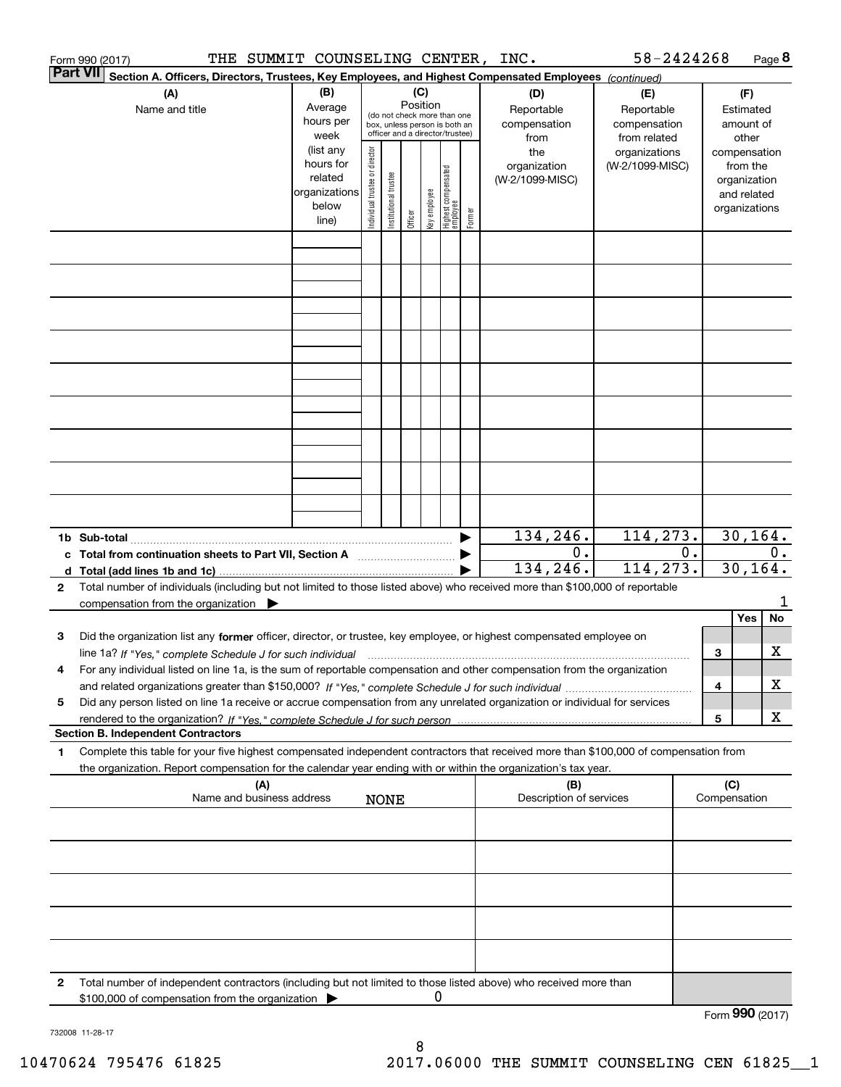|              | THE SUMMIT COUNSELING CENTER, INC.<br>Form 990 (2017)                                                                                                                                                                                                  |                                                                                                      |                                |                       |                     |              |                                                                                                                                     |        |                                                                              | 58-2424268                                                                     |                                  |                                                                                                             | Page 8 |
|--------------|--------------------------------------------------------------------------------------------------------------------------------------------------------------------------------------------------------------------------------------------------------|------------------------------------------------------------------------------------------------------|--------------------------------|-----------------------|---------------------|--------------|-------------------------------------------------------------------------------------------------------------------------------------|--------|------------------------------------------------------------------------------|--------------------------------------------------------------------------------|----------------------------------|-------------------------------------------------------------------------------------------------------------|--------|
|              | <b>Part VII</b><br>Section A. Officers, Directors, Trustees, Key Employees, and Highest Compensated Employees (continued)<br>(A)                                                                                                                       | (B)                                                                                                  |                                |                       | (C)                 |              |                                                                                                                                     |        | (D)                                                                          | (E)                                                                            |                                  | (F)                                                                                                         |        |
|              | Name and title                                                                                                                                                                                                                                         | Average<br>hours per<br>week<br>(list any<br>hours for<br>related<br>organizations<br>below<br>line) | Individual trustee or director | Institutional trustee | Position<br>Officer | Key employee | (do not check more than one<br>box, unless person is both an<br>officer and a director/trustee)<br>Highest compensated<br> employee | Former | Reportable<br>compensation<br>from<br>the<br>organization<br>(W-2/1099-MISC) | Reportable<br>compensation<br>from related<br>organizations<br>(W-2/1099-MISC) |                                  | Estimated<br>amount of<br>other<br>compensation<br>from the<br>organization<br>and related<br>organizations |        |
|              |                                                                                                                                                                                                                                                        |                                                                                                      |                                |                       |                     |              |                                                                                                                                     |        |                                                                              |                                                                                |                                  |                                                                                                             |        |
|              |                                                                                                                                                                                                                                                        |                                                                                                      |                                |                       |                     |              |                                                                                                                                     |        |                                                                              |                                                                                |                                  |                                                                                                             |        |
|              |                                                                                                                                                                                                                                                        |                                                                                                      |                                |                       |                     |              |                                                                                                                                     |        |                                                                              |                                                                                |                                  |                                                                                                             |        |
|              |                                                                                                                                                                                                                                                        |                                                                                                      |                                |                       |                     |              |                                                                                                                                     |        |                                                                              |                                                                                |                                  |                                                                                                             |        |
|              |                                                                                                                                                                                                                                                        |                                                                                                      |                                |                       |                     |              |                                                                                                                                     |        |                                                                              |                                                                                |                                  |                                                                                                             |        |
|              |                                                                                                                                                                                                                                                        |                                                                                                      |                                |                       |                     |              |                                                                                                                                     |        |                                                                              |                                                                                |                                  |                                                                                                             |        |
|              |                                                                                                                                                                                                                                                        |                                                                                                      |                                |                       |                     |              |                                                                                                                                     |        |                                                                              |                                                                                |                                  |                                                                                                             |        |
|              |                                                                                                                                                                                                                                                        |                                                                                                      |                                |                       |                     |              |                                                                                                                                     |        |                                                                              |                                                                                |                                  |                                                                                                             |        |
|              |                                                                                                                                                                                                                                                        |                                                                                                      |                                |                       |                     |              |                                                                                                                                     |        | 134,246.                                                                     | 114,273.                                                                       |                                  |                                                                                                             |        |
|              | 1b Sub-total<br>c Total from continuation sheets to Part VII, Section A                                                                                                                                                                                |                                                                                                      |                                |                       |                     |              |                                                                                                                                     |        | 0.<br>134,246.                                                               | 114,273.                                                                       | 30, 164.<br>0.<br>0.<br>30, 164. |                                                                                                             |        |
| $\mathbf{2}$ | Total number of individuals (including but not limited to those listed above) who received more than \$100,000 of reportable                                                                                                                           |                                                                                                      |                                |                       |                     |              |                                                                                                                                     |        |                                                                              |                                                                                |                                  |                                                                                                             |        |
|              | compensation from the organization<br>Did the organization list any former officer, director, or trustee, key employee, or highest compensated employee on                                                                                             |                                                                                                      |                                |                       |                     |              |                                                                                                                                     |        |                                                                              |                                                                                |                                  | Yes                                                                                                         | No     |
| 3            | line 1a? If "Yes," complete Schedule J for such individual manufactured contained and the Yes," complete Schedule                                                                                                                                      |                                                                                                      |                                |                       |                     |              |                                                                                                                                     |        |                                                                              |                                                                                | 3                                |                                                                                                             | x      |
| 4<br>5       | For any individual listed on line 1a, is the sum of reportable compensation and other compensation from the organization<br>Did any person listed on line 1a receive or accrue compensation from any unrelated organization or individual for services |                                                                                                      |                                |                       |                     |              |                                                                                                                                     |        |                                                                              |                                                                                | 4                                |                                                                                                             | х      |
|              | <b>Section B. Independent Contractors</b>                                                                                                                                                                                                              |                                                                                                      |                                |                       |                     |              |                                                                                                                                     |        |                                                                              |                                                                                | $\overline{\mathbf{5}}$          |                                                                                                             | x      |
| 1            | Complete this table for your five highest compensated independent contractors that received more than \$100,000 of compensation from<br>the organization. Report compensation for the calendar year ending with or within the organization's tax year. |                                                                                                      |                                |                       |                     |              |                                                                                                                                     |        |                                                                              |                                                                                |                                  |                                                                                                             |        |
|              | (A)<br>Name and business address                                                                                                                                                                                                                       |                                                                                                      |                                | <b>NONE</b>           |                     |              |                                                                                                                                     |        | (B)<br>Description of services                                               |                                                                                |                                  | (C)<br>Compensation                                                                                         |        |
|              |                                                                                                                                                                                                                                                        |                                                                                                      |                                |                       |                     |              |                                                                                                                                     |        |                                                                              |                                                                                |                                  |                                                                                                             |        |
|              |                                                                                                                                                                                                                                                        |                                                                                                      |                                |                       |                     |              |                                                                                                                                     |        |                                                                              |                                                                                |                                  |                                                                                                             |        |
|              |                                                                                                                                                                                                                                                        |                                                                                                      |                                |                       |                     |              |                                                                                                                                     |        |                                                                              |                                                                                |                                  |                                                                                                             |        |
|              |                                                                                                                                                                                                                                                        |                                                                                                      |                                |                       |                     |              |                                                                                                                                     |        |                                                                              |                                                                                |                                  |                                                                                                             |        |
|              |                                                                                                                                                                                                                                                        |                                                                                                      |                                |                       |                     |              |                                                                                                                                     |        |                                                                              |                                                                                |                                  |                                                                                                             |        |
| 2            | Total number of independent contractors (including but not limited to those listed above) who received more than<br>\$100,000 of compensation from the organization                                                                                    |                                                                                                      |                                |                       |                     | Ü            |                                                                                                                                     |        |                                                                              |                                                                                |                                  | Form 990 (2017)                                                                                             |        |
|              |                                                                                                                                                                                                                                                        |                                                                                                      |                                |                       |                     |              |                                                                                                                                     |        |                                                                              |                                                                                |                                  |                                                                                                             |        |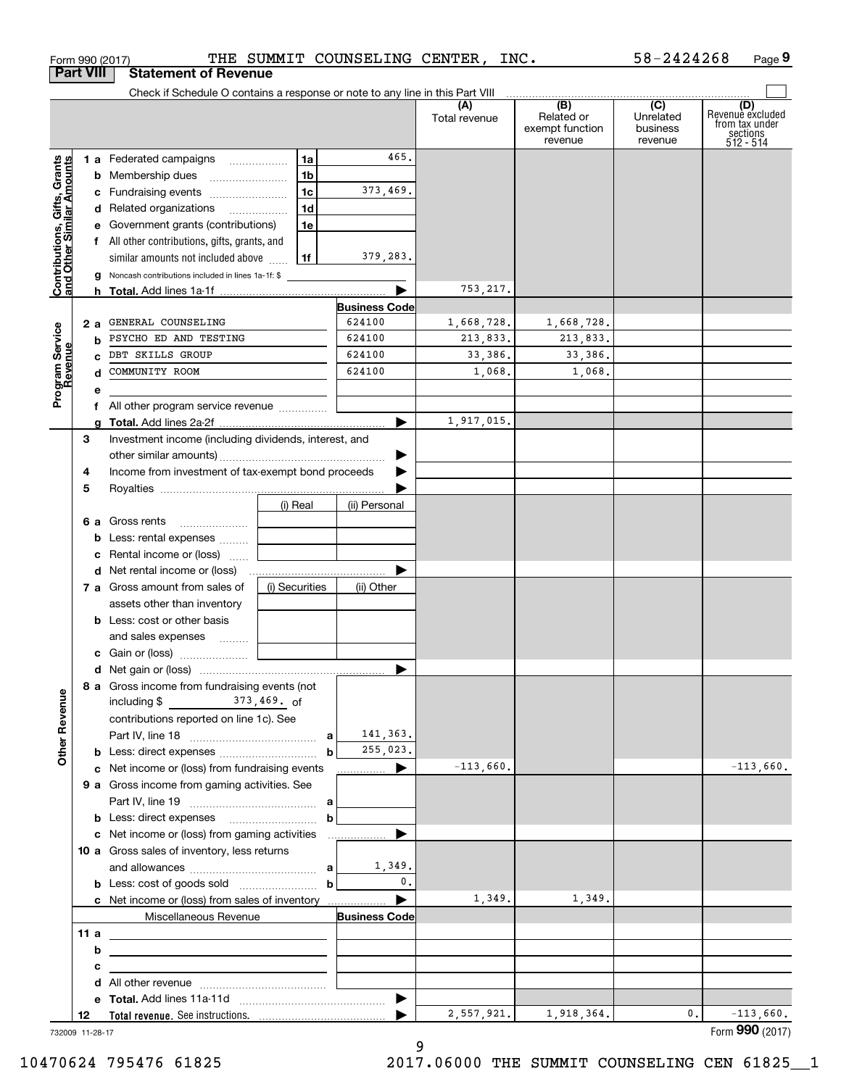|                                                           |     | Form 990 (2017)                                                                           |                | THE SUMMIT COUNSELING CENTER, | INC.                 |                                                 | 58-2424268                                           | Page 9                                                             |
|-----------------------------------------------------------|-----|-------------------------------------------------------------------------------------------|----------------|-------------------------------|----------------------|-------------------------------------------------|------------------------------------------------------|--------------------------------------------------------------------|
| <b>Part VIII</b>                                          |     | <b>Statement of Revenue</b>                                                               |                |                               |                      |                                                 |                                                      |                                                                    |
|                                                           |     | Check if Schedule O contains a response or note to any line in this Part VIII             |                |                               | (A)<br>Total revenue | (B)<br>Related or<br>exempt function<br>revenue | $\overline{(C)}$<br>Unrelated<br>business<br>revenue | (D)<br>Revenue excluded<br>from tax under<br>sections<br>512 - 514 |
|                                                           |     | 1 a Federated campaigns                                                                   | 1a             | 465.                          |                      |                                                 |                                                      |                                                                    |
|                                                           |     | <b>b</b> Membership dues                                                                  | 1 <sub>b</sub> |                               |                      |                                                 |                                                      |                                                                    |
|                                                           |     | c Fundraising events                                                                      | 1c             | 373,469.                      |                      |                                                 |                                                      |                                                                    |
|                                                           |     | d Related organizations                                                                   | 1d             |                               |                      |                                                 |                                                      |                                                                    |
|                                                           |     | e Government grants (contributions)                                                       | 1e             |                               |                      |                                                 |                                                      |                                                                    |
|                                                           |     | f All other contributions, gifts, grants, and                                             |                |                               |                      |                                                 |                                                      |                                                                    |
|                                                           |     | similar amounts not included above                                                        | 1f             | 379,283.                      |                      |                                                 |                                                      |                                                                    |
| Contributions, Gifts, Grants<br>and Other Similar Amounts |     | g Noncash contributions included in lines 1a-1f: \$                                       |                |                               |                      |                                                 |                                                      |                                                                    |
|                                                           |     |                                                                                           |                | <b>Business Code</b>          | 753, 217.            |                                                 |                                                      |                                                                    |
|                                                           | 2 a | GENERAL COUNSELING                                                                        |                | 624100                        | 1,668,728.           | 1,668,728.                                      |                                                      |                                                                    |
|                                                           |     | <b>b</b> PSYCHO ED AND TESTING                                                            |                | 624100                        | 213,833.             | 213,833.                                        |                                                      |                                                                    |
|                                                           |     | c DBT SKILLS GROUP                                                                        |                | 624100                        | 33,386.              | 33,386.                                         |                                                      |                                                                    |
|                                                           | d   | COMMUNITY ROOM                                                                            |                | 624100                        | 1,068.               | 1,068.                                          |                                                      |                                                                    |
| Program Service<br>Revenue                                | е   |                                                                                           |                |                               |                      |                                                 |                                                      |                                                                    |
|                                                           |     | f All other program service revenue                                                       |                |                               |                      |                                                 |                                                      |                                                                    |
|                                                           | a   |                                                                                           |                |                               | 1,917,015.           |                                                 |                                                      |                                                                    |
| 3                                                         |     | Investment income (including dividends, interest, and                                     |                |                               |                      |                                                 |                                                      |                                                                    |
|                                                           |     |                                                                                           |                |                               |                      |                                                 |                                                      |                                                                    |
| 4                                                         |     | Income from investment of tax-exempt bond proceeds                                        |                |                               |                      |                                                 |                                                      |                                                                    |
| 5                                                         |     |                                                                                           |                |                               |                      |                                                 |                                                      |                                                                    |
|                                                           |     |                                                                                           | (i) Real       | (ii) Personal                 |                      |                                                 |                                                      |                                                                    |
|                                                           |     | 6 a Gross rents                                                                           |                |                               |                      |                                                 |                                                      |                                                                    |
|                                                           |     | <b>b</b> Less: rental expenses                                                            |                |                               |                      |                                                 |                                                      |                                                                    |
|                                                           |     | c Rental income or (loss)                                                                 |                |                               |                      |                                                 |                                                      |                                                                    |
|                                                           |     |                                                                                           |                |                               |                      |                                                 |                                                      |                                                                    |
|                                                           |     | 7 a Gross amount from sales of                                                            | (i) Securities | (ii) Other                    |                      |                                                 |                                                      |                                                                    |
|                                                           |     | assets other than inventory                                                               |                |                               |                      |                                                 |                                                      |                                                                    |
|                                                           |     | <b>b</b> Less: cost or other basis                                                        |                |                               |                      |                                                 |                                                      |                                                                    |
|                                                           |     | and sales expenses                                                                        |                |                               |                      |                                                 |                                                      |                                                                    |
|                                                           |     |                                                                                           |                |                               |                      |                                                 |                                                      |                                                                    |
|                                                           |     | 8 a Gross income from fundraising events (not                                             |                |                               |                      |                                                 |                                                      |                                                                    |
| <b>Other Revenue</b>                                      |     | including $\frac{2}{3}$ $\frac{373}{469}$ of                                              |                |                               |                      |                                                 |                                                      |                                                                    |
|                                                           |     | contributions reported on line 1c). See                                                   |                |                               |                      |                                                 |                                                      |                                                                    |
|                                                           |     |                                                                                           |                | 141,363.                      |                      |                                                 |                                                      |                                                                    |
|                                                           |     |                                                                                           | $\mathbf b$    | 255,023.                      | $-113,660.$          |                                                 |                                                      | $-113,660.$                                                        |
|                                                           |     | c Net income or (loss) from fundraising events                                            |                | <u></u> ▶                     |                      |                                                 |                                                      |                                                                    |
|                                                           |     | 9 a Gross income from gaming activities. See                                              |                |                               |                      |                                                 |                                                      |                                                                    |
|                                                           |     |                                                                                           | $\mathbf b$    |                               |                      |                                                 |                                                      |                                                                    |
|                                                           |     | c Net income or (loss) from gaming activities                                             |                |                               |                      |                                                 |                                                      |                                                                    |
|                                                           |     | 10 a Gross sales of inventory, less returns                                               |                |                               |                      |                                                 |                                                      |                                                                    |
|                                                           |     |                                                                                           |                | 1,349.                        |                      |                                                 |                                                      |                                                                    |
|                                                           |     | <b>b</b> Less: cost of goods sold $\ldots$ <b>b</b>                                       |                | $\mathbf{0}$ .                |                      |                                                 |                                                      |                                                                    |
|                                                           |     | c Net income or (loss) from sales of inventory                                            |                |                               | 1,349.               | 1,349.                                          |                                                      |                                                                    |
|                                                           |     | Miscellaneous Revenue                                                                     |                | <b>Business Code</b>          |                      |                                                 |                                                      |                                                                    |
|                                                           | 11a | the control of the control of the control of the control of the control of the control of |                |                               |                      |                                                 |                                                      |                                                                    |
|                                                           | b   | the control of the control of the control of the control of the control of the control of |                |                               |                      |                                                 |                                                      |                                                                    |
|                                                           | c   | the contract of the contract of the contract of the contract of the contract of           |                |                               |                      |                                                 |                                                      |                                                                    |
|                                                           |     |                                                                                           |                |                               |                      |                                                 |                                                      |                                                                    |
|                                                           |     |                                                                                           |                |                               |                      |                                                 |                                                      |                                                                    |
|                                                           |     |                                                                                           |                |                               | 2,557,921.           | 1,918,364.                                      | 0.                                                   | $-113,660.$                                                        |

9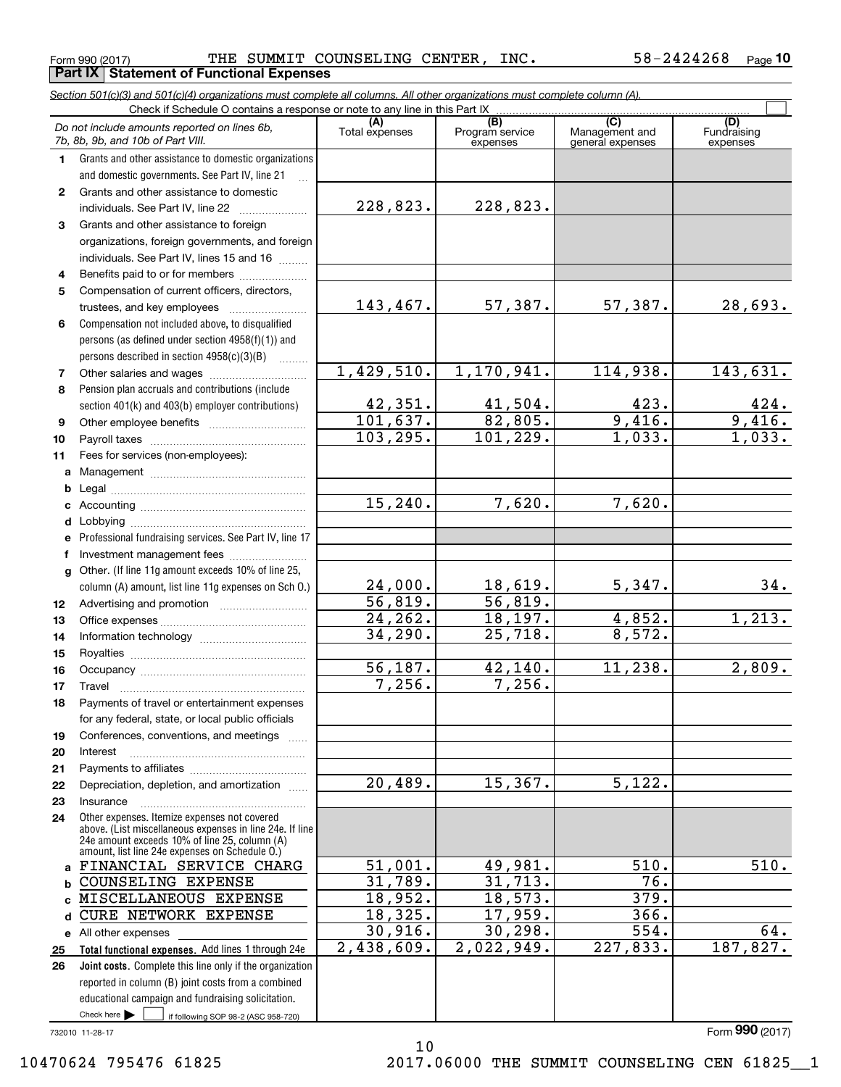**Part IX Statement of Functional Expenses**

*Section 501(c)(3) and 501(c)(4) organizations must complete all columns. All other organizations must complete column (A).*

|              | Do not include amounts reported on lines 6b,<br>7b, 8b, 9b, and 10b of Part VIII.                        | (A)<br>Total expenses    | $\overline{(B)}$<br>Program service<br>expenses | (C)<br>Management and<br>general expenses | (D)<br>Fundraising<br>expenses |
|--------------|----------------------------------------------------------------------------------------------------------|--------------------------|-------------------------------------------------|-------------------------------------------|--------------------------------|
| 1.           | Grants and other assistance to domestic organizations                                                    |                          |                                                 |                                           |                                |
|              | and domestic governments. See Part IV, line 21                                                           |                          |                                                 |                                           |                                |
| $\mathbf{2}$ | Grants and other assistance to domestic                                                                  |                          |                                                 |                                           |                                |
|              | individuals. See Part IV, line 22                                                                        | 228,823.                 | 228,823.                                        |                                           |                                |
| 3            | Grants and other assistance to foreign                                                                   |                          |                                                 |                                           |                                |
|              | organizations, foreign governments, and foreign                                                          |                          |                                                 |                                           |                                |
|              | individuals. See Part IV, lines 15 and 16                                                                |                          |                                                 |                                           |                                |
| 4            | Benefits paid to or for members                                                                          |                          |                                                 |                                           |                                |
| 5            | Compensation of current officers, directors,                                                             |                          |                                                 |                                           |                                |
|              | trustees, and key employees                                                                              | 143,467.                 | 57,387.                                         | 57,387.                                   | 28,693.                        |
| 6            | Compensation not included above, to disqualified                                                         |                          |                                                 |                                           |                                |
|              | persons (as defined under section 4958(f)(1)) and                                                        |                          |                                                 |                                           |                                |
|              | persons described in section 4958(c)(3)(B)                                                               |                          |                                                 |                                           |                                |
| 7            |                                                                                                          | 1,429,510.               | 1,170,941.                                      | 114,938.                                  | 143,631.                       |
| 8            | Pension plan accruals and contributions (include                                                         |                          |                                                 |                                           |                                |
|              | section 401(k) and 403(b) employer contributions)                                                        | 42,351.                  | 41,504.                                         | 423.                                      | $\frac{424}{9,416}$            |
| 9            |                                                                                                          | 101,637.                 | 82,805.                                         | 9,416.                                    |                                |
| 10           |                                                                                                          | 103, 295.                | 101,229.                                        | 1,033.                                    | $\overline{1,033}$ .           |
| 11           | Fees for services (non-employees):                                                                       |                          |                                                 |                                           |                                |
| a            |                                                                                                          |                          |                                                 |                                           |                                |
| b            |                                                                                                          |                          |                                                 |                                           |                                |
| c            |                                                                                                          | 15, 240.                 | 7,620.                                          | 7,620.                                    |                                |
| d            |                                                                                                          |                          |                                                 |                                           |                                |
| e            | Professional fundraising services. See Part IV, line 17                                                  |                          |                                                 |                                           |                                |
| f            | Investment management fees                                                                               |                          |                                                 |                                           |                                |
| g            | Other. (If line 11g amount exceeds 10% of line 25,                                                       |                          |                                                 |                                           |                                |
|              | column (A) amount, list line 11g expenses on Sch O.)                                                     | 24,000.                  | 18,619.                                         | 5,347.                                    | 34.                            |
| 12           |                                                                                                          | 56,819.                  | 56,819.                                         |                                           |                                |
| 13           |                                                                                                          | 24, 262.                 | 18,197.                                         | 4,852.                                    | 1,213.                         |
| 14           |                                                                                                          | 34, 290.                 | 25,718.                                         | 8,572.                                    |                                |
| 15           |                                                                                                          |                          |                                                 |                                           |                                |
| 16           |                                                                                                          | 56,187.                  | 42,140.                                         | 11,238.                                   | 2,809.                         |
| 17           | Travel                                                                                                   | 7,256.                   | 7,256.                                          |                                           |                                |
| 18           | Payments of travel or entertainment expenses                                                             |                          |                                                 |                                           |                                |
|              | for any federal, state, or local public officials                                                        |                          |                                                 |                                           |                                |
| 19           | Conferences, conventions, and meetings                                                                   |                          |                                                 |                                           |                                |
| 20           | Interest                                                                                                 |                          |                                                 |                                           |                                |
| 21           |                                                                                                          | 20,489.                  | 15,367.                                         |                                           |                                |
| 22           | Depreciation, depletion, and amortization                                                                |                          |                                                 | 5,122.                                    |                                |
| 23           | Insurance                                                                                                |                          |                                                 |                                           |                                |
| 24           | Other expenses. Itemize expenses not covered<br>above. (List miscellaneous expenses in line 24e. If line |                          |                                                 |                                           |                                |
|              | 24e amount exceeds 10% of line 25, column (A)<br>amount, list line 24e expenses on Schedule O.)          |                          |                                                 |                                           |                                |
|              | a FINANCIAL SERVICE CHARG                                                                                | 51,001.                  | 49,981.                                         | 510.                                      | 510.                           |
| b            | COUNSELING EXPENSE                                                                                       | 31,789.                  | 31, 713.                                        | 76.                                       |                                |
| c.           | MISCELLANEOUS EXPENSE                                                                                    | 18,952.                  | 18,573.                                         | 379.                                      |                                |
| d            | CURE NETWORK EXPENSE                                                                                     | 18,325.                  | 17,959.                                         | 366.                                      |                                |
|              | e All other expenses                                                                                     | 30,916.                  | 30, 298.                                        | $\overline{554}$ .                        | $\overline{64}$ .              |
| 25           | Total functional expenses. Add lines 1 through 24e                                                       | $\overline{2,438,609}$ . | 2,022,949.                                      | $\overline{227,833}$ .                    | 187,827.                       |
| 26           | Joint costs. Complete this line only if the organization                                                 |                          |                                                 |                                           |                                |
|              | reported in column (B) joint costs from a combined                                                       |                          |                                                 |                                           |                                |
|              | educational campaign and fundraising solicitation.                                                       |                          |                                                 |                                           |                                |
|              | Check here $\blacktriangleright$<br>if following SOP 98-2 (ASC 958-720)                                  |                          |                                                 |                                           |                                |

10

732010 11-28-17

Form (2017) **990**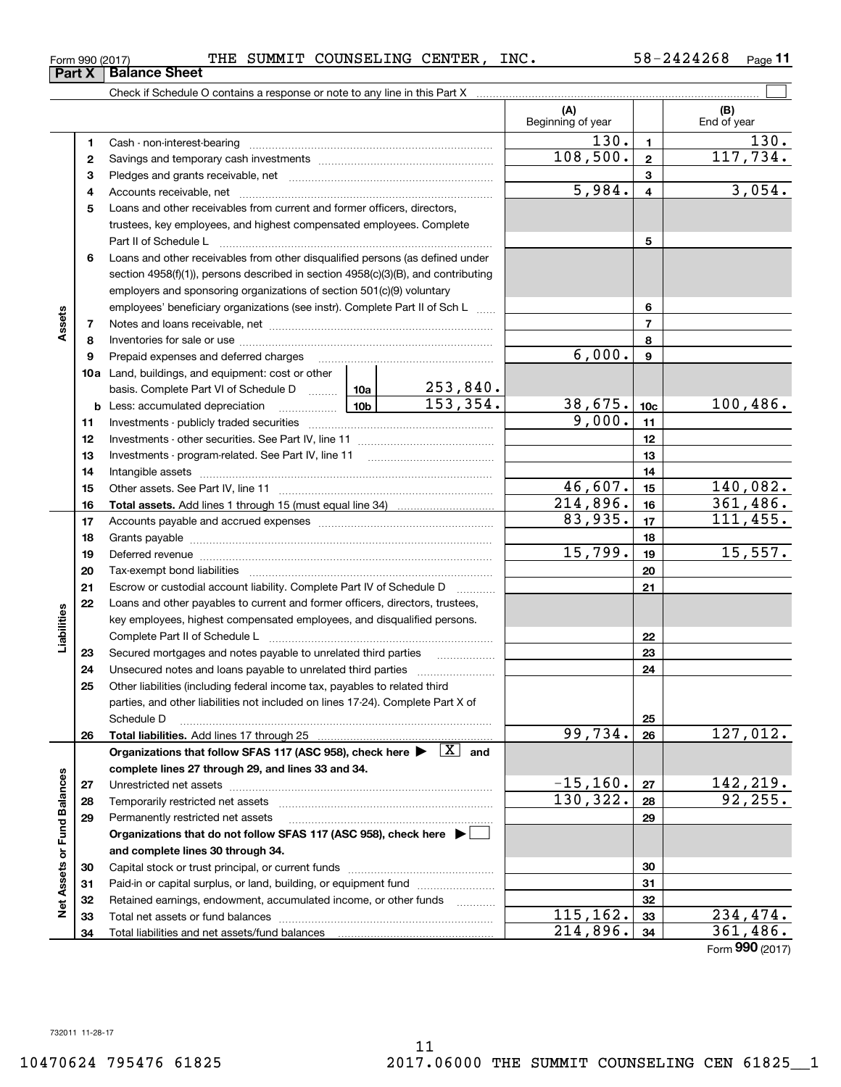**123** Pledges and grants receivable, net  $\ldots$  **multimes contained and grants receivable**, net **multimes contained and grants receivable**, net **multimes contained and grants receivable 45**Loans and other receivables from current and former officers, directors, **678910a**Land, buildings, and equipment: cost or other **11121314151617181920212223242526272812345678910c11121314151617181920212223242526b** Less: accumulated depreciation \_\_\_\_\_\_\_\_\_\_\_\_\_\_\_ Lub basis. Complete Part VI of Schedule D will aller **Total assets.**  Add lines 1 through 15 (must equal line 34) **Total liabilities.**  Add lines 17 through 25 Organizations that follow SFAS 117 (ASC 958), check here  $\blacktriangleright$   $\boxed{\text{X}}$  and **complete lines 27 through 29, and lines 33 and 34. 2728**Cash - non-interest-bearing ~~~~~~~~~~~~~~~~~~~~~~~~~ Savings and temporary cash investments ~~~~~~~~~~~~~~~~~~Accounts receivable, net ~~~~~~~~~~~~~~~~~~~~~~~~~~ trustees, key employees, and highest compensated employees. Complete Part II of Schedule L ~~~~~~~~~~~~~~~~~~~~~~~~~~~~ Loans and other receivables from other disqualified persons (as defined under section 4958(f)(1)), persons described in section 4958(c)(3)(B), and contributing employers and sponsoring organizations of section 501(c)(9) voluntary employees' beneficiary organizations (see instr). Complete Part II of Sch L ...... Notes and loans receivable, net ~~~~~~~~~~~~~~~~~~~~~~~ Inventories for sale or use ~~~~~~~~~~~~~~~~~~~~~~~~~~ Prepaid expenses and deferred charges Investments - publicly traded securities ~~~~~~~~~~~~~~~~~~~ Investments - other securities. See Part IV, line 11 ~~~~~~~~~~~~~~Investments - program-related. See Part IV, line 11 Intangible assets ~~~~~~~~~~~~~~~~~~~~~~~~~~~~~~ Other assets. See Part IV, line 11 ~~~~~~~~~~~~~~~~~~~~~~ Accounts payable and accrued expenses ~~~~~~~~~~~~~~~~~~Grants payable ~~~~~~~~~~~~~~~~~~~~~~~~~~~~~~~ Deferred revenue et al. and the state of the state of the state of the state of the state of the state of the state of the state of the state of the state of the state of the state of the state of the state of the state of Tax-exempt bond liabilities …………………………………………………………… Escrow or custodial account liability. Complete Part IV of Schedule D Loans and other payables to current and former officers, directors, trustees, key employees, highest compensated employees, and disqualified persons. Complete Part II of Schedule L <sub>…………………………………………………………</sub> Secured mortgages and notes payable to unrelated third parties Unsecured notes and loans payable to unrelated third parties ~~~~~~~~~~~~~~~~~~~~ Other liabilities (including federal income tax, payables to related third parties, and other liabilities not included on lines 17-24). Complete Part X of Schedule D ~~~~~~~~~~~~~~~~~~~~~~~~~~~~~~~~ Unrestricted net assets ~~~~~~~~~~~~~~~~~~~~~~~~~~~ Temporarily restricted net assets ~~~~~~~~~~~~~~~~~~~~~~ 6,000. 9,000. 253,840.  $99,734. |26 | 127,012.$  $-15,160.$  27 | 142,219.  $130,322. |28| 92,255.$ 

**Organizations that do not follow SFAS 117 (ASC 958), check here** |

Capital stock or trust principal, or current funds ~~~~~~~~~~~~~~~ Paid-in or capital surplus, or land, building, or equipment fund will concurred. Retained earnings, endowment, accumulated income, or other funds www.com Total net assets or fund balances ~~~~~~~~~~~~~~~~~~~~~~

Permanently restricted net assets ……………………………………………………

**and complete lines 30 through 34.**

Total liabilities and net assets/fund balances

 $115, 162.$  33 234,474.

**29**

 $214,896.$  34 361,486.

Form (2017) **990**

**(A) (B)** Form 990 (2017) THE SUMMIT COUNSELING CENTER,INC. 58-2424268 <sub>Page</sub> Check if Schedule O contains a response or note to any line in this Part X Beginning of year | | End of year 58-2424268 Page 11 **Part X** Balance Sheet  $\mathcal{L}^{\text{max}}$  $130. |11$  130. 5,984. 3,054.  $153,354.$   $38,675.$   $10c$   $100,486.$  $46,607$ .  $15$  140,082.  $214,896$ .  $16$  361,486.  $108,500.$  2 117,734. 83,935. 17 111,455.  $15,799.$  19  $15,557.$ 

732011 11-28-17

**29**

**Net Assets or Fund Balances**

**Net Assets or Fund Balances** 

**Liabilities**

Liabilities

**Assets**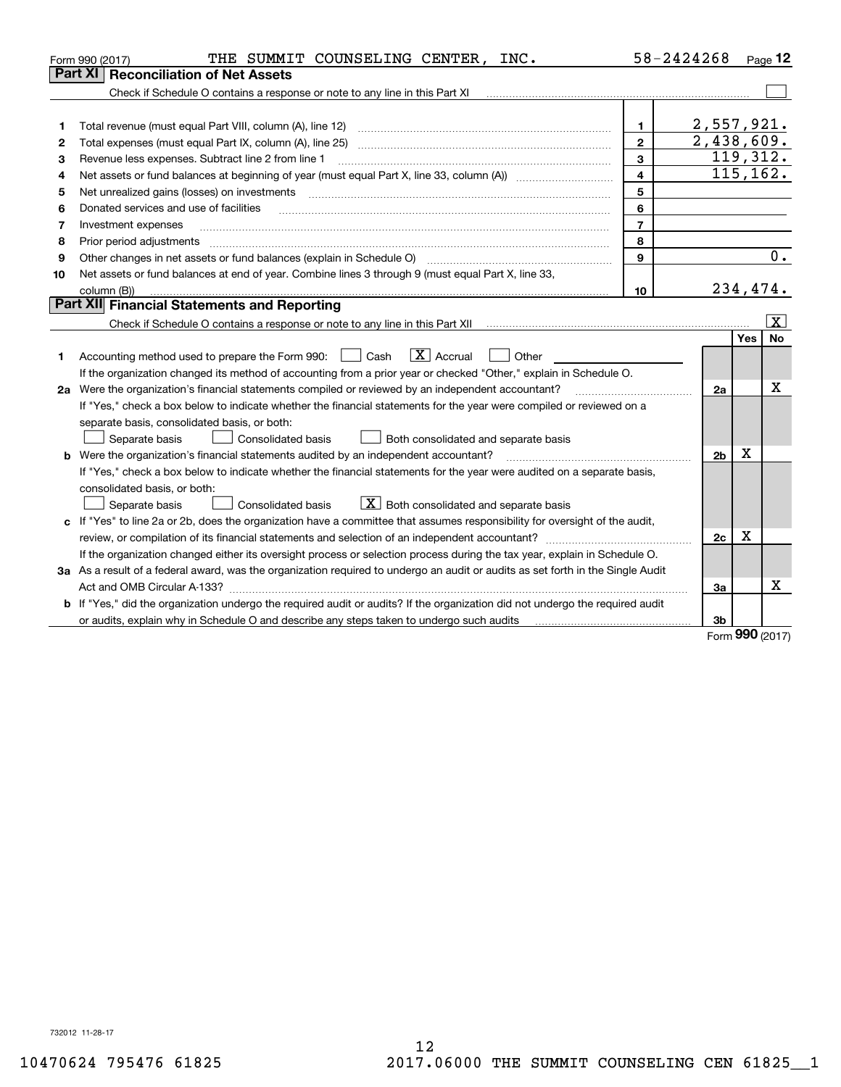|    | THE SUMMIT COUNSELING CENTER,<br>INC.<br>Form 990 (2017)                                                                             |                  | 58-2424268              |                 | Page 12      |  |  |
|----|--------------------------------------------------------------------------------------------------------------------------------------|------------------|-------------------------|-----------------|--------------|--|--|
|    | Part XI<br><b>Reconciliation of Net Assets</b>                                                                                       |                  |                         |                 |              |  |  |
|    | Check if Schedule O contains a response or note to any line in this Part XI                                                          |                  |                         |                 |              |  |  |
|    |                                                                                                                                      |                  |                         |                 |              |  |  |
| 1  |                                                                                                                                      | 1                | 2,557,921.              |                 |              |  |  |
| 2  |                                                                                                                                      | $\overline{2}$   | $\overline{2,438},609.$ |                 | 119,312.     |  |  |
| З  | 3<br>Revenue less expenses. Subtract line 2 from line 1                                                                              |                  |                         |                 |              |  |  |
| 4  |                                                                                                                                      | $\overline{4}$   |                         |                 | 115, 162.    |  |  |
| 5  | Net unrealized gains (losses) on investments                                                                                         | 5                |                         |                 |              |  |  |
| 6  | Donated services and use of facilities                                                                                               | 6                |                         |                 |              |  |  |
| 7  | Investment expenses                                                                                                                  | $\overline{7}$   |                         |                 |              |  |  |
| 8  | Prior period adjustments                                                                                                             | 8                |                         |                 |              |  |  |
| 9  | Other changes in net assets or fund balances (explain in Schedule O)                                                                 | 9                |                         |                 | 0.           |  |  |
| 10 | Net assets or fund balances at end of year. Combine lines 3 through 9 (must equal Part X, line 33,                                   |                  |                         |                 |              |  |  |
|    | column (B))                                                                                                                          | 10 <sup>10</sup> |                         | 234,474.        |              |  |  |
|    | Part XII Financial Statements and Reporting                                                                                          |                  |                         |                 |              |  |  |
|    |                                                                                                                                      |                  |                         |                 | $\mathbf{X}$ |  |  |
|    |                                                                                                                                      |                  |                         | Yes             | No.          |  |  |
| 1  | $X$ Accrual<br>Accounting method used to prepare the Form 990: <u>I</u> Cash<br>Other                                                |                  |                         |                 |              |  |  |
|    | If the organization changed its method of accounting from a prior year or checked "Other," explain in Schedule O.                    |                  |                         |                 |              |  |  |
|    | 2a Were the organization's financial statements compiled or reviewed by an independent accountant?                                   |                  | 2a                      |                 | x            |  |  |
|    | If "Yes," check a box below to indicate whether the financial statements for the year were compiled or reviewed on a                 |                  |                         |                 |              |  |  |
|    | separate basis, consolidated basis, or both:                                                                                         |                  |                         |                 |              |  |  |
|    | Both consolidated and separate basis<br>Separate basis<br><b>Consolidated basis</b>                                                  |                  |                         |                 |              |  |  |
|    | <b>b</b> Were the organization's financial statements audited by an independent accountant?                                          |                  | 2 <sub>b</sub>          | x               |              |  |  |
|    | If "Yes," check a box below to indicate whether the financial statements for the year were audited on a separate basis,              |                  |                         |                 |              |  |  |
|    | consolidated basis, or both:                                                                                                         |                  |                         |                 |              |  |  |
|    | $X$ Both consolidated and separate basis<br>Separate basis<br><b>Consolidated basis</b>                                              |                  |                         |                 |              |  |  |
|    | c If "Yes" to line 2a or 2b, does the organization have a committee that assumes responsibility for oversight of the audit,          |                  |                         |                 |              |  |  |
|    |                                                                                                                                      |                  | 2c                      | х               |              |  |  |
|    | If the organization changed either its oversight process or selection process during the tax year, explain in Schedule O.            |                  |                         |                 |              |  |  |
|    | 3a As a result of a federal award, was the organization required to undergo an audit or audits as set forth in the Single Audit      |                  |                         |                 |              |  |  |
|    | Act and OMB Circular A-133?                                                                                                          |                  | За                      |                 | x            |  |  |
|    | <b>b</b> If "Yes," did the organization undergo the required audit or audits? If the organization did not undergo the required audit |                  |                         |                 |              |  |  |
|    |                                                                                                                                      |                  | 3b                      | $000 \text{ m}$ |              |  |  |
|    |                                                                                                                                      |                  |                         |                 |              |  |  |

Form (2017) **990**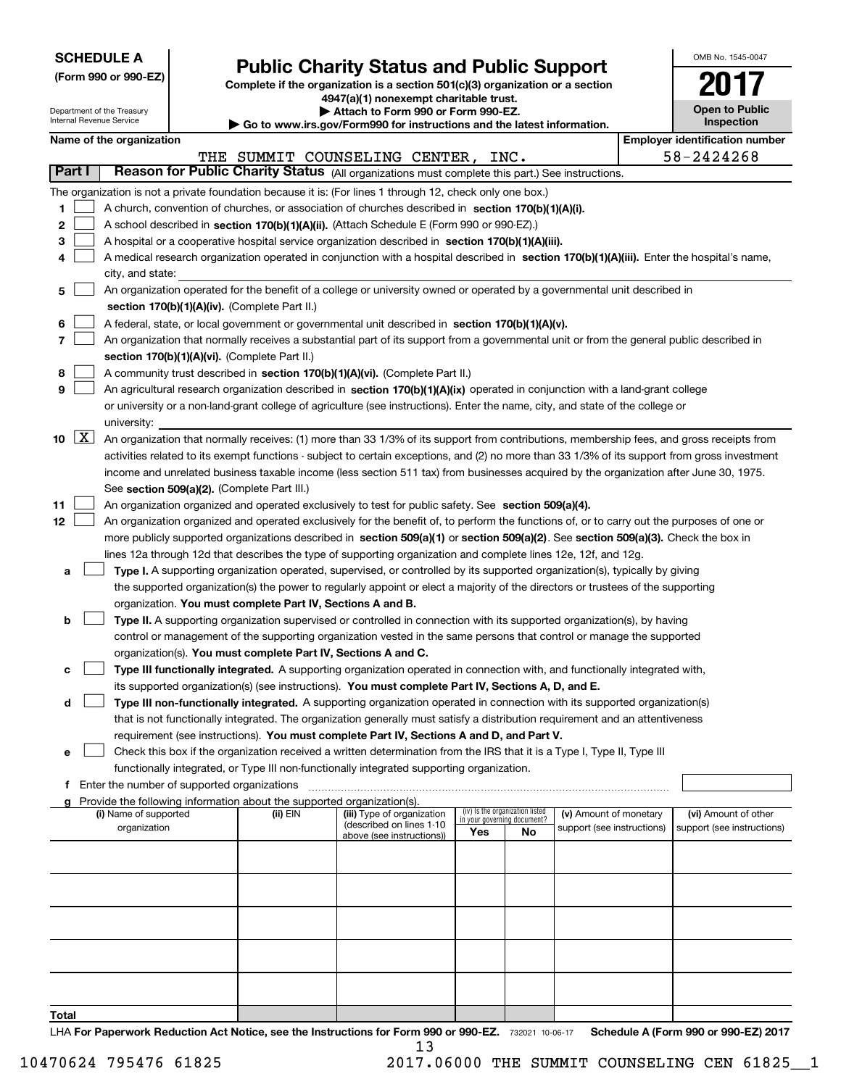| <b>SCHEDULE A</b> |
|-------------------|
|-------------------|

**Total**

| (Form 990 or 990-EZ) |  |  |  |  |
|----------------------|--|--|--|--|
|----------------------|--|--|--|--|

# **Public Charity Status and Public Support**

OMB No. 1545-0047

**2017**

**Complete if the organization is a section 501(c)(3) organization or a section 4947(a)(1) nonexempt charitable trust.**

|                  | Department of the Treasury<br>Internal Revenue Service                                                                                     |  | <del>our response to the complete that in able to do u</del><br><b>Open to Public</b><br>Attach to Form 990 or Form 990-EZ.<br><b>Inspection</b><br>$\blacktriangleright$ Go to www.irs.gov/Form990 for instructions and the latest information. |                                                                                                                                               |     |                                                                |                            |  |                                       |
|------------------|--------------------------------------------------------------------------------------------------------------------------------------------|--|--------------------------------------------------------------------------------------------------------------------------------------------------------------------------------------------------------------------------------------------------|-----------------------------------------------------------------------------------------------------------------------------------------------|-----|----------------------------------------------------------------|----------------------------|--|---------------------------------------|
|                  | Name of the organization                                                                                                                   |  |                                                                                                                                                                                                                                                  |                                                                                                                                               |     |                                                                |                            |  | <b>Employer identification number</b> |
|                  |                                                                                                                                            |  |                                                                                                                                                                                                                                                  | THE SUMMIT COUNSELING CENTER, INC.                                                                                                            |     |                                                                |                            |  | 58-2424268                            |
| Part I           |                                                                                                                                            |  |                                                                                                                                                                                                                                                  | Reason for Public Charity Status (All organizations must complete this part.) See instructions.                                               |     |                                                                |                            |  |                                       |
|                  |                                                                                                                                            |  |                                                                                                                                                                                                                                                  | The organization is not a private foundation because it is: (For lines 1 through 12, check only one box.)                                     |     |                                                                |                            |  |                                       |
| 1                |                                                                                                                                            |  |                                                                                                                                                                                                                                                  | A church, convention of churches, or association of churches described in section 170(b)(1)(A)(i).                                            |     |                                                                |                            |  |                                       |
| 2                | A school described in section 170(b)(1)(A)(ii). (Attach Schedule E (Form 990 or 990-EZ).)                                                  |  |                                                                                                                                                                                                                                                  |                                                                                                                                               |     |                                                                |                            |  |                                       |
| 3                | A hospital or a cooperative hospital service organization described in section 170(b)(1)(A)(iii).                                          |  |                                                                                                                                                                                                                                                  |                                                                                                                                               |     |                                                                |                            |  |                                       |
| 4                | A medical research organization operated in conjunction with a hospital described in section 170(b)(1)(A)(iii). Enter the hospital's name, |  |                                                                                                                                                                                                                                                  |                                                                                                                                               |     |                                                                |                            |  |                                       |
|                  | city, and state:                                                                                                                           |  |                                                                                                                                                                                                                                                  |                                                                                                                                               |     |                                                                |                            |  |                                       |
| 5                |                                                                                                                                            |  |                                                                                                                                                                                                                                                  | An organization operated for the benefit of a college or university owned or operated by a governmental unit described in                     |     |                                                                |                            |  |                                       |
|                  |                                                                                                                                            |  | section 170(b)(1)(A)(iv). (Complete Part II.)                                                                                                                                                                                                    |                                                                                                                                               |     |                                                                |                            |  |                                       |
| 6                |                                                                                                                                            |  |                                                                                                                                                                                                                                                  | A federal, state, or local government or governmental unit described in section 170(b)(1)(A)(v).                                              |     |                                                                |                            |  |                                       |
| 7                |                                                                                                                                            |  |                                                                                                                                                                                                                                                  | An organization that normally receives a substantial part of its support from a governmental unit or from the general public described in     |     |                                                                |                            |  |                                       |
|                  |                                                                                                                                            |  | section 170(b)(1)(A)(vi). (Complete Part II.)                                                                                                                                                                                                    |                                                                                                                                               |     |                                                                |                            |  |                                       |
| 8                |                                                                                                                                            |  |                                                                                                                                                                                                                                                  | A community trust described in section 170(b)(1)(A)(vi). (Complete Part II.)                                                                  |     |                                                                |                            |  |                                       |
| 9                |                                                                                                                                            |  |                                                                                                                                                                                                                                                  | An agricultural research organization described in section 170(b)(1)(A)(ix) operated in conjunction with a land-grant college                 |     |                                                                |                            |  |                                       |
|                  |                                                                                                                                            |  |                                                                                                                                                                                                                                                  | or university or a non-land-grant college of agriculture (see instructions). Enter the name, city, and state of the college or                |     |                                                                |                            |  |                                       |
| $10 \mid X \mid$ | university:                                                                                                                                |  |                                                                                                                                                                                                                                                  |                                                                                                                                               |     |                                                                |                            |  |                                       |
|                  |                                                                                                                                            |  |                                                                                                                                                                                                                                                  | An organization that normally receives: (1) more than 33 1/3% of its support from contributions, membership fees, and gross receipts from     |     |                                                                |                            |  |                                       |
|                  |                                                                                                                                            |  |                                                                                                                                                                                                                                                  | activities related to its exempt functions - subject to certain exceptions, and (2) no more than 33 1/3% of its support from gross investment |     |                                                                |                            |  |                                       |
|                  |                                                                                                                                            |  |                                                                                                                                                                                                                                                  | income and unrelated business taxable income (less section 511 tax) from businesses acquired by the organization after June 30, 1975.         |     |                                                                |                            |  |                                       |
| 11               |                                                                                                                                            |  | See section 509(a)(2). (Complete Part III.)                                                                                                                                                                                                      | An organization organized and operated exclusively to test for public safety. See section 509(a)(4).                                          |     |                                                                |                            |  |                                       |
| 12               |                                                                                                                                            |  |                                                                                                                                                                                                                                                  | An organization organized and operated exclusively for the benefit of, to perform the functions of, or to carry out the purposes of one or    |     |                                                                |                            |  |                                       |
|                  |                                                                                                                                            |  |                                                                                                                                                                                                                                                  | more publicly supported organizations described in section 509(a)(1) or section 509(a)(2). See section 509(a)(3). Check the box in            |     |                                                                |                            |  |                                       |
|                  |                                                                                                                                            |  |                                                                                                                                                                                                                                                  | lines 12a through 12d that describes the type of supporting organization and complete lines 12e, 12f, and 12g.                                |     |                                                                |                            |  |                                       |
| а                |                                                                                                                                            |  |                                                                                                                                                                                                                                                  | Type I. A supporting organization operated, supervised, or controlled by its supported organization(s), typically by giving                   |     |                                                                |                            |  |                                       |
|                  |                                                                                                                                            |  |                                                                                                                                                                                                                                                  | the supported organization(s) the power to regularly appoint or elect a majority of the directors or trustees of the supporting               |     |                                                                |                            |  |                                       |
|                  |                                                                                                                                            |  | organization. You must complete Part IV, Sections A and B.                                                                                                                                                                                       |                                                                                                                                               |     |                                                                |                            |  |                                       |
| b                |                                                                                                                                            |  |                                                                                                                                                                                                                                                  | Type II. A supporting organization supervised or controlled in connection with its supported organization(s), by having                       |     |                                                                |                            |  |                                       |
|                  |                                                                                                                                            |  |                                                                                                                                                                                                                                                  | control or management of the supporting organization vested in the same persons that control or manage the supported                          |     |                                                                |                            |  |                                       |
|                  |                                                                                                                                            |  | organization(s). You must complete Part IV, Sections A and C.                                                                                                                                                                                    |                                                                                                                                               |     |                                                                |                            |  |                                       |
| с                |                                                                                                                                            |  |                                                                                                                                                                                                                                                  | Type III functionally integrated. A supporting organization operated in connection with, and functionally integrated with,                    |     |                                                                |                            |  |                                       |
|                  |                                                                                                                                            |  |                                                                                                                                                                                                                                                  | its supported organization(s) (see instructions). You must complete Part IV, Sections A, D, and E.                                            |     |                                                                |                            |  |                                       |
| d                |                                                                                                                                            |  |                                                                                                                                                                                                                                                  | Type III non-functionally integrated. A supporting organization operated in connection with its supported organization(s)                     |     |                                                                |                            |  |                                       |
|                  |                                                                                                                                            |  |                                                                                                                                                                                                                                                  | that is not functionally integrated. The organization generally must satisfy a distribution requirement and an attentiveness                  |     |                                                                |                            |  |                                       |
|                  |                                                                                                                                            |  |                                                                                                                                                                                                                                                  | requirement (see instructions). You must complete Part IV, Sections A and D, and Part V.                                                      |     |                                                                |                            |  |                                       |
| е                |                                                                                                                                            |  |                                                                                                                                                                                                                                                  | Check this box if the organization received a written determination from the IRS that it is a Type I, Type II, Type III                       |     |                                                                |                            |  |                                       |
|                  |                                                                                                                                            |  |                                                                                                                                                                                                                                                  | functionally integrated, or Type III non-functionally integrated supporting organization.                                                     |     |                                                                |                            |  |                                       |
|                  | f Enter the number of supported organizations                                                                                              |  |                                                                                                                                                                                                                                                  |                                                                                                                                               |     |                                                                |                            |  |                                       |
|                  |                                                                                                                                            |  | Provide the following information about the supported organization(s).                                                                                                                                                                           |                                                                                                                                               |     |                                                                |                            |  |                                       |
|                  | (i) Name of supported                                                                                                                      |  | (ii) EIN                                                                                                                                                                                                                                         | (iii) Type of organization<br>(described on lines 1-10                                                                                        |     | (iv) Is the organization listed<br>in your governing document? | (v) Amount of monetary     |  | (vi) Amount of other                  |
|                  | organization                                                                                                                               |  |                                                                                                                                                                                                                                                  | above (see instructions))                                                                                                                     | Yes | No                                                             | support (see instructions) |  | support (see instructions)            |
|                  |                                                                                                                                            |  |                                                                                                                                                                                                                                                  |                                                                                                                                               |     |                                                                |                            |  |                                       |
|                  |                                                                                                                                            |  |                                                                                                                                                                                                                                                  |                                                                                                                                               |     |                                                                |                            |  |                                       |
|                  |                                                                                                                                            |  |                                                                                                                                                                                                                                                  |                                                                                                                                               |     |                                                                |                            |  |                                       |
|                  |                                                                                                                                            |  |                                                                                                                                                                                                                                                  |                                                                                                                                               |     |                                                                |                            |  |                                       |
|                  |                                                                                                                                            |  |                                                                                                                                                                                                                                                  |                                                                                                                                               |     |                                                                |                            |  |                                       |
|                  |                                                                                                                                            |  |                                                                                                                                                                                                                                                  |                                                                                                                                               |     |                                                                |                            |  |                                       |
|                  |                                                                                                                                            |  |                                                                                                                                                                                                                                                  |                                                                                                                                               |     |                                                                |                            |  |                                       |
|                  |                                                                                                                                            |  |                                                                                                                                                                                                                                                  |                                                                                                                                               |     |                                                                |                            |  |                                       |
|                  |                                                                                                                                            |  |                                                                                                                                                                                                                                                  |                                                                                                                                               |     |                                                                |                            |  |                                       |
|                  |                                                                                                                                            |  |                                                                                                                                                                                                                                                  |                                                                                                                                               |     |                                                                |                            |  |                                       |
| Total            |                                                                                                                                            |  |                                                                                                                                                                                                                                                  |                                                                                                                                               |     |                                                                |                            |  |                                       |

LHA For Paperwork Reduction Act Notice, see the Instructions for Form 990 or 990-EZ. 732021 10-06-17 Schedule A (Form 990 or 990-EZ) 2017 13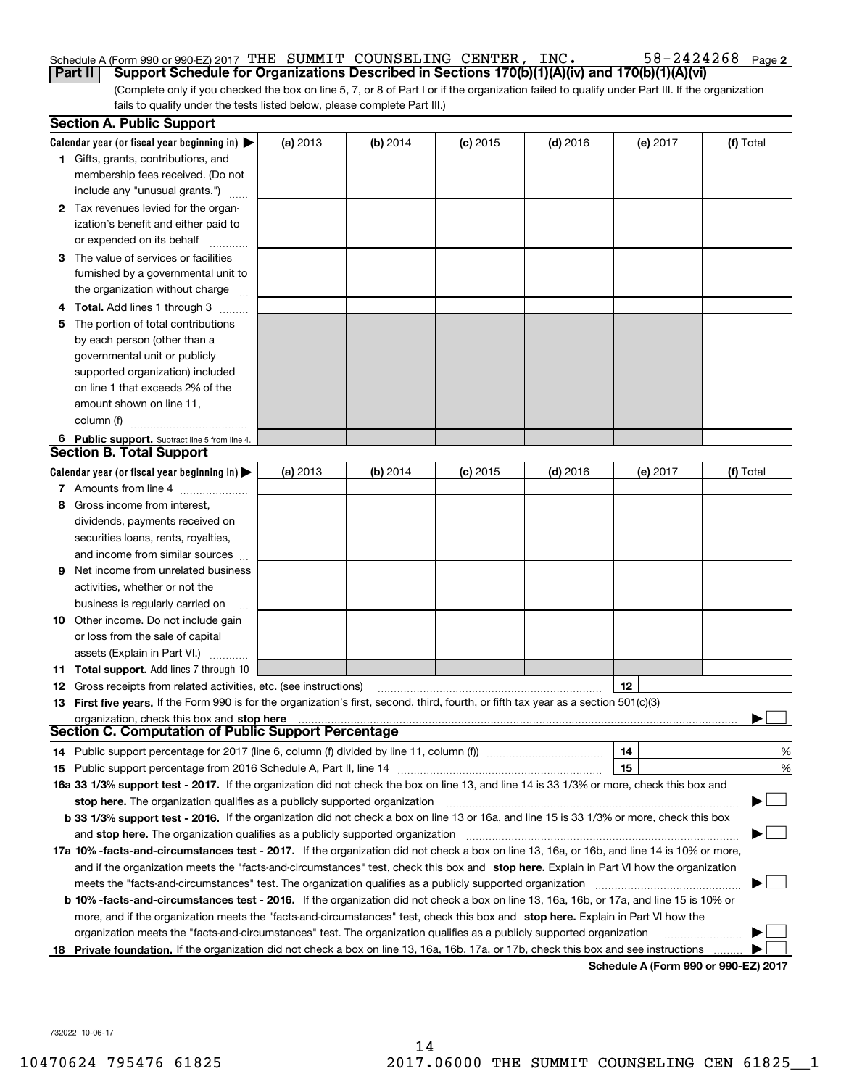#### Schedule A (Form 990 or 990-EZ) 2017 Page THE SUMMIT COUNSELING CENTER, INC. 58-2424268 **Part II** | Support Schedule for Organizations Described in Sections 170(b)(1)(A)(iv) and 170(b)(1)(A)(vi)

**2**

(Complete only if you checked the box on line 5, 7, or 8 of Part I or if the organization failed to qualify under Part III. If the organization fails to qualify under the tests listed below, please complete Part III.)

|    | <b>Section A. Public Support</b>                                                                                                               |          |            |            |            |                                      |           |
|----|------------------------------------------------------------------------------------------------------------------------------------------------|----------|------------|------------|------------|--------------------------------------|-----------|
|    | Calendar year (or fiscal year beginning in) $\blacktriangleright$                                                                              | (a) 2013 | $(b)$ 2014 | $(c)$ 2015 | $(d)$ 2016 | (e) 2017                             | (f) Total |
|    | <b>1</b> Gifts, grants, contributions, and                                                                                                     |          |            |            |            |                                      |           |
|    | membership fees received. (Do not                                                                                                              |          |            |            |            |                                      |           |
|    | include any "unusual grants.")                                                                                                                 |          |            |            |            |                                      |           |
|    | <b>2</b> Tax revenues levied for the organ-                                                                                                    |          |            |            |            |                                      |           |
|    | ization's benefit and either paid to                                                                                                           |          |            |            |            |                                      |           |
|    | or expended on its behalf                                                                                                                      |          |            |            |            |                                      |           |
|    | 3 The value of services or facilities                                                                                                          |          |            |            |            |                                      |           |
|    | furnished by a governmental unit to                                                                                                            |          |            |            |            |                                      |           |
|    | the organization without charge                                                                                                                |          |            |            |            |                                      |           |
|    | 4 Total. Add lines 1 through 3                                                                                                                 |          |            |            |            |                                      |           |
| 5. | The portion of total contributions                                                                                                             |          |            |            |            |                                      |           |
|    | by each person (other than a                                                                                                                   |          |            |            |            |                                      |           |
|    | governmental unit or publicly                                                                                                                  |          |            |            |            |                                      |           |
|    | supported organization) included                                                                                                               |          |            |            |            |                                      |           |
|    | on line 1 that exceeds 2% of the                                                                                                               |          |            |            |            |                                      |           |
|    | amount shown on line 11,                                                                                                                       |          |            |            |            |                                      |           |
|    | column (f)                                                                                                                                     |          |            |            |            |                                      |           |
|    | 6 Public support. Subtract line 5 from line 4.                                                                                                 |          |            |            |            |                                      |           |
|    | <b>Section B. Total Support</b>                                                                                                                |          |            |            |            |                                      |           |
|    | Calendar year (or fiscal year beginning in)                                                                                                    | (a) 2013 | $(b)$ 2014 | $(c)$ 2015 | $(d)$ 2016 | (e) 2017                             | (f) Total |
|    | 7 Amounts from line 4                                                                                                                          |          |            |            |            |                                      |           |
| 8  | Gross income from interest,                                                                                                                    |          |            |            |            |                                      |           |
|    | dividends, payments received on                                                                                                                |          |            |            |            |                                      |           |
|    | securities loans, rents, royalties,                                                                                                            |          |            |            |            |                                      |           |
|    | and income from similar sources                                                                                                                |          |            |            |            |                                      |           |
| 9. | Net income from unrelated business                                                                                                             |          |            |            |            |                                      |           |
|    | activities, whether or not the                                                                                                                 |          |            |            |            |                                      |           |
|    | business is regularly carried on                                                                                                               |          |            |            |            |                                      |           |
|    | <b>10</b> Other income. Do not include gain                                                                                                    |          |            |            |            |                                      |           |
|    | or loss from the sale of capital                                                                                                               |          |            |            |            |                                      |           |
|    | assets (Explain in Part VI.)                                                                                                                   |          |            |            |            |                                      |           |
|    | <b>11 Total support.</b> Add lines 7 through 10                                                                                                |          |            |            |            |                                      |           |
|    | <b>12</b> Gross receipts from related activities, etc. (see instructions)                                                                      |          |            |            |            | 12                                   |           |
|    | 13 First five years. If the Form 990 is for the organization's first, second, third, fourth, or fifth tax year as a section 501(c)(3)          |          |            |            |            |                                      |           |
|    | organization, check this box and stop here                                                                                                     |          |            |            |            |                                      |           |
|    | Section C. Computation of Public Support Percentage                                                                                            |          |            |            |            |                                      |           |
|    | 14 Public support percentage for 2017 (line 6, column (f) divided by line 11, column (f) <i>manumanomeron</i>                                  |          |            |            |            | 14                                   | %         |
|    |                                                                                                                                                |          |            |            |            | 15                                   | $\%$      |
|    | 16a 33 1/3% support test - 2017. If the organization did not check the box on line 13, and line 14 is 33 1/3% or more, check this box and      |          |            |            |            |                                      |           |
|    | stop here. The organization qualifies as a publicly supported organization                                                                     |          |            |            |            |                                      |           |
|    | b 33 1/3% support test - 2016. If the organization did not check a box on line 13 or 16a, and line 15 is 33 1/3% or more, check this box       |          |            |            |            |                                      |           |
|    | and stop here. The organization qualifies as a publicly supported organization                                                                 |          |            |            |            |                                      |           |
|    | 17a 10% -facts-and-circumstances test - 2017. If the organization did not check a box on line 13, 16a, or 16b, and line 14 is 10% or more,     |          |            |            |            |                                      |           |
|    | and if the organization meets the "facts-and-circumstances" test, check this box and stop here. Explain in Part VI how the organization        |          |            |            |            |                                      |           |
|    | meets the "facts-and-circumstances" test. The organization qualifies as a publicly supported organization                                      |          |            |            |            |                                      |           |
|    | <b>b 10% -facts-and-circumstances test - 2016.</b> If the organization did not check a box on line 13, 16a, 16b, or 17a, and line 15 is 10% or |          |            |            |            |                                      |           |
|    | more, and if the organization meets the "facts-and-circumstances" test, check this box and stop here. Explain in Part VI how the               |          |            |            |            |                                      |           |
|    | organization meets the "facts-and-circumstances" test. The organization qualifies as a publicly supported organization                         |          |            |            |            |                                      |           |
| 18 | Private foundation. If the organization did not check a box on line 13, 16a, 16b, 17a, or 17b, check this box and see instructions             |          |            |            |            |                                      |           |
|    |                                                                                                                                                |          |            |            |            | Schodule A (Form 000 or 000 F7) 2017 |           |

**Schedule A (Form 990 or 990-EZ) 2017**

732022 10-06-17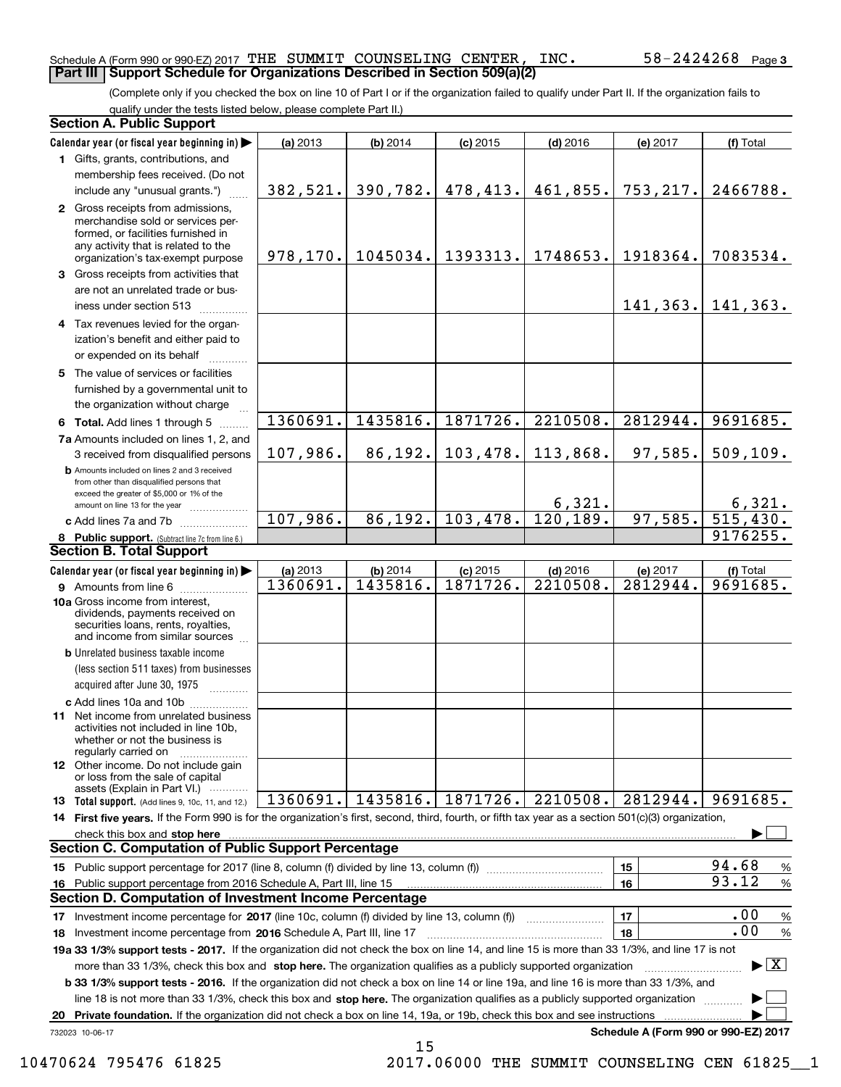#### Schedule A (Form 990 or 990-EZ) 2017 Page THE SUMMIT COUNSELING CENTER, INC. 58-2424268 **Part III Support Schedule for Organizations Described in Section 509(a)(2)**

(Complete only if you checked the box on line 10 of Part I or if the organization failed to qualify under Part II. If the organization fails to qualify under the tests listed below, please complete Part II.)

|    | <b>Section A. Public Support</b>                                                                                                                                                                                                                                 |           |          |            |            |                                      |                                 |
|----|------------------------------------------------------------------------------------------------------------------------------------------------------------------------------------------------------------------------------------------------------------------|-----------|----------|------------|------------|--------------------------------------|---------------------------------|
|    | Calendar year (or fiscal year beginning in)                                                                                                                                                                                                                      | (a) 2013  | (b) 2014 | $(c)$ 2015 | $(d)$ 2016 | (e) 2017                             | (f) Total                       |
|    | 1 Gifts, grants, contributions, and                                                                                                                                                                                                                              |           |          |            |            |                                      |                                 |
|    | membership fees received. (Do not                                                                                                                                                                                                                                |           |          |            |            |                                      |                                 |
|    | include any "unusual grants.")                                                                                                                                                                                                                                   | 382,521.  | 390,782. | 478,413.   | 461,855.   | 753, 217.                            | 2466788.                        |
|    | 2 Gross receipts from admissions,<br>merchandise sold or services per-<br>formed, or facilities furnished in<br>any activity that is related to the<br>organization's tax-exempt purpose                                                                         | 978, 170. | 1045034. | 1393313.   | 1748653.   | 1918364.                             | 7083534.                        |
|    | 3 Gross receipts from activities that                                                                                                                                                                                                                            |           |          |            |            |                                      |                                 |
|    | are not an unrelated trade or bus-<br>iness under section 513                                                                                                                                                                                                    |           |          |            |            | 141,363.                             | 141,363.                        |
|    | 4 Tax revenues levied for the organ-<br>ization's benefit and either paid to                                                                                                                                                                                     |           |          |            |            |                                      |                                 |
|    | or expended on its behalf                                                                                                                                                                                                                                        |           |          |            |            |                                      |                                 |
|    | 5 The value of services or facilities<br>furnished by a governmental unit to                                                                                                                                                                                     |           |          |            |            |                                      |                                 |
|    | the organization without charge                                                                                                                                                                                                                                  | 1360691.  | 1435816. | 1871726.   | 2210508.   | 2812944.                             | 9691685.                        |
|    | 6 Total. Add lines 1 through 5<br>7a Amounts included on lines 1, 2, and                                                                                                                                                                                         |           |          |            |            |                                      |                                 |
|    | 3 received from disqualified persons                                                                                                                                                                                                                             | 107,986.  | 86,192.  | 103,478.   | 113,868.   | 97,585.                              | 509, 109.                       |
|    | <b>b</b> Amounts included on lines 2 and 3 received<br>from other than disqualified persons that<br>exceed the greater of \$5,000 or 1% of the                                                                                                                   |           |          |            | 6,321.     |                                      | 6,321.                          |
|    | amount on line 13 for the year<br>c Add lines 7a and 7b                                                                                                                                                                                                          | 107,986.  | 86,192.  | 103,478.   | 120, 189.  | 97,585.                              | 515, 430.                       |
|    | 8 Public support. (Subtract line 7c from line 6.)                                                                                                                                                                                                                |           |          |            |            |                                      | 9176255.                        |
|    | <b>Section B. Total Support</b>                                                                                                                                                                                                                                  |           |          |            |            |                                      |                                 |
|    | Calendar year (or fiscal year beginning in)                                                                                                                                                                                                                      | (a) 2013  | (b) 2014 | $(c)$ 2015 | $(d)$ 2016 | (e) 2017                             | (f) Total                       |
|    | <b>9</b> Amounts from line 6                                                                                                                                                                                                                                     | 1360691.  | 1435816. | 1871726.   | 2210508.   | 2812944.                             | 9691685.                        |
|    | 10a Gross income from interest,<br>dividends, payments received on<br>securities loans, rents, royalties,<br>and income from similar sources                                                                                                                     |           |          |            |            |                                      |                                 |
|    | <b>b</b> Unrelated business taxable income                                                                                                                                                                                                                       |           |          |            |            |                                      |                                 |
|    | (less section 511 taxes) from businesses                                                                                                                                                                                                                         |           |          |            |            |                                      |                                 |
|    | acquired after June 30, 1975                                                                                                                                                                                                                                     |           |          |            |            |                                      |                                 |
|    | c Add lines 10a and 10b<br>11 Net income from unrelated business<br>activities not included in line 10b,<br>whether or not the business is<br>regularly carried on                                                                                               |           |          |            |            |                                      |                                 |
|    | <b>12</b> Other income. Do not include gain<br>or loss from the sale of capital<br>assets (Explain in Part VI.)                                                                                                                                                  |           |          |            |            |                                      |                                 |
|    | 13 Total support. (Add lines 9, 10c, 11, and 12.)                                                                                                                                                                                                                | 1360691.  | 1435816. | 1871726.   | 2210508.   | 2812944.                             | 9691685.                        |
|    | 14 First five years. If the Form 990 is for the organization's first, second, third, fourth, or fifth tax year as a section 501(c)(3) organization,                                                                                                              |           |          |            |            |                                      |                                 |
|    | check this box and stop here with the continuum control to the control of the control of the control of the control of the control of the control of the control of the control of the control of the control of the control o                                   |           |          |            |            |                                      |                                 |
|    | <b>Section C. Computation of Public Support Percentage</b>                                                                                                                                                                                                       |           |          |            |            |                                      |                                 |
|    | 15 Public support percentage for 2017 (line 8, column (f) divided by line 13, column (f))                                                                                                                                                                        |           |          |            |            | 15                                   | 94.68<br>$\%$                   |
|    | 16 Public support percentage from 2016 Schedule A, Part III, line 15                                                                                                                                                                                             |           |          |            |            | 16                                   | 93.12<br>$\%$                   |
|    | <b>Section D. Computation of Investment Income Percentage</b>                                                                                                                                                                                                    |           |          |            |            |                                      |                                 |
|    | 17 Investment income percentage for 2017 (line 10c, column (f) divided by line 13, column (f))                                                                                                                                                                   |           |          |            |            | 17                                   | .00<br>%<br>.00                 |
|    | 18 Investment income percentage from 2016 Schedule A, Part III, line 17                                                                                                                                                                                          |           |          |            |            | 18                                   | $\%$                            |
|    | 19a 33 1/3% support tests - 2017. If the organization did not check the box on line 14, and line 15 is more than 33 1/3%, and line 17 is not                                                                                                                     |           |          |            |            |                                      | $\blacktriangleright$ $\vert$ X |
|    | more than 33 1/3%, check this box and stop here. The organization qualifies as a publicly supported organization<br><b>b 33 1/3% support tests - 2016.</b> If the organization did not check a box on line 14 or line 19a, and line 16 is more than 33 1/3%, and |           |          |            |            |                                      |                                 |
|    | line 18 is not more than 33 1/3%, check this box and stop here. The organization qualifies as a publicly supported organization                                                                                                                                  |           |          |            |            |                                      |                                 |
| 20 | Private foundation. If the organization did not check a box on line 14, 19a, or 19b, check this box and see instructions                                                                                                                                         |           |          |            |            |                                      |                                 |
|    | 732023 10-06-17                                                                                                                                                                                                                                                  |           |          |            |            | Schedule A (Form 990 or 990-EZ) 2017 |                                 |

15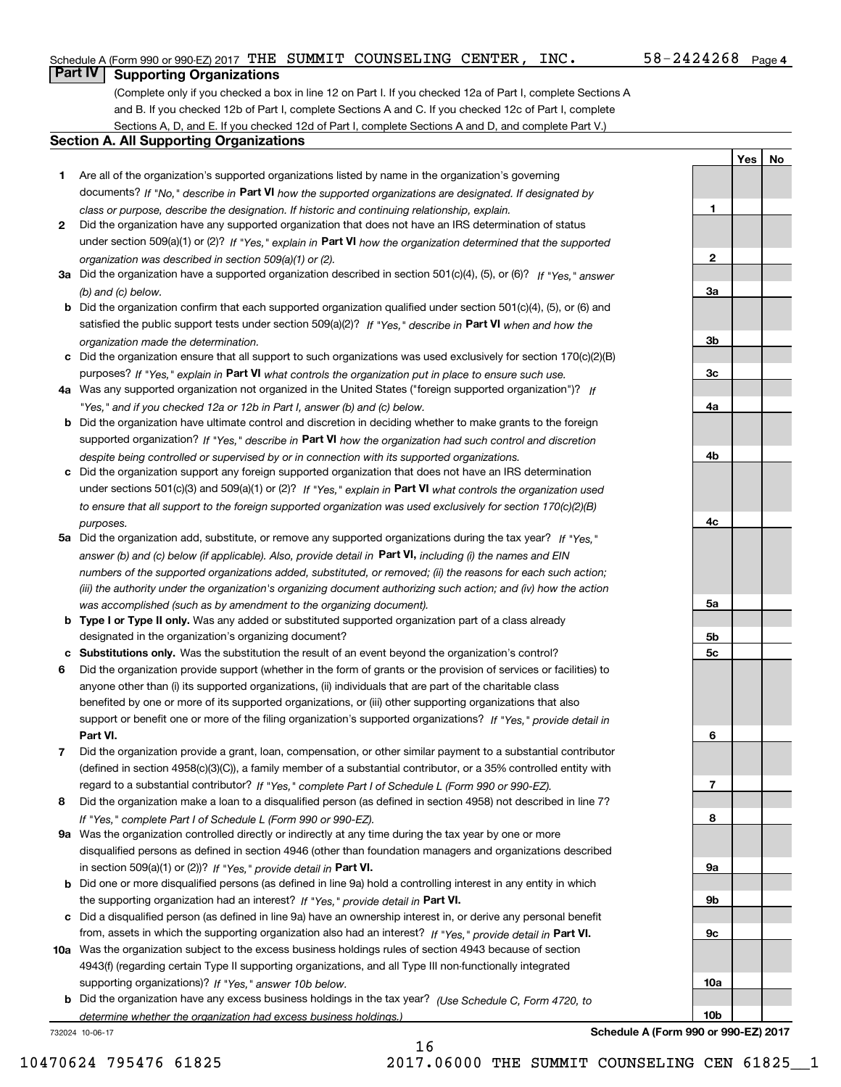**1**

**2**

**3a**

**3b**

**3c**

**4a**

**4b**

**4c**

**5a**

**5b5c**

**6**

**7**

**8**

**9a**

**9b**

**9c**

**10a**

**10b**

**YesNo**

## **Part IV Supporting Organizations**

(Complete only if you checked a box in line 12 on Part I. If you checked 12a of Part I, complete Sections A and B. If you checked 12b of Part I, complete Sections A and C. If you checked 12c of Part I, complete Sections A, D, and E. If you checked 12d of Part I, complete Sections A and D, and complete Part V.)

#### **Section A. All Supporting Organizations**

- **1** Are all of the organization's supported organizations listed by name in the organization's governing documents? If "No," describe in **Part VI** how the supported organizations are designated. If designated by *class or purpose, describe the designation. If historic and continuing relationship, explain.*
- **2** Did the organization have any supported organization that does not have an IRS determination of status under section 509(a)(1) or (2)? If "Yes," explain in Part VI how the organization determined that the supported *organization was described in section 509(a)(1) or (2).*
- **3a** Did the organization have a supported organization described in section 501(c)(4), (5), or (6)? If "Yes," answer *(b) and (c) below.*
- **b** Did the organization confirm that each supported organization qualified under section 501(c)(4), (5), or (6) and satisfied the public support tests under section 509(a)(2)? If "Yes," describe in **Part VI** when and how the *organization made the determination.*
- **c**Did the organization ensure that all support to such organizations was used exclusively for section 170(c)(2)(B) purposes? If "Yes," explain in **Part VI** what controls the organization put in place to ensure such use.
- **4a***If* Was any supported organization not organized in the United States ("foreign supported organization")? *"Yes," and if you checked 12a or 12b in Part I, answer (b) and (c) below.*
- **b** Did the organization have ultimate control and discretion in deciding whether to make grants to the foreign supported organization? If "Yes," describe in **Part VI** how the organization had such control and discretion *despite being controlled or supervised by or in connection with its supported organizations.*
- **c** Did the organization support any foreign supported organization that does not have an IRS determination under sections 501(c)(3) and 509(a)(1) or (2)? If "Yes," explain in **Part VI** what controls the organization used *to ensure that all support to the foreign supported organization was used exclusively for section 170(c)(2)(B) purposes.*
- **5a** Did the organization add, substitute, or remove any supported organizations during the tax year? If "Yes," answer (b) and (c) below (if applicable). Also, provide detail in **Part VI,** including (i) the names and EIN *numbers of the supported organizations added, substituted, or removed; (ii) the reasons for each such action; (iii) the authority under the organization's organizing document authorizing such action; and (iv) how the action was accomplished (such as by amendment to the organizing document).*
- **b** Type I or Type II only. Was any added or substituted supported organization part of a class already designated in the organization's organizing document?
- **cSubstitutions only.**  Was the substitution the result of an event beyond the organization's control?
- **6** Did the organization provide support (whether in the form of grants or the provision of services or facilities) to **Part VI.** *If "Yes," provide detail in* support or benefit one or more of the filing organization's supported organizations? anyone other than (i) its supported organizations, (ii) individuals that are part of the charitable class benefited by one or more of its supported organizations, or (iii) other supporting organizations that also
- **7**Did the organization provide a grant, loan, compensation, or other similar payment to a substantial contributor *If "Yes," complete Part I of Schedule L (Form 990 or 990-EZ).* regard to a substantial contributor? (defined in section 4958(c)(3)(C)), a family member of a substantial contributor, or a 35% controlled entity with
- **8** Did the organization make a loan to a disqualified person (as defined in section 4958) not described in line 7? *If "Yes," complete Part I of Schedule L (Form 990 or 990-EZ).*
- **9a** Was the organization controlled directly or indirectly at any time during the tax year by one or more in section 509(a)(1) or (2))? If "Yes," *provide detail in* <code>Part VI.</code> disqualified persons as defined in section 4946 (other than foundation managers and organizations described
- **b** Did one or more disqualified persons (as defined in line 9a) hold a controlling interest in any entity in which the supporting organization had an interest? If "Yes," provide detail in P**art VI**.
- **c**Did a disqualified person (as defined in line 9a) have an ownership interest in, or derive any personal benefit from, assets in which the supporting organization also had an interest? If "Yes," provide detail in P**art VI.**
- **10a** Was the organization subject to the excess business holdings rules of section 4943 because of section supporting organizations)? If "Yes," answer 10b below. 4943(f) (regarding certain Type II supporting organizations, and all Type III non-functionally integrated
- **b** Did the organization have any excess business holdings in the tax year? (Use Schedule C, Form 4720, to *determine whether the organization had excess business holdings.)*

16

732024 10-06-17

**Schedule A (Form 990 or 990-EZ) 2017**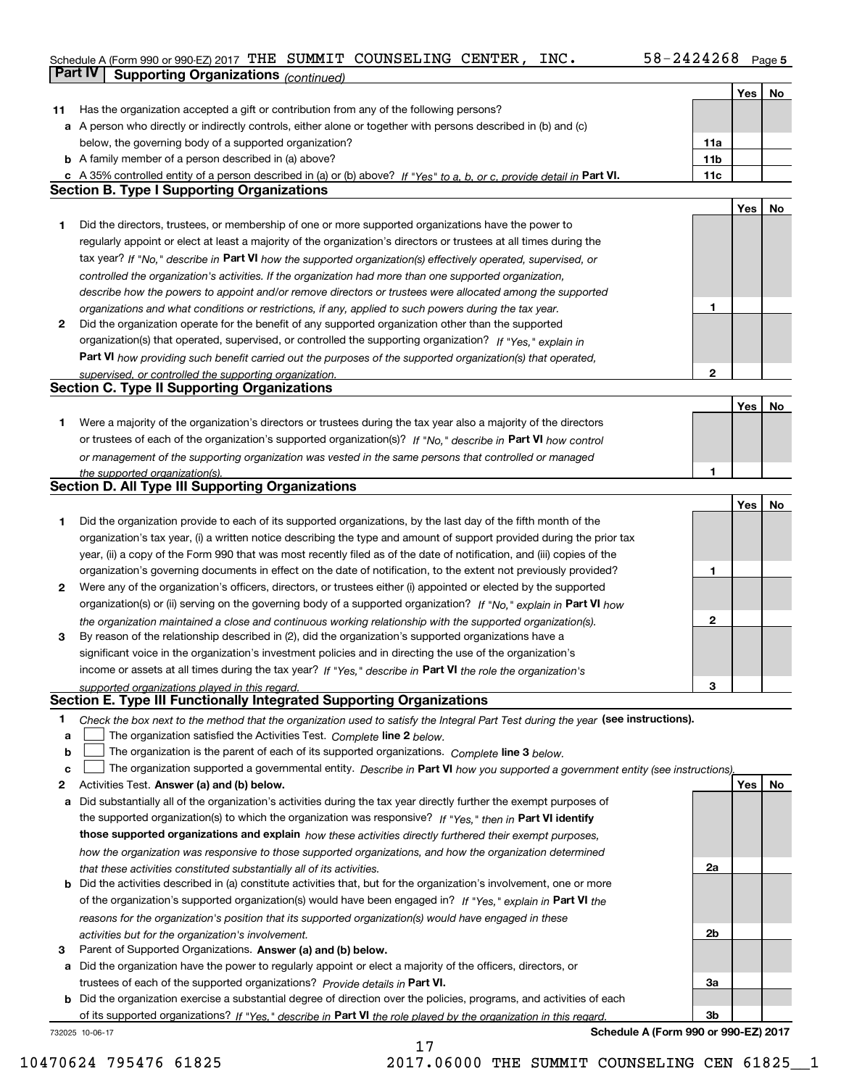#### Schedule A (Form 990 or 990-EZ) 2017 THE SUMMIT COUNSELING CENTER , INC 58-2424268 Page 5 **Part IV Supporting Organizations** *(continued)*

|    |                                                                                                                                                                                               |                 | Yes | No |
|----|-----------------------------------------------------------------------------------------------------------------------------------------------------------------------------------------------|-----------------|-----|----|
| 11 | Has the organization accepted a gift or contribution from any of the following persons?                                                                                                       |                 |     |    |
|    | a A person who directly or indirectly controls, either alone or together with persons described in (b) and (c)                                                                                |                 |     |    |
|    | below, the governing body of a supported organization?                                                                                                                                        | 11a             |     |    |
|    | <b>b</b> A family member of a person described in (a) above?                                                                                                                                  | 11 <sub>b</sub> |     |    |
|    | c A 35% controlled entity of a person described in (a) or (b) above? If "Yes" to a, b, or c, provide detail in Part VI.                                                                       | 11c             |     |    |
|    | <b>Section B. Type I Supporting Organizations</b>                                                                                                                                             |                 |     |    |
|    |                                                                                                                                                                                               |                 | Yes | No |
| 1  | Did the directors, trustees, or membership of one or more supported organizations have the power to                                                                                           |                 |     |    |
|    | regularly appoint or elect at least a majority of the organization's directors or trustees at all times during the                                                                            |                 |     |    |
|    | tax year? If "No," describe in Part VI how the supported organization(s) effectively operated, supervised, or                                                                                 |                 |     |    |
|    | controlled the organization's activities. If the organization had more than one supported organization,                                                                                       |                 |     |    |
|    | describe how the powers to appoint and/or remove directors or trustees were allocated among the supported                                                                                     |                 |     |    |
|    | organizations and what conditions or restrictions, if any, applied to such powers during the tax year.                                                                                        | 1               |     |    |
| 2  | Did the organization operate for the benefit of any supported organization other than the supported                                                                                           |                 |     |    |
|    | organization(s) that operated, supervised, or controlled the supporting organization? If "Yes," explain in                                                                                    |                 |     |    |
|    | Part VI how providing such benefit carried out the purposes of the supported organization(s) that operated,                                                                                   |                 |     |    |
|    | supervised, or controlled the supporting organization.                                                                                                                                        | $\mathbf{2}$    |     |    |
|    | <b>Section C. Type II Supporting Organizations</b>                                                                                                                                            |                 |     |    |
|    |                                                                                                                                                                                               |                 | Yes | No |
| 1. | Were a majority of the organization's directors or trustees during the tax year also a majority of the directors                                                                              |                 |     |    |
|    | or trustees of each of the organization's supported organization(s)? If "No," describe in Part VI how control                                                                                 |                 |     |    |
|    | or management of the supporting organization was vested in the same persons that controlled or managed                                                                                        |                 |     |    |
|    | the supported organization(s).                                                                                                                                                                | 1               |     |    |
|    | <b>Section D. All Type III Supporting Organizations</b>                                                                                                                                       |                 |     |    |
|    |                                                                                                                                                                                               |                 | Yes | No |
| 1  | Did the organization provide to each of its supported organizations, by the last day of the fifth month of the                                                                                |                 |     |    |
|    | organization's tax year, (i) a written notice describing the type and amount of support provided during the prior tax                                                                         |                 |     |    |
|    | year, (ii) a copy of the Form 990 that was most recently filed as of the date of notification, and (iii) copies of the                                                                        |                 |     |    |
|    | organization's governing documents in effect on the date of notification, to the extent not previously provided?                                                                              | 1               |     |    |
| 2  | Were any of the organization's officers, directors, or trustees either (i) appointed or elected by the supported                                                                              |                 |     |    |
|    | organization(s) or (ii) serving on the governing body of a supported organization? If "No," explain in Part VI how                                                                            |                 |     |    |
|    | the organization maintained a close and continuous working relationship with the supported organization(s).                                                                                   | $\mathbf{2}$    |     |    |
| 3  | By reason of the relationship described in (2), did the organization's supported organizations have a                                                                                         |                 |     |    |
|    | significant voice in the organization's investment policies and in directing the use of the organization's                                                                                    |                 |     |    |
|    | income or assets at all times during the tax year? If "Yes," describe in Part VI the role the organization's                                                                                  |                 |     |    |
|    | supported organizations played in this regard.                                                                                                                                                | з               |     |    |
|    | Section E. Type III Functionally Integrated Supporting Organizations                                                                                                                          |                 |     |    |
| 1  | Check the box next to the method that the organization used to satisfy the Integral Part Test during the year (see instructions).                                                             |                 |     |    |
| а  | The organization satisfied the Activities Test. Complete line 2 below.                                                                                                                        |                 |     |    |
| b  | The organization is the parent of each of its supported organizations. Complete line 3 below.                                                                                                 |                 |     |    |
| c  | The organization supported a governmental entity. Describe in Part VI how you supported a government entity (see instructions),                                                               |                 |     |    |
| 2  | Activities Test. Answer (a) and (b) below.                                                                                                                                                    |                 | Yes | No |
| а  | Did substantially all of the organization's activities during the tax year directly further the exempt purposes of                                                                            |                 |     |    |
|    | the supported organization(s) to which the organization was responsive? If "Yes," then in Part VI identify                                                                                    |                 |     |    |
|    | those supported organizations and explain how these activities directly furthered their exempt purposes,                                                                                      |                 |     |    |
|    | how the organization was responsive to those supported organizations, and how the organization determined                                                                                     | 2a              |     |    |
| b  | that these activities constituted substantially all of its activities.<br>Did the activities described in (a) constitute activities that, but for the organization's involvement, one or more |                 |     |    |
|    | of the organization's supported organization(s) would have been engaged in? If "Yes," explain in Part VI the                                                                                  |                 |     |    |
|    |                                                                                                                                                                                               |                 |     |    |
|    | reasons for the organization's position that its supported organization(s) would have engaged in these<br>activities but for the organization's involvement.                                  | 2b              |     |    |
| з  | Parent of Supported Organizations. Answer (a) and (b) below.                                                                                                                                  |                 |     |    |
| a  | Did the organization have the power to regularly appoint or elect a majority of the officers, directors, or                                                                                   |                 |     |    |
|    | trustees of each of the supported organizations? Provide details in Part VI.                                                                                                                  | За              |     |    |
|    | <b>b</b> Did the organization exercise a substantial degree of direction over the policies, programs, and activities of each                                                                  |                 |     |    |
|    | of its supported organizations? If "Yes." describe in Part VI the role played by the organization in this regard.                                                                             | 3b              |     |    |
|    |                                                                                                                                                                                               |                 |     |    |

17

732025 10-06-17

**Schedule A (Form 990 or 990-EZ) 2017**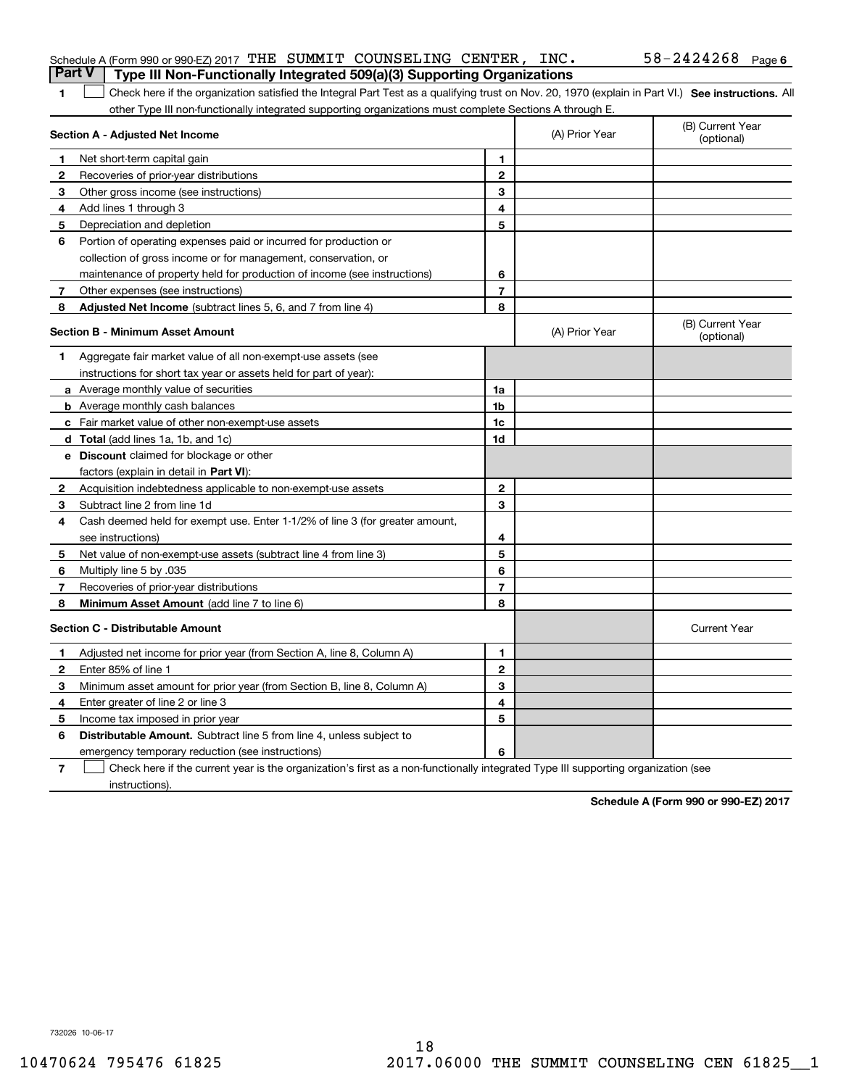|                | Schedule A (Form 990 or 990-EZ) 2017 THE SUMMIT COUNSELING CENTER, INC.<br><b>Part V</b>                                                           |                |                | $58 - 2424268$ Page 6          |
|----------------|----------------------------------------------------------------------------------------------------------------------------------------------------|----------------|----------------|--------------------------------|
|                | Type III Non-Functionally Integrated 509(a)(3) Supporting Organizations                                                                            |                |                |                                |
| 1              | Check here if the organization satisfied the Integral Part Test as a qualifying trust on Nov. 20, 1970 (explain in Part VI.) See instructions. All |                |                |                                |
|                | other Type III non-functionally integrated supporting organizations must complete Sections A through E.<br>Section A - Adjusted Net Income         |                | (A) Prior Year | (B) Current Year<br>(optional) |
| 1              | Net short-term capital gain                                                                                                                        | 1              |                |                                |
| 2              | Recoveries of prior-year distributions                                                                                                             | $\mathbf{2}$   |                |                                |
| 3              | Other gross income (see instructions)                                                                                                              | 3              |                |                                |
| 4              | Add lines 1 through 3                                                                                                                              | 4              |                |                                |
| 5              | Depreciation and depletion                                                                                                                         | 5              |                |                                |
| 6              | Portion of operating expenses paid or incurred for production or                                                                                   |                |                |                                |
|                | collection of gross income or for management, conservation, or                                                                                     |                |                |                                |
|                | maintenance of property held for production of income (see instructions)                                                                           | 6              |                |                                |
| $\mathbf{7}$   | Other expenses (see instructions)                                                                                                                  | $\overline{7}$ |                |                                |
| 8              | Adjusted Net Income (subtract lines 5, 6, and 7 from line 4)                                                                                       | 8              |                |                                |
|                | <b>Section B - Minimum Asset Amount</b>                                                                                                            |                | (A) Prior Year | (B) Current Year<br>(optional) |
| 1              | Aggregate fair market value of all non-exempt-use assets (see                                                                                      |                |                |                                |
|                | instructions for short tax year or assets held for part of year):                                                                                  |                |                |                                |
|                | <b>a</b> Average monthly value of securities                                                                                                       | 1a             |                |                                |
|                | <b>b</b> Average monthly cash balances                                                                                                             | 1b             |                |                                |
|                | c Fair market value of other non-exempt-use assets                                                                                                 | 1c             |                |                                |
|                | <b>d</b> Total (add lines 1a, 1b, and 1c)                                                                                                          | 1d             |                |                                |
|                | <b>e</b> Discount claimed for blockage or other                                                                                                    |                |                |                                |
|                | factors (explain in detail in <b>Part VI</b> ):                                                                                                    |                |                |                                |
| 2              | Acquisition indebtedness applicable to non-exempt-use assets                                                                                       | $\mathbf{2}$   |                |                                |
| 3              | Subtract line 2 from line 1d                                                                                                                       | 3              |                |                                |
| 4              | Cash deemed held for exempt use. Enter 1-1/2% of line 3 (for greater amount,                                                                       |                |                |                                |
|                | see instructions)                                                                                                                                  | 4              |                |                                |
| 5              | Net value of non-exempt-use assets (subtract line 4 from line 3)                                                                                   | 5              |                |                                |
| 6              | Multiply line 5 by .035                                                                                                                            | 6              |                |                                |
| 7              | Recoveries of prior-year distributions                                                                                                             | $\overline{7}$ |                |                                |
| 8              | Minimum Asset Amount (add line 7 to line 6)                                                                                                        | 8              |                |                                |
|                | <b>Section C - Distributable Amount</b>                                                                                                            |                |                | <b>Current Year</b>            |
| п.             | Adjusted net income for prior year (from Section A, line 8, Column A)                                                                              | 1              |                |                                |
| 2              | Enter 85% of line 1                                                                                                                                | 2              |                |                                |
| 3              | Minimum asset amount for prior year (from Section B, line 8, Column A)                                                                             | 3              |                |                                |
| 4              | Enter greater of line 2 or line 3                                                                                                                  | 4              |                |                                |
| 5              | Income tax imposed in prior year                                                                                                                   | 5              |                |                                |
| 6              | <b>Distributable Amount.</b> Subtract line 5 from line 4, unless subject to                                                                        |                |                |                                |
|                | emergency temporary reduction (see instructions)                                                                                                   | 6              |                |                                |
| $\overline{7}$ | Check here if the current year is the organization's first as a non-functionally integrated Type III supporting organization (see                  |                |                |                                |

instructions).

**Schedule A (Form 990 or 990-EZ) 2017**

732026 10-06-17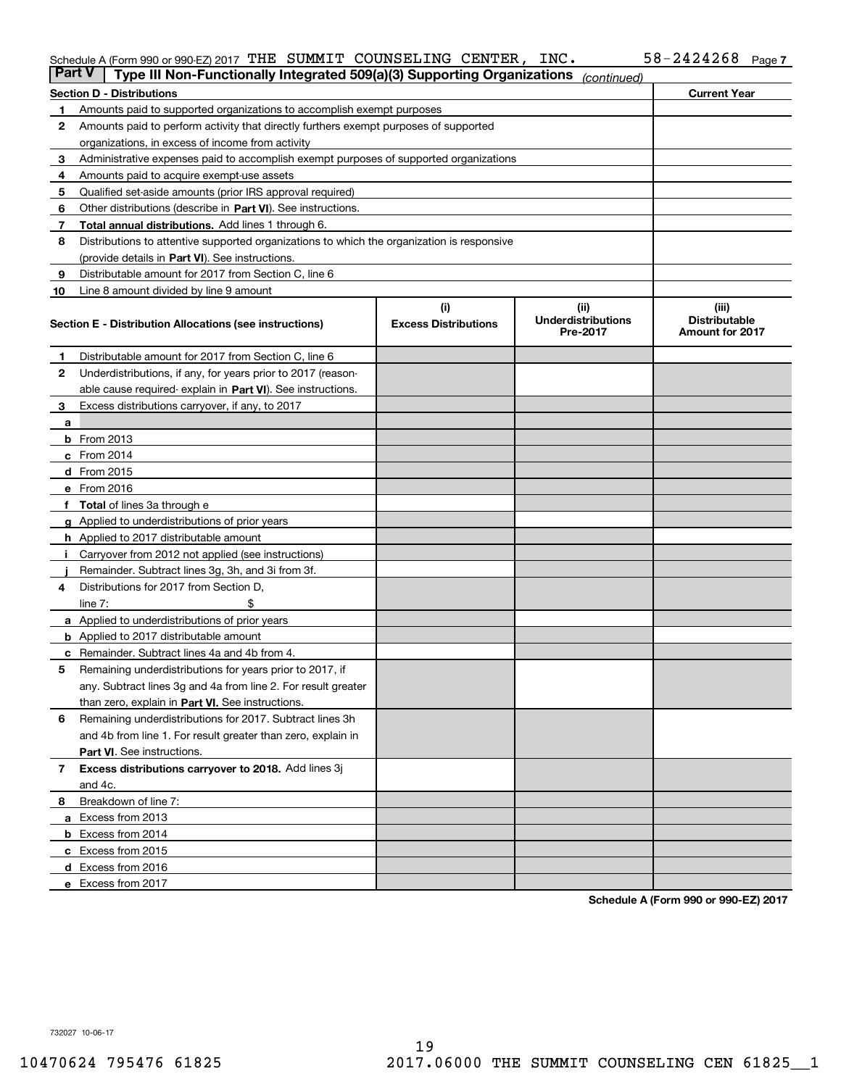#### Schedule A (Form 990 or 990-EZ) 2017 「THE」SUMMIT」COUNSELING CENTER,INC。 58-Z4Z4Z68 Page THE SUMMIT COUNSELING CENTER, INC. 58-2424268

| <b>Part V</b> | Type III Non-Functionally Integrated 509(a)(3) Supporting Organizations                    |                                                         | (continued) |                     |  |  |  |  |
|---------------|--------------------------------------------------------------------------------------------|---------------------------------------------------------|-------------|---------------------|--|--|--|--|
|               | <b>Section D - Distributions</b>                                                           |                                                         |             | <b>Current Year</b> |  |  |  |  |
| 1             | Amounts paid to supported organizations to accomplish exempt purposes                      |                                                         |             |                     |  |  |  |  |
| 2             | Amounts paid to perform activity that directly furthers exempt purposes of supported       |                                                         |             |                     |  |  |  |  |
|               | organizations, in excess of income from activity                                           |                                                         |             |                     |  |  |  |  |
| 3             | Administrative expenses paid to accomplish exempt purposes of supported organizations      |                                                         |             |                     |  |  |  |  |
| 4             | Amounts paid to acquire exempt-use assets                                                  |                                                         |             |                     |  |  |  |  |
| 5             | Qualified set-aside amounts (prior IRS approval required)                                  |                                                         |             |                     |  |  |  |  |
| 6             | Other distributions (describe in Part VI). See instructions.                               |                                                         |             |                     |  |  |  |  |
| 7             | Total annual distributions. Add lines 1 through 6.                                         |                                                         |             |                     |  |  |  |  |
| 8             | Distributions to attentive supported organizations to which the organization is responsive |                                                         |             |                     |  |  |  |  |
|               | (provide details in Part VI). See instructions.                                            |                                                         |             |                     |  |  |  |  |
| 9             | Distributable amount for 2017 from Section C, line 6                                       |                                                         |             |                     |  |  |  |  |
| 10            | Line 8 amount divided by line 9 amount                                                     |                                                         |             |                     |  |  |  |  |
|               | Section E - Distribution Allocations (see instructions)                                    | (iii)<br><b>Distributable</b><br><b>Amount for 2017</b> |             |                     |  |  |  |  |
| 1             | Distributable amount for 2017 from Section C, line 6                                       |                                                         |             |                     |  |  |  |  |
| 2             | Underdistributions, if any, for years prior to 2017 (reason-                               |                                                         |             |                     |  |  |  |  |
|               | able cause required- explain in Part VI). See instructions.                                |                                                         |             |                     |  |  |  |  |
| 3             | Excess distributions carryover, if any, to 2017                                            |                                                         |             |                     |  |  |  |  |
| а             |                                                                                            |                                                         |             |                     |  |  |  |  |
|               | <b>b</b> From 2013                                                                         |                                                         |             |                     |  |  |  |  |
|               | $c$ From 2014                                                                              |                                                         |             |                     |  |  |  |  |
|               | d From 2015                                                                                |                                                         |             |                     |  |  |  |  |
|               | e From 2016                                                                                |                                                         |             |                     |  |  |  |  |
|               | Total of lines 3a through e                                                                |                                                         |             |                     |  |  |  |  |
| g             | Applied to underdistributions of prior years                                               |                                                         |             |                     |  |  |  |  |
|               | <b>h</b> Applied to 2017 distributable amount                                              |                                                         |             |                     |  |  |  |  |
|               | Carryover from 2012 not applied (see instructions)                                         |                                                         |             |                     |  |  |  |  |
|               | Remainder. Subtract lines 3g, 3h, and 3i from 3f.                                          |                                                         |             |                     |  |  |  |  |
| 4             | Distributions for 2017 from Section D,                                                     |                                                         |             |                     |  |  |  |  |
|               | line $7:$                                                                                  |                                                         |             |                     |  |  |  |  |
|               | <b>a</b> Applied to underdistributions of prior years                                      |                                                         |             |                     |  |  |  |  |
|               | <b>b</b> Applied to 2017 distributable amount                                              |                                                         |             |                     |  |  |  |  |
|               | c Remainder. Subtract lines 4a and 4b from 4.                                              |                                                         |             |                     |  |  |  |  |
| 5             | Remaining underdistributions for years prior to 2017, if                                   |                                                         |             |                     |  |  |  |  |
|               | any. Subtract lines 3g and 4a from line 2. For result greater                              |                                                         |             |                     |  |  |  |  |
|               | than zero, explain in Part VI. See instructions.                                           |                                                         |             |                     |  |  |  |  |
| 6             | Remaining underdistributions for 2017. Subtract lines 3h                                   |                                                         |             |                     |  |  |  |  |
|               | and 4b from line 1. For result greater than zero, explain in                               |                                                         |             |                     |  |  |  |  |
|               | Part VI. See instructions.                                                                 |                                                         |             |                     |  |  |  |  |
| 7             | Excess distributions carryover to 2018. Add lines 3j                                       |                                                         |             |                     |  |  |  |  |
|               | and 4c.                                                                                    |                                                         |             |                     |  |  |  |  |
| 8             | Breakdown of line 7:                                                                       |                                                         |             |                     |  |  |  |  |
|               | a Excess from 2013                                                                         |                                                         |             |                     |  |  |  |  |
|               | <b>b</b> Excess from 2014                                                                  |                                                         |             |                     |  |  |  |  |
|               | c Excess from 2015                                                                         |                                                         |             |                     |  |  |  |  |
|               | d Excess from 2016                                                                         |                                                         |             |                     |  |  |  |  |
|               | e Excess from 2017                                                                         |                                                         |             |                     |  |  |  |  |

**Schedule A (Form 990 or 990-EZ) 2017**

732027 10-06-17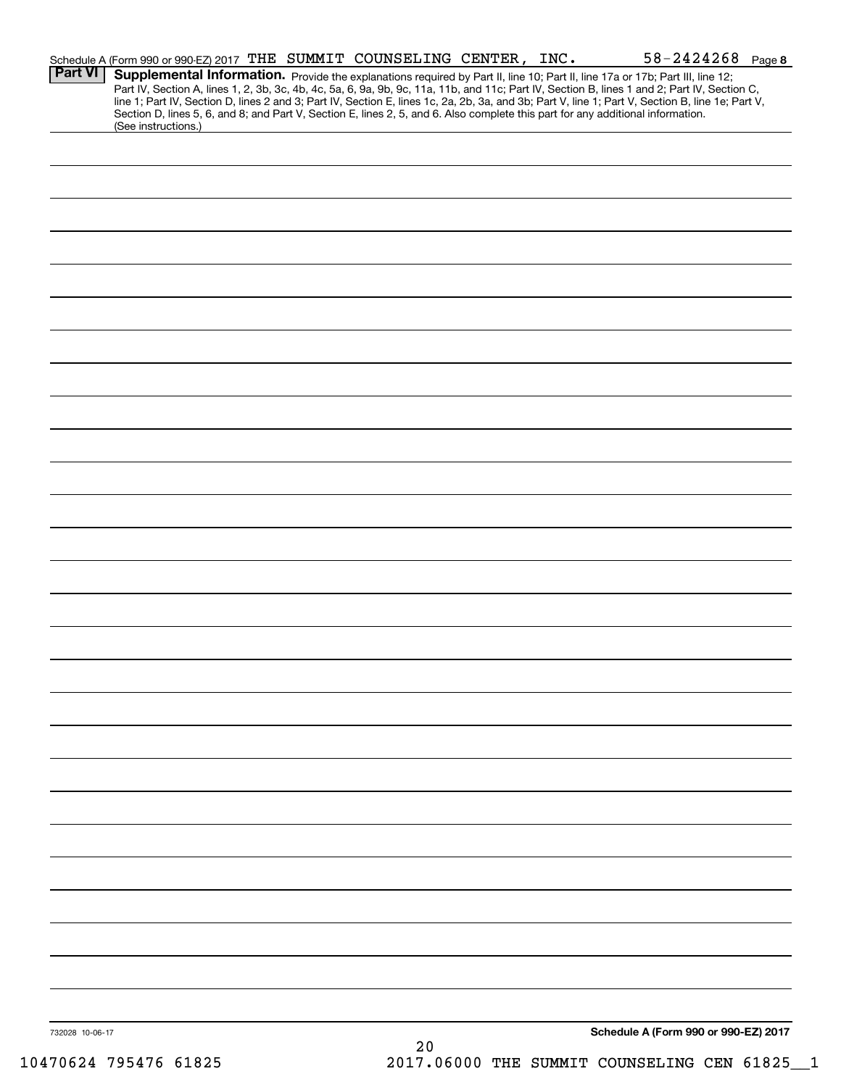|                 | Schedule A (Form 990 or 990-EZ) 2017 THE SUMMIT COUNSELING CENTER, INC. |  |     |  | $58 - 2424268$ Page 8                                                                                                                                                                                                                                                                                                                                                                                                             |  |
|-----------------|-------------------------------------------------------------------------|--|-----|--|-----------------------------------------------------------------------------------------------------------------------------------------------------------------------------------------------------------------------------------------------------------------------------------------------------------------------------------------------------------------------------------------------------------------------------------|--|
| <b>Part VI</b>  |                                                                         |  |     |  | Supplemental Information. Provide the explanations required by Part II, line 10; Part II, line 17a or 17b; Part III, line 12;<br>Part IV, Section A, lines 1, 2, 3b, 3c, 4b, 4c, 5a, 6, 9a, 9b, 9c, 11a, 11b, and 11c; Part IV, Section B, lines 1 and 2; Part IV, Section C,<br>line 1; Part IV, Section D, lines 2 and 3; Part IV, Section E, lines 1c, 2a, 2b, 3a, and 3b; Part V, line 1; Part V, Section B, line 1e; Part V, |  |
|                 | (See instructions.)                                                     |  |     |  | Section D, lines 5, 6, and 8; and Part V, Section E, lines 2, 5, and 6. Also complete this part for any additional information.                                                                                                                                                                                                                                                                                                   |  |
|                 |                                                                         |  |     |  |                                                                                                                                                                                                                                                                                                                                                                                                                                   |  |
|                 |                                                                         |  |     |  |                                                                                                                                                                                                                                                                                                                                                                                                                                   |  |
|                 |                                                                         |  |     |  |                                                                                                                                                                                                                                                                                                                                                                                                                                   |  |
|                 |                                                                         |  |     |  |                                                                                                                                                                                                                                                                                                                                                                                                                                   |  |
|                 |                                                                         |  |     |  |                                                                                                                                                                                                                                                                                                                                                                                                                                   |  |
|                 |                                                                         |  |     |  |                                                                                                                                                                                                                                                                                                                                                                                                                                   |  |
|                 |                                                                         |  |     |  |                                                                                                                                                                                                                                                                                                                                                                                                                                   |  |
|                 |                                                                         |  |     |  |                                                                                                                                                                                                                                                                                                                                                                                                                                   |  |
|                 |                                                                         |  |     |  |                                                                                                                                                                                                                                                                                                                                                                                                                                   |  |
|                 |                                                                         |  |     |  |                                                                                                                                                                                                                                                                                                                                                                                                                                   |  |
|                 |                                                                         |  |     |  |                                                                                                                                                                                                                                                                                                                                                                                                                                   |  |
|                 |                                                                         |  |     |  |                                                                                                                                                                                                                                                                                                                                                                                                                                   |  |
|                 |                                                                         |  |     |  |                                                                                                                                                                                                                                                                                                                                                                                                                                   |  |
|                 |                                                                         |  |     |  |                                                                                                                                                                                                                                                                                                                                                                                                                                   |  |
|                 |                                                                         |  |     |  |                                                                                                                                                                                                                                                                                                                                                                                                                                   |  |
|                 |                                                                         |  |     |  |                                                                                                                                                                                                                                                                                                                                                                                                                                   |  |
|                 |                                                                         |  |     |  |                                                                                                                                                                                                                                                                                                                                                                                                                                   |  |
|                 |                                                                         |  |     |  |                                                                                                                                                                                                                                                                                                                                                                                                                                   |  |
|                 |                                                                         |  |     |  |                                                                                                                                                                                                                                                                                                                                                                                                                                   |  |
|                 |                                                                         |  |     |  |                                                                                                                                                                                                                                                                                                                                                                                                                                   |  |
|                 |                                                                         |  |     |  |                                                                                                                                                                                                                                                                                                                                                                                                                                   |  |
|                 |                                                                         |  |     |  |                                                                                                                                                                                                                                                                                                                                                                                                                                   |  |
|                 |                                                                         |  |     |  |                                                                                                                                                                                                                                                                                                                                                                                                                                   |  |
|                 |                                                                         |  |     |  |                                                                                                                                                                                                                                                                                                                                                                                                                                   |  |
|                 |                                                                         |  |     |  |                                                                                                                                                                                                                                                                                                                                                                                                                                   |  |
|                 |                                                                         |  |     |  |                                                                                                                                                                                                                                                                                                                                                                                                                                   |  |
|                 |                                                                         |  |     |  |                                                                                                                                                                                                                                                                                                                                                                                                                                   |  |
|                 |                                                                         |  |     |  |                                                                                                                                                                                                                                                                                                                                                                                                                                   |  |
|                 |                                                                         |  |     |  |                                                                                                                                                                                                                                                                                                                                                                                                                                   |  |
|                 |                                                                         |  |     |  |                                                                                                                                                                                                                                                                                                                                                                                                                                   |  |
|                 |                                                                         |  |     |  |                                                                                                                                                                                                                                                                                                                                                                                                                                   |  |
|                 |                                                                         |  |     |  |                                                                                                                                                                                                                                                                                                                                                                                                                                   |  |
| 732028 10-06-17 |                                                                         |  |     |  | Schedule A (Form 990 or 990-EZ) 2017                                                                                                                                                                                                                                                                                                                                                                                              |  |
|                 |                                                                         |  | 2.0 |  |                                                                                                                                                                                                                                                                                                                                                                                                                                   |  |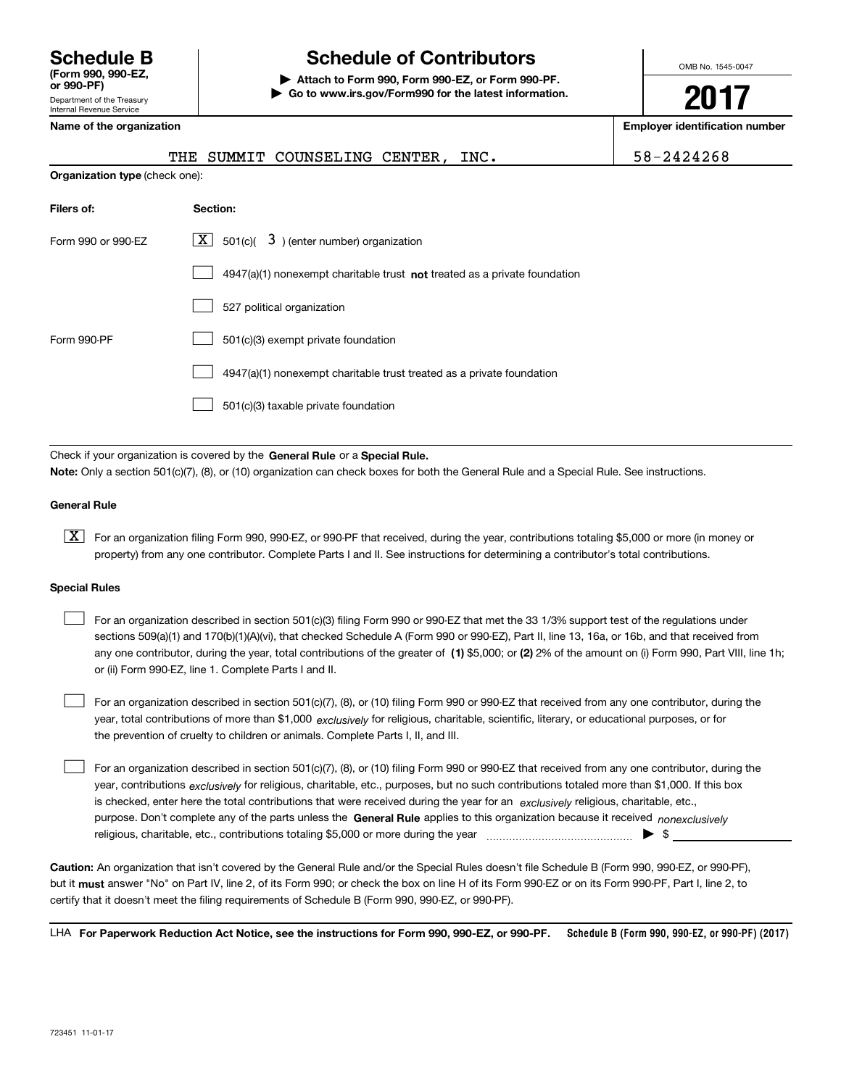# **(Form 990, 990-EZ,**

Department of the Treasury Internal Revenue Service **or 990-PF)**

# **Schedule B Schedule of Contributors**

**| Attach to Form 990, Form 990-EZ, or Form 990-PF. | Go to www.irs.gov/Form990 for the latest information.** OMB No. 1545-0047

**2017**

| Name of the organization              |                                                                                    | <b>Employer identification number</b> |
|---------------------------------------|------------------------------------------------------------------------------------|---------------------------------------|
|                                       | THE SUMMIT COUNSELING CENTER, INC.                                                 | 58-2424268                            |
| <b>Organization type (check one):</b> |                                                                                    |                                       |
| Filers of:                            | Section:                                                                           |                                       |
| Form 990 or 990-EZ                    | $X$ 501(c)( 3) (enter number) organization                                         |                                       |
|                                       | $4947(a)(1)$ nonexempt charitable trust <b>not</b> treated as a private foundation |                                       |
|                                       | 527 political organization                                                         |                                       |
| Form 990-PF                           | 501(c)(3) exempt private foundation                                                |                                       |
|                                       | 4947(a)(1) nonexempt charitable trust treated as a private foundation              |                                       |
|                                       | 501(c)(3) taxable private foundation                                               |                                       |
|                                       |                                                                                    |                                       |

Check if your organization is covered by the **General Rule** or a **Special Rule. Note:**  Only a section 501(c)(7), (8), or (10) organization can check boxes for both the General Rule and a Special Rule. See instructions.

#### **General Rule**

 $\boxed{\textbf{X}}$  For an organization filing Form 990, 990-EZ, or 990-PF that received, during the year, contributions totaling \$5,000 or more (in money or property) from any one contributor. Complete Parts I and II. See instructions for determining a contributor's total contributions.

#### **Special Rules**

 $\mathcal{L}^{\text{max}}$ 

any one contributor, during the year, total contributions of the greater of  $\,$  (1) \$5,000; or **(2)** 2% of the amount on (i) Form 990, Part VIII, line 1h; For an organization described in section 501(c)(3) filing Form 990 or 990-EZ that met the 33 1/3% support test of the regulations under sections 509(a)(1) and 170(b)(1)(A)(vi), that checked Schedule A (Form 990 or 990-EZ), Part II, line 13, 16a, or 16b, and that received from or (ii) Form 990-EZ, line 1. Complete Parts I and II.  $\mathcal{L}^{\text{max}}$ 

year, total contributions of more than \$1,000 *exclusively* for religious, charitable, scientific, literary, or educational purposes, or for For an organization described in section 501(c)(7), (8), or (10) filing Form 990 or 990-EZ that received from any one contributor, during the the prevention of cruelty to children or animals. Complete Parts I, II, and III.  $\mathcal{L}^{\text{max}}$ 

purpose. Don't complete any of the parts unless the **General Rule** applies to this organization because it received *nonexclusively* year, contributions <sub>exclusively</sub> for religious, charitable, etc., purposes, but no such contributions totaled more than \$1,000. If this box is checked, enter here the total contributions that were received during the year for an  $\;$ exclusively religious, charitable, etc., For an organization described in section 501(c)(7), (8), or (10) filing Form 990 or 990-EZ that received from any one contributor, during the religious, charitable, etc., contributions totaling \$5,000 or more during the year  $\ldots$  $\ldots$  $\ldots$  $\ldots$  $\ldots$  $\ldots$  $\ldots$ 

**Caution:**  An organization that isn't covered by the General Rule and/or the Special Rules doesn't file Schedule B (Form 990, 990-EZ, or 990-PF),  **must** but it answer "No" on Part IV, line 2, of its Form 990; or check the box on line H of its Form 990-EZ or on its Form 990-PF, Part I, line 2, to certify that it doesn't meet the filing requirements of Schedule B (Form 990, 990-EZ, or 990-PF).

**Schedule B (Form 990, 990-EZ, or 990-PF) (2017) For Paperwork Reduction Act Notice, see the instructions for Form 990, 990-EZ, or 990-PF.** LHA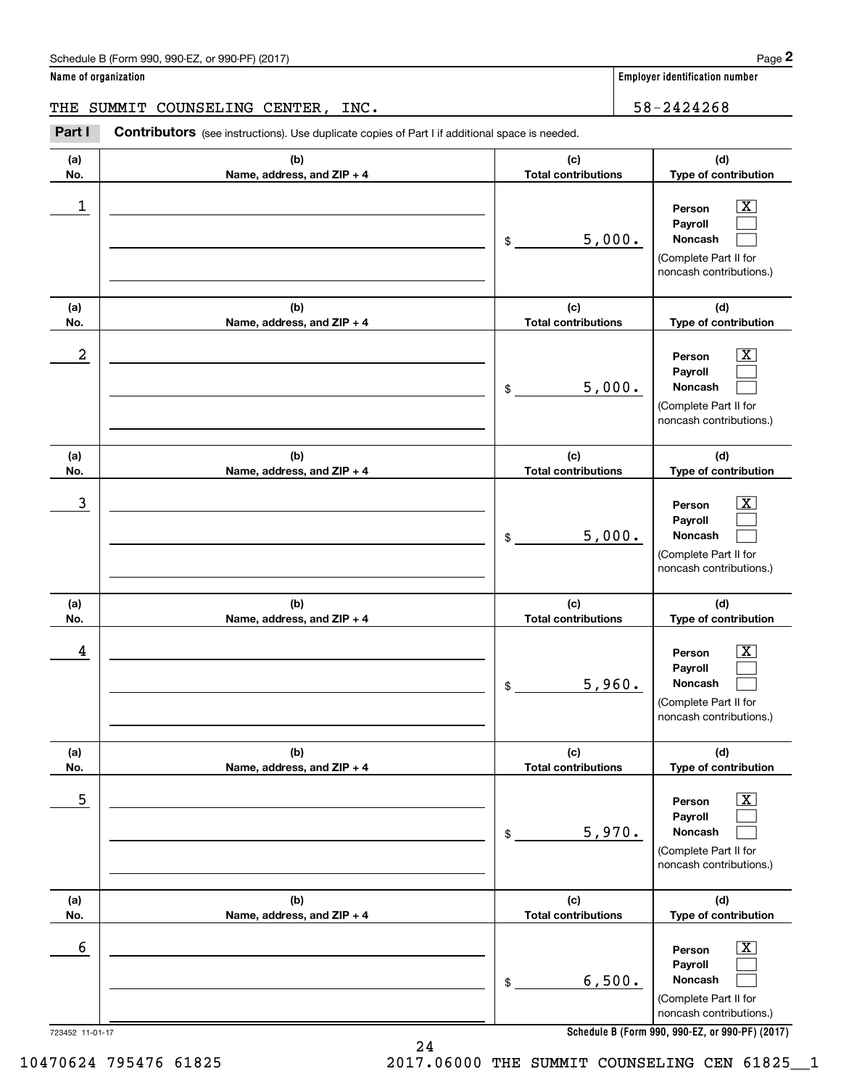| Schedule B (Form 990, 990-EZ, or 990-PF) (2017) | Page |
|-------------------------------------------------|------|
|-------------------------------------------------|------|

THE SUMMIT COUNSELING CENTER, INC. 58-2424268

(schedule B (Form 990, 990-EZ, or 990-PF) (2017)<br> **2Part I SUMMIT COUNSELING CENTER, INC.**<br> **2Part I Contributors** (see instructions). Use duplicate copies of Part I if additional space is needed.<br>
2Part I **Contributors** (

| (a)<br>No.      | (b)<br>Name, address, and ZIP + 4 | (c)<br><b>Total contributions</b>          | (d)<br>Type of contribution                                                                                                                                      |
|-----------------|-----------------------------------|--------------------------------------------|------------------------------------------------------------------------------------------------------------------------------------------------------------------|
| 1               |                                   | 5,000.<br>\$                               | x<br>Person<br>Payroll<br>Noncash<br>(Complete Part II for<br>noncash contributions.)                                                                            |
| (a)<br>No.      | (b)<br>Name, address, and ZIP + 4 | (c)<br><b>Total contributions</b>          | (d)<br>Type of contribution                                                                                                                                      |
| 2               |                                   | 5,000.<br>\$                               | х<br>Person<br>Payroll<br>Noncash<br>(Complete Part II for<br>noncash contributions.)                                                                            |
| (a)<br>No.      | (b)<br>Name, address, and ZIP + 4 | (c)<br><b>Total contributions</b>          | (d)<br>Type of contribution                                                                                                                                      |
| 3               |                                   | 5,000.<br>\$                               | х<br>Person<br>Payroll<br>Noncash<br>(Complete Part II for<br>noncash contributions.)                                                                            |
| (a)<br>No.      | (b)<br>Name, address, and ZIP + 4 | (c)<br><b>Total contributions</b>          | (d)<br>Type of contribution                                                                                                                                      |
| 4               |                                   | 5,960.<br>\$                               | x<br>Person<br>Payroll<br>Noncash<br>(Complete Part II for<br>noncash contributions.)                                                                            |
| (a)<br>No.      | (b)<br>Name, address, and ZIP + 4 | (c)<br><b>Total contributions</b>          | (d)<br>Type of contribution                                                                                                                                      |
| 5               |                                   | 5,970.<br>\$                               | x<br>Person<br>Payroll<br>Noncash<br>(Complete Part II for<br>noncash contributions.)                                                                            |
| (a)             | (b)                               | (c)                                        | (d)                                                                                                                                                              |
| No.<br>6        | Name, address, and ZIP + 4        | <b>Total contributions</b><br>6,500.<br>\$ | Type of contribution<br>х<br>Person<br>Payroll<br>Noncash<br>(Complete Part II for<br>noncash contributions.)<br>Schedule B (Form 990, 990-EZ, or 990-PF) (2017) |
| 723452 11-01-17 |                                   |                                            |                                                                                                                                                                  |

**Schedule B (Form 990, 990-EZ, or 990-PF) (2017)**

24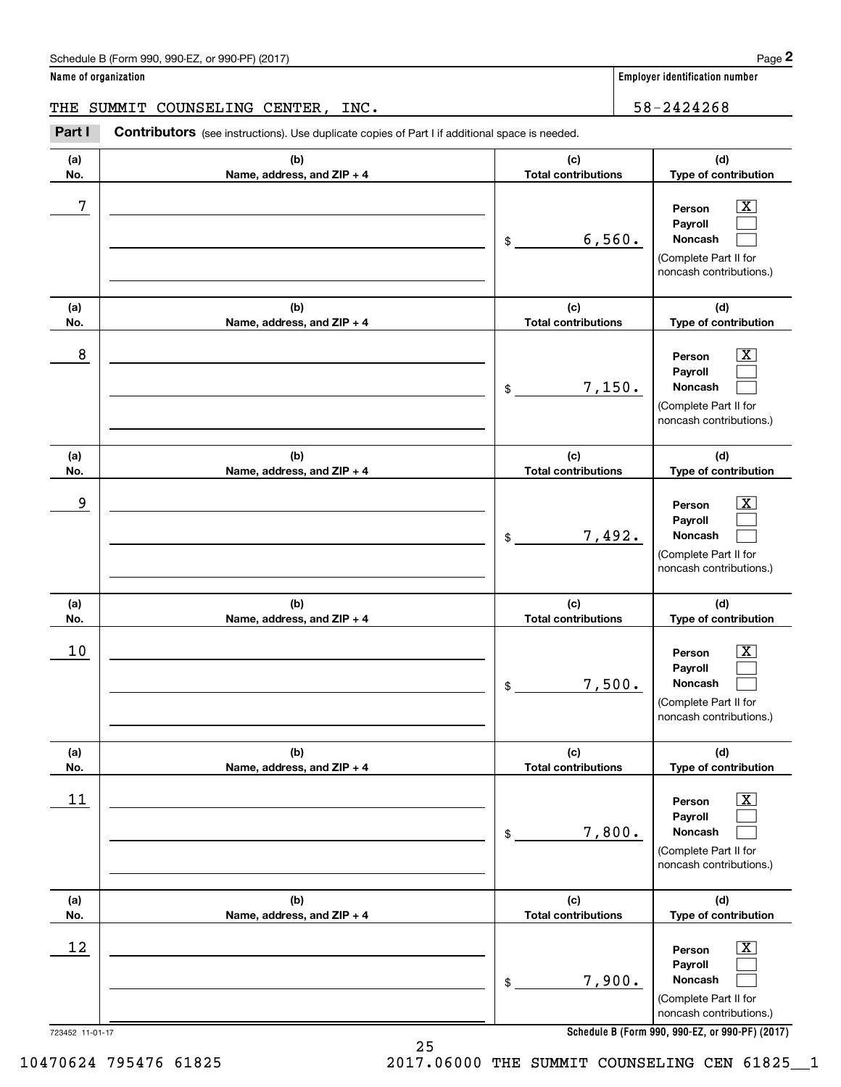| Schedule B (Form 990, 990-EZ, or 990-PF) (2017) | Page |
|-------------------------------------------------|------|
|-------------------------------------------------|------|

THE SUMMIT COUNSELING CENTER, INC. 58-2424268

(schedule B (Form 990, 990-EZ, or 990-PF) (2017)<br> **2Part I SUMMIT COUNSELING CENTER, INC.**<br> **2Part I Contributors** (see instructions). Use duplicate copies of Part I if additional space is needed.<br>
2Part I **Contributors** (

| (a)<br>No.      | (b)<br>Name, address, and ZIP + 4 | (c)<br><b>Total contributions</b> | (d)<br>Type of contribution                                                                               |
|-----------------|-----------------------------------|-----------------------------------|-----------------------------------------------------------------------------------------------------------|
| 7               |                                   | 6,560.<br>$\frac{1}{2}$           | $\overline{\text{X}}$<br>Person<br>Payroll<br>Noncash<br>(Complete Part II for<br>noncash contributions.) |
| (a)<br>No.      | (b)<br>Name, address, and ZIP + 4 | (c)<br><b>Total contributions</b> | (d)<br>Type of contribution                                                                               |
| 8               |                                   | 7,150.<br>\$                      | $\overline{\text{X}}$<br>Person<br>Payroll<br>Noncash<br>(Complete Part II for<br>noncash contributions.) |
| (a)<br>No.      | (b)<br>Name, address, and ZIP + 4 | (c)<br><b>Total contributions</b> | (d)<br>Type of contribution                                                                               |
| 9               |                                   | 7,492.<br>$\frac{1}{2}$           | $\overline{\text{X}}$<br>Person<br>Payroll<br>Noncash<br>(Complete Part II for<br>noncash contributions.) |
| (a)<br>No.      | (b)<br>Name, address, and ZIP + 4 | (c)<br><b>Total contributions</b> | (d)<br>Type of contribution                                                                               |
| 10              |                                   | 7,500.<br>$\frac{1}{2}$           | х<br>Person<br>Payroll<br>Noncash<br>(Complete Part II for<br>noncash contributions.)                     |
| (a)<br>No.      | (b)<br>Name, address, and ZIP + 4 | (c)<br><b>Total contributions</b> | (d)<br>Type of contribution                                                                               |
| $11$            |                                   | 7,800.<br>$$\mathbb{S}$$          | $\overline{\text{X}}$<br>Person<br>Payroll<br>Noncash<br>(Complete Part II for<br>noncash contributions.) |
| (a)<br>No.      | (b)<br>Name, address, and ZIP + 4 | (c)<br><b>Total contributions</b> | (d)<br>Type of contribution                                                                               |
| 12              |                                   | 7,900.<br>\$                      | X<br>Person<br>Payroll<br>Noncash<br>(Complete Part II for                                                |
| 723452 11-01-17 |                                   |                                   | noncash contributions.)<br>Schedule B (Form 990, 990-EZ, or 990-PF) (2017)                                |

25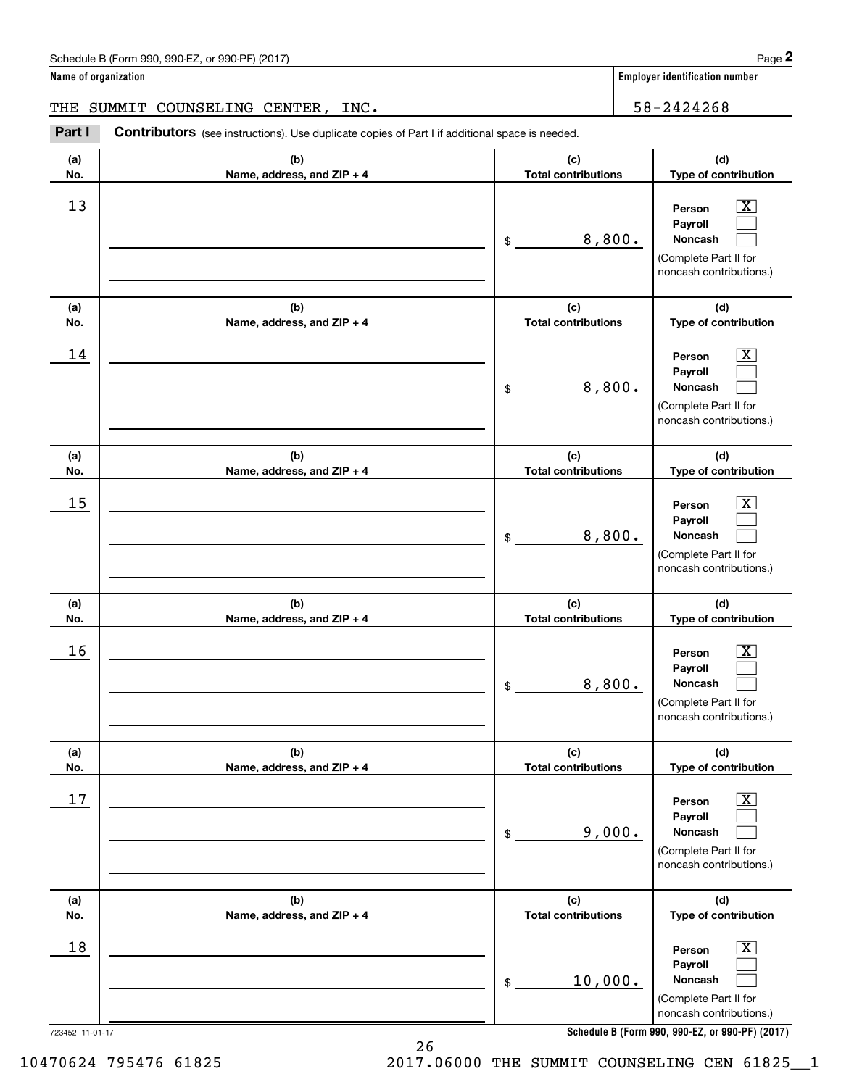| Schedule B (Form 990, 990-EZ, or 990-PF) (2017) | Page |
|-------------------------------------------------|------|
|-------------------------------------------------|------|

THE SUMMIT COUNSELING CENTER, INC. 58-2424268

(schedule B (Form 990, 990-EZ, or 990-PF) (2017)<br> **2Part I SUMMIT COUNSELING CENTER, INC.**<br> **2Part I Contributors** (see instructions). Use duplicate copies of Part I if additional space is needed.<br>
2Part I **Contributors** (

| (a)<br>No.            | (b)<br>Name, address, and ZIP + 4 | (c)<br><b>Total contributions</b> | (d)<br>Type of contribution                                                                                                                                    |
|-----------------------|-----------------------------------|-----------------------------------|----------------------------------------------------------------------------------------------------------------------------------------------------------------|
| 13                    |                                   | 8,800.<br>\$                      | $\mathbf{X}$<br>Person<br>Payroll<br><b>Noncash</b><br>(Complete Part II for<br>noncash contributions.)                                                        |
| (a)<br>No.            | (b)<br>Name, address, and ZIP + 4 | (c)<br><b>Total contributions</b> | (d)<br>Type of contribution                                                                                                                                    |
| 14                    |                                   | 8,800.<br>\$                      | $\mathbf{X}$<br>Person<br>Payroll<br>Noncash<br>(Complete Part II for<br>noncash contributions.)                                                               |
| (a)<br>No.            | (b)<br>Name, address, and ZIP + 4 | (c)<br><b>Total contributions</b> | (d)<br>Type of contribution                                                                                                                                    |
| 15                    |                                   | 8,800.<br>\$                      | $\mathbf{X}$<br>Person<br>Payroll<br>Noncash<br>(Complete Part II for<br>noncash contributions.)                                                               |
| (a)<br>No.            | (b)<br>Name, address, and ZIP + 4 | (c)<br><b>Total contributions</b> | (d)<br>Type of contribution                                                                                                                                    |
| 16                    |                                   | 8,800.<br>\$                      | $\mathbf{X}$<br>Person<br>Payroll<br>Noncash<br>(Complete Part II for<br>noncash contributions.)                                                               |
| (a)<br>No.            | (b)<br>Name, address, and ZIP + 4 | (c)<br><b>Total contributions</b> | (d)<br>Type of contribution                                                                                                                                    |
| $17$                  |                                   | 9,000.<br>\$                      | $\overline{\text{X}}$<br>Person<br>Payroll<br>Noncash<br>(Complete Part II for<br>noncash contributions.)                                                      |
| (a)<br>No.            | (b)<br>Name, address, and ZIP + 4 | (c)<br><b>Total contributions</b> | (d)<br>Type of contribution                                                                                                                                    |
| 18<br>723452 11-01-17 |                                   | 10,000.<br>\$                     | $\overline{\mathbf{X}}$<br>Person<br>Payroll<br>Noncash<br>(Complete Part II for<br>noncash contributions.)<br>Schedule R (Form 990, 990-F7, or 990-PF) (2017) |

26

**Schedule B (Form 990, 990-EZ, or 990-PF) (2017)**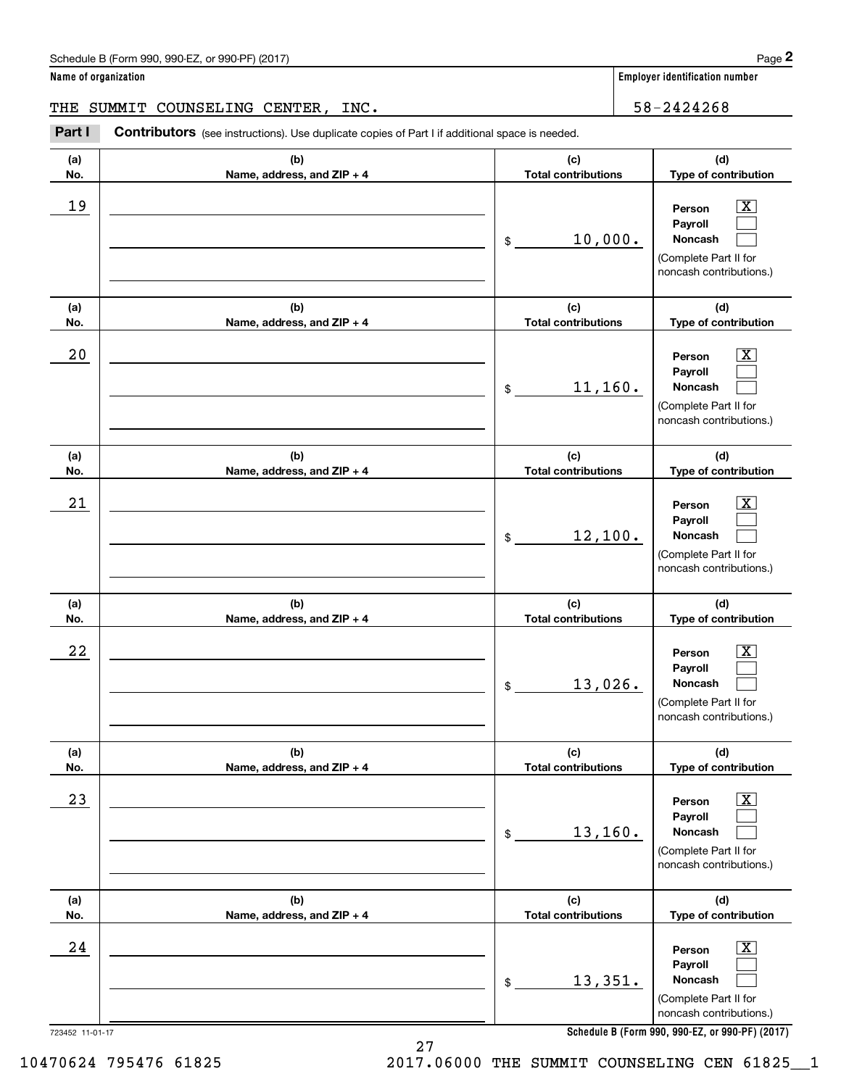| Schedule B (Form 990, 990-EZ, or 990-PF) (2017) | Page |
|-------------------------------------------------|------|
|-------------------------------------------------|------|

THE SUMMIT COUNSELING CENTER, INC. 58-2424268

(schedule B (Form 990, 990-EZ, or 990-PF) (2017)<br> **2Part I SUMMIT COUNSELING CENTER, INC.**<br> **2Part I Contributors** (see instructions). Use duplicate copies of Part I if additional space is needed.<br>
2Part I **Contributors** (

| (a)<br>No.            | (b)<br>Name, address, and ZIP + 4 | (c)<br><b>Total contributions</b> | (d)<br>Type of contribution                                                                                                              |
|-----------------------|-----------------------------------|-----------------------------------|------------------------------------------------------------------------------------------------------------------------------------------|
| 19                    |                                   | 10,000.<br>\$                     | $\overline{\text{X}}$<br>Person<br>Payroll<br>Noncash<br>(Complete Part II for<br>noncash contributions.)                                |
| (a)<br>No.            | (b)<br>Name, address, and ZIP + 4 | (c)<br><b>Total contributions</b> | (d)<br>Type of contribution                                                                                                              |
| 20                    |                                   | 11,160.<br>$\$$                   | Х,<br>Person<br>Payroll<br>Noncash<br>(Complete Part II for<br>noncash contributions.)                                                   |
| (a)<br>No.            | (b)<br>Name, address, and ZIP + 4 | (c)<br><b>Total contributions</b> | (d)<br>Type of contribution                                                                                                              |
| 21                    |                                   | 12,100.<br>$\$$                   | Х,<br>Person<br>Payroll<br>Noncash<br>(Complete Part II for<br>noncash contributions.)                                                   |
| (a)<br>No.            | (b)<br>Name, address, and ZIP + 4 | (c)<br><b>Total contributions</b> | (d)<br>Type of contribution                                                                                                              |
| 22                    |                                   | 13,026.<br>\$                     | x<br>Person<br>Payroll<br>Noncash<br>(Complete Part II for<br>noncash contributions.)                                                    |
| (a)<br>No.            | (b)<br>Name, address, and ZIP + 4 | (c)<br><b>Total contributions</b> | (d)<br>Type of contribution                                                                                                              |
| 23                    |                                   | 13,160.<br>\$                     | x<br>Person<br>Payroll<br>Noncash<br>(Complete Part II for<br>noncash contributions.)                                                    |
| (a)<br>No.            | (b)<br>Name, address, and ZIP + 4 | (c)<br><b>Total contributions</b> | (d)<br>Type of contribution                                                                                                              |
| 24<br>723452 11-01-17 |                                   | 13,351.<br>\$                     | х<br>Person<br>Payroll<br>Noncash<br>(Complete Part II for<br>noncash contributions.)<br>Schedule B (Form 990, 990-EZ, or 990-PF) (2017) |

27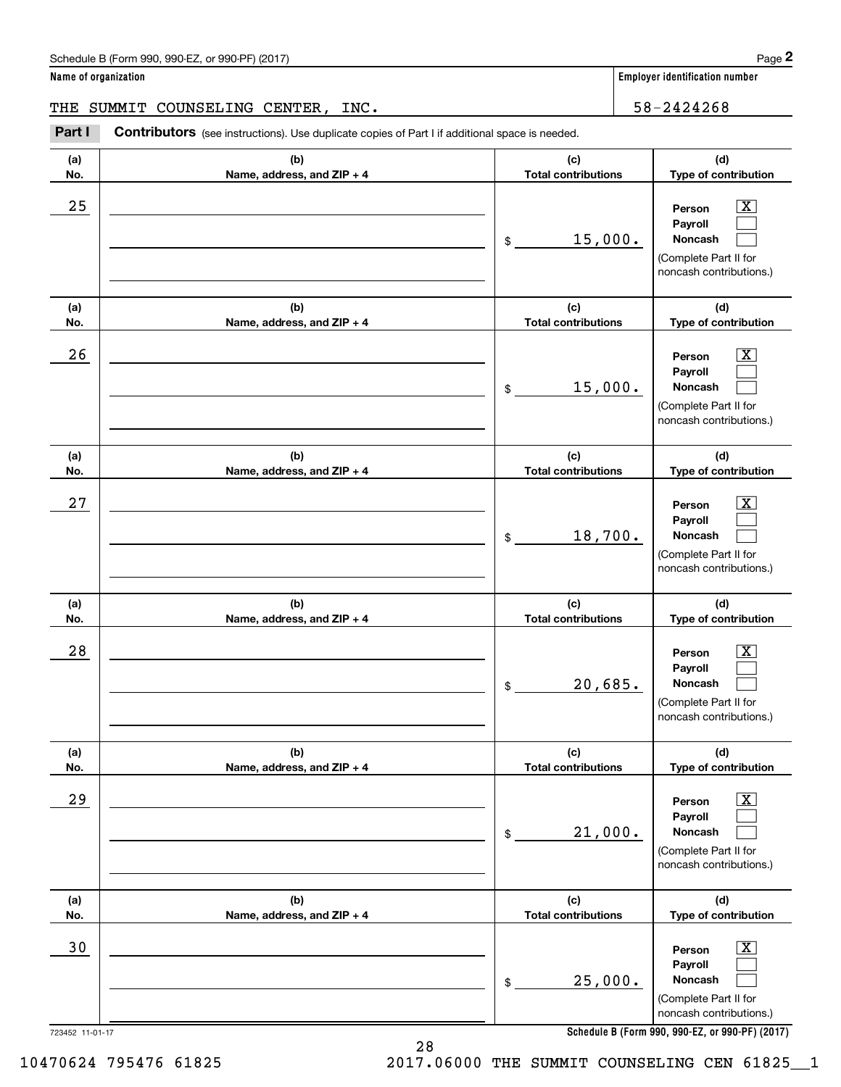| Schedule B (Form 990, 990-EZ, or 990-PF) (2017) | Page |
|-------------------------------------------------|------|
|-------------------------------------------------|------|

THE SUMMIT COUNSELING CENTER, INC. 58-2424268

(schedule B (Form 990, 990-EZ, or 990-PF) (2017)<br> **2Part I SUMMIT COUNSELING CENTER, INC.**<br> **2Part I Contributors** (see instructions). Use duplicate copies of Part I if additional space is needed.<br>
2Part I **Contributors** (

| (c)                               |                                                                                                                                          |
|-----------------------------------|------------------------------------------------------------------------------------------------------------------------------------------|
| <b>Total contributions</b>        | (d)<br>Type of contribution                                                                                                              |
| 15,000.<br>\$                     | Х,<br>Person<br>Payroll<br>Noncash<br>(Complete Part II for<br>noncash contributions.)                                                   |
| (c)<br><b>Total contributions</b> | (d)<br>Type of contribution                                                                                                              |
| 15,000.<br>$\$$                   | Х,<br>Person<br>Payroll<br>Noncash<br>(Complete Part II for<br>noncash contributions.)                                                   |
| (c)<br><b>Total contributions</b> | (d)<br>Type of contribution                                                                                                              |
| 18,700.<br>$\$$                   | Х,<br>Person<br>Payroll<br>Noncash<br>(Complete Part II for<br>noncash contributions.)                                                   |
| (c)<br><b>Total contributions</b> | (d)<br>Type of contribution                                                                                                              |
| 20,685.<br>\$                     | x<br>Person<br>Payroll<br>Noncash<br>(Complete Part II for<br>noncash contributions.)                                                    |
| (c)                               | (d)<br>Type of contribution                                                                                                              |
| 21,000.<br>\$                     | x<br>Person<br>Payroll<br>Noncash<br>(Complete Part II for<br>noncash contributions.)                                                    |
| (c)                               | (d)<br>Type of contribution                                                                                                              |
| 25,000.<br>\$                     | x<br>Person<br>Payroll<br>Noncash<br>(Complete Part II for<br>noncash contributions.)<br>Schedule B (Form 990, 990-EZ, or 990-PF) (2017) |
|                                   | <b>Total contributions</b><br><b>Total contributions</b>                                                                                 |

**Schedule B (Form 990, 990-EZ, or 990-PF) (2017)**

28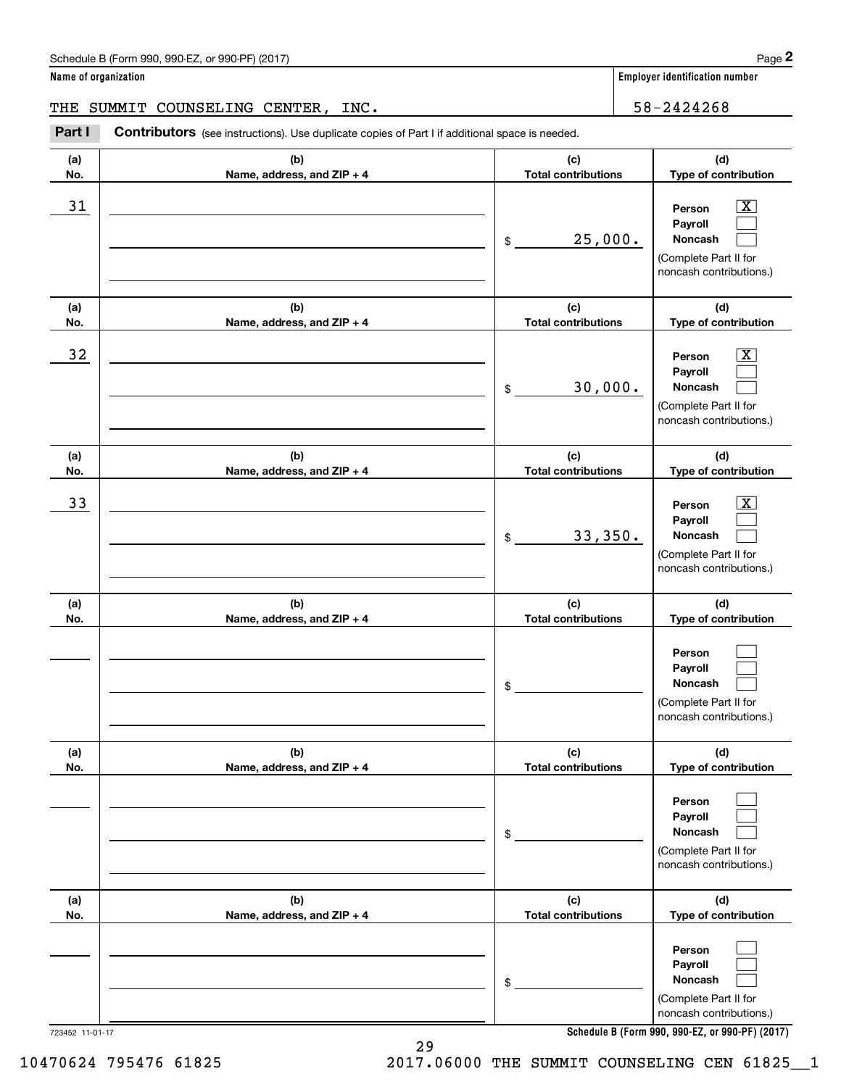| Schedule B (Form 990, 990-EZ, or 990-PF) (2017) | Page |
|-------------------------------------------------|------|
|-------------------------------------------------|------|

THE SUMMIT COUNSELING CENTER, INC. 58-2424268

(schedule B (Form 990, 990-EZ, or 990-PF) (2017)<br> **2Part I SUMMIT COUNSELING CENTER, INC.**<br> **2Part I Contributors** (see instructions). Use duplicate copies of Part I if additional space is needed.<br>
2Part I **Contributors** (

| (a)<br>No. | (b)<br>Name, address, and ZIP + 4 | (c)<br><b>Total contributions</b> | (d)<br>Type of contribution                                                                                                         |
|------------|-----------------------------------|-----------------------------------|-------------------------------------------------------------------------------------------------------------------------------------|
| 31         |                                   | 25,000.<br>$\mathfrak{S}$         | $\overline{\texttt{x}}$<br>Person<br>Payroll<br>Noncash<br>(Complete Part II for<br>noncash contributions.)                         |
| (a)<br>No. | (b)<br>Name, address, and ZIP + 4 | (c)<br><b>Total contributions</b> | (d)<br>Type of contribution                                                                                                         |
| 32         |                                   | 30,000.<br>$\mathfrak{S}$         | $\overline{\texttt{x}}$<br>Person<br>Payroll<br>Noncash<br>(Complete Part II for<br>noncash contributions.)                         |
| (a)<br>No. | (b)<br>Name, address, and ZIP + 4 | (c)<br><b>Total contributions</b> | (d)<br>Type of contribution                                                                                                         |
| 33         |                                   | 33,350.<br>$\mathfrak{S}$         | $\overline{\texttt{x}}$<br>Person<br>Payroll<br>Noncash<br>(Complete Part II for<br>noncash contributions.)                         |
| (a)<br>No. | (b)<br>Name, address, and ZIP + 4 | (c)<br><b>Total contributions</b> | (d)<br>Type of contribution                                                                                                         |
|            |                                   | \$                                | Person<br>Payroll<br>Noncash<br>(Complete Part II for<br>noncash contributions.)                                                    |
| (a)<br>No. | (b)<br>Name, address, and ZIP + 4 | (c)<br><b>Total contributions</b> | (d)<br>Type of contribution                                                                                                         |
|            |                                   | \$                                | Person<br>Payroll<br>Noncash<br>(Complete Part II for<br>noncash contributions.)                                                    |
| (a)<br>No. | (b)<br>Name, address, and ZIP + 4 | (c)<br><b>Total contributions</b> | (d)<br>Type of contribution                                                                                                         |
|            |                                   | \$                                | Person<br>Payroll<br>Noncash<br>(Complete Part II for<br>noncash contributions.)<br>Schodule R (Form 000, 000-F7, or 000-PE) (2017) |

29

**Schedule B (Form 990, 990-EZ, or 990-PF) (2017)**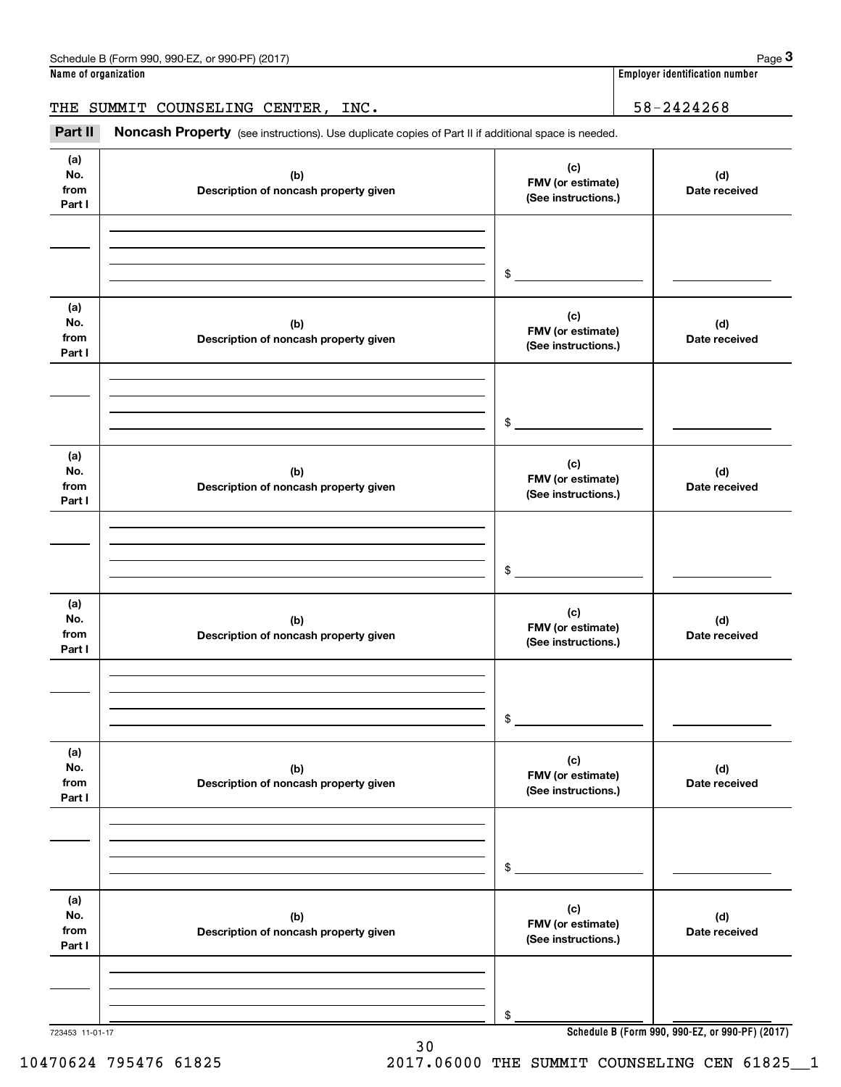THE SUMMIT COUNSELING CENTER, INC. 58-2424268

(see instructions). Use duplicate copies of Part II if additional space is needed.<br>**3Part II Noncash Property** (see instructions). Use duplicate copies of Part II if additional space is needed.<br>**3Part II Noncash Proper** 

| (a)<br>No.<br>from<br>Part I | (b)<br>Description of noncash property given | (c)<br>FMV (or estimate)<br>(See instructions.) | (d)<br>Date received                            |
|------------------------------|----------------------------------------------|-------------------------------------------------|-------------------------------------------------|
|                              |                                              | $\sim$                                          |                                                 |
| (a)<br>No.<br>from<br>Part I | (b)<br>Description of noncash property given | (c)<br>FMV (or estimate)<br>(See instructions.) | (d)<br>Date received                            |
|                              |                                              | $\sim$                                          |                                                 |
| (a)<br>No.<br>from<br>Part I | (b)<br>Description of noncash property given | (c)<br>FMV (or estimate)<br>(See instructions.) | (d)<br>Date received                            |
|                              |                                              | $$\circ$$                                       |                                                 |
| (a)<br>No.<br>from<br>Part I | (b)<br>Description of noncash property given | (c)<br>FMV (or estimate)<br>(See instructions.) | (d)<br>Date received                            |
|                              |                                              | \$                                              |                                                 |
| (a)<br>No.<br>from<br>Part I | (b)<br>Description of noncash property given | (c)<br>FMV (or estimate)<br>(See instructions.) | (d)<br>Date received                            |
|                              |                                              | \$                                              |                                                 |
| (a)<br>No.<br>from<br>Part I | (b)<br>Description of noncash property given | (c)<br>FMV (or estimate)<br>(See instructions.) | (d)<br>Date received                            |
| 723453 11-01-17              |                                              | \$                                              | Schedule B (Form 990, 990-EZ, or 990-PF) (2017) |
|                              |                                              |                                                 |                                                 |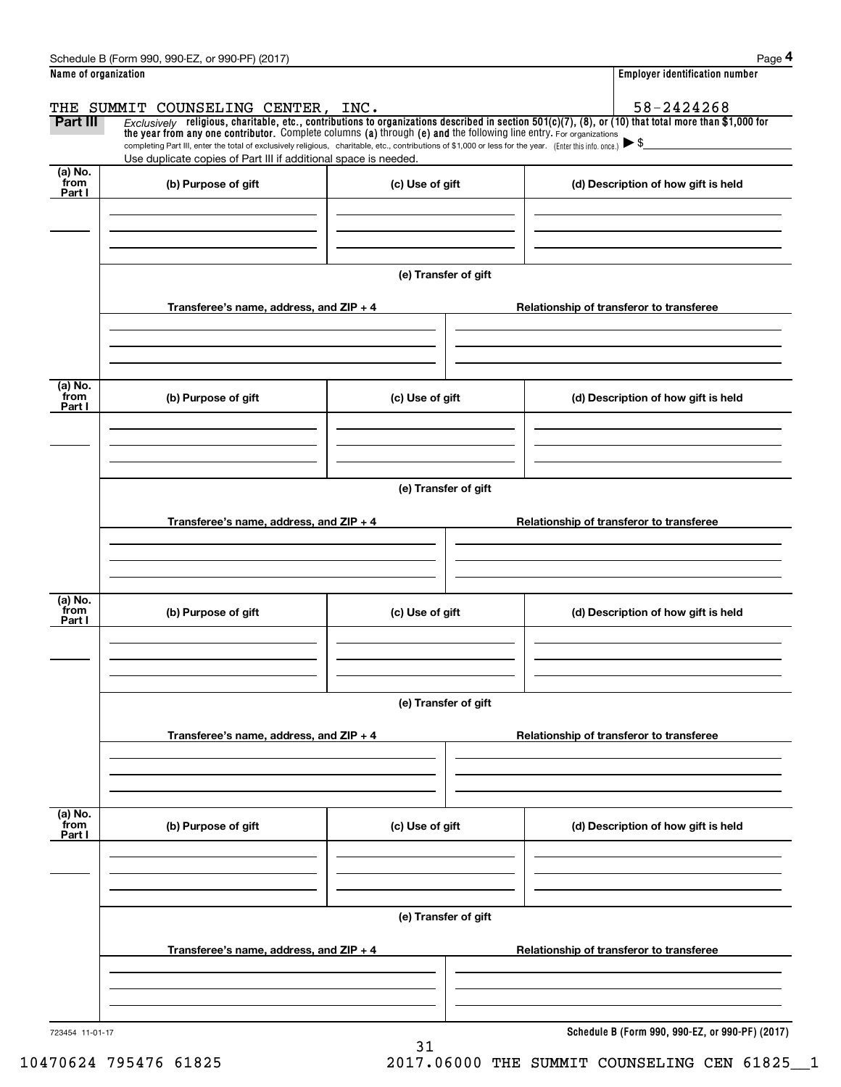|                             | Schedule B (Form 990, 990-EZ, or 990-PF) (2017)                                                                                                                                                                             |                      | Page 4                                                                                                                                                                 |
|-----------------------------|-----------------------------------------------------------------------------------------------------------------------------------------------------------------------------------------------------------------------------|----------------------|------------------------------------------------------------------------------------------------------------------------------------------------------------------------|
| Name of organization        |                                                                                                                                                                                                                             |                      | <b>Employer identification number</b>                                                                                                                                  |
| <b>Part III</b>             | THE SUMMIT COUNSELING CENTER, INC.<br>the year from any one contributor. Complete columns (a) through (e) and the following line entry. For organizations                                                                   |                      | 58-2424268<br>Exclusively religious, charitable, etc., contributions to organizations described in section $501(c)(7)$ , (8), or (10) that total more than \$1,000 for |
|                             | completing Part III, enter the total of exclusively religious, charitable, etc., contributions of \$1,000 or less for the year. (Enter this info. once.)<br>Use duplicate copies of Part III if additional space is needed. |                      |                                                                                                                                                                        |
| $(a)$ No.<br>from<br>Part I | (b) Purpose of gift                                                                                                                                                                                                         | (c) Use of gift      | (d) Description of how gift is held                                                                                                                                    |
|                             |                                                                                                                                                                                                                             |                      |                                                                                                                                                                        |
|                             |                                                                                                                                                                                                                             | (e) Transfer of gift |                                                                                                                                                                        |
|                             | Transferee's name, address, and $ZIP + 4$                                                                                                                                                                                   |                      | Relationship of transferor to transferee                                                                                                                               |
| (a) No.<br>from             | (b) Purpose of gift                                                                                                                                                                                                         | (c) Use of gift      | (d) Description of how gift is held                                                                                                                                    |
| Part I                      |                                                                                                                                                                                                                             |                      |                                                                                                                                                                        |
|                             |                                                                                                                                                                                                                             | (e) Transfer of gift |                                                                                                                                                                        |
|                             | Transferee's name, address, and ZIP + 4                                                                                                                                                                                     |                      | Relationship of transferor to transferee                                                                                                                               |
|                             |                                                                                                                                                                                                                             |                      |                                                                                                                                                                        |
| (a) No.<br>from<br>Part I   | (b) Purpose of gift                                                                                                                                                                                                         | (c) Use of gift      | (d) Description of how gift is held                                                                                                                                    |
|                             |                                                                                                                                                                                                                             | (e) Transfer of gift |                                                                                                                                                                        |
|                             | Transferee's name, address, and ZIP + 4                                                                                                                                                                                     |                      | Relationship of transferor to transferee                                                                                                                               |
|                             |                                                                                                                                                                                                                             |                      |                                                                                                                                                                        |
| (a) No.<br>from<br>Part I   | (b) Purpose of gift                                                                                                                                                                                                         | (c) Use of gift      | (d) Description of how gift is held                                                                                                                                    |
|                             |                                                                                                                                                                                                                             |                      |                                                                                                                                                                        |
|                             |                                                                                                                                                                                                                             | (e) Transfer of gift |                                                                                                                                                                        |
|                             | Transferee's name, address, and ZIP + 4                                                                                                                                                                                     |                      | Relationship of transferor to transferee                                                                                                                               |
|                             |                                                                                                                                                                                                                             |                      |                                                                                                                                                                        |
| 723454 11-01-17             |                                                                                                                                                                                                                             |                      | Schedule B (Form 990, 990-EZ, or 990-PF) (2017)                                                                                                                        |

31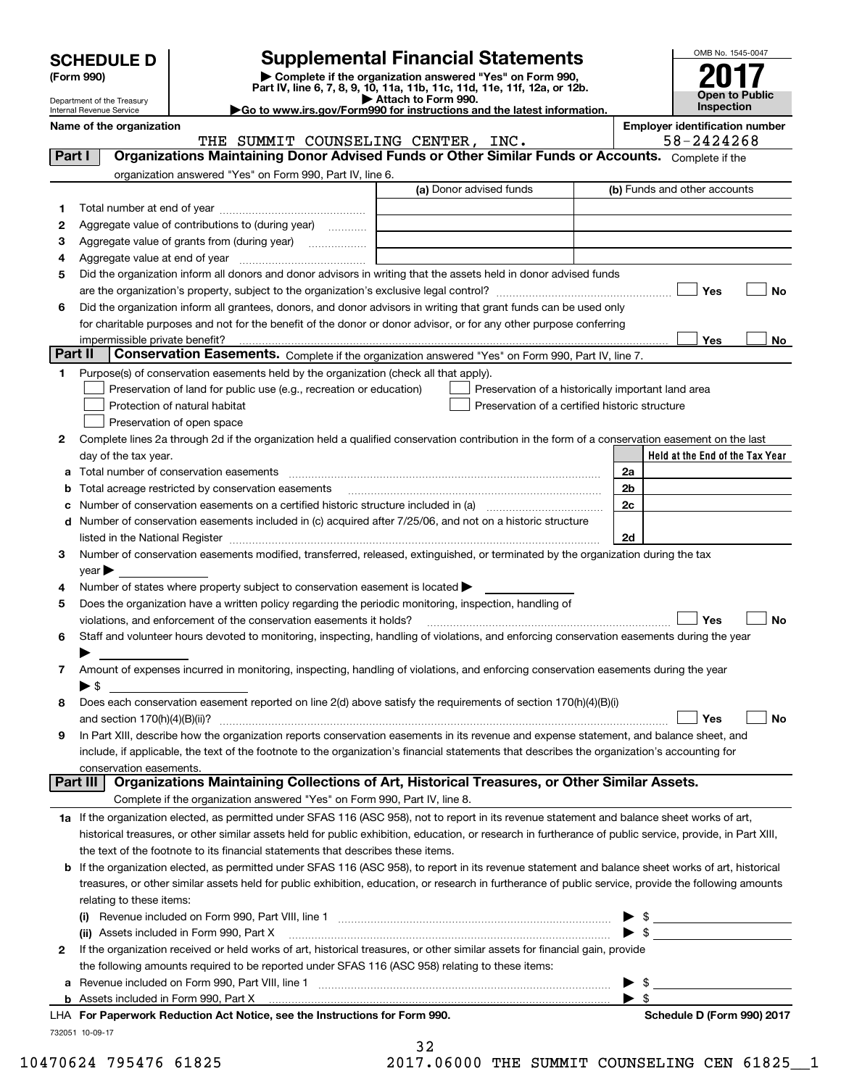| <b>SCHEDULE D</b> |  |
|-------------------|--|
|-------------------|--|

Department of the Treasury Internal Revenue Service

| (Form 990) |  |
|------------|--|
|------------|--|

# **Supplemental Financial Statements**

**(Form 990)** (**Form 990,**<br>Part IV, line 6, 7, 8, 9, 10, 11a, 11b, 11c, 11d, 11e, 11f, 12a, or 12b.<br>Department of the Treasury **and Exercise Connect Connect Connect Connect Connect Connect Connect Connect Connect** 

**Open to Public Inspection2017**

OMB No. 1545-0047

| $\blacktriangleright$ Allach to Form 330.                              |
|------------------------------------------------------------------------|
| Go to www.irs.gov/Form990 for instructions and the latest information. |
|                                                                        |

**Name of the organization Employer identification number**

THE SUMMIT COUNSELING CENTER, INC. | 58-2424268

| Part I  | Organizations Maintaining Donor Advised Funds or Other Similar Funds or Accounts. Complete if the                                                          |                                                |                                                    |
|---------|------------------------------------------------------------------------------------------------------------------------------------------------------------|------------------------------------------------|----------------------------------------------------|
|         | organization answered "Yes" on Form 990, Part IV, line 6.                                                                                                  |                                                |                                                    |
|         |                                                                                                                                                            | (a) Donor advised funds                        | (b) Funds and other accounts                       |
| 1       |                                                                                                                                                            |                                                |                                                    |
| 2       | Aggregate value of contributions to (during year)                                                                                                          |                                                |                                                    |
| 3       | Aggregate value of grants from (during year)                                                                                                               |                                                |                                                    |
| 4       |                                                                                                                                                            |                                                |                                                    |
| 5       | Did the organization inform all donors and donor advisors in writing that the assets held in donor advised funds                                           |                                                |                                                    |
|         |                                                                                                                                                            |                                                | Yes<br>No                                          |
| 6       | Did the organization inform all grantees, donors, and donor advisors in writing that grant funds can be used only                                          |                                                |                                                    |
|         | for charitable purposes and not for the benefit of the donor or donor advisor, or for any other purpose conferring                                         |                                                |                                                    |
|         | impermissible private benefit?                                                                                                                             |                                                | Yes<br>No                                          |
| Part II | Conservation Easements. Complete if the organization answered "Yes" on Form 990, Part IV, line 7.                                                          |                                                |                                                    |
| 1       | Purpose(s) of conservation easements held by the organization (check all that apply).                                                                      |                                                |                                                    |
|         | Preservation of land for public use (e.g., recreation or education)                                                                                        |                                                | Preservation of a historically important land area |
|         | Protection of natural habitat                                                                                                                              | Preservation of a certified historic structure |                                                    |
|         | Preservation of open space                                                                                                                                 |                                                |                                                    |
| 2       | Complete lines 2a through 2d if the organization held a qualified conservation contribution in the form of a conservation easement on the last             |                                                |                                                    |
|         | day of the tax year.                                                                                                                                       |                                                | Held at the End of the Tax Year                    |
| a       | Total number of conservation easements                                                                                                                     |                                                | 2a                                                 |
| b       | Total acreage restricted by conservation easements                                                                                                         |                                                | 2 <sub>b</sub>                                     |
| c       | Number of conservation easements on a certified historic structure included in (a) manufacture included in (a)                                             |                                                | 2c                                                 |
| d       | Number of conservation easements included in (c) acquired after 7/25/06, and not on a historic structure                                                   |                                                |                                                    |
|         |                                                                                                                                                            |                                                | 2d                                                 |
| 3       | Number of conservation easements modified, transferred, released, extinguished, or terminated by the organization during the tax                           |                                                |                                                    |
|         | $year \blacktriangleright$                                                                                                                                 |                                                |                                                    |
| 4       | Number of states where property subject to conservation easement is located >                                                                              |                                                |                                                    |
| 5       | Does the organization have a written policy regarding the periodic monitoring, inspection, handling of                                                     |                                                |                                                    |
|         | violations, and enforcement of the conservation easements it holds?                                                                                        |                                                | Yes<br>No                                          |
| 6       | Staff and volunteer hours devoted to monitoring, inspecting, handling of violations, and enforcing conservation easements during the year                  |                                                |                                                    |
|         |                                                                                                                                                            |                                                |                                                    |
| 7       | Amount of expenses incurred in monitoring, inspecting, handling of violations, and enforcing conservation easements during the year                        |                                                |                                                    |
|         | ▶ \$                                                                                                                                                       |                                                |                                                    |
| 8       | Does each conservation easement reported on line 2(d) above satisfy the requirements of section 170(h)(4)(B)(i)                                            |                                                |                                                    |
|         |                                                                                                                                                            |                                                | Yes<br>No                                          |
| 9       | In Part XIII, describe how the organization reports conservation easements in its revenue and expense statement, and balance sheet, and                    |                                                |                                                    |
|         | include, if applicable, the text of the footnote to the organization's financial statements that describes the organization's accounting for               |                                                |                                                    |
|         | conservation easements.<br>Organizations Maintaining Collections of Art, Historical Treasures, or Other Similar Assets.<br>Part III                        |                                                |                                                    |
|         | Complete if the organization answered "Yes" on Form 990, Part IV, line 8.                                                                                  |                                                |                                                    |
|         | 1a If the organization elected, as permitted under SFAS 116 (ASC 958), not to report in its revenue statement and balance sheet works of art,              |                                                |                                                    |
|         | historical treasures, or other similar assets held for public exhibition, education, or research in furtherance of public service, provide, in Part XIII,  |                                                |                                                    |
|         | the text of the footnote to its financial statements that describes these items.                                                                           |                                                |                                                    |
|         | <b>b</b> If the organization elected, as permitted under SFAS 116 (ASC 958), to report in its revenue statement and balance sheet works of art, historical |                                                |                                                    |
|         | treasures, or other similar assets held for public exhibition, education, or research in furtherance of public service, provide the following amounts      |                                                |                                                    |
|         | relating to these items:                                                                                                                                   |                                                |                                                    |
|         |                                                                                                                                                            |                                                | $\triangleright$ \$                                |
|         | (ii) Assets included in Form 990, Part X                                                                                                                   |                                                | $\triangleright$ \$                                |
| 2       | If the organization received or held works of art, historical treasures, or other similar assets for financial gain, provide                               |                                                |                                                    |
|         | the following amounts required to be reported under SFAS 116 (ASC 958) relating to these items:                                                            |                                                |                                                    |
| а       |                                                                                                                                                            |                                                | <u> 1989 - Johann Barbara, martxa al</u>           |
|         | <b>b</b> Assets included in Form 990, Part X                                                                                                               |                                                | $\blacktriangleright$ \$                           |
|         | LHA For Paperwork Reduction Act Notice, see the Instructions for Form 990.                                                                                 |                                                | Schedule D (Form 990) 2017                         |
|         | 732051 10-09-17                                                                                                                                            |                                                |                                                    |

32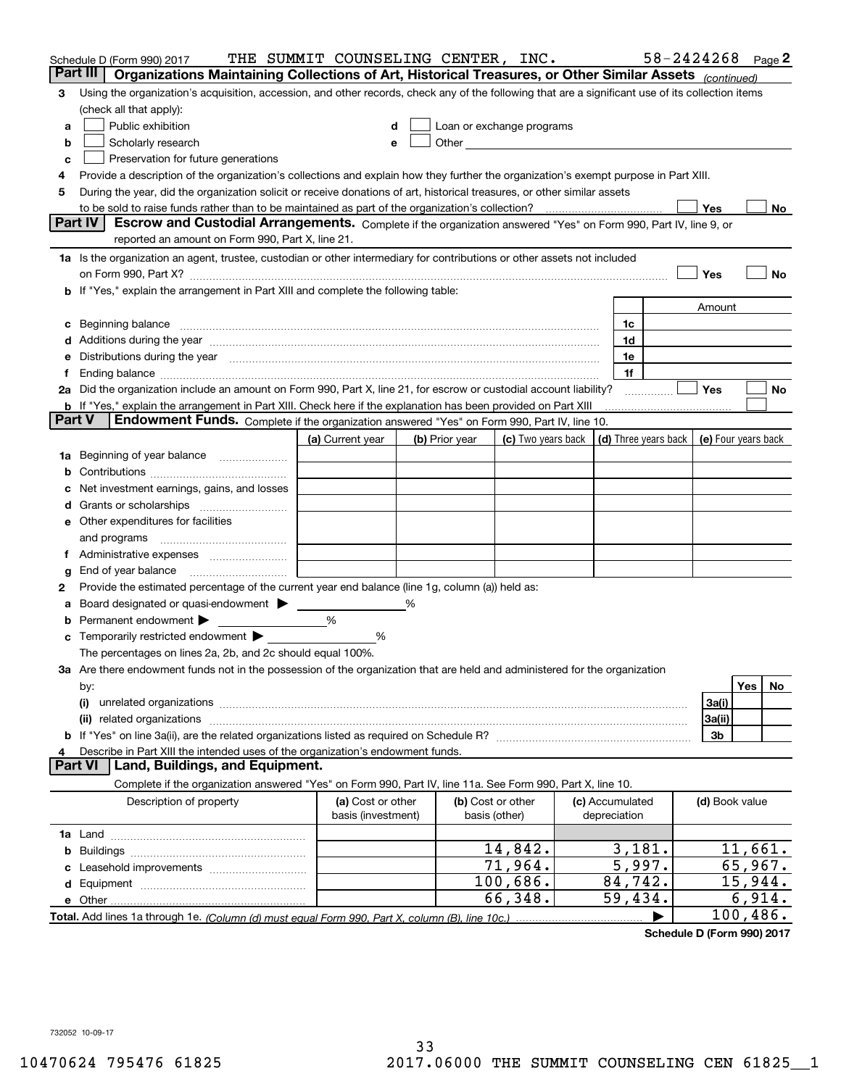|        | Schedule D (Form 990) 2017                                                                                                                                                                                                     | THE SUMMIT COUNSELING CENTER, INC. |   |                                                      |                    |                      |                | $58 - 2424268$ Page 2 |
|--------|--------------------------------------------------------------------------------------------------------------------------------------------------------------------------------------------------------------------------------|------------------------------------|---|------------------------------------------------------|--------------------|----------------------|----------------|-----------------------|
|        | Part III<br>Organizations Maintaining Collections of Art, Historical Treasures, or Other Similar Assets (continued)                                                                                                            |                                    |   |                                                      |                    |                      |                |                       |
| 3      | Using the organization's acquisition, accession, and other records, check any of the following that are a significant use of its collection items                                                                              |                                    |   |                                                      |                    |                      |                |                       |
|        | (check all that apply):                                                                                                                                                                                                        |                                    |   |                                                      |                    |                      |                |                       |
| a      | Public exhibition                                                                                                                                                                                                              |                                    |   | Loan or exchange programs                            |                    |                      |                |                       |
| b      | Scholarly research                                                                                                                                                                                                             | е                                  |   | Other <b>Committee Committee Committee Committee</b> |                    |                      |                |                       |
| с      | Preservation for future generations                                                                                                                                                                                            |                                    |   |                                                      |                    |                      |                |                       |
| 4      | Provide a description of the organization's collections and explain how they further the organization's exempt purpose in Part XIII.                                                                                           |                                    |   |                                                      |                    |                      |                |                       |
| 5      | During the year, did the organization solicit or receive donations of art, historical treasures, or other similar assets                                                                                                       |                                    |   |                                                      |                    |                      |                |                       |
|        | to be sold to raise funds rather than to be maintained as part of the organization's collection?                                                                                                                               |                                    |   |                                                      |                    |                      | Yes            | No                    |
|        | <b>Part IV</b><br>Escrow and Custodial Arrangements. Complete if the organization answered "Yes" on Form 990, Part IV, line 9, or                                                                                              |                                    |   |                                                      |                    |                      |                |                       |
|        | reported an amount on Form 990, Part X, line 21.                                                                                                                                                                               |                                    |   |                                                      |                    |                      |                |                       |
|        | 1a Is the organization an agent, trustee, custodian or other intermediary for contributions or other assets not included                                                                                                       |                                    |   |                                                      |                    |                      |                |                       |
|        | on Form 990, Part X? [11] matter contracts and contracts and contracts are contracted and contracts are contracted and contract and contract of the contract of the contract of the contract of the contract of the contract o |                                    |   |                                                      |                    |                      | Yes            | No                    |
|        | b If "Yes," explain the arrangement in Part XIII and complete the following table:                                                                                                                                             |                                    |   |                                                      |                    |                      |                |                       |
|        |                                                                                                                                                                                                                                |                                    |   |                                                      |                    |                      | Amount         |                       |
| c      | Beginning balance material content contracts and content and content and content and content and content and content and content and content and content and content and content and content and content and content and conte |                                    |   |                                                      |                    | 1c                   |                |                       |
|        | Additions during the year manufactured and an annual contract of the year manufactured and a set of the year manufactured and a set of the year manufactured and a set of the year manufactured and a set of the set of the se |                                    |   |                                                      |                    | 1d                   |                |                       |
|        | Distributions during the year manufactured and continuum and continuum and continuum and continuum and continuum                                                                                                               |                                    |   |                                                      |                    | 1e                   |                |                       |
| 1.     |                                                                                                                                                                                                                                |                                    |   |                                                      |                    | 1f                   |                |                       |
|        | 2a Did the organization include an amount on Form 990, Part X, line 21, for escrow or custodial account liability?                                                                                                             |                                    |   |                                                      |                    |                      | Yes            | No                    |
| Part V | <b>b</b> If "Yes," explain the arrangement in Part XIII. Check here if the explanation has been provided on Part XIII                                                                                                          |                                    |   |                                                      |                    |                      |                |                       |
|        | Endowment Funds. Complete if the organization answered "Yes" on Form 990, Part IV, line 10.                                                                                                                                    |                                    |   |                                                      |                    |                      |                |                       |
|        |                                                                                                                                                                                                                                | (a) Current year                   |   | (b) Prior year                                       | (c) Two years back | (d) Three years back |                | (e) Four years back   |
| 1a     | Beginning of year balance                                                                                                                                                                                                      |                                    |   |                                                      |                    |                      |                |                       |
|        |                                                                                                                                                                                                                                |                                    |   |                                                      |                    |                      |                |                       |
|        | Net investment earnings, gains, and losses                                                                                                                                                                                     |                                    |   |                                                      |                    |                      |                |                       |
| d      |                                                                                                                                                                                                                                |                                    |   |                                                      |                    |                      |                |                       |
|        | e Other expenditures for facilities                                                                                                                                                                                            |                                    |   |                                                      |                    |                      |                |                       |
|        | and programs                                                                                                                                                                                                                   |                                    |   |                                                      |                    |                      |                |                       |
|        |                                                                                                                                                                                                                                |                                    |   |                                                      |                    |                      |                |                       |
| g      | End of year balance                                                                                                                                                                                                            |                                    |   |                                                      |                    |                      |                |                       |
| 2      | Provide the estimated percentage of the current year end balance (line 1g, column (a)) held as:                                                                                                                                |                                    |   |                                                      |                    |                      |                |                       |
| а      | Board designated or quasi-endowment<br>Permanent endowment $\blacktriangleright$                                                                                                                                               | %                                  | % |                                                      |                    |                      |                |                       |
|        |                                                                                                                                                                                                                                |                                    |   |                                                      |                    |                      |                |                       |
|        | Temporarily restricted endowment $\blacktriangleright$<br>The percentages on lines 2a, 2b, and 2c should equal 100%.                                                                                                           | %                                  |   |                                                      |                    |                      |                |                       |
|        | 3a Are there endowment funds not in the possession of the organization that are held and administered for the organization                                                                                                     |                                    |   |                                                      |                    |                      |                |                       |
|        | by:                                                                                                                                                                                                                            |                                    |   |                                                      |                    |                      |                | Yes<br>No.            |
|        | (i)                                                                                                                                                                                                                            |                                    |   |                                                      |                    |                      | 3a(i)          |                       |
|        | (ii) related organizations                                                                                                                                                                                                     |                                    |   |                                                      |                    |                      | 3a(ii)         |                       |
|        |                                                                                                                                                                                                                                |                                    |   |                                                      |                    |                      | 3b             |                       |
| 4      | Describe in Part XIII the intended uses of the organization's endowment funds.                                                                                                                                                 |                                    |   |                                                      |                    |                      |                |                       |
|        | Land, Buildings, and Equipment.<br>Part VI                                                                                                                                                                                     |                                    |   |                                                      |                    |                      |                |                       |
|        | Complete if the organization answered "Yes" on Form 990, Part IV, line 11a. See Form 990, Part X, line 10.                                                                                                                     |                                    |   |                                                      |                    |                      |                |                       |
|        | Description of property                                                                                                                                                                                                        | (a) Cost or other                  |   |                                                      | (b) Cost or other  | (c) Accumulated      | (d) Book value |                       |
|        |                                                                                                                                                                                                                                | basis (investment)                 |   | basis (other)                                        |                    | depreciation         |                |                       |
|        |                                                                                                                                                                                                                                |                                    |   |                                                      |                    |                      |                |                       |
| b      |                                                                                                                                                                                                                                |                                    |   |                                                      | 14,842.            | 3,181.               |                | 11,661.               |
|        |                                                                                                                                                                                                                                |                                    |   |                                                      | 71,964.            | 5,997.               |                | 65,967.               |
|        |                                                                                                                                                                                                                                |                                    |   |                                                      | 100,686.           | 84,742.              |                | 15,944.               |
|        |                                                                                                                                                                                                                                |                                    |   |                                                      | 66,348.            | 59,434.              |                | 6,914.                |
|        |                                                                                                                                                                                                                                |                                    |   |                                                      |                    |                      |                | 100,486.              |

**Schedule D (Form 990) 2017**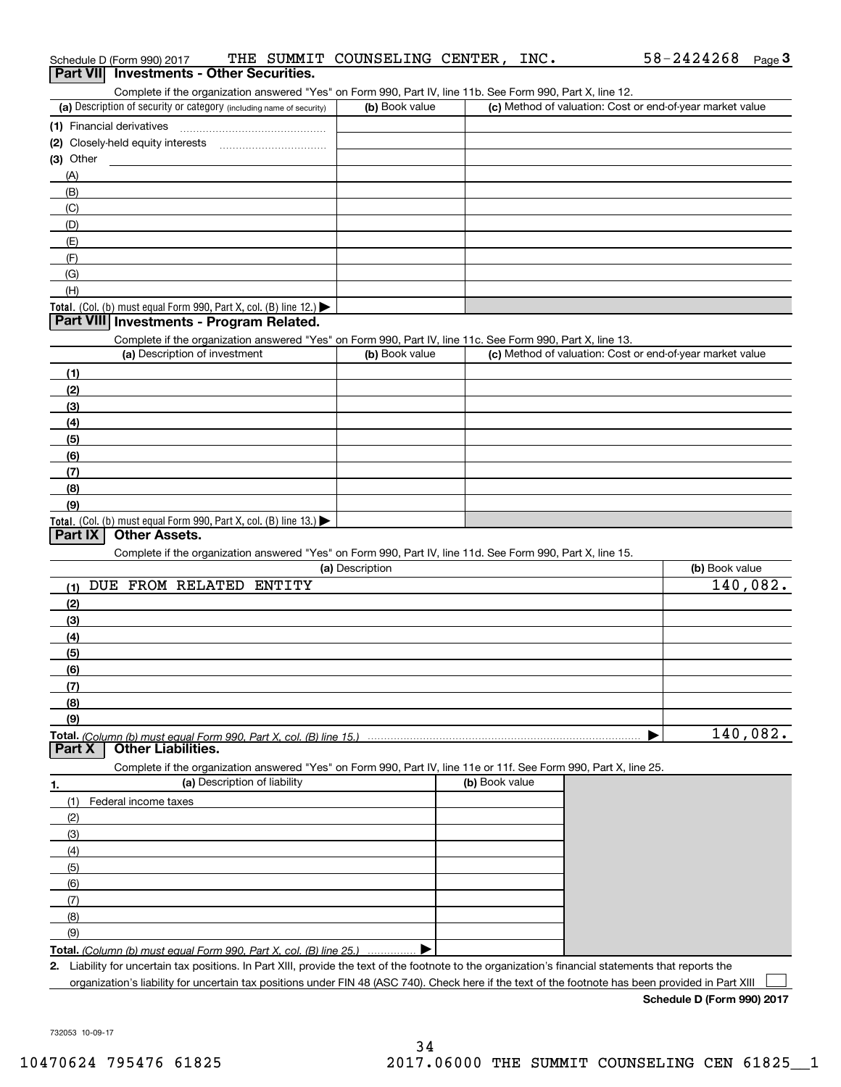| $(1)$ Financial derivatives $\ldots \ldots \ldots \ldots \ldots \ldots \ldots \ldots \ldots \ldots \ldots$                                    |                 |                |                                                           |                |
|-----------------------------------------------------------------------------------------------------------------------------------------------|-----------------|----------------|-----------------------------------------------------------|----------------|
|                                                                                                                                               |                 |                |                                                           |                |
| (3) Other                                                                                                                                     |                 |                |                                                           |                |
| (A)                                                                                                                                           |                 |                |                                                           |                |
| (B)                                                                                                                                           |                 |                |                                                           |                |
| (C)                                                                                                                                           |                 |                |                                                           |                |
| (D)                                                                                                                                           |                 |                |                                                           |                |
| (E)                                                                                                                                           |                 |                |                                                           |                |
| (F)                                                                                                                                           |                 |                |                                                           |                |
| (G)                                                                                                                                           |                 |                |                                                           |                |
| (H)                                                                                                                                           |                 |                |                                                           |                |
| Total. (Col. (b) must equal Form 990, Part X, col. (B) line 12.)                                                                              |                 |                |                                                           |                |
| Part VIII Investments - Program Related.                                                                                                      |                 |                |                                                           |                |
| Complete if the organization answered "Yes" on Form 990, Part IV, line 11c. See Form 990, Part X, line 13.<br>(a) Description of investment   | (b) Book value  |                | (c) Method of valuation: Cost or end-of-year market value |                |
|                                                                                                                                               |                 |                |                                                           |                |
| (1)                                                                                                                                           |                 |                |                                                           |                |
| (2)                                                                                                                                           |                 |                |                                                           |                |
| (3)                                                                                                                                           |                 |                |                                                           |                |
| (4)                                                                                                                                           |                 |                |                                                           |                |
| (5)                                                                                                                                           |                 |                |                                                           |                |
| (6)                                                                                                                                           |                 |                |                                                           |                |
| (7)                                                                                                                                           |                 |                |                                                           |                |
| (8)                                                                                                                                           |                 |                |                                                           |                |
| (9)<br>Total. (Col. (b) must equal Form 990, Part X, col. (B) line 13.)                                                                       |                 |                |                                                           |                |
| <b>Other Assets.</b><br>Part IX<br>Complete if the organization answered "Yes" on Form 990, Part IV, line 11d. See Form 990, Part X, line 15. | (a) Description |                |                                                           | (b) Book value |
| (1) DUE FROM RELATED ENTITY                                                                                                                   |                 |                |                                                           | 140,082.       |
| (2)                                                                                                                                           |                 |                |                                                           |                |
| (3)                                                                                                                                           |                 |                |                                                           |                |
| (4)                                                                                                                                           |                 |                |                                                           |                |
| (5)                                                                                                                                           |                 |                |                                                           |                |
| (6)                                                                                                                                           |                 |                |                                                           |                |
| (7)                                                                                                                                           |                 |                |                                                           |                |
| (8)                                                                                                                                           |                 |                |                                                           |                |
| (9)                                                                                                                                           |                 |                |                                                           |                |
| Part X<br>Other Liabilities.                                                                                                                  |                 |                | ▶                                                         | 140,082.       |
| Complete if the organization answered "Yes" on Form 990, Part IV, line 11e or 11f. See Form 990, Part X, line 25.                             |                 |                |                                                           |                |
| (a) Description of liability<br>1.                                                                                                            |                 | (b) Book value |                                                           |                |
| Federal income taxes<br>(1)                                                                                                                   |                 |                |                                                           |                |
| (2)                                                                                                                                           |                 |                |                                                           |                |
| (3)                                                                                                                                           |                 |                |                                                           |                |
| (4)                                                                                                                                           |                 |                |                                                           |                |
| (5)                                                                                                                                           |                 |                |                                                           |                |
| (6)                                                                                                                                           |                 |                |                                                           |                |
| (7)                                                                                                                                           |                 |                |                                                           |                |
| (8)                                                                                                                                           |                 |                |                                                           |                |
| (9)                                                                                                                                           |                 |                |                                                           |                |
|                                                                                                                                               |                 |                |                                                           |                |

**Total.** (Column (b) must equal Form 990, Part X, col. (B) line 25.) ................ ▶

**2.** Liability for uncertain tax positions. In Part XIII, provide the text of the footnote to the organization's financial statements that reports the organization's liability for uncertain tax positions under FIN 48 (ASC 740). Check here if the text of the footnote has been provided in Part XIII  $\mathcal{L}^{\text{max}}$ 

**Schedule D (Form 990) 2017**

 $58 - 2424268$  Page 3

732053 10-09-17

# Schedule D (Form 990) 2017 THE SUMMIT COUNSELING CENTER,INC**.** 58-2424268 <sub>Page</sub> 3<br>| **Part VII** | Investments - Other Securities.

Complete if the organization answered "Yes" on Form 990, Part IV, line 11b. See Form 990, Part X, line 12.

| Complete in the enganization anowered free form only coo, if arting, into this, Ocel form oce, if artist, into the |                |                                                           |
|--------------------------------------------------------------------------------------------------------------------|----------------|-----------------------------------------------------------|
| (a) Description of security or category (including name of security)                                               | (b) Book value | (c) Method of valuation: Cost or end-of-year market value |
| (1) Financial derivatives                                                                                          |                |                                                           |
| (2) Closely-held equity interests                                                                                  |                |                                                           |
| (3) Other                                                                                                          |                |                                                           |
| (A)                                                                                                                |                |                                                           |
| (B)                                                                                                                |                |                                                           |
| (C)                                                                                                                |                |                                                           |
| (D)                                                                                                                |                |                                                           |
| (E)                                                                                                                |                |                                                           |
| (F)                                                                                                                |                |                                                           |
| $\sim$                                                                                                             |                |                                                           |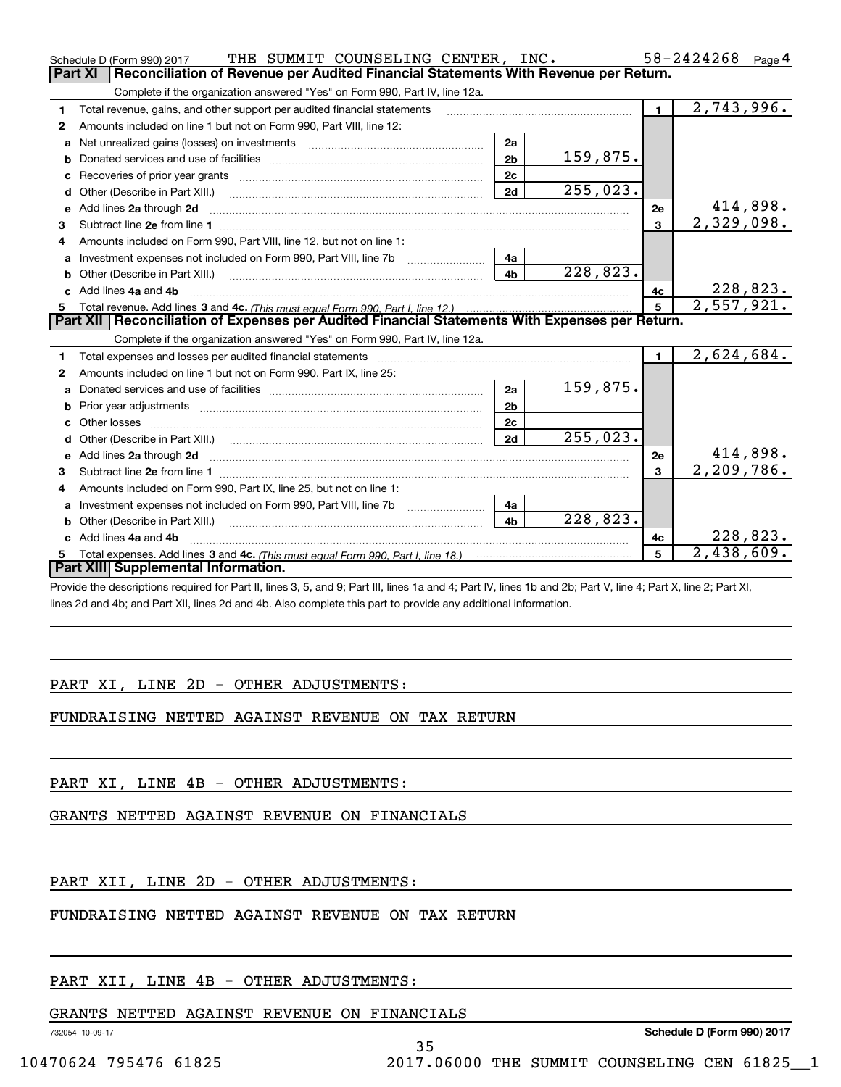|              | THE SUMMIT COUNSELING CENTER, INC.<br>Schedule D (Form 990) 2017                                                                                                                                                                     |                |                        |                | 58-2424268<br>Page 4          |
|--------------|--------------------------------------------------------------------------------------------------------------------------------------------------------------------------------------------------------------------------------------|----------------|------------------------|----------------|-------------------------------|
|              | Part XI<br>Reconciliation of Revenue per Audited Financial Statements With Revenue per Return.                                                                                                                                       |                |                        |                |                               |
|              | Complete if the organization answered "Yes" on Form 990, Part IV, line 12a.                                                                                                                                                          |                |                        |                |                               |
| 1.           | Total revenue, gains, and other support per audited financial statements                                                                                                                                                             |                |                        | $\blacksquare$ | 2,743,996.                    |
| $\mathbf{2}$ | Amounts included on line 1 but not on Form 990, Part VIII, line 12:                                                                                                                                                                  |                |                        |                |                               |
| a            |                                                                                                                                                                                                                                      | 2a             |                        |                |                               |
|              |                                                                                                                                                                                                                                      | 2 <sub>b</sub> | 159,875.               |                |                               |
|              |                                                                                                                                                                                                                                      | 2c             |                        |                |                               |
| d            | Other (Describe in Part XIII.) <b>Construction Contract Construction</b> Construction Construction Construction Const                                                                                                                | 2d             | 255,023.               |                |                               |
| е            | Add lines 2a through 2d                                                                                                                                                                                                              |                |                        | 2e             | $\frac{414,898.}{2,329,098.}$ |
| 3            |                                                                                                                                                                                                                                      |                |                        | $\mathbf{3}$   |                               |
| 4            | Amounts included on Form 990, Part VIII, line 12, but not on line 1:                                                                                                                                                                 |                |                        |                |                               |
|              |                                                                                                                                                                                                                                      | 4a             |                        |                |                               |
|              |                                                                                                                                                                                                                                      | 4 <sub>b</sub> | 228,823.               |                |                               |
| c.           | Add lines 4a and 4b                                                                                                                                                                                                                  |                |                        | 4c             | 228,823.                      |
|              |                                                                                                                                                                                                                                      |                |                        | 5              | 2,557,921.                    |
|              |                                                                                                                                                                                                                                      |                |                        |                |                               |
|              | Part XII   Reconciliation of Expenses per Audited Financial Statements With Expenses per Return.                                                                                                                                     |                |                        |                |                               |
|              | Complete if the organization answered "Yes" on Form 990, Part IV, line 12a.                                                                                                                                                          |                |                        |                |                               |
| 1            |                                                                                                                                                                                                                                      |                |                        | $\blacksquare$ | 2,624,684.                    |
| $\mathbf{2}$ | Amounts included on line 1 but not on Form 990, Part IX, line 25:                                                                                                                                                                    |                |                        |                |                               |
| a            |                                                                                                                                                                                                                                      | 2a             | 159,875.               |                |                               |
|              |                                                                                                                                                                                                                                      | 2 <sub>b</sub> |                        |                |                               |
|              |                                                                                                                                                                                                                                      | 2 <sub>c</sub> |                        |                |                               |
|              |                                                                                                                                                                                                                                      | 2d             | 255,023.               |                |                               |
|              | Add lines 2a through 2d <b>contained a contained a contained a contained a contained a contained a contained a contained a contact a contact a contact a contact a contact a contact a contact a contact a contact a contact a c</b> |                |                        | 2e             | 414,898.                      |
| 3            |                                                                                                                                                                                                                                      |                |                        |                | 2, 209, 786.                  |
| 4            | Amounts included on Form 990, Part IX, line 25, but not on line 1:                                                                                                                                                                   |                |                        |                |                               |
|              | Investment expenses not included on Form 990, Part VIII, line 7b [1000000000000000000000000000000000                                                                                                                                 | 4a             |                        |                |                               |
| b            |                                                                                                                                                                                                                                      | 4 <sub>b</sub> | $\overline{228,823}$ . |                |                               |
|              | c Add lines 4a and 4b                                                                                                                                                                                                                |                |                        | 4c             | 228,823.                      |
|              | Part XIII Supplemental Information.                                                                                                                                                                                                  |                |                        | 5              | 2,438,609.                    |

Provide the descriptions required for Part II, lines 3, 5, and 9; Part III, lines 1a and 4; Part IV, lines 1b and 2b; Part V, line 4; Part X, line 2; Part XI, lines 2d and 4b; and Part XII, lines 2d and 4b. Also complete this part to provide any additional information.

### PART XI, LINE 2D - OTHER ADJUSTMENTS:

#### FUNDRAISING NETTED AGAINST REVENUE ON TAX RETURN

PART XI, LINE 4B - OTHER ADJUSTMENTS:

GRANTS NETTED AGAINST REVENUE ON FINANCIALS

## PART XII, LINE 2D - OTHER ADJUSTMENTS:

### FUNDRAISING NETTED AGAINST REVENUE ON TAX RETURN

## PART XII, LINE 4B - OTHER ADJUSTMENTS:

#### GRANTS NETTED AGAINST REVENUE ON FINANCIALS

732054 10-09-17

35

**Schedule D (Form 990) 2017**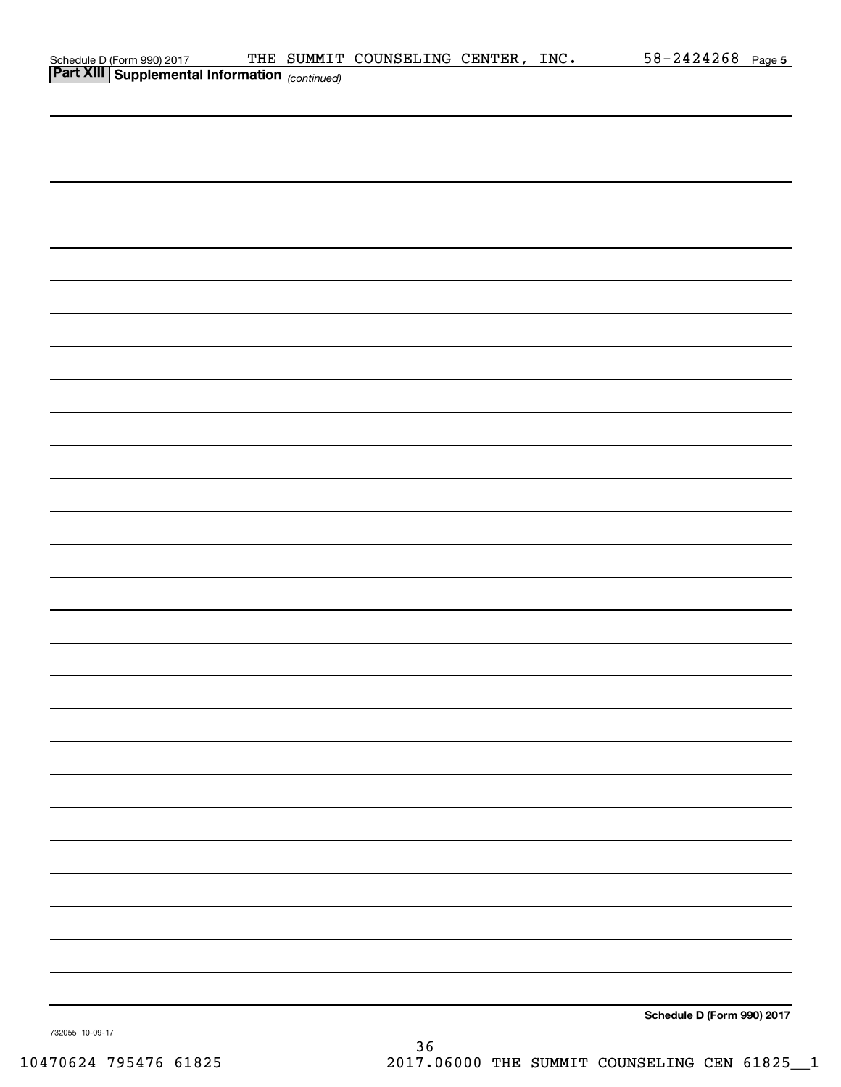| Schedule D (Form 990) 2017 THE SUMMIT<br>Part XIII Supplemental Information (continued) |  | THE SUMMIT COUNSELING CENTER, INC. |  | $58 - 2424268$ Page 5      |  |
|-----------------------------------------------------------------------------------------|--|------------------------------------|--|----------------------------|--|
|                                                                                         |  |                                    |  |                            |  |
|                                                                                         |  |                                    |  |                            |  |
|                                                                                         |  |                                    |  |                            |  |
|                                                                                         |  |                                    |  |                            |  |
|                                                                                         |  |                                    |  |                            |  |
|                                                                                         |  |                                    |  |                            |  |
|                                                                                         |  |                                    |  |                            |  |
|                                                                                         |  |                                    |  |                            |  |
|                                                                                         |  |                                    |  |                            |  |
|                                                                                         |  |                                    |  |                            |  |
|                                                                                         |  |                                    |  |                            |  |
|                                                                                         |  |                                    |  |                            |  |
|                                                                                         |  |                                    |  |                            |  |
|                                                                                         |  |                                    |  |                            |  |
|                                                                                         |  |                                    |  |                            |  |
|                                                                                         |  |                                    |  |                            |  |
|                                                                                         |  |                                    |  |                            |  |
|                                                                                         |  |                                    |  |                            |  |
|                                                                                         |  |                                    |  |                            |  |
|                                                                                         |  |                                    |  |                            |  |
|                                                                                         |  |                                    |  |                            |  |
|                                                                                         |  |                                    |  |                            |  |
|                                                                                         |  |                                    |  |                            |  |
|                                                                                         |  |                                    |  |                            |  |
|                                                                                         |  |                                    |  |                            |  |
|                                                                                         |  |                                    |  |                            |  |
|                                                                                         |  |                                    |  |                            |  |
|                                                                                         |  |                                    |  |                            |  |
|                                                                                         |  |                                    |  |                            |  |
|                                                                                         |  |                                    |  |                            |  |
|                                                                                         |  |                                    |  |                            |  |
|                                                                                         |  |                                    |  |                            |  |
|                                                                                         |  |                                    |  |                            |  |
|                                                                                         |  |                                    |  |                            |  |
|                                                                                         |  |                                    |  |                            |  |
|                                                                                         |  |                                    |  |                            |  |
|                                                                                         |  |                                    |  |                            |  |
|                                                                                         |  |                                    |  |                            |  |
|                                                                                         |  |                                    |  | Schedule D (Form 990) 2017 |  |

732055 10-09-17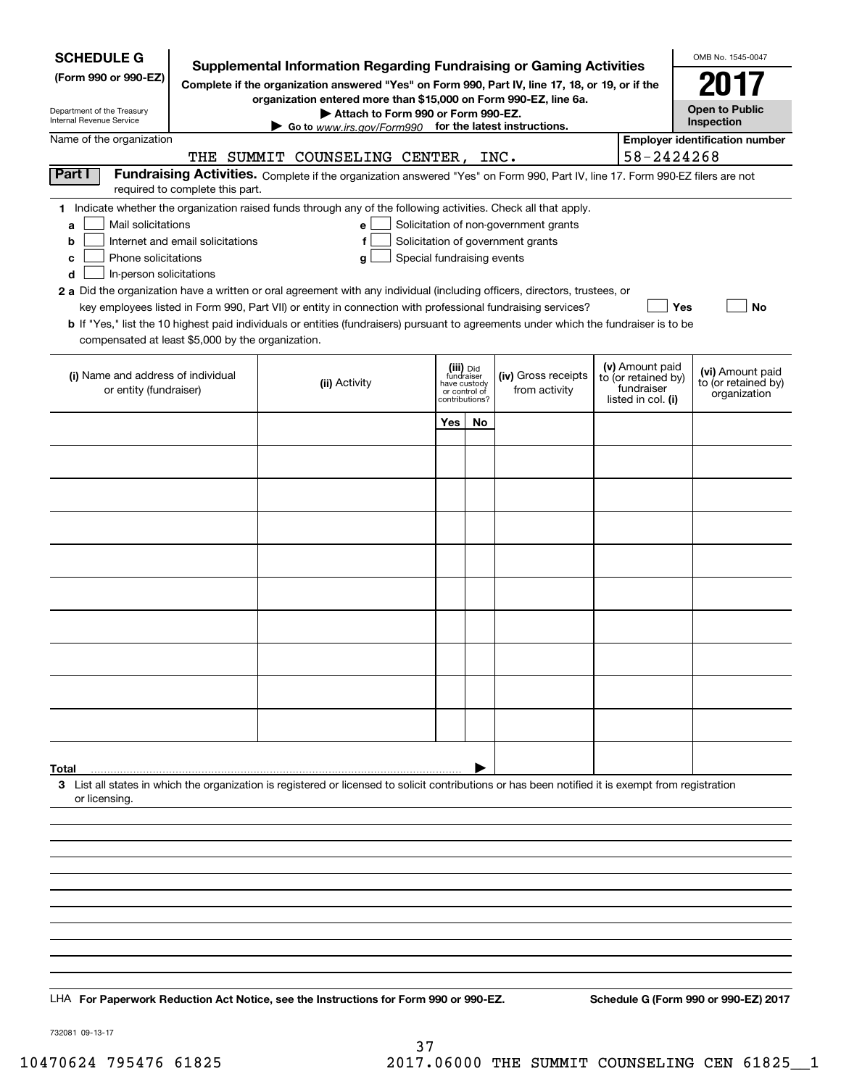| <b>SCHEDULE G</b>                                                                                                                                                                                     |                                  |                                                                                                                                                    |                                                  |    |                                       |                    |                                   | OMB No. 1545-0047                       |
|-------------------------------------------------------------------------------------------------------------------------------------------------------------------------------------------------------|----------------------------------|----------------------------------------------------------------------------------------------------------------------------------------------------|--------------------------------------------------|----|---------------------------------------|--------------------|-----------------------------------|-----------------------------------------|
| <b>Supplemental Information Regarding Fundraising or Gaming Activities</b><br>(Form 990 or 990-EZ)<br>Complete if the organization answered "Yes" on Form 990, Part IV, line 17, 18, or 19, or if the |                                  |                                                                                                                                                    |                                                  |    |                                       |                    |                                   | 2017                                    |
| Department of the Treasury                                                                                                                                                                            |                                  | organization entered more than \$15,000 on Form 990-EZ, line 6a.<br>Attach to Form 990 or Form 990-EZ.                                             |                                                  |    |                                       |                    |                                   | <b>Open to Public</b>                   |
| Internal Revenue Service                                                                                                                                                                              |                                  | Go to www.irs.gov/Form990 for the latest instructions.                                                                                             |                                                  |    |                                       |                    |                                   | Inspection                              |
| Name of the organization                                                                                                                                                                              |                                  | THE SUMMIT COUNSELING CENTER, INC.                                                                                                                 |                                                  |    |                                       |                    | 58-2424268                        | <b>Employer identification number</b>   |
| Part I                                                                                                                                                                                                |                                  | Fundraising Activities. Complete if the organization answered "Yes" on Form 990, Part IV, line 17. Form 990-EZ filers are not                      |                                                  |    |                                       |                    |                                   |                                         |
|                                                                                                                                                                                                       | required to complete this part.  | 1 Indicate whether the organization raised funds through any of the following activities. Check all that apply.                                    |                                                  |    |                                       |                    |                                   |                                         |
| Mail solicitations<br>a                                                                                                                                                                               |                                  | e                                                                                                                                                  |                                                  |    | Solicitation of non-government grants |                    |                                   |                                         |
| b                                                                                                                                                                                                     | Internet and email solicitations | f                                                                                                                                                  |                                                  |    | Solicitation of government grants     |                    |                                   |                                         |
| Phone solicitations<br>с                                                                                                                                                                              |                                  | Special fundraising events<br>g                                                                                                                    |                                                  |    |                                       |                    |                                   |                                         |
| In-person solicitations<br>d                                                                                                                                                                          |                                  | 2 a Did the organization have a written or oral agreement with any individual (including officers, directors, trustees, or                         |                                                  |    |                                       |                    |                                   |                                         |
|                                                                                                                                                                                                       |                                  | key employees listed in Form 990, Part VII) or entity in connection with professional fundraising services?                                        |                                                  |    |                                       |                    | <b>Yes</b>                        | No                                      |
| compensated at least \$5,000 by the organization.                                                                                                                                                     |                                  | b If "Yes," list the 10 highest paid individuals or entities (fundraisers) pursuant to agreements under which the fundraiser is to be              |                                                  |    |                                       |                    |                                   |                                         |
|                                                                                                                                                                                                       |                                  |                                                                                                                                                    |                                                  |    |                                       |                    | (v) Amount paid                   |                                         |
| (i) Name and address of individual<br>or entity (fundraiser)                                                                                                                                          |                                  | (ii) Activity                                                                                                                                      | (iii) Did<br>fundraiser<br>have custody          |    | (iv) Gross receipts                   |                    | to (or retained by)<br>fundraiser | (vi) Amount paid<br>to (or retained by) |
|                                                                                                                                                                                                       |                                  |                                                                                                                                                    | from activity<br>or control of<br>contributions? |    |                                       | listed in col. (i) |                                   | organization                            |
|                                                                                                                                                                                                       |                                  |                                                                                                                                                    | Yes                                              | No |                                       |                    |                                   |                                         |
|                                                                                                                                                                                                       |                                  |                                                                                                                                                    |                                                  |    |                                       |                    |                                   |                                         |
|                                                                                                                                                                                                       |                                  |                                                                                                                                                    |                                                  |    |                                       |                    |                                   |                                         |
|                                                                                                                                                                                                       |                                  |                                                                                                                                                    |                                                  |    |                                       |                    |                                   |                                         |
|                                                                                                                                                                                                       |                                  |                                                                                                                                                    |                                                  |    |                                       |                    |                                   |                                         |
|                                                                                                                                                                                                       |                                  |                                                                                                                                                    |                                                  |    |                                       |                    |                                   |                                         |
|                                                                                                                                                                                                       |                                  |                                                                                                                                                    |                                                  |    |                                       |                    |                                   |                                         |
|                                                                                                                                                                                                       |                                  |                                                                                                                                                    |                                                  |    |                                       |                    |                                   |                                         |
|                                                                                                                                                                                                       |                                  |                                                                                                                                                    |                                                  |    |                                       |                    |                                   |                                         |
|                                                                                                                                                                                                       |                                  |                                                                                                                                                    |                                                  |    |                                       |                    |                                   |                                         |
|                                                                                                                                                                                                       |                                  |                                                                                                                                                    |                                                  |    |                                       |                    |                                   |                                         |
|                                                                                                                                                                                                       |                                  |                                                                                                                                                    |                                                  |    |                                       |                    |                                   |                                         |
|                                                                                                                                                                                                       |                                  |                                                                                                                                                    |                                                  |    |                                       |                    |                                   |                                         |
|                                                                                                                                                                                                       |                                  |                                                                                                                                                    |                                                  |    |                                       |                    |                                   |                                         |
|                                                                                                                                                                                                       |                                  |                                                                                                                                                    |                                                  |    |                                       |                    |                                   |                                         |
| Total                                                                                                                                                                                                 |                                  | 3 List all states in which the organization is registered or licensed to solicit contributions or has been notified it is exempt from registration |                                                  |    |                                       |                    |                                   |                                         |
| or licensing.                                                                                                                                                                                         |                                  |                                                                                                                                                    |                                                  |    |                                       |                    |                                   |                                         |
|                                                                                                                                                                                                       |                                  |                                                                                                                                                    |                                                  |    |                                       |                    |                                   |                                         |
|                                                                                                                                                                                                       |                                  |                                                                                                                                                    |                                                  |    |                                       |                    |                                   |                                         |
|                                                                                                                                                                                                       |                                  |                                                                                                                                                    |                                                  |    |                                       |                    |                                   |                                         |
|                                                                                                                                                                                                       |                                  |                                                                                                                                                    |                                                  |    |                                       |                    |                                   |                                         |
|                                                                                                                                                                                                       |                                  |                                                                                                                                                    |                                                  |    |                                       |                    |                                   |                                         |
|                                                                                                                                                                                                       |                                  |                                                                                                                                                    |                                                  |    |                                       |                    |                                   |                                         |
|                                                                                                                                                                                                       |                                  |                                                                                                                                                    |                                                  |    |                                       |                    |                                   |                                         |
|                                                                                                                                                                                                       |                                  |                                                                                                                                                    |                                                  |    |                                       |                    |                                   |                                         |
|                                                                                                                                                                                                       |                                  | LHA For Paperwork Reduction Act Notice, see the Instructions for Form 990 or 990-EZ.                                                               |                                                  |    |                                       |                    |                                   | Schedule G (Form 990 or 990-EZ) 2017    |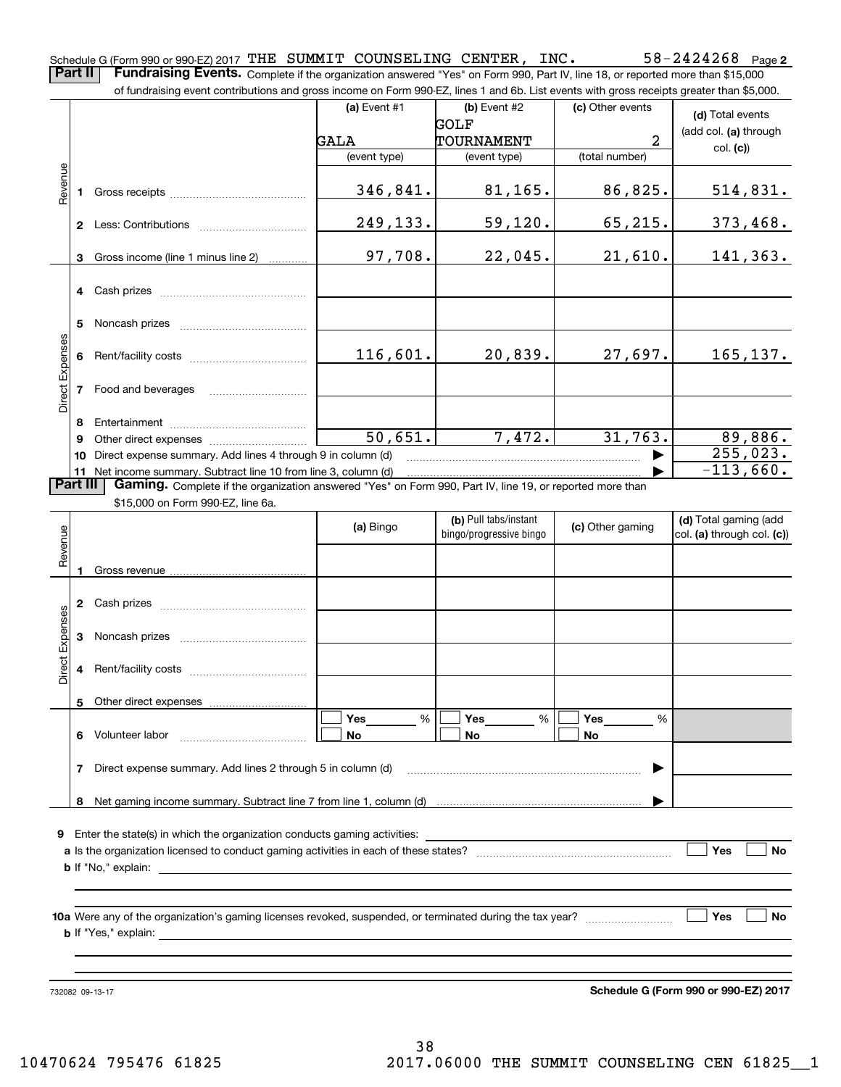**2** Schedule G (Form 990 or 990-EZ) 2017 <code>THE SUMMIT COUNSELING CENTER</code> , <code>INC</code> .  $58-242424268$  <code>Page</code> **Part II** | Fundraising Events. Complete if the organization answered "Yes" on Form 990, Part IV, line 18, or reported more than \$15,000

of fundraising event contributions and gross income on Form 990-EZ, lines 1 and 6b. List events with gross receipts greater than \$5,000.

|                        |          | ovent continuations and gross income on Form over EE, inics it and ob. Else events with gross receipts greater than φο,σοσ. |                      |                         |                  |                            |
|------------------------|----------|-----------------------------------------------------------------------------------------------------------------------------|----------------------|-------------------------|------------------|----------------------------|
|                        |          |                                                                                                                             | (a) Event $#1$       | (b) Event $#2$          | (c) Other events | (d) Total events           |
|                        |          |                                                                                                                             |                      | GOLF                    |                  | (add col. (a) through      |
|                        |          |                                                                                                                             | GALA                 | TOURNAMENT              | 2                | col. (c)                   |
|                        |          |                                                                                                                             | (event type)         | (event type)            | (total number)   |                            |
| Revenue                |          |                                                                                                                             |                      |                         |                  |                            |
|                        |          |                                                                                                                             | 346,841.             | 81,165.                 | 86,825.          | 514,831.                   |
|                        |          |                                                                                                                             |                      |                         |                  |                            |
|                        |          |                                                                                                                             | 249,133.             | 59,120.                 | 65,215.          | <u>373,468.</u>            |
|                        |          |                                                                                                                             |                      |                         |                  |                            |
|                        |          |                                                                                                                             | 97,708.              | 22,045.                 | 21,610.          | 141,363.                   |
|                        |          | 3 Gross income (line 1 minus line 2)                                                                                        |                      |                         |                  |                            |
|                        |          |                                                                                                                             |                      |                         |                  |                            |
|                        |          |                                                                                                                             |                      |                         |                  |                            |
|                        |          |                                                                                                                             |                      |                         |                  |                            |
|                        | 5        |                                                                                                                             |                      |                         |                  |                            |
|                        |          |                                                                                                                             |                      | 20,839.                 |                  |                            |
|                        |          |                                                                                                                             | 116,601.             |                         | 27,697.          | 165, 137.                  |
|                        |          |                                                                                                                             |                      |                         |                  |                            |
| Direct Expenses        |          | 7 Food and beverages                                                                                                        |                      |                         |                  |                            |
|                        |          |                                                                                                                             |                      |                         |                  |                            |
|                        | 8        |                                                                                                                             |                      |                         |                  |                            |
|                        | 9        |                                                                                                                             | $\overline{50,651.}$ | 7,472.                  | 31,763.          | 89,886.                    |
|                        |          | 10 Direct expense summary. Add lines 4 through 9 in column (d)                                                              |                      |                         |                  | 255,023.                   |
|                        |          | 11 Net income summary. Subtract line 10 from line 3, column (d)                                                             |                      |                         |                  | $-113,660.$                |
|                        | Part III | Gaming. Complete if the organization answered "Yes" on Form 990, Part IV, line 19, or reported more than                    |                      |                         |                  |                            |
|                        |          | \$15,000 on Form 990-EZ, line 6a.                                                                                           |                      |                         |                  |                            |
|                        |          |                                                                                                                             | (a) Bingo            | (b) Pull tabs/instant   | (c) Other gaming | (d) Total gaming (add      |
|                        |          |                                                                                                                             |                      | bingo/progressive bingo |                  | col. (a) through col. (c)) |
| Revenue                |          |                                                                                                                             |                      |                         |                  |                            |
|                        |          |                                                                                                                             |                      |                         |                  |                            |
|                        |          |                                                                                                                             |                      |                         |                  |                            |
|                        |          |                                                                                                                             |                      |                         |                  |                            |
|                        |          |                                                                                                                             |                      |                         |                  |                            |
|                        |          |                                                                                                                             |                      |                         |                  |                            |
| <b>Direct Expenses</b> |          |                                                                                                                             |                      |                         |                  |                            |
|                        |          |                                                                                                                             |                      |                         |                  |                            |
|                        |          |                                                                                                                             |                      |                         |                  |                            |
|                        |          |                                                                                                                             |                      |                         |                  |                            |
|                        |          |                                                                                                                             | Yes<br>%             | Yes<br>%                | Yes<br>%         |                            |
|                        | 6        | Volunteer labor                                                                                                             | No                   | No                      | No               |                            |
|                        |          |                                                                                                                             |                      |                         |                  |                            |
|                        | 7        | Direct expense summary. Add lines 2 through 5 in column (d)                                                                 |                      |                         |                  |                            |
|                        |          |                                                                                                                             |                      |                         |                  |                            |
|                        | 8        |                                                                                                                             |                      |                         |                  |                            |
|                        |          |                                                                                                                             |                      |                         |                  |                            |
|                        |          | <b>9</b> Enter the state(s) in which the organization conducts gaming activities:                                           |                      |                         |                  |                            |
|                        |          |                                                                                                                             |                      |                         |                  | Yes<br>No                  |
|                        |          |                                                                                                                             |                      |                         |                  |                            |
|                        |          | <b>b</b> If "No," explain:                                                                                                  |                      |                         |                  |                            |
|                        |          |                                                                                                                             |                      |                         |                  |                            |
|                        |          |                                                                                                                             |                      |                         |                  | Yes                        |
|                        |          |                                                                                                                             |                      |                         |                  | No                         |
|                        |          | <b>b</b> If "Yes," explain:                                                                                                 |                      |                         |                  |                            |
|                        |          |                                                                                                                             |                      |                         |                  |                            |
|                        |          |                                                                                                                             |                      |                         |                  |                            |

732082 09-13-17

**Schedule G (Form 990 or 990-EZ) 2017**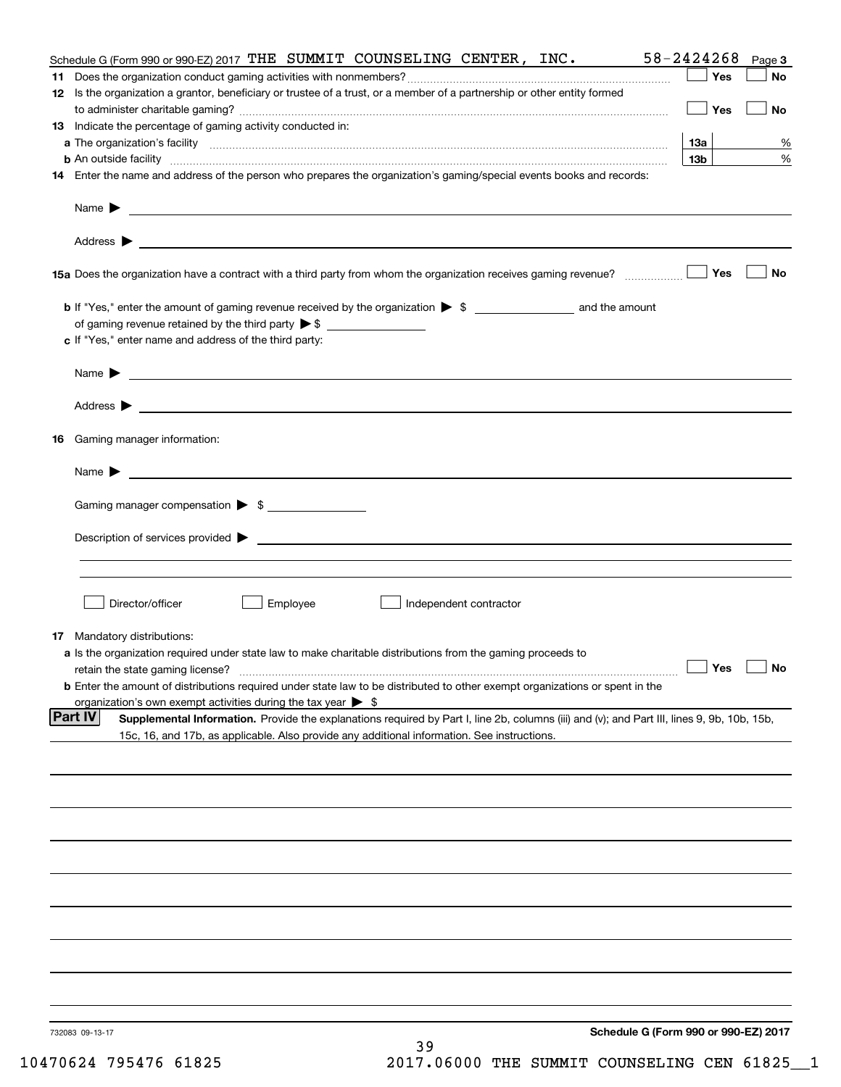| Schedule G (Form 990 or 990-EZ) 2017 THE SUMMIT COUNSELING CENTER, INC.                                                                                       | 58-2424268      | Page 3    |
|---------------------------------------------------------------------------------------------------------------------------------------------------------------|-----------------|-----------|
|                                                                                                                                                               | Yes             | No        |
| 12 Is the organization a grantor, beneficiary or trustee of a trust, or a member of a partnership or other entity formed                                      |                 |           |
|                                                                                                                                                               | Yes             | <b>No</b> |
| 13 Indicate the percentage of gaming activity conducted in:                                                                                                   |                 |           |
|                                                                                                                                                               | <u>13a</u>      | %         |
| <b>b</b> An outside facility <i>www.communicality www.communicality.communicality www.communicality www.communicality.communicality www.communicality.com</i> | 13 <sub>b</sub> | %         |
| 14 Enter the name and address of the person who prepares the organization's gaming/special events books and records:                                          |                 |           |
|                                                                                                                                                               |                 |           |
|                                                                                                                                                               |                 |           |
|                                                                                                                                                               |                 |           |
|                                                                                                                                                               |                 |           |
| 15a Does the organization have a contract with a third party from whom the organization receives gaming revenue?                                              | Yes             | No        |
|                                                                                                                                                               |                 |           |
| <b>b</b> If "Yes," enter the amount of gaming revenue received by the organization $\triangleright$ \$ ____________________ and the amount                    |                 |           |
|                                                                                                                                                               |                 |           |
| c If "Yes," enter name and address of the third party:                                                                                                        |                 |           |
|                                                                                                                                                               |                 |           |
| Name $\blacktriangleright$ $\_\_\_\_\_\_\_\_\_\$                                                                                                              |                 |           |
|                                                                                                                                                               |                 |           |
|                                                                                                                                                               |                 |           |
|                                                                                                                                                               |                 |           |
| 16 Gaming manager information:                                                                                                                                |                 |           |
| Name $\blacktriangleright$ $\frac{1}{\sqrt{1-\frac{1}{2}}\left(1-\frac{1}{2}\right)}$                                                                         |                 |           |
|                                                                                                                                                               |                 |           |
| Gaming manager compensation > \$                                                                                                                              |                 |           |
|                                                                                                                                                               |                 |           |
|                                                                                                                                                               |                 |           |
|                                                                                                                                                               |                 |           |
|                                                                                                                                                               |                 |           |
|                                                                                                                                                               |                 |           |
| Director/officer<br>Employee<br>Independent contractor                                                                                                        |                 |           |
|                                                                                                                                                               |                 |           |
| 17 Mandatory distributions:                                                                                                                                   |                 |           |
| a Is the organization required under state law to make charitable distributions from the gaming proceeds to<br>retain the state gaming license?               |                 |           |
| $\Box$ Yes $\Box$ No<br><b>b</b> Enter the amount of distributions required under state law to be distributed to other exempt organizations or spent in the   |                 |           |
| organization's own exempt activities during the tax year $\triangleright$ \$                                                                                  |                 |           |
| Part IV<br>Supplemental Information. Provide the explanations required by Part I, line 2b, columns (iii) and (v); and Part III, lines 9, 9b, 10b, 15b,        |                 |           |
| 15c, 16, and 17b, as applicable. Also provide any additional information. See instructions.                                                                   |                 |           |
|                                                                                                                                                               |                 |           |
|                                                                                                                                                               |                 |           |
|                                                                                                                                                               |                 |           |
|                                                                                                                                                               |                 |           |
|                                                                                                                                                               |                 |           |
|                                                                                                                                                               |                 |           |
|                                                                                                                                                               |                 |           |
|                                                                                                                                                               |                 |           |
|                                                                                                                                                               |                 |           |
|                                                                                                                                                               |                 |           |
|                                                                                                                                                               |                 |           |
|                                                                                                                                                               |                 |           |
|                                                                                                                                                               |                 |           |
|                                                                                                                                                               |                 |           |
|                                                                                                                                                               |                 |           |
|                                                                                                                                                               |                 |           |
| Schedule G (Form 990 or 990-EZ) 2017<br>732083 09-13-17                                                                                                       |                 |           |
| 39                                                                                                                                                            |                 |           |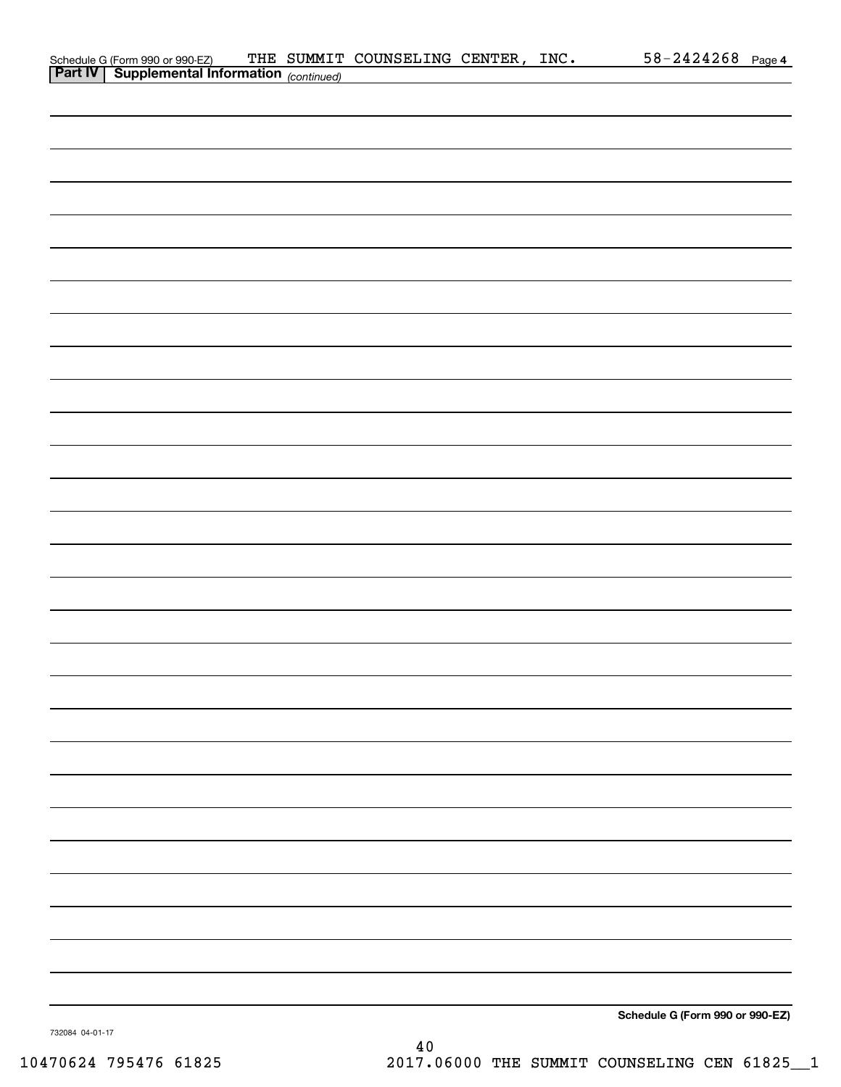| Schedule G (Form 990 or 990-EZ) THE SUMMIT<br>Part IV   Supplemental Information (continued) |  | THE SUMMIT COUNSELING CENTER, INC. |  | $58 - 2424268$ Page 4           |  |
|----------------------------------------------------------------------------------------------|--|------------------------------------|--|---------------------------------|--|
|                                                                                              |  |                                    |  |                                 |  |
|                                                                                              |  |                                    |  |                                 |  |
|                                                                                              |  |                                    |  |                                 |  |
|                                                                                              |  |                                    |  |                                 |  |
|                                                                                              |  |                                    |  |                                 |  |
|                                                                                              |  |                                    |  |                                 |  |
|                                                                                              |  |                                    |  |                                 |  |
|                                                                                              |  |                                    |  |                                 |  |
|                                                                                              |  |                                    |  |                                 |  |
|                                                                                              |  |                                    |  |                                 |  |
|                                                                                              |  |                                    |  |                                 |  |
|                                                                                              |  |                                    |  |                                 |  |
|                                                                                              |  |                                    |  |                                 |  |
|                                                                                              |  |                                    |  |                                 |  |
|                                                                                              |  |                                    |  |                                 |  |
|                                                                                              |  |                                    |  |                                 |  |
|                                                                                              |  |                                    |  |                                 |  |
|                                                                                              |  |                                    |  |                                 |  |
|                                                                                              |  |                                    |  |                                 |  |
|                                                                                              |  |                                    |  |                                 |  |
|                                                                                              |  |                                    |  |                                 |  |
|                                                                                              |  |                                    |  |                                 |  |
|                                                                                              |  |                                    |  |                                 |  |
|                                                                                              |  |                                    |  |                                 |  |
|                                                                                              |  |                                    |  |                                 |  |
|                                                                                              |  |                                    |  |                                 |  |
|                                                                                              |  |                                    |  |                                 |  |
|                                                                                              |  |                                    |  |                                 |  |
|                                                                                              |  |                                    |  |                                 |  |
|                                                                                              |  |                                    |  |                                 |  |
|                                                                                              |  |                                    |  |                                 |  |
|                                                                                              |  |                                    |  |                                 |  |
|                                                                                              |  |                                    |  |                                 |  |
|                                                                                              |  |                                    |  |                                 |  |
|                                                                                              |  |                                    |  |                                 |  |
|                                                                                              |  |                                    |  |                                 |  |
|                                                                                              |  |                                    |  |                                 |  |
|                                                                                              |  |                                    |  | Schedule G (Form 990 or 990-EZ) |  |

732084 04-01-17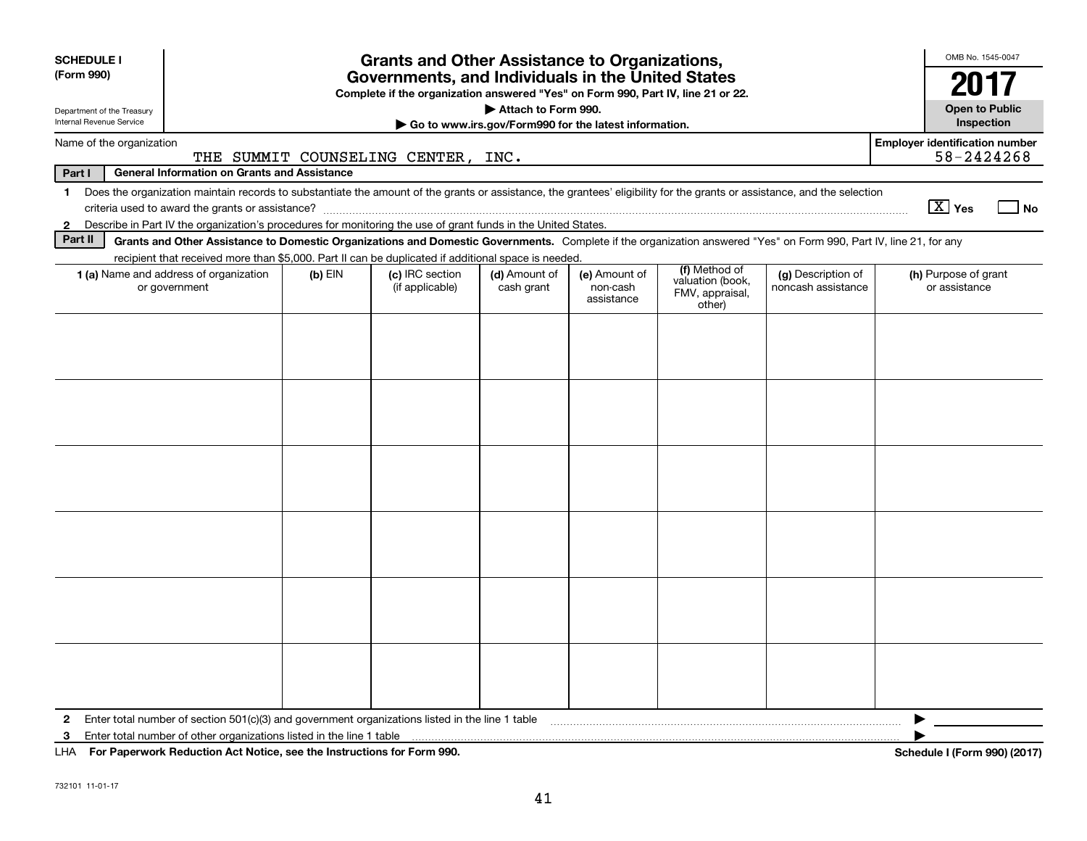| <b>SCHEDULE I</b>                                                          |                                                                                                                                                                           |           | <b>Grants and Other Assistance to Organizations,</b>                             |                     |                                                       |                                               |                    | OMB No. 1545-0047                     |      |
|----------------------------------------------------------------------------|---------------------------------------------------------------------------------------------------------------------------------------------------------------------------|-----------|----------------------------------------------------------------------------------|---------------------|-------------------------------------------------------|-----------------------------------------------|--------------------|---------------------------------------|------|
| (Form 990)                                                                 |                                                                                                                                                                           |           | Governments, and Individuals in the United States                                |                     |                                                       |                                               |                    | 2017                                  |      |
| Department of the Treasury<br>Internal Revenue Service                     |                                                                                                                                                                           |           | Complete if the organization answered "Yes" on Form 990, Part IV, line 21 or 22. | Attach to Form 990. | Go to www.irs.gov/Form990 for the latest information. |                                               |                    | <b>Open to Public</b><br>Inspection   |      |
| Name of the organization                                                   |                                                                                                                                                                           |           |                                                                                  |                     |                                                       |                                               |                    | <b>Employer identification number</b> |      |
|                                                                            |                                                                                                                                                                           |           | THE SUMMIT COUNSELING CENTER, INC.                                               |                     |                                                       |                                               |                    | 58-2424268                            |      |
| Part I                                                                     | <b>General Information on Grants and Assistance</b>                                                                                                                       |           |                                                                                  |                     |                                                       |                                               |                    |                                       |      |
| $\mathbf 1$                                                                | Does the organization maintain records to substantiate the amount of the grants or assistance, the grantees' eligibility for the grants or assistance, and the selection  |           |                                                                                  |                     |                                                       |                                               |                    | $\boxed{\text{X}}$ Yes                | l No |
| $\mathbf{2}$                                                               | Describe in Part IV the organization's procedures for monitoring the use of grant funds in the United States.                                                             |           |                                                                                  |                     |                                                       |                                               |                    |                                       |      |
| Part II                                                                    | Grants and Other Assistance to Domestic Organizations and Domestic Governments. Complete if the organization answered "Yes" on Form 990, Part IV, line 21, for any        |           |                                                                                  |                     |                                                       |                                               |                    |                                       |      |
|                                                                            | recipient that received more than \$5,000. Part II can be duplicated if additional space is needed.<br>1 (a) Name and address of organization                             | $(b)$ EIN | (c) IRC section                                                                  | (d) Amount of       | (e) Amount of                                         | (f) Method of                                 | (g) Description of | (h) Purpose of grant                  |      |
|                                                                            | or government                                                                                                                                                             |           | (if applicable)                                                                  | cash grant          | non-cash<br>assistance                                | valuation (book,<br>FMV, appraisal,<br>other) | noncash assistance | or assistance                         |      |
|                                                                            |                                                                                                                                                                           |           |                                                                                  |                     |                                                       |                                               |                    |                                       |      |
|                                                                            |                                                                                                                                                                           |           |                                                                                  |                     |                                                       |                                               |                    |                                       |      |
|                                                                            |                                                                                                                                                                           |           |                                                                                  |                     |                                                       |                                               |                    |                                       |      |
|                                                                            |                                                                                                                                                                           |           |                                                                                  |                     |                                                       |                                               |                    |                                       |      |
|                                                                            |                                                                                                                                                                           |           |                                                                                  |                     |                                                       |                                               |                    |                                       |      |
|                                                                            |                                                                                                                                                                           |           |                                                                                  |                     |                                                       |                                               |                    |                                       |      |
|                                                                            |                                                                                                                                                                           |           |                                                                                  |                     |                                                       |                                               |                    |                                       |      |
|                                                                            |                                                                                                                                                                           |           |                                                                                  |                     |                                                       |                                               |                    |                                       |      |
|                                                                            |                                                                                                                                                                           |           |                                                                                  |                     |                                                       |                                               |                    |                                       |      |
|                                                                            |                                                                                                                                                                           |           |                                                                                  |                     |                                                       |                                               |                    |                                       |      |
|                                                                            |                                                                                                                                                                           |           |                                                                                  |                     |                                                       |                                               |                    |                                       |      |
|                                                                            |                                                                                                                                                                           |           |                                                                                  |                     |                                                       |                                               |                    |                                       |      |
|                                                                            |                                                                                                                                                                           |           |                                                                                  |                     |                                                       |                                               |                    |                                       |      |
|                                                                            |                                                                                                                                                                           |           |                                                                                  |                     |                                                       |                                               |                    |                                       |      |
|                                                                            |                                                                                                                                                                           |           |                                                                                  |                     |                                                       |                                               |                    |                                       |      |
|                                                                            |                                                                                                                                                                           |           |                                                                                  |                     |                                                       |                                               |                    |                                       |      |
|                                                                            |                                                                                                                                                                           |           |                                                                                  |                     |                                                       |                                               |                    |                                       |      |
|                                                                            |                                                                                                                                                                           |           |                                                                                  |                     |                                                       |                                               |                    |                                       |      |
|                                                                            |                                                                                                                                                                           |           |                                                                                  |                     |                                                       |                                               |                    |                                       |      |
|                                                                            |                                                                                                                                                                           |           |                                                                                  |                     |                                                       |                                               |                    |                                       |      |
|                                                                            |                                                                                                                                                                           |           |                                                                                  |                     |                                                       |                                               |                    |                                       |      |
| $\mathbf{2}$<br>3                                                          | Enter total number of section $501(c)(3)$ and government organizations listed in the line 1 table<br>Enter total number of other organizations listed in the line 1 table |           |                                                                                  |                     |                                                       |                                               |                    |                                       |      |
| LHA For Paperwork Reduction Act Notice, see the Instructions for Form 990. |                                                                                                                                                                           |           |                                                                                  |                     |                                                       |                                               |                    | Schedule I (Form 990) (2017)          |      |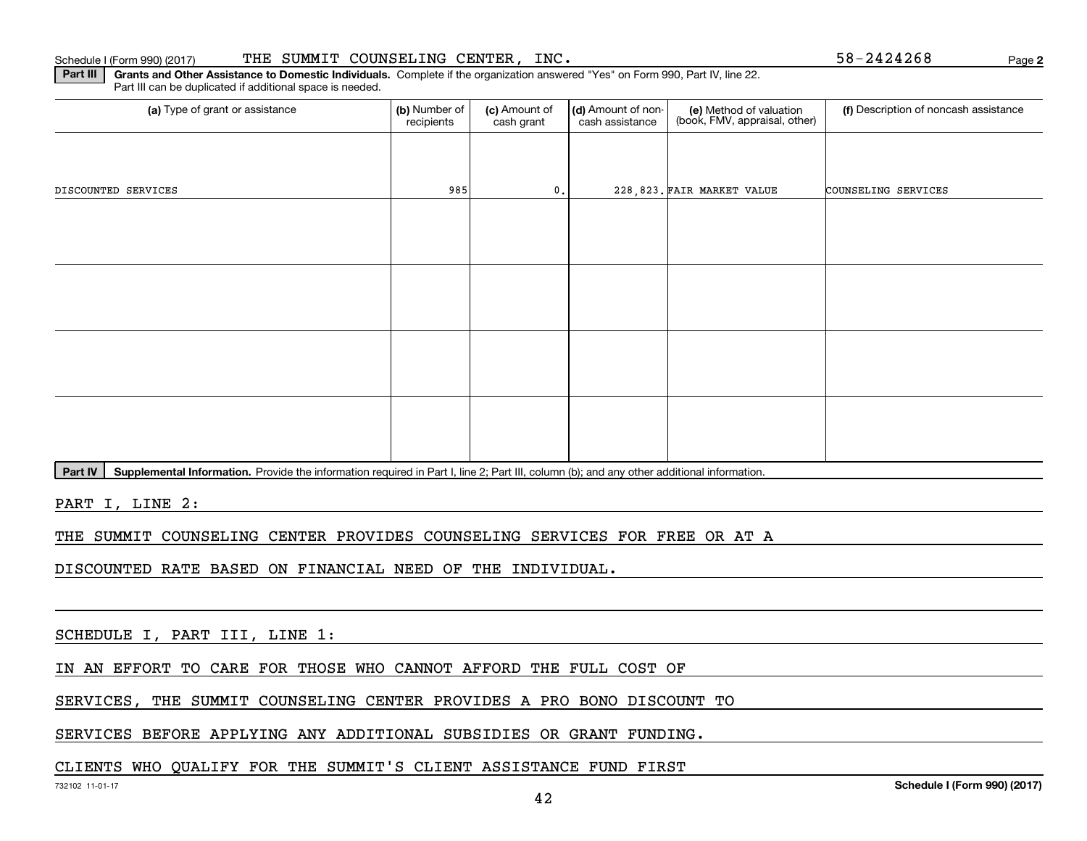#### Schedule I (Form 990) (2017) Page THE SUMMIT COUNSELING CENTER, INC. 58-2424268

(a) Type of grant or assistance **Audity Commet Audio Commet Commet Commet Commet Commet Commet Commet Commet Comme** Part III can be duplicated if additional space is needed. (e) Method of valuation (book, FMV, appraisal, other) recipients(c) Amount of cash grant (d) Amount of noncash assistance **(f)** Description of noncash assistance DISCOUNTED SERVICES 985 0. 228,823. 228,823. FAIR MARKET VALUE COUNSELING SERVICES

Part IV | Supplemental Information. Provide the information required in Part I, line 2; Part III, column (b); and any other additional information.

**Part III** | Grants and Other Assistance to Domestic Individuals. Complete if the organization answered "Yes" on Form 990, Part IV, line 22.

PART I, LINE 2:

THE SUMMIT COUNSELING CENTER PROVIDES COUNSELING SERVICES FOR FREE OR AT A

DISCOUNTED RATE BASED ON FINANCIAL NEED OF THE INDIVIDUAL.

SCHEDULE I, PART III, LINE 1:

IN AN EFFORT TO CARE FOR THOSE WHO CANNOT AFFORD THE FULL COST OF

SERVICES, THE SUMMIT COUNSELING CENTER PROVIDES A PRO BONO DISCOUNT TO

SERVICES BEFORE APPLYING ANY ADDITIONAL SUBSIDIES OR GRANT FUNDING.

#### CLIENTS WHO QUALIFY FOR THE SUMMIT'S CLIENT ASSISTANCE FUND FIRST

**2**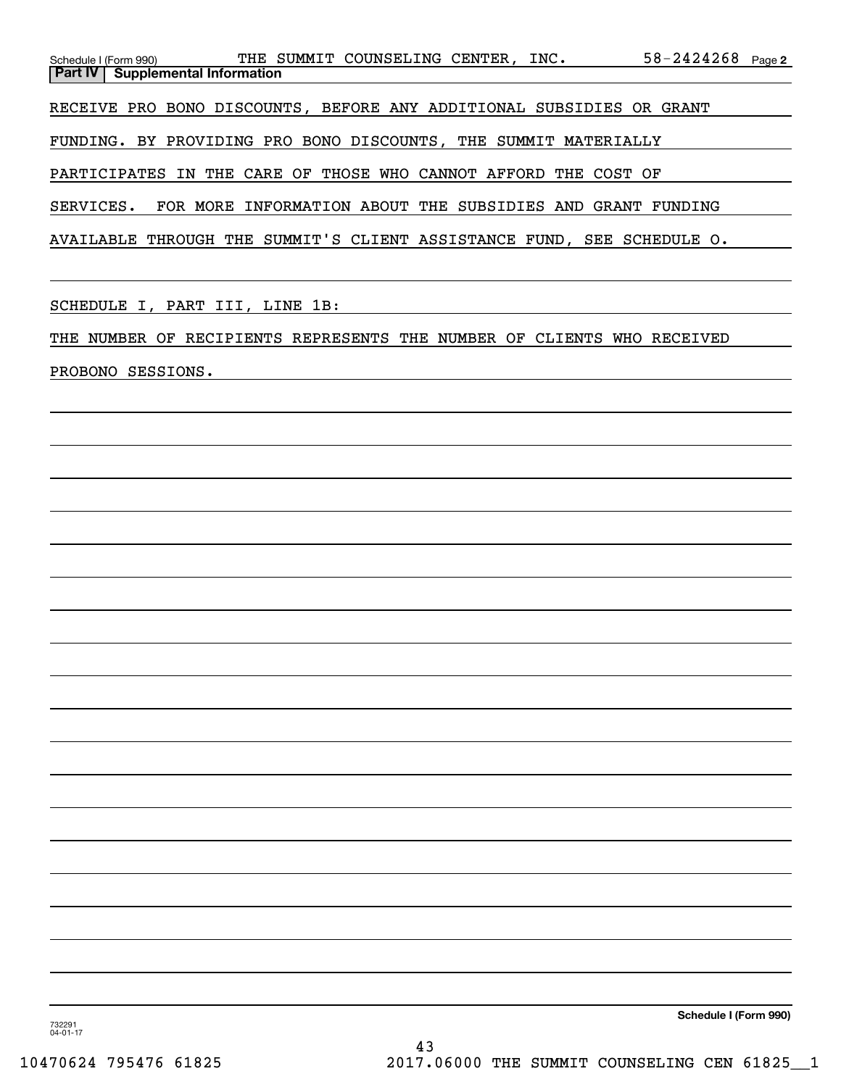| THE SUMMIT COUNSELING CENTER, INC.<br>Schedule I (Form 990)            | $58 - 2424268$ Page 2 |  |
|------------------------------------------------------------------------|-----------------------|--|
| <b>Part IV   Supplemental Information</b>                              |                       |  |
|                                                                        |                       |  |
| RECEIVE PRO BONO DISCOUNTS, BEFORE ANY ADDITIONAL SUBSIDIES OR GRANT   |                       |  |
|                                                                        |                       |  |
| FUNDING. BY PROVIDING PRO BONO DISCOUNTS, THE SUMMIT MATERIALLY        |                       |  |
|                                                                        |                       |  |
| PARTICIPATES IN THE CARE OF THOSE WHO CANNOT AFFORD THE COST OF        |                       |  |
|                                                                        |                       |  |
| SERVICES. FOR MORE INFORMATION ABOUT THE SUBSIDIES AND GRANT FUNDING   |                       |  |
|                                                                        |                       |  |
| AVAILABLE THROUGH THE SUMMIT'S CLIENT ASSISTANCE FUND, SEE SCHEDULE O. |                       |  |

SCHEDULE I, PART III, LINE 1B:

THE NUMBER OF RECIPIENTS REPRESENTS THE NUMBER OF CLIENTS WHO RECEIVED

PROBONO SESSIONS.

**Schedule I (Form 990)**

732291 04-01-17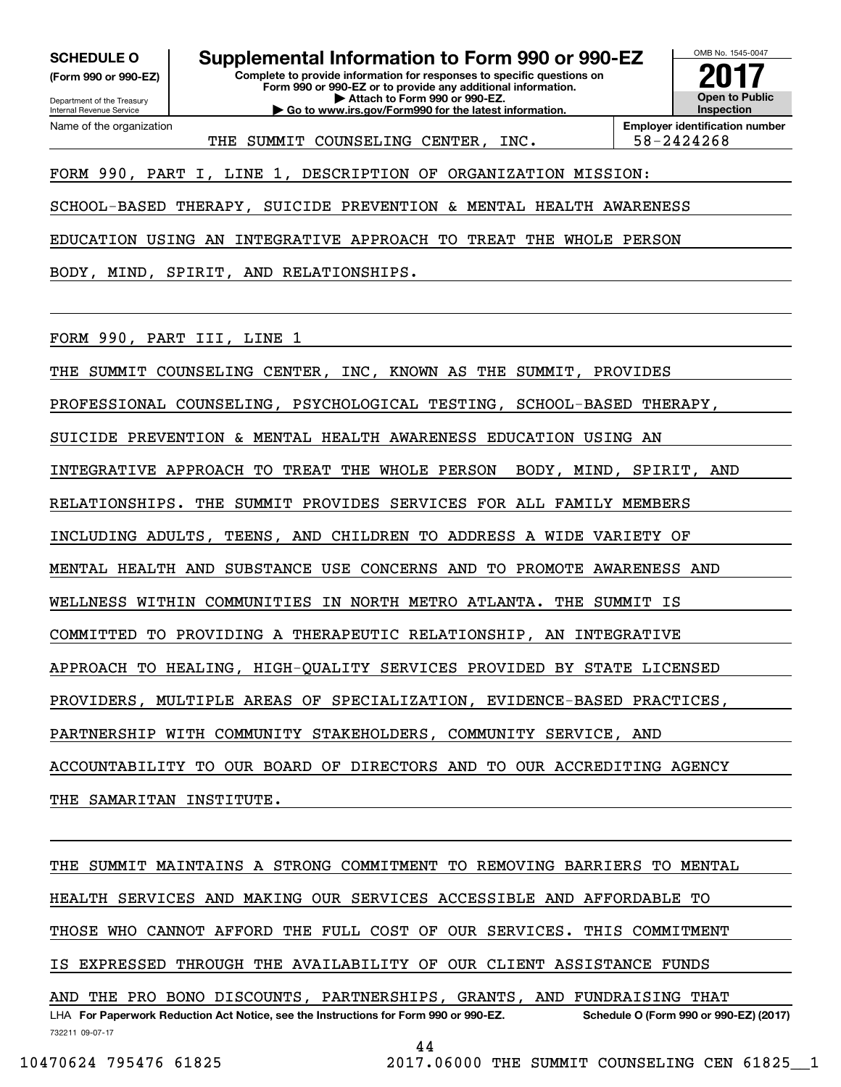**(Form 990 or 990-EZ)**

Department of the Treasury Internal Revenue Service Name of the organization

**SCHEDULE O Supplemental Information to Form 990 or 990-EZ**

**Complete to provide information for responses to specific questions on Form 990 or 990-EZ or to provide any additional information. | Attach to Form 990 or 990-EZ.**

**| Go to www.irs.gov/Form990 for the latest information.**



OMB No. 1545-0047

THE SUMMIT COUNSELING CENTER, INC. | 58-2424268

FORM 990, PART I, LINE 1, DESCRIPTION OF ORGANIZATION MISSION:

SCHOOL-BASED THERAPY, SUICIDE PREVENTION & MENTAL HEALTH AWARENESS

EDUCATION USING AN INTEGRATIVE APPROACH TO TREAT THE WHOLE PERSON

BODY, MIND, SPIRIT, AND RELATIONSHIPS.

FORM 990, PART III, LINE 1

THE SUMMIT COUNSELING CENTER, INC, KNOWN AS THE SUMMIT, PROVIDES

PROFESSIONAL COUNSELING, PSYCHOLOGICAL TESTING, SCHOOL-BASED THERAPY,

SUICIDE PREVENTION & MENTAL HEALTH AWARENESS EDUCATION USING AN

INTEGRATIVE APPROACH TO TREAT THE WHOLE PERSON BODY, MIND, SPIRIT, AND

RELATIONSHIPS. THE SUMMIT PROVIDES SERVICES FOR ALL FAMILY MEMBERS

INCLUDING ADULTS, TEENS, AND CHILDREN TO ADDRESS A WIDE VARIETY OF

MENTAL HEALTH AND SUBSTANCE USE CONCERNS AND TO PROMOTE AWARENESS AND

WELLNESS WITHIN COMMUNITIES IN NORTH METRO ATLANTA. THE SUMMIT IS

COMMITTED TO PROVIDING A THERAPEUTIC RELATIONSHIP, AN INTEGRATIVE

APPROACH TO HEALING, HIGH-QUALITY SERVICES PROVIDED BY STATE LICENSED

PROVIDERS, MULTIPLE AREAS OF SPECIALIZATION, EVIDENCE-BASED PRACTICES,

PARTNERSHIP WITH COMMUNITY STAKEHOLDERS, COMMUNITY SERVICE, AND

ACCOUNTABILITY TO OUR BOARD OF DIRECTORS AND TO OUR ACCREDITING AGENCY

THE SAMARITAN INSTITUTE.

732211 09-07-17 LHA For Paperwork Reduction Act Notice, see the Instructions for Form 990 or 990-EZ. Schedule O (Form 990 or 990-EZ) (2017) THE SUMMIT MAINTAINS A STRONG COMMITMENT TO REMOVING BARRIERS TO MENTAL HEALTH SERVICES AND MAKING OUR SERVICES ACCESSIBLE AND AFFORDABLE TO THOSE WHO CANNOT AFFORD THE FULL COST OF OUR SERVICES. THIS COMMITMENT IS EXPRESSED THROUGH THE AVAILABILITY OF OUR CLIENT ASSISTANCE FUNDS AND THE PRO BONO DISCOUNTS, PARTNERSHIPS, GRANTS, AND FUNDRAISING THAT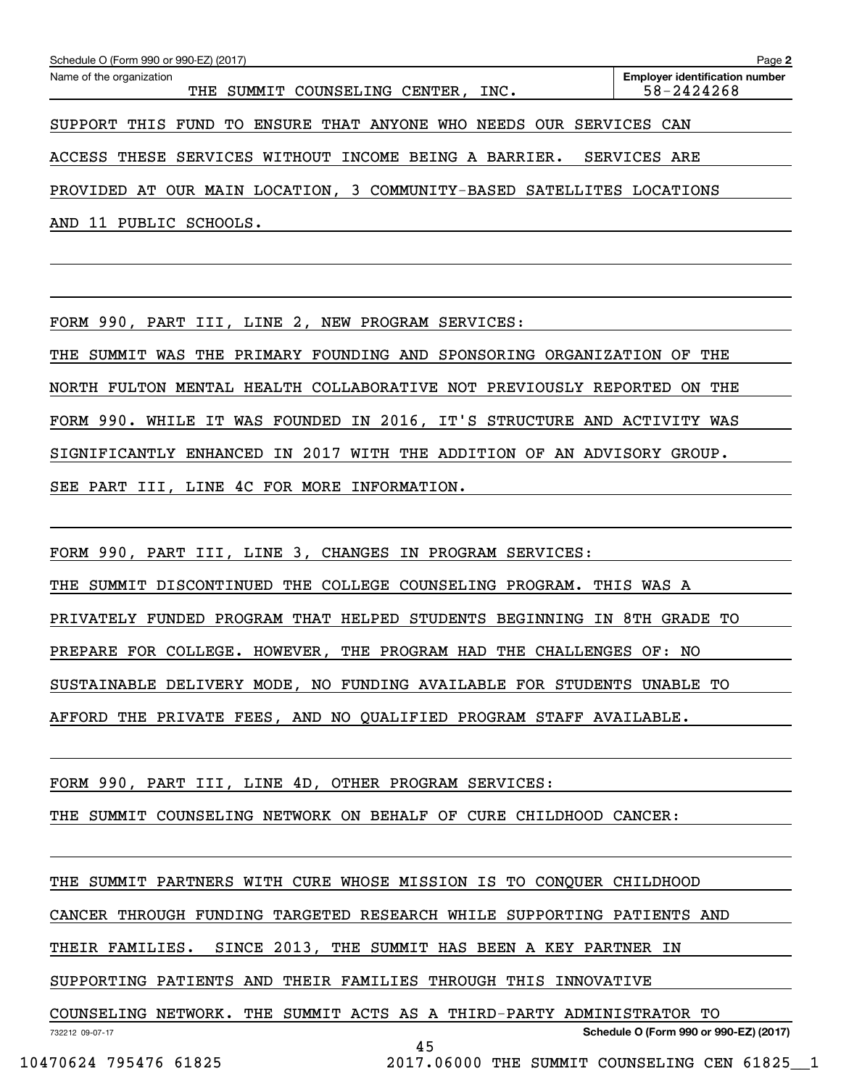| Schedule O (Form 990 or 990-EZ) (2017)                                | Page 2                                              |
|-----------------------------------------------------------------------|-----------------------------------------------------|
| Name of the organization<br>SUMMIT COUNSELING CENTER, INC.<br>THE     | <b>Employer identification number</b><br>58-2424268 |
| ENSURE THAT ANYONE WHO NEEDS OUR<br>THIS FUND<br>TО<br><b>SUPPORT</b> | SERVICES CAN                                        |
| ACCESS THESE SERVICES WITHOUT INCOME BEING A BARRIER.                 | SERVICES ARE                                        |
| PROVIDED AT OUR MAIN LOCATION, 3 COMMUNITY-BASED SATELLITES LOCATIONS |                                                     |
| PUBLIC SCHOOLS.<br>AND 11                                             |                                                     |

FORM 990, PART III, LINE 2, NEW PROGRAM SERVICES:

THE SUMMIT WAS THE PRIMARY FOUNDING AND SPONSORING ORGANIZATION OF THE NORTH FULTON MENTAL HEALTH COLLABORATIVE NOT PREVIOUSLY REPORTED ON THE FORM 990. WHILE IT WAS FOUNDED IN 2016, IT'S STRUCTURE AND ACTIVITY WAS SIGNIFICANTLY ENHANCED IN 2017 WITH THE ADDITION OF AN ADVISORY GROUP. SEE PART III, LINE 4C FOR MORE INFORMATION.

FORM 990, PART III, LINE 3, CHANGES IN PROGRAM SERVICES:

THE SUMMIT DISCONTINUED THE COLLEGE COUNSELING PROGRAM. THIS WAS A

PRIVATELY FUNDED PROGRAM THAT HELPED STUDENTS BEGINNING IN 8TH GRADE TO

PREPARE FOR COLLEGE. HOWEVER, THE PROGRAM HAD THE CHALLENGES OF: NO

SUSTAINABLE DELIVERY MODE, NO FUNDING AVAILABLE FOR STUDENTS UNABLE TO

AFFORD THE PRIVATE FEES, AND NO QUALIFIED PROGRAM STAFF AVAILABLE.

FORM 990, PART III, LINE 4D, OTHER PROGRAM SERVICES:

THE SUMMIT COUNSELING NETWORK ON BEHALF OF CURE CHILDHOOD CANCER:

THE SUMMIT PARTNERS WITH CURE WHOSE MISSION IS TO CONQUER CHILDHOOD

CANCER THROUGH FUNDING TARGETED RESEARCH WHILE SUPPORTING PATIENTS AND

THEIR FAMILIES. SINCE 2013, THE SUMMIT HAS BEEN A KEY PARTNER IN

SUPPORTING PATIENTS AND THEIR FAMILIES THROUGH THIS INNOVATIVE

COUNSELING NETWORK. THE SUMMIT ACTS AS A THIRD-PARTY ADMINISTRATOR TO

**Schedule O (Form 990 or 990-EZ) (2017)**

732212 09-07-17

45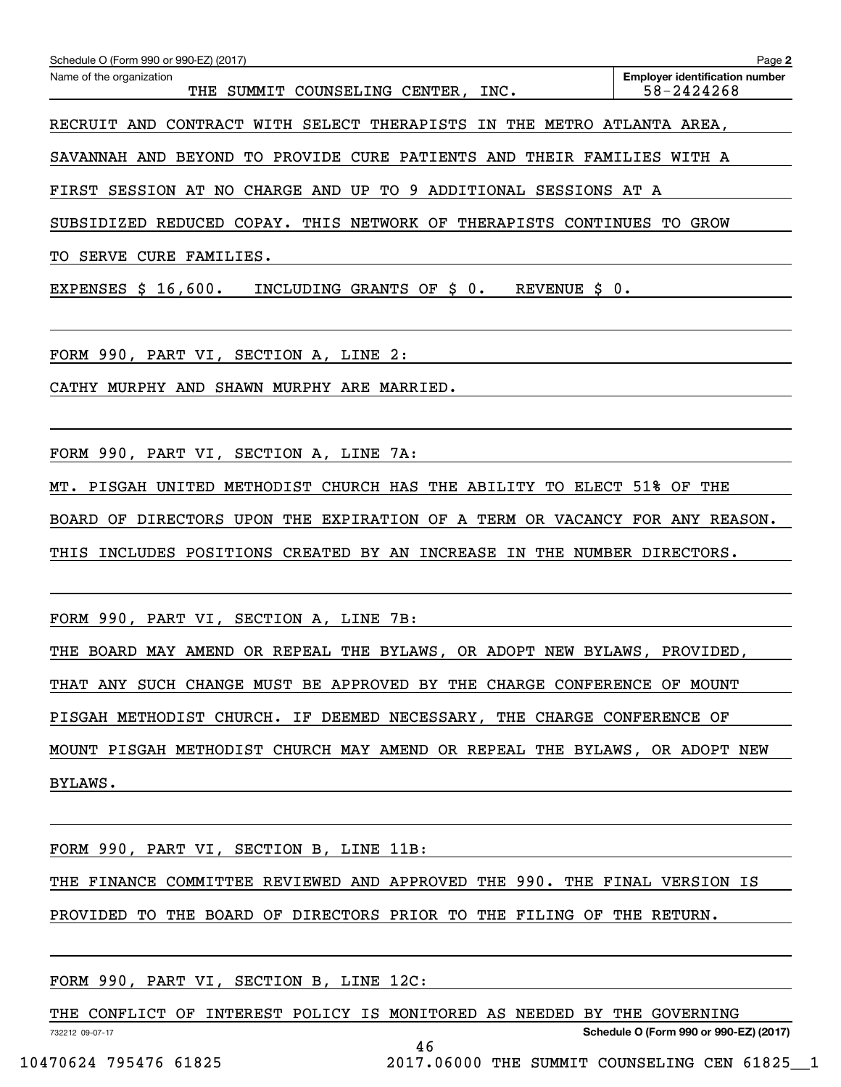| Schedule O (Form 990 or 990-EZ) (2017)                                                                                                                                                                                                                                 | Page 2                                              |
|------------------------------------------------------------------------------------------------------------------------------------------------------------------------------------------------------------------------------------------------------------------------|-----------------------------------------------------|
| Name of the organization<br>THE SUMMIT COUNSELING CENTER, INC.                                                                                                                                                                                                         | <b>Emplover identification number</b><br>58-2424268 |
| RECRUIT AND CONTRACT WITH SELECT THERAPISTS IN THE METRO ATLANTA AREA,                                                                                                                                                                                                 |                                                     |
| SAVANNAH AND BEYOND TO PROVIDE CURE PATIENTS AND THEIR FAMILIES WITH A                                                                                                                                                                                                 |                                                     |
| FIRST SESSION AT NO CHARGE AND UP TO 9 ADDITIONAL SESSIONS AT A                                                                                                                                                                                                        |                                                     |
| SUBSIDIZED REDUCED COPAY. THIS NETWORK OF THERAPISTS CONTINUES TO GROW                                                                                                                                                                                                 |                                                     |
| TO SERVE CURE FAMILIES.                                                                                                                                                                                                                                                |                                                     |
| EXPENSES $$16,600.$<br>INCLUDING GRANTS OF \$0.                                                                                                                                                                                                                        |                                                     |
| FORM 990, PART VI, SECTION A, LINE 2:<br>the control of the control of the control of the control of the control of the control of the control of the control of the control of the control of the control of the control of the control of the control of the control |                                                     |
| CATHY MURPHY AND SHAWN MURPHY ARE MARRIED.                                                                                                                                                                                                                             |                                                     |
|                                                                                                                                                                                                                                                                        |                                                     |
| FORM 990, PART VI, SECTION A, LINE 7A:                                                                                                                                                                                                                                 |                                                     |
| MT. PISGAH UNITED METHODIST CHURCH HAS THE ABILITY TO ELECT 51% OF THE                                                                                                                                                                                                 |                                                     |
| BOARD OF DIRECTORS UPON THE EXPIRATION OF A TERM OR VACANCY FOR ANY REASON.                                                                                                                                                                                            |                                                     |
| INCLUDES POSITIONS CREATED BY AN INCREASE IN THE NUMBER DIRECTORS.<br>THIS                                                                                                                                                                                             |                                                     |
| FORM 990, PART VI, SECTION A, LINE 7B:                                                                                                                                                                                                                                 |                                                     |
| THE BOARD MAY AMEND OR REPEAL THE BYLAWS, OR ADOPT NEW BYLAWS, PROVIDED,                                                                                                                                                                                               |                                                     |
| THAT ANY SUCH CHANGE MUST BE APPROVED BY THE CHARGE CONFERENCE OF MOUNT                                                                                                                                                                                                |                                                     |
| PISGAH METHODIST CHURCH. IF DEEMED NECESSARY, THE CHARGE CONFERENCE OF                                                                                                                                                                                                 |                                                     |
| MOUNT PISGAH METHODIST CHURCH MAY AMEND OR REPEAL THE BYLAWS, OR ADOPT NEW                                                                                                                                                                                             |                                                     |
| BYLAWS.                                                                                                                                                                                                                                                                |                                                     |
|                                                                                                                                                                                                                                                                        |                                                     |
| FORM 990, PART VI, SECTION B, LINE 11B:                                                                                                                                                                                                                                |                                                     |

THE FINANCE COMMITTEE REVIEWED AND APPROVED THE 990. THE FINAL VERSION IS PROVIDED TO THE BOARD OF DIRECTORS PRIOR TO THE FILING OF THE RETURN.

FORM 990, PART VI, SECTION B, LINE 12C:

732212 09-07-17 **Schedule O (Form 990 or 990-EZ) (2017)** THE CONFLICT OF INTEREST POLICY IS MONITORED AS NEEDED BY THE GOVERNING

46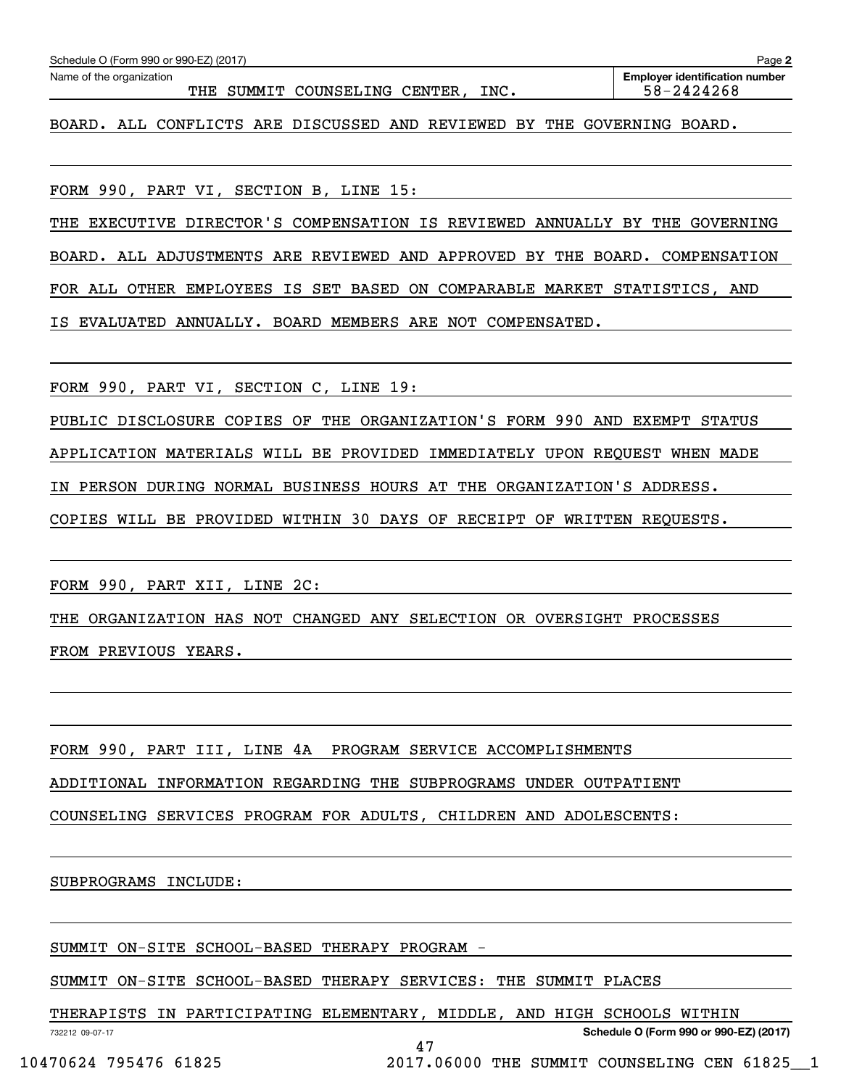| Schedule O (Form 990 or 990-EZ) (2017)                                      | Page 2                                              |
|-----------------------------------------------------------------------------|-----------------------------------------------------|
| Name of the organization<br>THE SUMMIT COUNSELING CENTER, INC.              | <b>Employer identification number</b><br>58-2424268 |
| BOARD. ALL CONFLICTS ARE DISCUSSED AND REVIEWED BY THE GOVERNING BOARD.     |                                                     |
| FORM 990, PART VI, SECTION B, LINE 15:                                      |                                                     |
| THE EXECUTIVE DIRECTOR'S COMPENSATION IS REVIEWED ANNUALLY BY THE GOVERNING |                                                     |
| BOARD. ALL ADJUSTMENTS ARE REVIEWED AND APPROVED BY THE BOARD. COMPENSATION |                                                     |
| FOR ALL OTHER EMPLOYEES IS SET BASED ON COMPARABLE MARKET STATISTICS, AND   |                                                     |
| IS EVALUATED ANNUALLY. BOARD MEMBERS ARE NOT COMPENSATED.                   |                                                     |
| FORM 990, PART VI, SECTION C, LINE 19:                                      |                                                     |
| PUBLIC DISCLOSURE COPIES OF THE ORGANIZATION'S FORM 990 AND EXEMPT STATUS   |                                                     |
| APPLICATION MATERIALS WILL BE PROVIDED IMMEDIATELY UPON REQUEST WHEN MADE   |                                                     |
| IN PERSON DURING NORMAL BUSINESS HOURS AT THE ORGANIZATION'S ADDRESS.       |                                                     |
| COPIES WILL BE PROVIDED WITHIN 30 DAYS OF RECEIPT OF WRITTEN REQUESTS.      |                                                     |
| FORM 990, PART XII, LINE 2C:                                                |                                                     |
| THE ORGANIZATION HAS NOT CHANGED ANY SELECTION OR OVERSIGHT PROCESSES       |                                                     |
| FROM PREVIOUS YEARS.                                                        |                                                     |
|                                                                             |                                                     |
| FORM 990, PART III, LINE 4A PROGRAM SERVICE ACCOMPLISHMENTS                 |                                                     |
| ADDITIONAL INFORMATION REGARDING THE SUBPROGRAMS UNDER OUTPATIENT           |                                                     |
| COUNSELING SERVICES PROGRAM FOR ADULTS, CHILDREN AND ADOLESCENTS:           |                                                     |
| SUBPROGRAMS INCLUDE:                                                        |                                                     |
| SUMMIT ON-SITE SCHOOL-BASED THERAPY PROGRAM -                               |                                                     |

SUMMIT ON-SITE SCHOOL-BASED THERAPY SERVICES: THE SUMMIT PLACES

THERAPISTS IN PARTICIPATING ELEMENTARY, MIDDLE, AND HIGH SCHOOLS WITHIN

47

732212 09-07-17

**Schedule O (Form 990 or 990-EZ) (2017)**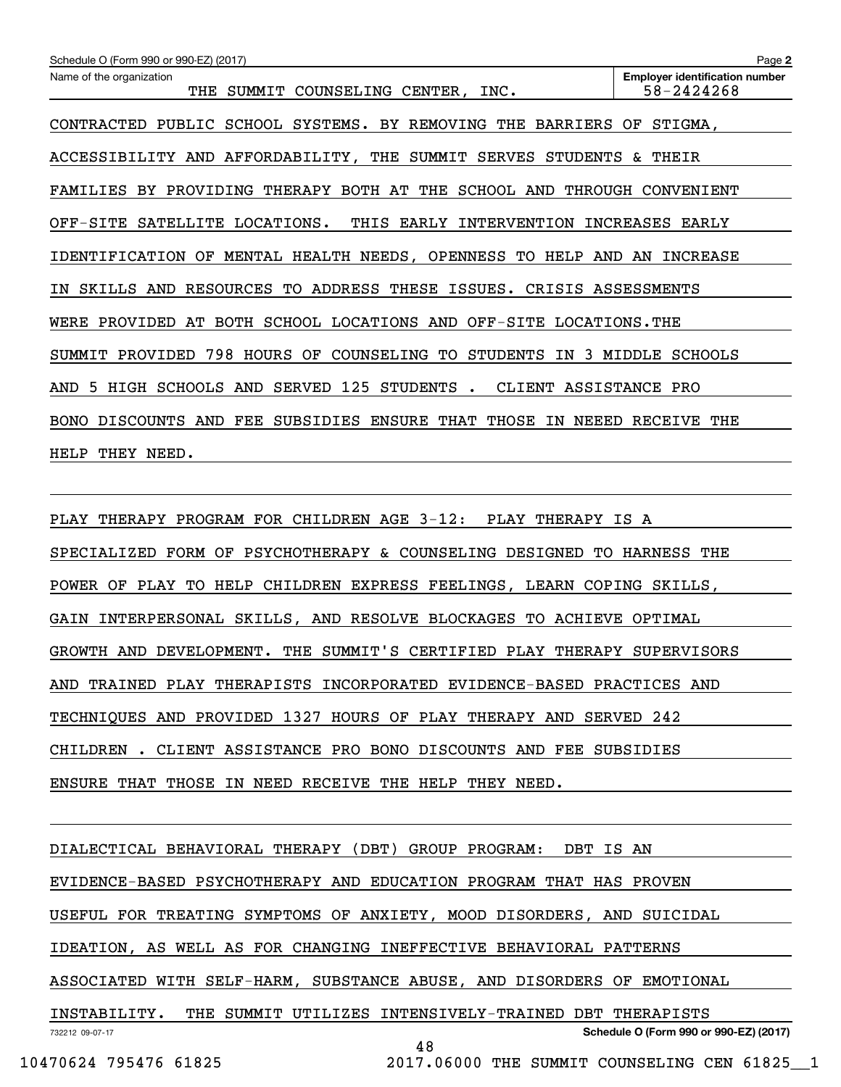| Schedule O (Form 990 or 990-EZ) (2017)                                  | Page 2                                              |
|-------------------------------------------------------------------------|-----------------------------------------------------|
| Name of the organization<br>THE SUMMIT COUNSELING CENTER, INC.          | <b>Employer identification number</b><br>58-2424268 |
| CONTRACTED PUBLIC SCHOOL SYSTEMS. BY REMOVING THE BARRIERS OF STIGMA,   |                                                     |
| ACCESSIBILITY AND AFFORDABILITY, THE SUMMIT SERVES STUDENTS & THEIR     |                                                     |
| FAMILIES BY PROVIDING THERAPY BOTH AT THE SCHOOL AND THROUGH CONVENIENT |                                                     |
| OFF-SITE SATELLITE LOCATIONS. THIS EARLY INTERVENTION INCREASES EARLY   |                                                     |
| IDENTIFICATION OF MENTAL HEALTH NEEDS, OPENNESS TO HELP AND AN INCREASE |                                                     |
| IN SKILLS AND RESOURCES TO ADDRESS THESE ISSUES. CRISIS ASSESSMENTS     |                                                     |
| WERE PROVIDED AT BOTH SCHOOL LOCATIONS AND OFF-SITE LOCATIONS. THE      |                                                     |
| SUMMIT PROVIDED 798 HOURS OF COUNSELING TO STUDENTS IN 3 MIDDLE SCHOOLS |                                                     |
| AND 5 HIGH SCHOOLS AND SERVED 125 STUDENTS . CLIENT ASSISTANCE PRO      |                                                     |
| BONO DISCOUNTS AND FEE SUBSIDIES ENSURE THAT THOSE IN NEEED RECEIVE THE |                                                     |
| HELP THEY NEED.                                                         |                                                     |

PLAY THERAPY PROGRAM FOR CHILDREN AGE 3-12: PLAY THERAPY IS A SPECIALIZED FORM OF PSYCHOTHERAPY & COUNSELING DESIGNED TO HARNESS THE POWER OF PLAY TO HELP CHILDREN EXPRESS FEELINGS, LEARN COPING SKILLS, GAIN INTERPERSONAL SKILLS, AND RESOLVE BLOCKAGES TO ACHIEVE OPTIMAL GROWTH AND DEVELOPMENT. THE SUMMIT'S CERTIFIED PLAY THERAPY SUPERVISORS AND TRAINED PLAY THERAPISTS INCORPORATED EVIDENCE-BASED PRACTICES AND TECHNIQUES AND PROVIDED 1327 HOURS OF PLAY THERAPY AND SERVED 242 CHILDREN . CLIENT ASSISTANCE PRO BONO DISCOUNTS AND FEE SUBSIDIES ENSURE THAT THOSE IN NEED RECEIVE THE HELP THEY NEED.

732212 09-07-17 **Schedule O (Form 990 or 990-EZ) (2017)** DIALECTICAL BEHAVIORAL THERAPY (DBT) GROUP PROGRAM: DBT IS AN EVIDENCE-BASED PSYCHOTHERAPY AND EDUCATION PROGRAM THAT HAS PROVEN USEFUL FOR TREATING SYMPTOMS OF ANXIETY, MOOD DISORDERS, AND SUICIDAL IDEATION, AS WELL AS FOR CHANGING INEFFECTIVE BEHAVIORAL PATTERNS ASSOCIATED WITH SELF-HARM, SUBSTANCE ABUSE, AND DISORDERS OF EMOTIONAL INSTABILITY. THE SUMMIT UTILIZES INTENSIVELY-TRAINED DBT THERAPISTS 48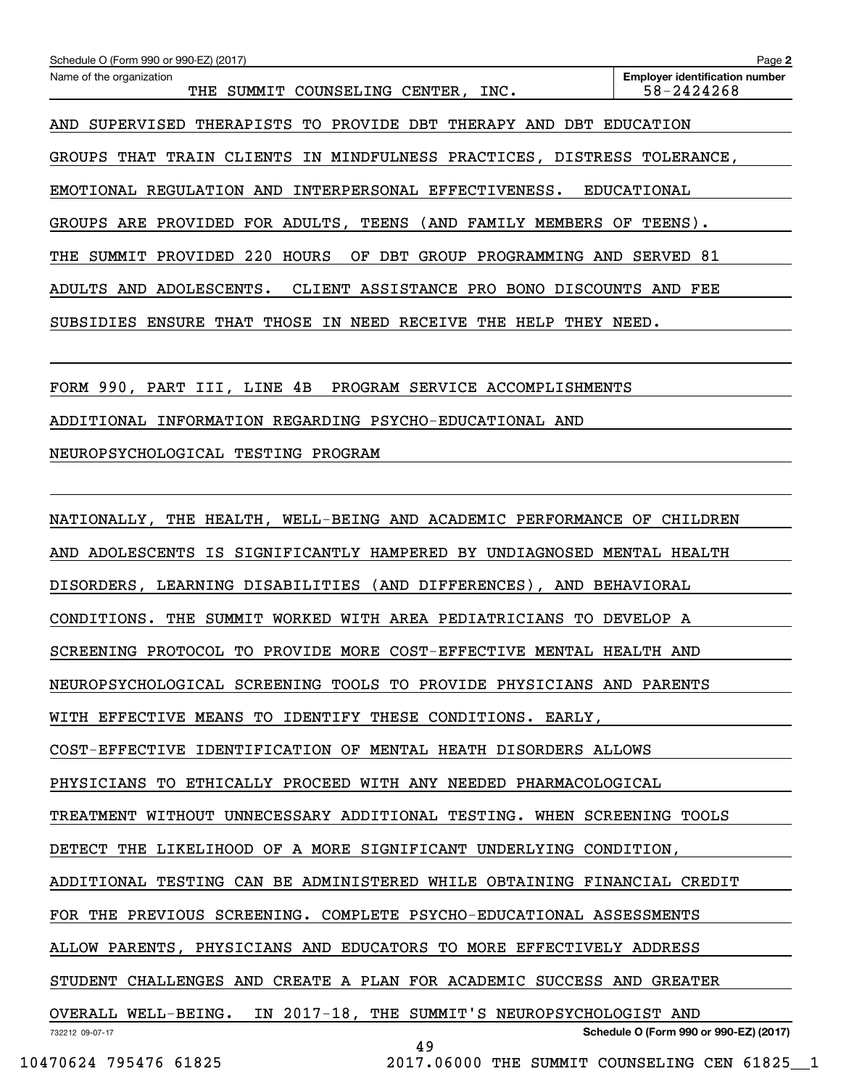| Schedule O (Form 990 or 990-EZ) (2017)                                  | Page 2                                              |
|-------------------------------------------------------------------------|-----------------------------------------------------|
| Name of the organization<br>THE SUMMIT COUNSELING CENTER, INC.          | <b>Employer identification number</b><br>58-2424268 |
| AND SUPERVISED THERAPISTS TO PROVIDE DBT THERAPY AND DBT EDUCATION      |                                                     |
| GROUPS THAT TRAIN CLIENTS IN MINDFULNESS PRACTICES, DISTRESS TOLERANCE, |                                                     |
| EMOTIONAL REGULATION AND INTERPERSONAL EFFECTIVENESS. EDUCATIONAL       |                                                     |
| GROUPS ARE PROVIDED FOR ADULTS, TEENS (AND FAMILY MEMBERS OF TEENS).    |                                                     |
| THE SUMMIT PROVIDED 220 HOURS<br>OF DBT GROUP PROGRAMMING AND SERVED 81 |                                                     |
| ADULTS AND ADOLESCENTS. CLIENT ASSISTANCE PRO BONO DISCOUNTS AND FEE    |                                                     |
| SUBSIDIES ENSURE THAT THOSE IN NEED RECEIVE THE HELP THEY NEED.         |                                                     |
|                                                                         |                                                     |
| FORM 990, PART III, LINE 4B PROGRAM SERVICE ACCOMPLISHMENTS             |                                                     |
| ADDITIONAL INFORMATION REGARDING PSYCHO-EDUCATIONAL AND                 |                                                     |
| NEUROPSYCHOLOGICAL TESTING PROGRAM                                      |                                                     |
|                                                                         |                                                     |
| NATIONALLY, THE HEALTH, WELL-BEING AND ACADEMIC PERFORMANCE OF CHILDREN |                                                     |
| AND ADOLESCENTS IS SIGNIFICANTLY HAMPERED BY UNDIAGNOSED MENTAL HEALTH  |                                                     |
| DISORDERS, LEARNING DISABILITIES (AND DIFFERENCES), AND BEHAVIORAL      |                                                     |
| CONDITIONS. THE SUMMIT WORKED WITH AREA PEDIATRICIANS TO DEVELOP A      |                                                     |
| SCREENING PROTOCOL TO PROVIDE MORE COST-EFFECTIVE MENTAL HEALTH AND     |                                                     |
| NEUROPSYCHOLOGICAL SCREENING TOOLS TO PROVIDE PHYSICIANS AND PARENTS    |                                                     |
| WITH EFFECTIVE MEANS TO IDENTIFY THESE CONDITIONS. EARLY,               |                                                     |
| COST-EFFECTIVE IDENTIFICATION OF MENTAL HEATH DISORDERS ALLOWS          |                                                     |
| PHYSICIANS TO ETHICALLY PROCEED WITH ANY NEEDED PHARMACOLOGICAL         |                                                     |
| TREATMENT WITHOUT UNNECESSARY ADDITIONAL TESTING. WHEN SCREENING TOOLS  |                                                     |
| DETECT THE LIKELIHOOD OF A MORE SIGNIFICANT UNDERLYING CONDITION,       |                                                     |
| ADDITIONAL TESTING CAN BE ADMINISTERED WHILE OBTAINING FINANCIAL CREDIT |                                                     |
| FOR THE PREVIOUS SCREENING. COMPLETE PSYCHO-EDUCATIONAL ASSESSMENTS     |                                                     |
| ALLOW PARENTS, PHYSICIANS AND EDUCATORS TO MORE EFFECTIVELY ADDRESS     |                                                     |
| STUDENT CHALLENGES AND CREATE A PLAN FOR ACADEMIC SUCCESS AND GREATER   |                                                     |
| OVERALL WELL-BEING. IN 2017-18, THE SUMMIT'S NEUROPSYCHOLOGIST AND      |                                                     |
| 732212 09-07-17<br>49                                                   | Schedule O (Form 990 or 990-EZ) (2017)              |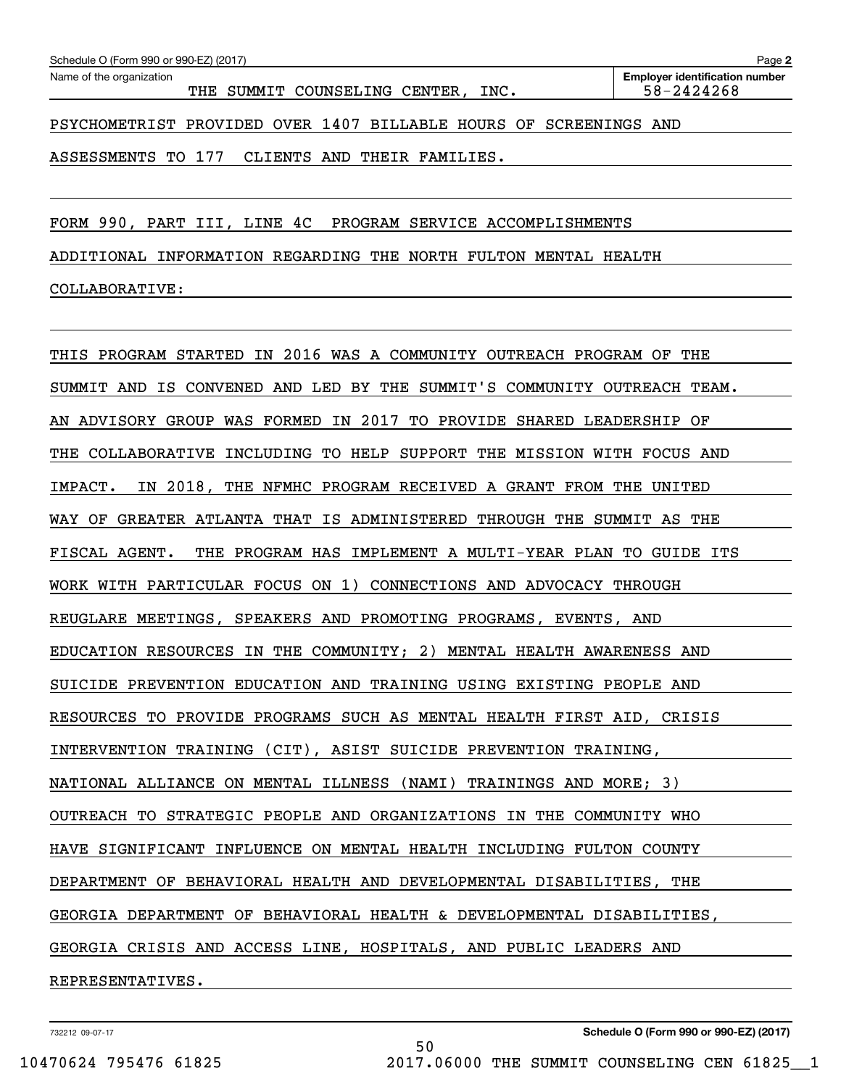| Schedule O (Form 990 or 990-EZ) (2017)<br>Page 2                  |  |  |                                    |  |  |                                                     |  |  |  |  |
|-------------------------------------------------------------------|--|--|------------------------------------|--|--|-----------------------------------------------------|--|--|--|--|
| Name of the organization                                          |  |  | THE SUMMIT COUNSELING CENTER, INC. |  |  | <b>Employer identification number</b><br>58-2424268 |  |  |  |  |
| PSYCHOMETRIST PROVIDED OVER 1407 BILLABLE HOURS OF SCREENINGS AND |  |  |                                    |  |  |                                                     |  |  |  |  |

ASSESSMENTS TO 177 CLIENTS AND THEIR FAMILIES.

FORM 990, PART III, LINE 4C PROGRAM SERVICE ACCOMPLISHMENTS

ADDITIONAL INFORMATION REGARDING THE NORTH FULTON MENTAL HEALTH

### COLLABORATIVE:

THIS PROGRAM STARTED IN 2016 WAS A COMMUNITY OUTREACH PROGRAM OF THE SUMMIT AND IS CONVENED AND LED BY THE SUMMIT'S COMMUNITY OUTREACH TEAM. AN ADVISORY GROUP WAS FORMED IN 2017 TO PROVIDE SHARED LEADERSHIP OF THE COLLABORATIVE INCLUDING TO HELP SUPPORT THE MISSION WITH FOCUS AND IMPACT. IN 2018, THE NFMHC PROGRAM RECEIVED A GRANT FROM THE UNITED WAY OF GREATER ATLANTA THAT IS ADMINISTERED THROUGH THE SUMMIT AS THE FISCAL AGENT. THE PROGRAM HAS IMPLEMENT A MULTI-YEAR PLAN TO GUIDE ITS WORK WITH PARTICULAR FOCUS ON 1) CONNECTIONS AND ADVOCACY THROUGH REUGLARE MEETINGS, SPEAKERS AND PROMOTING PROGRAMS, EVENTS, AND EDUCATION RESOURCES IN THE COMMUNITY; 2) MENTAL HEALTH AWARENESS AND SUICIDE PREVENTION EDUCATION AND TRAINING USING EXISTING PEOPLE AND RESOURCES TO PROVIDE PROGRAMS SUCH AS MENTAL HEALTH FIRST AID, CRISIS INTERVENTION TRAINING (CIT), ASIST SUICIDE PREVENTION TRAINING, NATIONAL ALLIANCE ON MENTAL ILLNESS (NAMI) TRAININGS AND MORE; 3) OUTREACH TO STRATEGIC PEOPLE AND ORGANIZATIONS IN THE COMMUNITY WHO HAVE SIGNIFICANT INFLUENCE ON MENTAL HEALTH INCLUDING FULTON COUNTY DEPARTMENT OF BEHAVIORAL HEALTH AND DEVELOPMENTAL DISABILITIES, THE GEORGIA DEPARTMENT OF BEHAVIORAL HEALTH & DEVELOPMENTAL DISABILITIES, GEORGIA CRISIS AND ACCESS LINE, HOSPITALS, AND PUBLIC LEADERS AND REPRESENTATIVES.

50

732212 09-07-17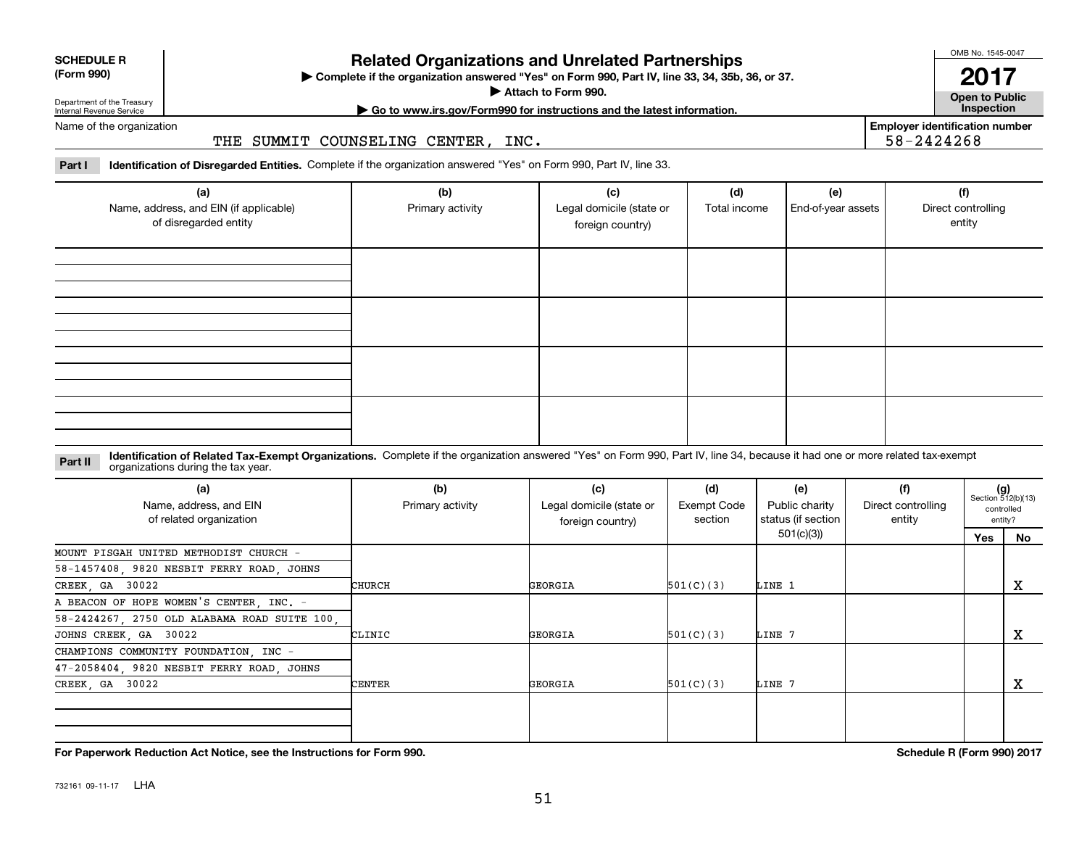|  | ,,,, |
|--|------|

# 732161 09-11-17 LHA

| (a)<br>Name, address, and EIN (if applicable)<br>of disregarded entity | (b)<br>Primary activity | (c)<br>Legal domicile (state or<br>foreign country) | (d)<br>Total income | (e)<br>End-of-year assets | (f)<br>Direct controlling<br>entity |
|------------------------------------------------------------------------|-------------------------|-----------------------------------------------------|---------------------|---------------------------|-------------------------------------|
|                                                                        |                         |                                                     |                     |                           |                                     |
|                                                                        |                         |                                                     |                     |                           |                                     |
|                                                                        |                         |                                                     |                     |                           |                                     |
|                                                                        |                         |                                                     |                     |                           |                                     |

# **Related Organizations and Unrelated Partnerships**

**Complete if the organization answered "Yes" on Form 990, Part IV, line 33, 34, 35b, 36, or 37.** |

**Attach to Form 990.**  |

OMB No. 1545-0047 **2017**

**Open to Public**

**Employer identification number**

58-2424268

**| Go to www.irs.gov/Form990 for instructions and the latest information. Inspection**

Department of the Treasury Internal Revenue Service Name of the organization

**SCHEDULE R (Form 990)**

THE SUMMIT COUNSELING CENTER, INC.

**Part I Identification of Disregarded Entities.**  Complete if the organization answered "Yes" on Form 990, Part IV, line 33.

**Identification of Related Tax-Exempt Organizations.** Complete if the organization answered "Yes" on Form 990, Part IV, line 34, because it had one or more related tax-exempt **Part II** organizations during the tax year.

| (a)<br>Name, address, and EIN<br>of related organization | (b)<br>Primary activity | (c)<br>Legal domicile (state or<br>foreign country) | (d)<br>Exempt Code<br>section                                                                           | (e)<br>Public charity | (f)<br>Direct controlling<br>entity |     | $(g)$<br>Section 512(b)(13)<br>controlled<br>entity? |
|----------------------------------------------------------|-------------------------|-----------------------------------------------------|---------------------------------------------------------------------------------------------------------|-----------------------|-------------------------------------|-----|------------------------------------------------------|
|                                                          |                         |                                                     | status (if section  <br>501(c)(3))<br>501(C)(3)<br>LINE 1<br>501(C)(3)<br>LINE 7<br>501(C)(3)<br>LINE 7 |                       |                                     | Yes | No                                                   |
| MOUNT PISGAH UNITED METHODIST CHURCH -                   |                         |                                                     |                                                                                                         |                       |                                     |     |                                                      |
| 58-1457408, 9820 NESBIT FERRY ROAD, JOHNS                |                         |                                                     |                                                                                                         |                       |                                     |     |                                                      |
| CREEK, GA 30022                                          | CHURCH                  | GEORGIA                                             |                                                                                                         |                       |                                     |     | x                                                    |
| A BEACON OF HOPE WOMEN'S CENTER, INC. -                  |                         |                                                     |                                                                                                         |                       |                                     |     |                                                      |
| 58-2424267, 2750 OLD ALABAMA ROAD SUITE 100,             |                         |                                                     |                                                                                                         |                       |                                     |     |                                                      |
| JOHNS CREEK, GA 30022                                    | CLINIC                  | GEORGIA                                             |                                                                                                         |                       |                                     |     | x                                                    |
| CHAMPIONS COMMUNITY FOUNDATION INC -                     |                         |                                                     |                                                                                                         |                       |                                     |     |                                                      |
| 47-2058404, 9820 NESBIT FERRY ROAD, JOHNS                |                         |                                                     |                                                                                                         |                       |                                     |     |                                                      |
| CREEK, GA 30022                                          | CENTER                  | GEORGIA                                             |                                                                                                         |                       |                                     |     | x                                                    |
|                                                          |                         |                                                     |                                                                                                         |                       |                                     |     |                                                      |

**For Paperwork Reduction Act Notice, see the Instructions for Form 990. Schedule R (Form 990) 2017**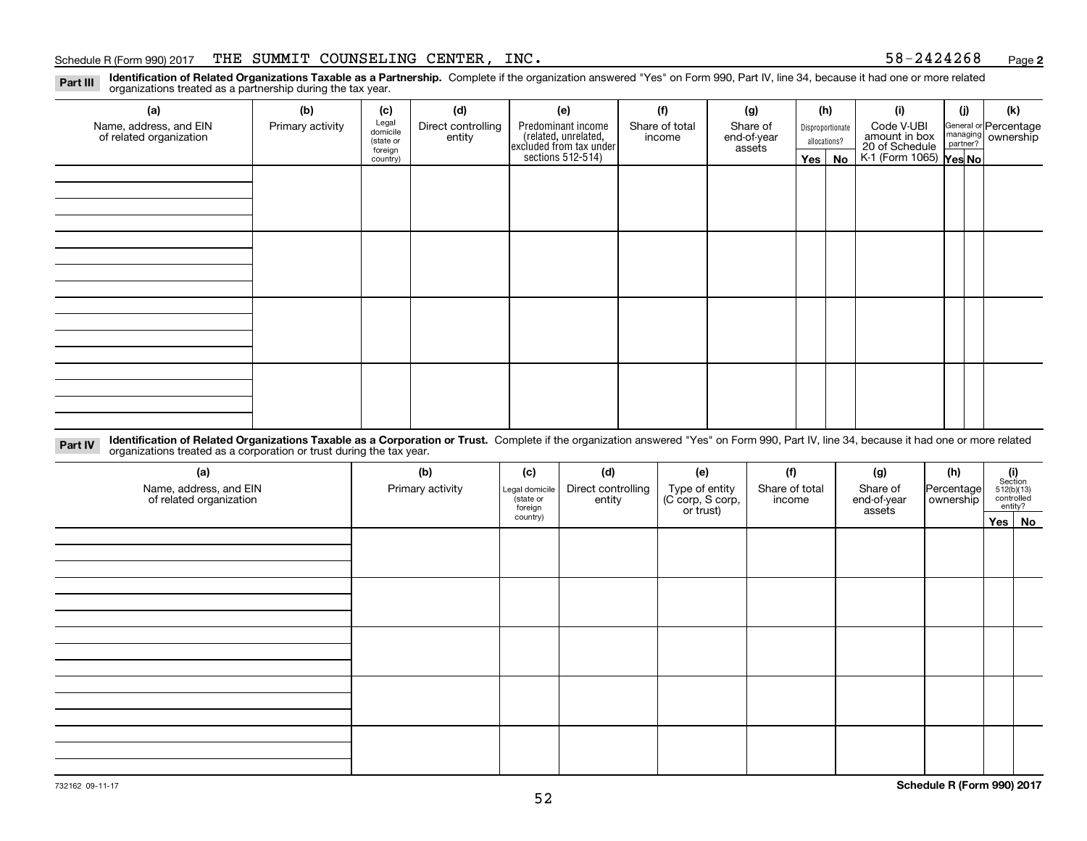#### Schedule R (Form 990) 2017 THE SUMMIT COUNSELING CENTER, INC  $\boldsymbol{\cdot}$  states that the state of  $58-2424268$  page

**2**

**Identification of Related Organizations Taxable as a Partnership.** Complete if the organization answered "Yes" on Form 990, Part IV, line 34, because it had one or more related **Part III** organizations treated as a partnership during the tax year.

| (a)                                               | (b)              | (c)                  | (d)                          | (e)                                                                  | (f)                      | (g)                     |  | (h)              | (i)                                                       | (i) | (k)                                                     |
|---------------------------------------------------|------------------|----------------------|------------------------------|----------------------------------------------------------------------|--------------------------|-------------------------|--|------------------|-----------------------------------------------------------|-----|---------------------------------------------------------|
| Name, address, and EIN<br>of related organization | Primary activity | Legal<br>domicile    | Direct controlling<br>entity | Predominant income                                                   | Share of total<br>income | Share of<br>end-of-year |  | Disproportionate | Code V-UBI                                                |     | General or Percentage<br>managing ownership<br>partner? |
|                                                   |                  | (state or<br>foreign |                              | (related, unrelated,<br>excluded from tax under<br>sections 512-514) |                          | assets                  |  | allocations?     |                                                           |     |                                                         |
|                                                   |                  | country)             |                              |                                                                      |                          |                         |  | Yes   No         | amount in box<br>20 of Schedule<br>K-1 (Form 1065) Yes No |     |                                                         |
|                                                   |                  |                      |                              |                                                                      |                          |                         |  |                  |                                                           |     |                                                         |
|                                                   |                  |                      |                              |                                                                      |                          |                         |  |                  |                                                           |     |                                                         |
|                                                   |                  |                      |                              |                                                                      |                          |                         |  |                  |                                                           |     |                                                         |
|                                                   |                  |                      |                              |                                                                      |                          |                         |  |                  |                                                           |     |                                                         |
|                                                   |                  |                      |                              |                                                                      |                          |                         |  |                  |                                                           |     |                                                         |
|                                                   |                  |                      |                              |                                                                      |                          |                         |  |                  |                                                           |     |                                                         |
|                                                   |                  |                      |                              |                                                                      |                          |                         |  |                  |                                                           |     |                                                         |
|                                                   |                  |                      |                              |                                                                      |                          |                         |  |                  |                                                           |     |                                                         |
|                                                   |                  |                      |                              |                                                                      |                          |                         |  |                  |                                                           |     |                                                         |
|                                                   |                  |                      |                              |                                                                      |                          |                         |  |                  |                                                           |     |                                                         |
|                                                   |                  |                      |                              |                                                                      |                          |                         |  |                  |                                                           |     |                                                         |
|                                                   |                  |                      |                              |                                                                      |                          |                         |  |                  |                                                           |     |                                                         |
|                                                   |                  |                      |                              |                                                                      |                          |                         |  |                  |                                                           |     |                                                         |
|                                                   |                  |                      |                              |                                                                      |                          |                         |  |                  |                                                           |     |                                                         |
|                                                   |                  |                      |                              |                                                                      |                          |                         |  |                  |                                                           |     |                                                         |
|                                                   |                  |                      |                              |                                                                      |                          |                         |  |                  |                                                           |     |                                                         |
|                                                   |                  |                      |                              |                                                                      |                          |                         |  |                  |                                                           |     |                                                         |

**Identification of Related Organizations Taxable as a Corporation or Trust.** Complete if the organization answered "Yes" on Form 990, Part IV, line 34, because it had one or more related **Part IV** organizations treated as a corporation or trust during the tax year.

| (a)<br>Name, address, and EIN<br>of related organization | (b)<br>Primary activity | (f)<br>(c)<br>(d)<br>(e)<br>Direct controlling<br>Type of entity<br>(C corp, S corp,<br>Legal domicile<br>(state or<br>entity<br>income<br>foreign |  | (g)<br>Share of total<br>Share of<br>end-of-year<br>or trust)<br>assets |  |  |  |        | (h)<br> Percentage <br>ownership | $\begin{array}{c} \textbf{(i)}\\ \text{Section}\\ 512 \text{(b)} \text{(13)}\\ \text{controlled}\\ \text{entity?} \end{array}$ |  |
|----------------------------------------------------------|-------------------------|----------------------------------------------------------------------------------------------------------------------------------------------------|--|-------------------------------------------------------------------------|--|--|--|--------|----------------------------------|--------------------------------------------------------------------------------------------------------------------------------|--|
|                                                          |                         | country)                                                                                                                                           |  |                                                                         |  |  |  | Yes No |                                  |                                                                                                                                |  |
|                                                          |                         |                                                                                                                                                    |  |                                                                         |  |  |  |        |                                  |                                                                                                                                |  |
|                                                          |                         |                                                                                                                                                    |  |                                                                         |  |  |  |        |                                  |                                                                                                                                |  |
|                                                          |                         |                                                                                                                                                    |  |                                                                         |  |  |  |        |                                  |                                                                                                                                |  |
|                                                          |                         |                                                                                                                                                    |  |                                                                         |  |  |  |        |                                  |                                                                                                                                |  |
|                                                          |                         |                                                                                                                                                    |  |                                                                         |  |  |  |        |                                  |                                                                                                                                |  |
|                                                          |                         |                                                                                                                                                    |  |                                                                         |  |  |  |        |                                  |                                                                                                                                |  |
|                                                          |                         |                                                                                                                                                    |  |                                                                         |  |  |  |        |                                  |                                                                                                                                |  |
|                                                          |                         |                                                                                                                                                    |  |                                                                         |  |  |  |        |                                  |                                                                                                                                |  |
|                                                          |                         |                                                                                                                                                    |  |                                                                         |  |  |  |        |                                  |                                                                                                                                |  |
|                                                          |                         |                                                                                                                                                    |  |                                                                         |  |  |  |        |                                  |                                                                                                                                |  |
|                                                          |                         |                                                                                                                                                    |  |                                                                         |  |  |  |        |                                  |                                                                                                                                |  |
|                                                          |                         |                                                                                                                                                    |  |                                                                         |  |  |  |        |                                  |                                                                                                                                |  |
|                                                          |                         |                                                                                                                                                    |  |                                                                         |  |  |  |        |                                  |                                                                                                                                |  |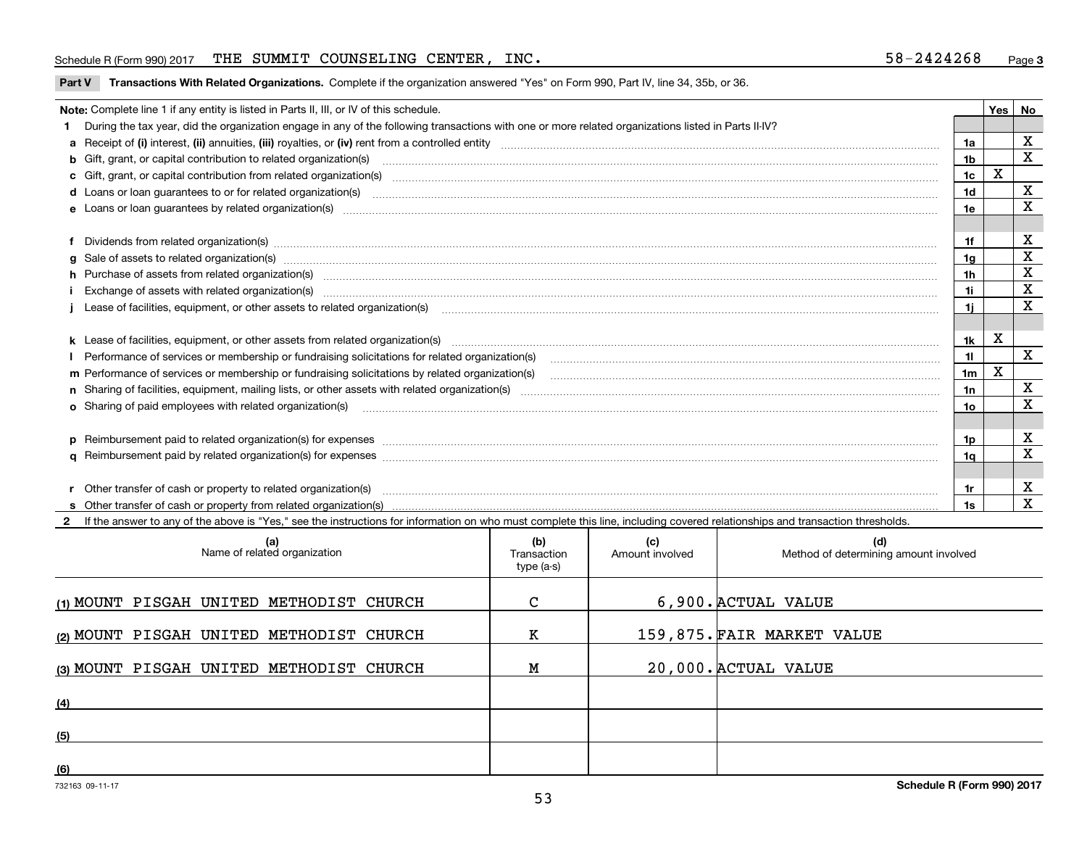#### Schedule R (Form 990) 2017 THE SUMMIT COUNSELING CENTER, INC  $\boldsymbol{\cdot}$  states that the state of  $58-2424268$  page

**Part V** T**ransactions With Related Organizations.** Complete if the organization answered "Yes" on Form 990, Part IV, line 34, 35b, or 36.

| Note: Complete line 1 if any entity is listed in Parts II, III, or IV of this schedule.                                                                                                                                           |                | Yes | No                      |
|-----------------------------------------------------------------------------------------------------------------------------------------------------------------------------------------------------------------------------------|----------------|-----|-------------------------|
| During the tax year, did the organization engage in any of the following transactions with one or more related organizations listed in Parts II-IV?                                                                               |                |     |                         |
|                                                                                                                                                                                                                                   | 1a             |     | X                       |
| b Gift, grant, or capital contribution to related organization(s) mature and contained and contribution to related organization(s) matures are contained and contribution to related organization(s)                              | 1b             |     | $\mathbf x$             |
| c Gift, grant, or capital contribution from related organization(s) manufaction(s) and contribution from related organization(s) manufaction contribution from related organization(s) manufaction contribution from related o    | 1c             | X   |                         |
| d Loans or loan guarantees to or for related organization(s) committion contracts are constructed as a control or contract or contract or contract or contract or contract or contract or contract or contract or contract or     | 1 <sub>d</sub> |     | X                       |
|                                                                                                                                                                                                                                   | 1e             |     | X                       |
| Dividends from related organization(s) www.communically.communically.communically and all proportional contracts of the contracts of the contracts of the contracts of the contracts of the contracts of the contracts of the     | 1f             |     | х                       |
|                                                                                                                                                                                                                                   | 1g             |     | X                       |
| h Purchase of assets from related organization(s) www.assettion.com/www.assettion.com/www.assettion.com/www.assettion.com/www.assettion.com/www.assettion.com/www.assettion.com/www.assettion.com/www.assettion.com/www.assett    | 1h             |     | х                       |
| Exchange of assets with related organization(s) www.communically.communically contract and a set of assets with related organization(s) www.communically.communically and a set of a set of the set of a set of a set of a set    | 1i.            |     | X                       |
| Lease of facilities, equipment, or other assets to related organization(s) [11] manufactured manufactured manufactured manufactured manufactured manufactured manufactured manufactured manufactured manufactured manufactured    | 1i.            |     | X                       |
|                                                                                                                                                                                                                                   |                |     |                         |
|                                                                                                                                                                                                                                   | 1k             | x   |                         |
| Performance of services or membership or fundraising solicitations for related organization(s) manufaction manufactured content and the services or membership or fundraising solicitations for related organization(s) manufa    | 11             |     | $\overline{\mathbf{x}}$ |
| m Performance of services or membership or fundraising solicitations by related organization(s)                                                                                                                                   | 1m             | X   |                         |
|                                                                                                                                                                                                                                   | 1n             |     | $\mathbf X$             |
| <b>o</b> Sharing of paid employees with related organization(s)                                                                                                                                                                   | 10             |     | X                       |
|                                                                                                                                                                                                                                   |                |     |                         |
|                                                                                                                                                                                                                                   | 1p.            |     | X                       |
|                                                                                                                                                                                                                                   | 1q             |     | X                       |
|                                                                                                                                                                                                                                   |                |     |                         |
| r Other transfer of cash or property to related organization(s)                                                                                                                                                                   | 1r             |     | х                       |
| r Other transfer of cash or property to related organization(s) www.communities.com/www.communities-communities<br>S Other transfer of cash or property from related organization(s) www.communities.communities-communities-comm | 1s             |     | $\mathbf X$             |
| 2 If the answer to any of the above is "Yes." see the instructions for information on who must complete this line, including covered relationships and transaction thresholds.                                                    |                |     |                         |

| (a)<br>Name of related organization      | (b)<br>Transaction<br>type (a-s) | (c)<br>Amount involved | (d)<br>Method of determining amount involved |
|------------------------------------------|----------------------------------|------------------------|----------------------------------------------|
| (1) MOUNT PISGAH UNITED METHODIST CHURCH | C                                |                        | 6,900. ACTUAL VALUE                          |
| (2) MOUNT PISGAH UNITED METHODIST CHURCH | K                                |                        | 159,875. FAIR MARKET VALUE                   |
| (3) MOUNT PISGAH UNITED METHODIST CHURCH | Μ                                |                        | 20,000. ACTUAL VALUE                         |
| (4)                                      |                                  |                        |                                              |
| (5)                                      |                                  |                        |                                              |
| (6)                                      |                                  |                        |                                              |

 $\overline{\phantom{a}}$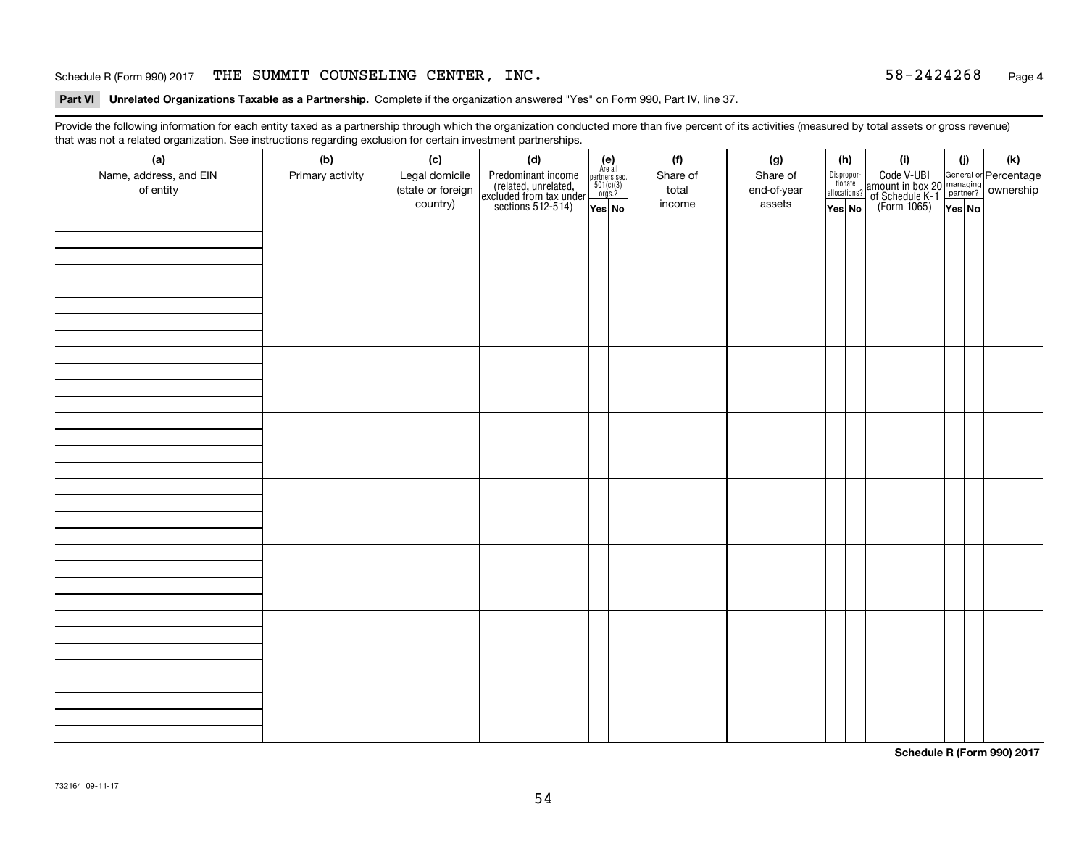#### Schedule R (Form 990) 2017 THE SUMMIT COUNSELING CENTER, INC  $\boldsymbol{\cdot}$  58-2424268 <sub>Page</sub>

#### **Part VI Unrelated Organizations Taxable as a Partnership. Complete if the organization answered "Yes" on Form 990, Part IV, line 37.**

Provide the following information for each entity taxed as a partnership through which the organization conducted more than five percent of its activities (measured by total assets or gross revenue) that was not a related organization. See instructions regarding exclusion for certain investment partnerships.

| (a)<br>Name, address, and EIN<br>of entity | $\tilde{}$<br>(b)<br>Primary activity | (c)<br>Legal domicile<br>(state or foreign<br>country) | (d)<br>Predominant income<br>(related, unrelated,<br>excluded from tax under<br>sections 512-514) | $(e)$<br>Are all<br>$\begin{array}{c}\n\text{partners} \sec.\n\\ \n501(c)(3)\n\\ \n0rgs.?\n\end{array}$<br>Yes No | (f)<br>Share of<br>total<br>income | (g)<br>Share of<br>end-of-year<br>assets | (h)<br>Dispropor-<br>tionate<br>allocations?<br>Yes No | (i)<br>Code V-UBI<br>amount in box 20 managing<br>of Schedule K-1<br>(Form 1065)<br>$\overline{Yes}$ No | (i)<br>Yes No | (k) |
|--------------------------------------------|---------------------------------------|--------------------------------------------------------|---------------------------------------------------------------------------------------------------|-------------------------------------------------------------------------------------------------------------------|------------------------------------|------------------------------------------|--------------------------------------------------------|---------------------------------------------------------------------------------------------------------|---------------|-----|
|                                            |                                       |                                                        |                                                                                                   |                                                                                                                   |                                    |                                          |                                                        |                                                                                                         |               |     |
|                                            |                                       |                                                        |                                                                                                   |                                                                                                                   |                                    |                                          |                                                        |                                                                                                         |               |     |
|                                            |                                       |                                                        |                                                                                                   |                                                                                                                   |                                    |                                          |                                                        |                                                                                                         |               |     |
|                                            |                                       |                                                        |                                                                                                   |                                                                                                                   |                                    |                                          |                                                        |                                                                                                         |               |     |
|                                            |                                       |                                                        |                                                                                                   |                                                                                                                   |                                    |                                          |                                                        |                                                                                                         |               |     |
|                                            |                                       |                                                        |                                                                                                   |                                                                                                                   |                                    |                                          |                                                        |                                                                                                         |               |     |
|                                            |                                       |                                                        |                                                                                                   |                                                                                                                   |                                    |                                          |                                                        |                                                                                                         |               |     |
|                                            |                                       |                                                        |                                                                                                   |                                                                                                                   |                                    |                                          |                                                        |                                                                                                         |               |     |

**Schedule R (Form 990) 2017**